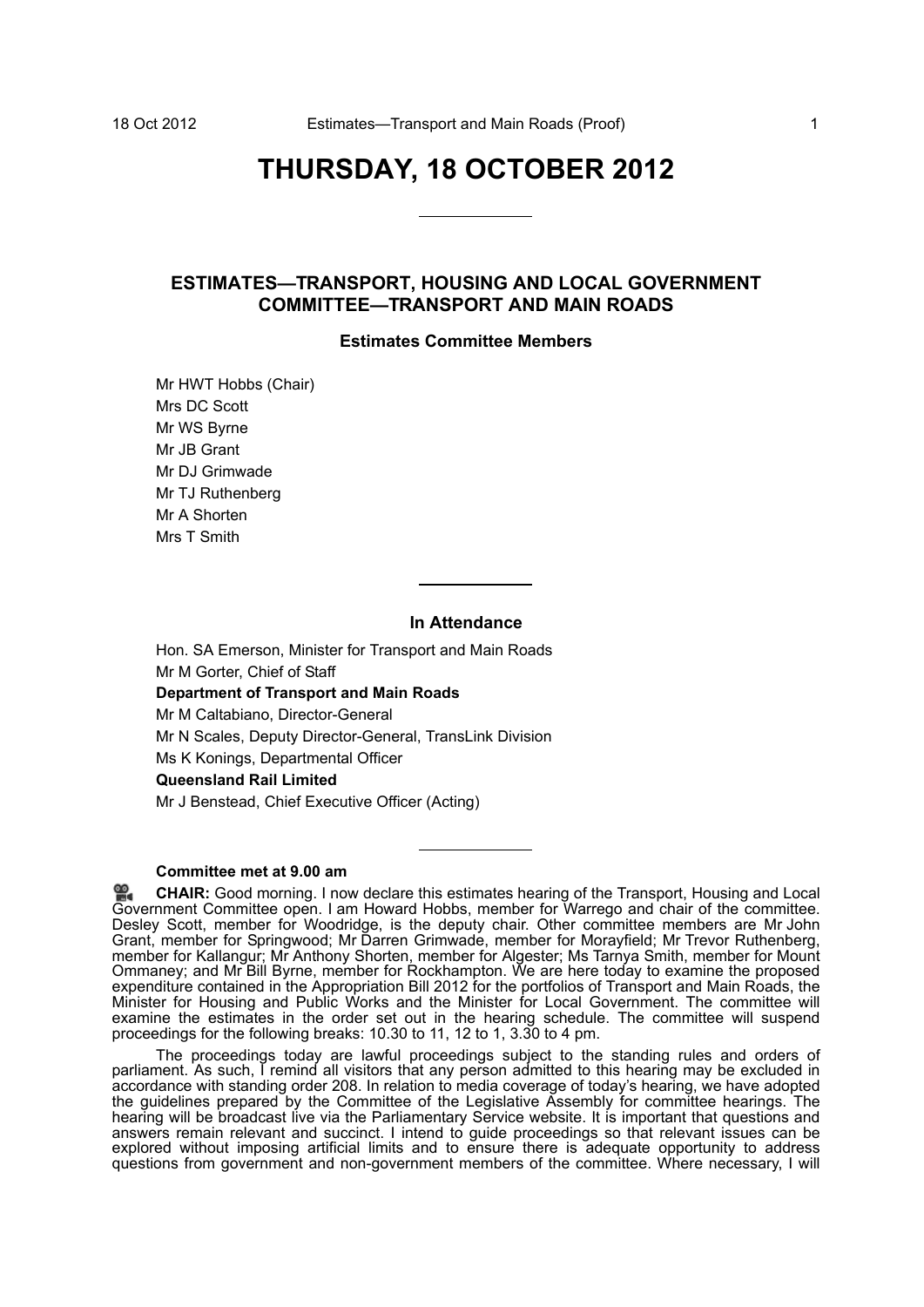# **THURSDAY, 18 OCTOBER 2012**

# **ESTIMATES—TRANSPORT, HOUSING AND LOCAL GOVERNMENT COMMITTEE—TRANSPORT AND MAIN ROADS**

# **Estimates Committee Members**

Mr HWT Hobbs (Chair) Mrs DC Scott Mr WS Byrne Mr JB Grant Mr DJ Grimwade Mr TJ Ruthenberg Mr A Shorten Mrs T Smith

#### **In Attendance**

Hon. SA Emerson, Minister for Transport and Main Roads Mr M Gorter, Chief of Staff **Department of Transport and Main Roads** Mr M Caltabiano, Director-General Mr N Scales, Deputy Director-General, TransLink Division Ms K Konings, Departmental Officer **Queensland Rail Limited**

Mr J Benstead, Chief Executive Officer (Acting)

# **Committee met at 9.00 am**

≌. **CHAIR:** [Good morning. I now declare this estimates hearing of the Transport, Housing and Local](http://www.parliament.qld.gov.au/docs/find.aspx?id=0Mba20121018_090017) [Gov](http://www.parliament.qld.gov.au/docs/find.aspx?id=0Mba20121018_090017)ernment Committee open. I am Howard Hobbs, member for Warrego and chair of the committee. Desley Scott, member for Woodridge, is the deputy chair. Other committee members are Mr John [Grant, member for Springwood; Mr Darren Grimwade, member for Morayfield; Mr Trevor Ruthenberg,](http://www.parliament.qld.gov.au/docs/find.aspx?id=0Mba20121018_090017) member for Kallangur; Mr Anthony Shorten, member for Algester; Ms Tarnya Smith, member for Mount Ommaney; and Mr Bill Byrne, member for Rockhampton. We are here today to examine the proposed expenditure contained in the Appropriation Bill 2012 for the portfolios of Transport and Main Roads, the Minister for Housing and Public Works and the Minister for Local Government. The committee will examine the estimates in the order set out in the hearing schedule. The committee will suspend proceedings for the following breaks: 10.30 to 11, 12 to 1, 3.30 to 4 pm.

The proceedings today are lawful proceedings subject to the standing rules and orders of parliament. As such, I remind all visitors that any person admitted to this hearing may be excluded in accordance with standing order 208. In relation to media coverage of today's hearing, we have adopted the guidelines prepared by the Committee of the Legislative Assembly for committee hearings. The hearing will be broadcast live via the Parliamentary Service website. It is important that questions and answers remain relevant and succinct. I intend to guide proceedings so that relevant issues can be explored without imposing artificial limits and to ensure there is adequate opportunity to address questions from government and non-government members of the committee. Where necessary, I will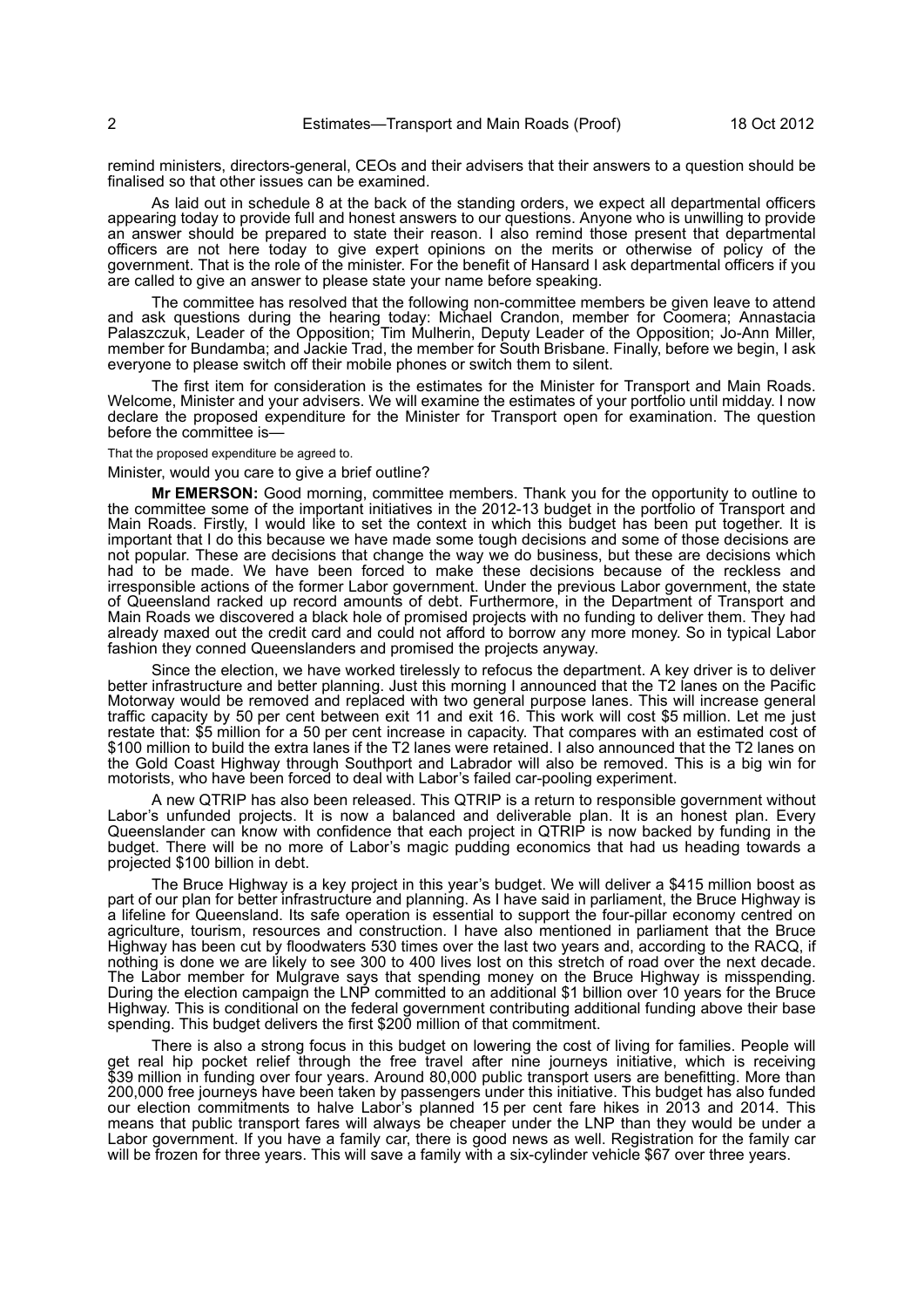remind ministers, directors-general, CEOs and their advisers that their answers to a question should be finalised so that other issues can be examined.

As laid out in schedule 8 at the back of the standing orders, we expect all departmental officers appearing today to provide full and honest answers to our questions. Anyone who is unwilling to provide an answer should be prepared to state their reason. I also remind those present that departmental officers are not here today to give expert opinions on the merits or otherwise of policy of the government. That is the role of the minister. For the benefit of Hansard I ask departmental officers if you are called to give an answer to please state your name before speaking.

The committee has resolved that the following non-committee members be given leave to attend and ask questions during the hearing today: Michael Crandon, member for Coomera; Annastacia Palaszczuk, Leader of the Opposition; Tim Mulherin, Deputy Leader of the Opposition; Jo-Ann Miller, member for Bundamba; and Jackie Trad, the member for South Brisbane. Finally, before we begin, I ask everyone to please switch off their mobile phones or switch them to silent.

The first item for consideration is the estimates for the Minister for Transport and Main Roads. Welcome, Minister and your advisers. We will examine the estimates of your portfolio until midday. I now declare the proposed expenditure for the Minister for Transport open for examination. The question before the committee is—

That the proposed expenditure be agreed to.

Minister, would you care to give a brief outline?

**Mr EMERSON:** Good morning, committee members. Thank you for the opportunity to outline to the committee some of the important initiatives in the 2012-13 budget in the portfolio of Transport and Main Roads. Firstly, I would like to set the context in which this budget has been put together. It is important that I do this because we have made some tough decisions and some of those decisions are not popular. These are decisions that change the way we do business, but these are decisions which had to be made. We have been forced to make these decisions because of the reckless and irresponsible actions of the former Labor government. Under the previous Labor government, the state of Queensland racked up record amounts of debt. Furthermore, in the Department of Transport and Main Roads we discovered a black hole of promised projects with no funding to deliver them. They had already maxed out the credit card and could not afford to borrow any more money. So in typical Labor fashion they conned Queenslanders and promised the projects anyway.

Since the election, we have worked tirelessly to refocus the department. A key driver is to deliver better infrastructure and better planning. Just this morning I announced that the T2 lanes on the Pacific Motorway would be removed and replaced with two general purpose lanes. This will increase general traffic capacity by 50 per cent between exit 11 and exit 16. This work will cost \$5 million. Let me just restate that: \$5 million for a 50 per cent increase in capacity. That compares with an estimated cost of \$100 million to build the extra lanes if the T2 lanes were retained. I also announced that the T2 lanes on the Gold Coast Highway through Southport and Labrador will also be removed. This is a big win for motorists, who have been forced to deal with Labor's failed car-pooling experiment.

A new QTRIP has also been released. This QTRIP is a return to responsible government without Labor's unfunded projects. It is now a balanced and deliverable plan. It is an honest plan. Every Queenslander can know with confidence that each project in QTRIP is now backed by funding in the budget. There will be no more of Labor's magic pudding economics that had us heading towards a projected \$100 billion in debt.

The Bruce Highway is a key project in this year's budget. We will deliver a \$415 million boost as part of our plan for better infrastructure and planning. As I have said in parliament, the Bruce Highway is a lifeline for Queensland. Its safe operation is essential to support the four-pillar economy centred on agriculture, tourism, resources and construction. I have also mentioned in parliament that the Bruce Highway has been cut by floodwaters 530 times over the last two years and, according to the RACQ, if nothing is done we are likely to see 300 to 400 lives lost on this stretch of road over the next decade. The Labor member for Mulgrave says that spending money on the Bruce Highway is misspending. During the election campaign the LNP committed to an additional \$1 billion over 10 years for the Bruce Highway. This is conditional on the federal government contributing additional funding above their base spending. This budget delivers the first \$200 million of that commitment.

There is also a strong focus in this budget on lowering the cost of living for families. People will get real hip pocket relief through the free travel after nine journeys initiative, which is receiving \$39 million in funding over four years. Around 80,000 public transport users are benefitting. More than 200,000 free journeys have been taken by passengers under this initiative. This budget has also funded our election commitments to halve Labor's planned 15 per cent fare hikes in 2013 and 2014. This means that public transport fares will always be cheaper under the LNP than they would be under a Labor government. If you have a family car, there is good news as well. Registration for the family car will be frozen for three years. This will save a family with a six-cylinder vehicle \$67 over three years.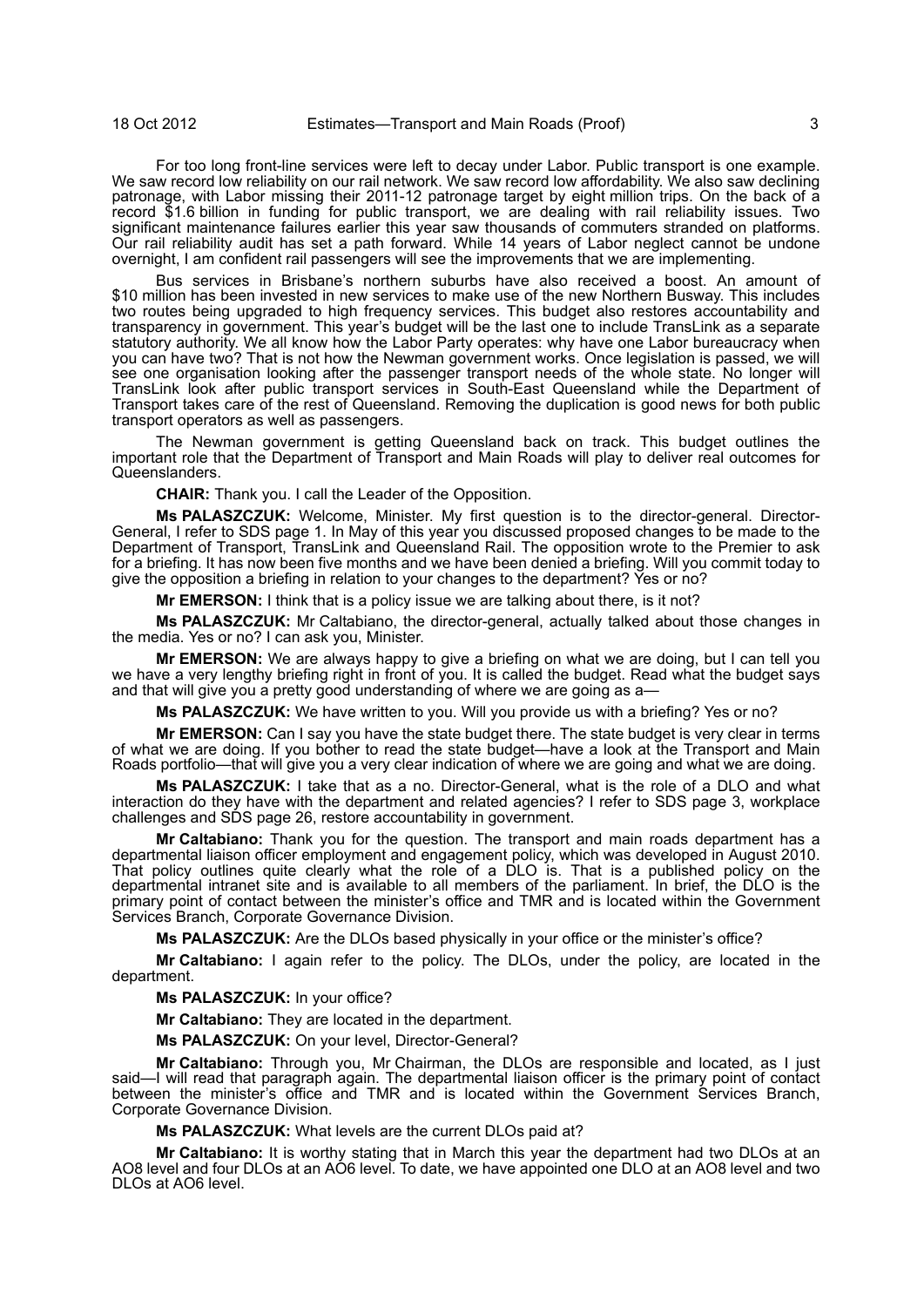For too long front-line services were left to decay under Labor. Public transport is one example. We saw record low reliability on our rail network. We saw record low affordability. We also saw declining patronage, with Labor missing their 2011-12 patronage target by eight million trips. On the back of a record \$1.6 billion in funding for public transport, we are dealing with rail reliability issues. Two significant maintenance failures earlier this year saw thousands of commuters stranded on platforms. Our rail reliability audit has set a path forward. While 14 years of Labor neglect cannot be undone overnight, I am confident rail passengers will see the improvements that we are implementing.

Bus services in Brisbane's northern suburbs have also received a boost. An amount of \$10 million has been invested in new services to make use of the new Northern Busway. This includes two routes being upgraded to high frequency services. This budget also restores accountability and transparency in government. This year's budget will be the last one to include TransLink as a separate statutory authority. We all know how the Labor Party operates: why have one Labor bureaucracy when you can have two? That is not how the Newman government works. Once legislation is passed, we will see one organisation looking after the passenger transport needs of the whole state. No longer will TransLink look after public transport services in South-East Queensland while the Department of Transport takes care of the rest of Queensland. Removing the duplication is good news for both public transport operators as well as passengers.

The Newman government is getting Queensland back on track. This budget outlines the important role that the Department of Transport and Main Roads will play to deliver real outcomes for Queenslanders.

**CHAIR:** Thank you. I call the Leader of the Opposition.

**Ms PALASZCZUK:** Welcome, Minister. My first question is to the director-general. Director-General, I refer to SDS page 1. In May of this year you discussed proposed changes to be made to the Department of Transport, TransLink and Queensland Rail. The opposition wrote to the Premier to ask for a briefing. It has now been five months and we have been denied a briefing. Will you commit today to give the opposition a briefing in relation to your changes to the department? Yes or no?

**Mr EMERSON:** I think that is a policy issue we are talking about there, is it not?

**Ms PALASZCZUK:** Mr Caltabiano, the director-general, actually talked about those changes in the media. Yes or no? I can ask you, Minister.

**Mr EMERSON:** We are always happy to give a briefing on what we are doing, but I can tell you we have a very lengthy briefing right in front of you. It is called the budget. Read what the budget says and that will give you a pretty good understanding of where we are going as a-

**Ms PALASZCZUK:** We have written to you. Will you provide us with a briefing? Yes or no?

**Mr EMERSON:** Can I say you have the state budget there. The state budget is very clear in terms of what we are doing. If you bother to read the state budget—have a look at the Transport and Main Roads portfolio—that will give you a very clear indication of where we are going and what we are doing.

**Ms PALASZCZUK:** I take that as a no. Director-General, what is the role of a DLO and what interaction do they have with the department and related agencies? I refer to SDS page 3, workplace challenges and SDS page 26, restore accountability in government.

**Mr Caltabiano:** Thank you for the question. The transport and main roads department has a departmental liaison officer employment and engagement policy, which was developed in August 2010. That policy outlines quite clearly what the role of a DLO is. That is a published policy on the departmental intranet site and is available to all members of the parliament. In brief, the DLO is the primary point of contact between the minister's office and TMR and is located within the Government Services Branch, Corporate Governance Division.

**Ms PALASZCZUK:** Are the DLOs based physically in your office or the minister's office?

**Mr Caltabiano:** I again refer to the policy. The DLOs, under the policy, are located in the department.

**Ms PALASZCZUK:** In your office?

**Mr Caltabiano:** They are located in the department.

**Ms PALASZCZUK:** On your level, Director-General?

**Mr Caltabiano:** Through you, Mr Chairman, the DLOs are responsible and located, as I just said—I will read that paragraph again. The departmental liaison officer is the primary point of contact between the minister's office and TMR and is located within the Government Services Branch, Corporate Governance Division.

**Ms PALASZCZUK:** What levels are the current DLOs paid at?

**Mr Caltabiano:** It is worthy stating that in March this year the department had two DLOs at an AO8 level and four DLOs at an AO6 level. To date, we have appointed one DLO at an AO8 level and two DLOs at AO6 level.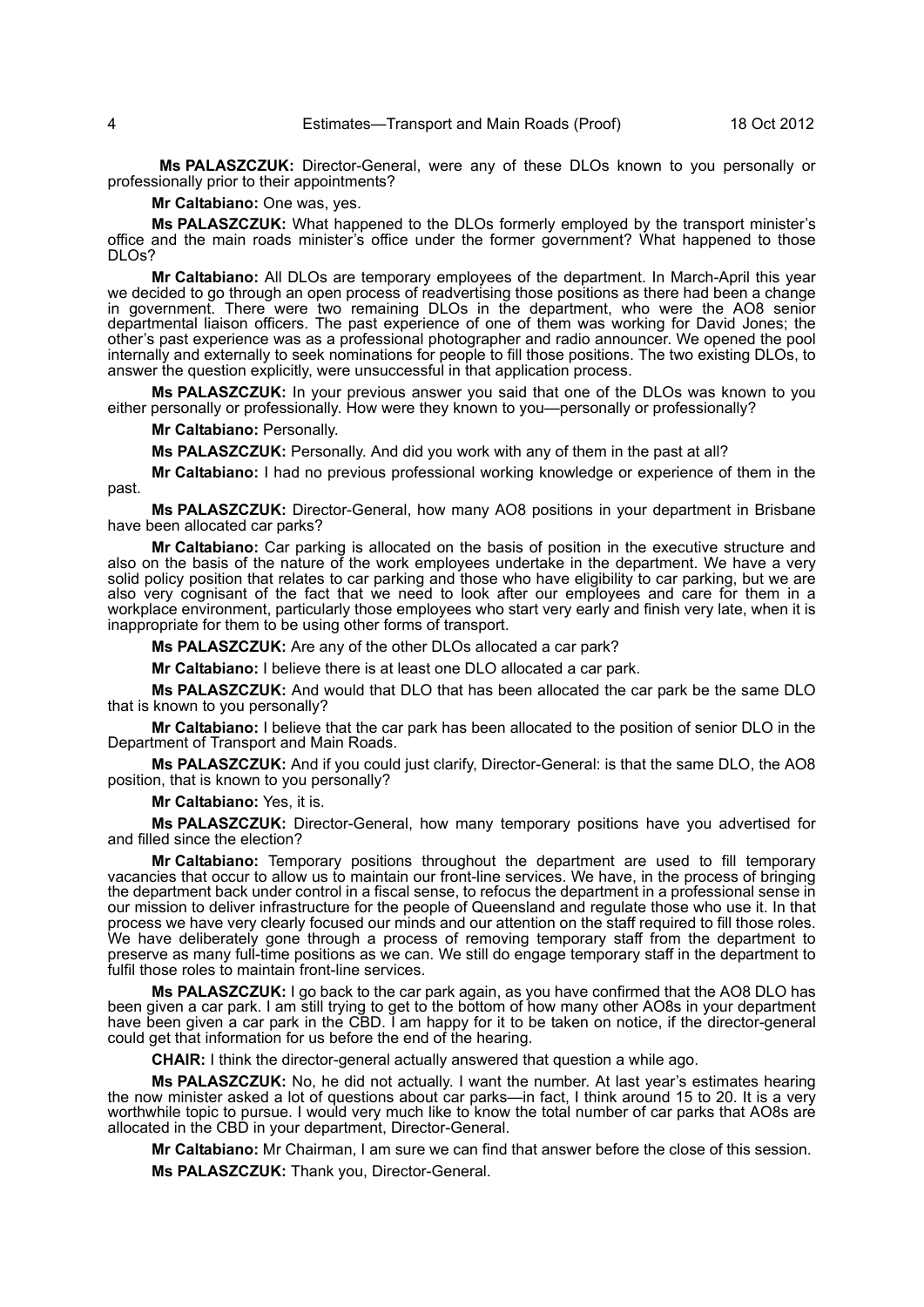4 Estimates—Transport and Main Roads (Proof) 18 Oct 2012

**Ms PALASZCZUK:** Director-General, were any of these DLOs known to you personally or professionally prior to their appointments?

**Mr Caltabiano:** One was, yes.

**Ms PALASZCZUK:** What happened to the DLOs formerly employed by the transport minister's office and the main roads minister's office under the former government? What happened to those DLOs?

**Mr Caltabiano:** All DLOs are temporary employees of the department. In March-April this year we decided to go through an open process of readvertising those positions as there had been a change in government. There were two remaining DLOs in the department, who were the AO8 senior departmental liaison officers. The past experience of one of them was working for David Jones; the other's past experience was as a professional photographer and radio announcer. We opened the pool internally and externally to seek nominations for people to fill those positions. The two existing DLOs, to answer the question explicitly, were unsuccessful in that application process.

**Ms PALASZCZUK:** In your previous answer you said that one of the DLOs was known to you either personally or professionally. How were they known to you—personally or professionally?

**Mr Caltabiano:** Personally.

**Ms PALASZCZUK:** Personally. And did you work with any of them in the past at all?

**Mr Caltabiano:** I had no previous professional working knowledge or experience of them in the past.

**Ms PALASZCZUK:** Director-General, how many AO8 positions in your department in Brisbane have been allocated car parks?

**Mr Caltabiano:** Car parking is allocated on the basis of position in the executive structure and also on the basis of the nature of the work employees undertake in the department. We have a very solid policy position that relates to car parking and those who have eligibility to car parking, but we are also very cognisant of the fact that we need to look after our employees and care for them in a workplace environment, particularly those employees who start very early and finish very late, when it is inappropriate for them to be using other forms of transport.

**Ms PALASZCZUK:** Are any of the other DLOs allocated a car park?

**Mr Caltabiano:** I believe there is at least one DLO allocated a car park.

**Ms PALASZCZUK:** And would that DLO that has been allocated the car park be the same DLO that is known to you personally?

**Mr Caltabiano:** I believe that the car park has been allocated to the position of senior DLO in the Department of Transport and Main Roads.

**Ms PALASZCZUK:** And if you could just clarify, Director-General: is that the same DLO, the AO8 position, that is known to you personally?

**Mr Caltabiano:** Yes, it is.

**Ms PALASZCZUK:** Director-General, how many temporary positions have you advertised for and filled since the election?

**Mr Caltabiano:** Temporary positions throughout the department are used to fill temporary vacancies that occur to allow us to maintain our front-line services. We have, in the process of bringing the department back under control in a fiscal sense, to refocus the department in a professional sense in our mission to deliver infrastructure for the people of Queensland and regulate those who use it. In that process we have very clearly focused our minds and our attention on the staff required to fill those roles. We have deliberately gone through a process of removing temporary staff from the department to preserve as many full-time positions as we can. We still do engage temporary staff in the department to fulfil those roles to maintain front-line services.

**Ms PALASZCZUK:** I go back to the car park again, as you have confirmed that the AO8 DLO has been given a car park. I am still trying to get to the bottom of how many other AO8s in your department have been given a car park in the CBD. I am happy for it to be taken on notice, if the director-general could get that information for us before the end of the hearing.

**CHAIR:** I think the director-general actually answered that question a while ago.

**Ms PALASZCZUK:** No, he did not actually. I want the number. At last year's estimates hearing the now minister asked a lot of questions about car parks—in fact, I think around 15 to 20. It is a very worthwhile topic to pursue. I would very much like to know the total number of car parks that AO8s are allocated in the CBD in your department, Director-General.

**Mr Caltabiano:** Mr Chairman, I am sure we can find that answer before the close of this session. **Ms PALASZCZUK:** Thank you, Director-General.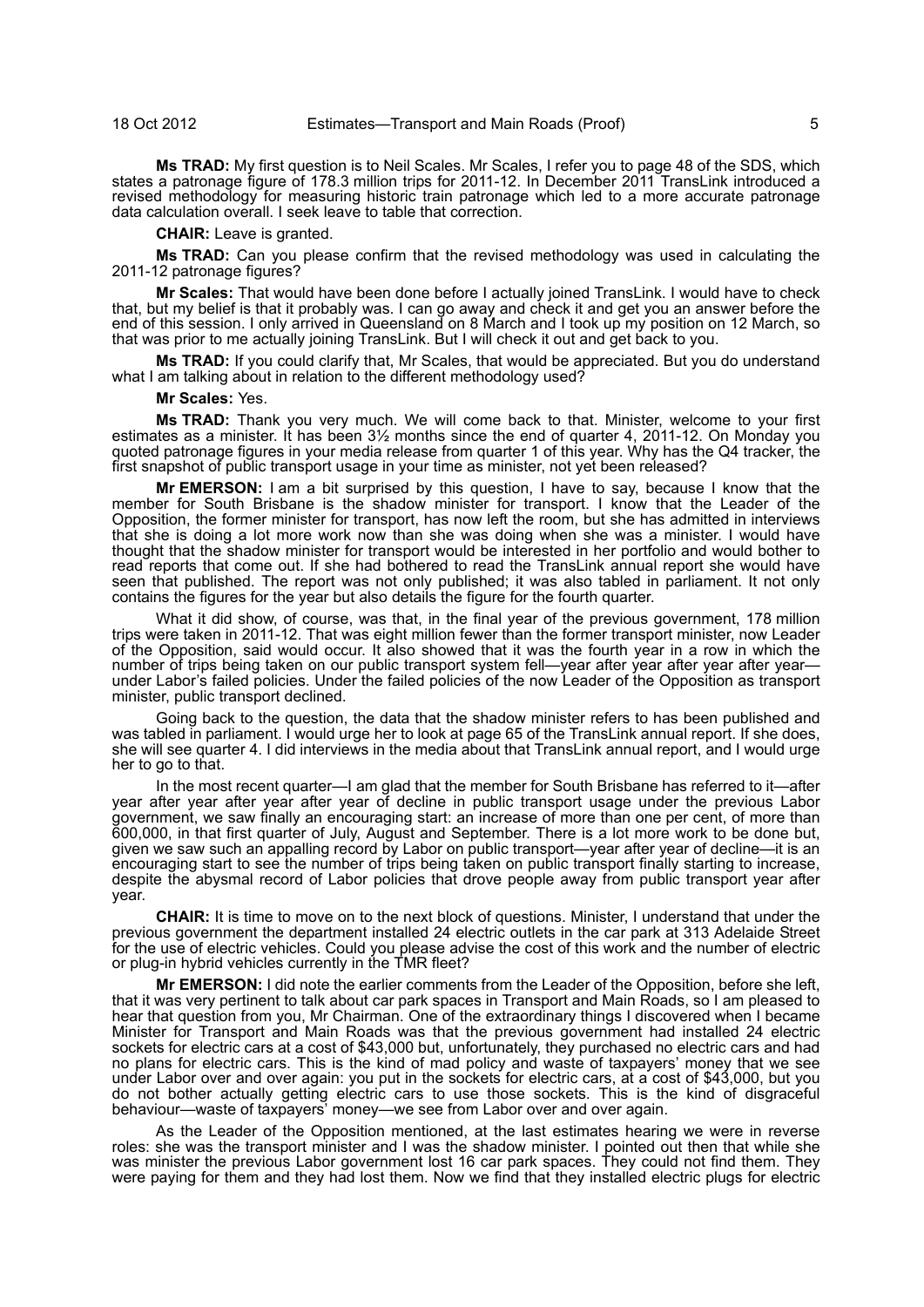**Ms TRAD:** My first question is to Neil Scales. Mr Scales, I refer you to page 48 of the SDS, which states a patronage figure of 178.3 million trips for 2011-12. In December 2011 TransLink introduced a revised methodology for measuring historic train patronage which led to a more accurate patronage data calculation overall. I seek leave to table that correction.

**CHAIR:** Leave is granted.

**Ms TRAD:** Can you please confirm that the revised methodology was used in calculating the 2011-12 patronage figures?

**Mr Scales:** That would have been done before I actually joined TransLink. I would have to check that, but my belief is that it probably was. I can go away and check it and get you an answer before the end of this session. I only arrived in Queensland on 8 March and I took up my position on 12 March, so that was prior to me actually joining TransLink. But I will check it out and get back to you.

**Ms TRAD:** If you could clarify that, Mr Scales, that would be appreciated. But you do understand what I am talking about in relation to the different methodology used?

**Mr Scales:** Yes.

**Ms TRAD:** Thank you very much. We will come back to that. Minister, welcome to your first estimates as a minister. It has been 3½ months since the end of quarter 4, 2011-12. On Monday you quoted patronage figures in your media release from quarter 1 of this year. Why has the Q4 tracker, the first snapshot of public transport usage in your time as minister, not yet been released?

**Mr EMERSON:** I am a bit surprised by this question, I have to say, because I know that the member for South Brisbane is the shadow minister for transport. I know that the Leader of the Opposition, the former minister for transport, has now left the room, but she has admitted in interviews that she is doing a lot more work now than she was doing when she was a minister. I would have thought that the shadow minister for transport would be interested in her portfolio and would bother to read reports that come out. If she had bothered to read the TransLink annual report she would have seen that published. The report was not only published; it was also tabled in parliament. It not only contains the figures for the year but also details the figure for the fourth quarter.

What it did show, of course, was that, in the final year of the previous government, 178 million trips were taken in 2011-12. That was eight million fewer than the former transport minister, now Leader of the Opposition, said would occur. It also showed that it was the fourth year in a row in which the number of trips being taken on our public transport system fell—year after year after year after year under Labor's failed policies. Under the failed policies of the now Leader of the Opposition as transport minister, public transport declined.

Going back to the question, the data that the shadow minister refers to has been published and was tabled in parliament. I would urge her to look at page 65 of the TransLink annual report. If she does, she will see quarter 4. I did interviews in the media about that TransLink annual report, and I would urge her to go to that.

In the most recent quarter—I am glad that the member for South Brisbane has referred to it—after year after year after year after year of decline in public transport usage under the previous Labor government, we saw finally an encouraging start: an increase of more than one per cent, of more than 600,000, in that first quarter of July, August and September. There is a lot more work to be done but, given we saw such an appalling record by Labor on public transport—year after year of decline—it is an encouraging start to see the number of trips being taken on public transport finally starting to increase, despite the abysmal record of Labor policies that drove people away from public transport year after year.

**CHAIR:** It is time to move on to the next block of questions. Minister, I understand that under the previous government the department installed 24 electric outlets in the car park at 313 Adelaide Street for the use of electric vehicles. Could you please advise the cost of this work and the number of electric or plug-in hybrid vehicles currently in the TMR fleet?

**Mr EMERSON:** I did note the earlier comments from the Leader of the Opposition, before she left, that it was very pertinent to talk about car park spaces in Transport and Main Roads, so I am pleased to hear that question from you, Mr Chairman. One of the extraordinary things I discovered when I became Minister for Transport and Main Roads was that the previous government had installed 24 electric sockets for electric cars at a cost of \$43,000 but, unfortunately, they purchased no electric cars and had no plans for electric cars. This is the kind of mad policy and waste of taxpayers' money that we see under Labor over and over again: you put in the sockets for electric cars, at a cost of \$43,000, but you do not bother actually getting electric cars to use those sockets. This is the kind of disgraceful behaviour—waste of taxpayers' money—we see from Labor over and over again.

As the Leader of the Opposition mentioned, at the last estimates hearing we were in reverse roles: she was the transport minister and I was the shadow minister. I pointed out then that while she was minister the previous Labor government lost 16 car park spaces. They could not find them. They were paying for them and they had lost them. Now we find that they installed electric plugs for electric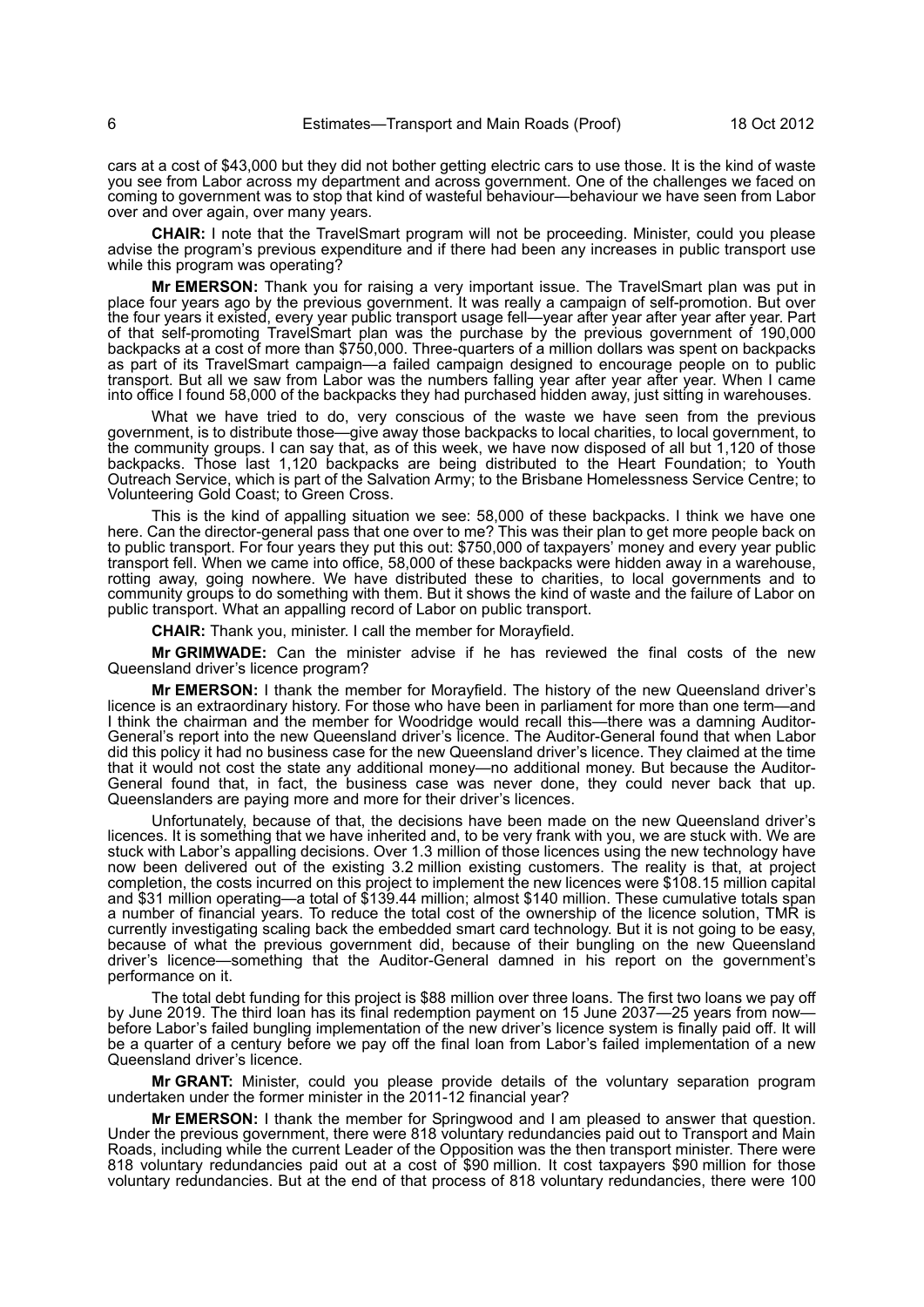cars at a cost of \$43,000 but they did not bother getting electric cars to use those. It is the kind of waste you see from Labor across my department and across government. One of the challenges we faced on coming to government was to stop that kind of wasteful behaviour—behaviour we have seen from Labor over and over again, over many years.

**CHAIR:** I note that the TravelSmart program will not be proceeding. Minister, could you please advise the program's previous expenditure and if there had been any increases in public transport use while this program was operating?

**Mr EMERSON:** Thank you for raising a very important issue. The TravelSmart plan was put in place four years ago by the previous government. It was really a campaign of self-promotion. But over the four years it existed, every year public transport usage fell—year after year after year after year. Part of that self-promoting TravelSmart plan was the purchase by the previous government of 190,000 backpacks at a cost of more than \$750,000. Three-quarters of a million dollars was spent on backpacks as part of its TravelSmart campaign—a failed campaign designed to encourage people on to public transport. But all we saw from Labor was the numbers falling year after year after year. When I came into office I found 58,000 of the backpacks they had purchased hidden away, just sitting in warehouses.

What we have tried to do, very conscious of the waste we have seen from the previous government, is to distribute those—give away those backpacks to local charities, to local government, to the community groups. I can say that, as of this week, we have now disposed of all but 1,120 of those backpacks. Those last 1,120 backpacks are being distributed to the Heart Foundation; to Youth Outreach Service, which is part of the Salvation Army; to the Brisbane Homelessness Service Centre; to Volunteering Gold Coast; to Green Cross.

This is the kind of appalling situation we see: 58,000 of these backpacks. I think we have one here. Can the director-general pass that one over to me? This was their plan to get more people back on to public transport. For four years they put this out: \$750,000 of taxpayers' money and every year public transport fell. When we came into office, 58,000 of these backpacks were hidden away in a warehouse, rotting away, going nowhere. We have distributed these to charities, to local governments and to community groups to do something with them. But it shows the kind of waste and the failure of Labor on public transport. What an appalling record of Labor on public transport.

**CHAIR:** Thank you, minister. I call the member for Morayfield.

**Mr GRIMWADE:** Can the minister advise if he has reviewed the final costs of the new Queensland driver's licence program?

**Mr EMERSON:** I thank the member for Morayfield. The history of the new Queensland driver's licence is an extraordinary history. For those who have been in parliament for more than one term—and I think the chairman and the member for Woodridge would recall this—there was a damning Auditor-General's report into the new Queensland driver's licence. The Auditor-General found that when Labor did this policy it had no business case for the new Queensland driver's licence. They claimed at the time that it would not cost the state any additional money—no additional money. But because the Auditor-General found that, in fact, the business case was never done, they could never back that up. Queenslanders are paying more and more for their driver's licences.

Unfortunately, because of that, the decisions have been made on the new Queensland driver's licences. It is something that we have inherited and, to be very frank with you, we are stuck with. We are stuck with Labor's appalling decisions. Over 1.3 million of those licences using the new technology have now been delivered out of the existing 3.2 million existing customers. The reality is that, at project completion, the costs incurred on this project to implement the new licences were \$108.15 million capital and \$31 million operating—a total of \$139.44 million; almost \$140 million. These cumulative totals span a number of financial years. To reduce the total cost of the ownership of the licence solution, TMR is currently investigating scaling back the embedded smart card technology. But it is not going to be easy, because of what the previous government did, because of their bungling on the new Queensland driver's licence—something that the Auditor-General damned in his report on the government's performance on it.

The total debt funding for this project is \$88 million over three loans. The first two loans we pay off by June 2019. The third loan has its final redemption payment on 15 June 2037—25 years from nowbefore Labor's failed bungling implementation of the new driver's licence system is finally paid off. It will be a quarter of a century before we pay off the final loan from Labor's failed implementation of a new Queensland driver's licence.

**Mr GRANT:** Minister, could you please provide details of the voluntary separation program undertaken under the former minister in the 2011-12 financial year?

**Mr EMERSON:** I thank the member for Springwood and I am pleased to answer that question. Under the previous government, there were 818 voluntary redundancies paid out to Transport and Main Roads, including while the current Leader of the Opposition was the then transport minister. There were 818 voluntary redundancies paid out at a cost of \$90 million. It cost taxpayers \$90 million for those voluntary redundancies. But at the end of that process of 818 voluntary redundancies, there were 100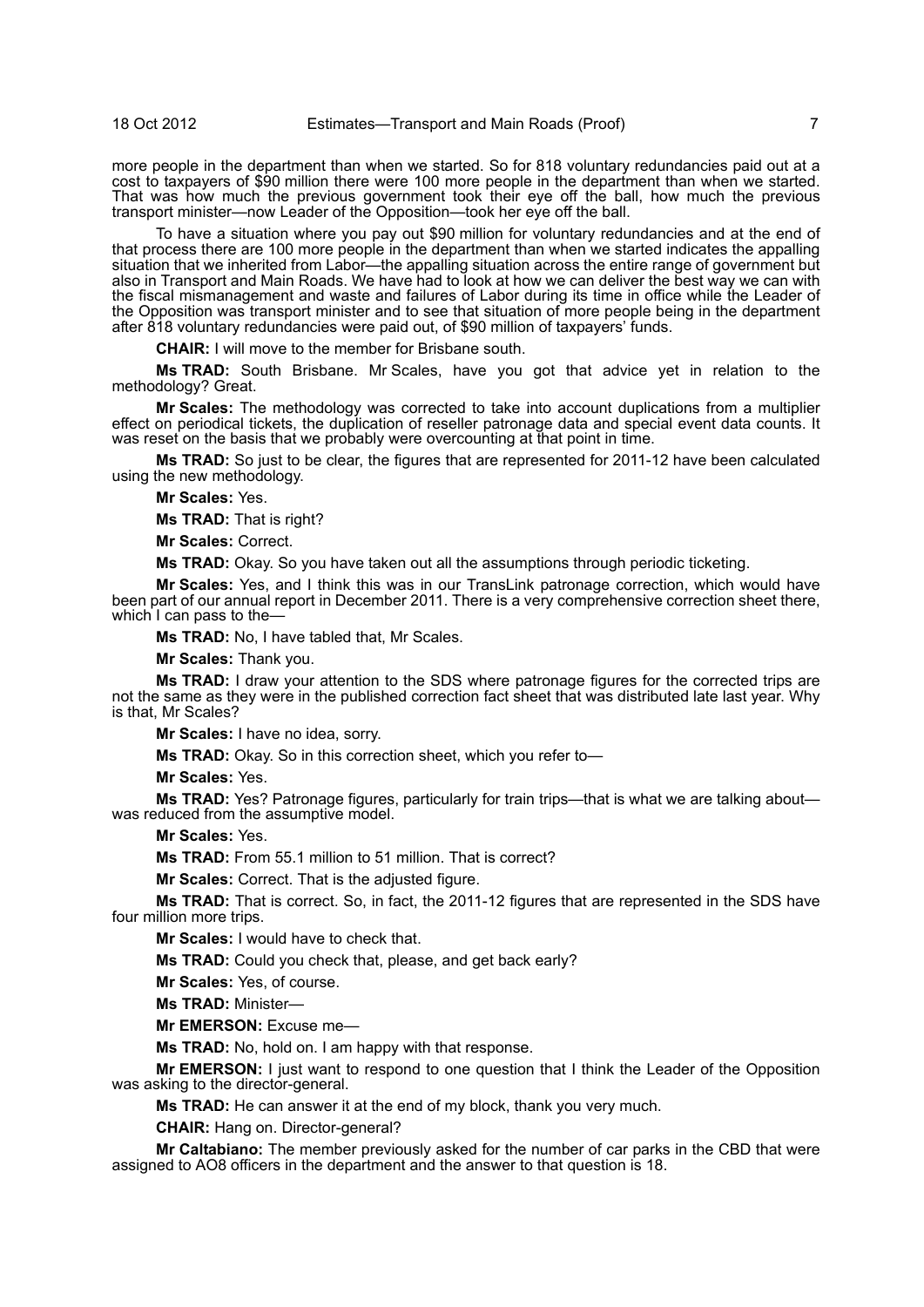more people in the department than when we started. So for 818 voluntary redundancies paid out at a cost to taxpayers of \$90 million there were 100 more people in the department than when we started. That was how much the previous government took their eye off the ball, how much the previous transport minister—now Leader of the Opposition—took her eye off the ball.

To have a situation where you pay out \$90 million for voluntary redundancies and at the end of that process there are 100 more people in the department than when we started indicates the appalling situation that we inherited from Labor—the appalling situation across the entire range of government but also in Transport and Main Roads. We have had to look at how we can deliver the best way we can with the fiscal mismanagement and waste and failures of Labor during its time in office while the Leader of the Opposition was transport minister and to see that situation of more people being in the department after 818 voluntary redundancies were paid out, of \$90 million of taxpayers' funds.

**CHAIR:** I will move to the member for Brisbane south.

**Ms TRAD:** South Brisbane. Mr Scales, have you got that advice yet in relation to the methodology? Great.

**Mr Scales:** The methodology was corrected to take into account duplications from a multiplier effect on periodical tickets, the duplication of reseller patronage data and special event data counts. It was reset on the basis that we probably were overcounting at that point in time.

**Ms TRAD:** So just to be clear, the figures that are represented for 2011-12 have been calculated using the new methodology.

**Mr Scales:** Yes.

**Ms TRAD:** That is right?

**Mr Scales:** Correct.

**Ms TRAD:** Okay. So you have taken out all the assumptions through periodic ticketing.

**Mr Scales:** Yes, and I think this was in our TransLink patronage correction, which would have been part of our annual report in December 2011. There is a very comprehensive correction sheet there, which I can pass to the-

**Ms TRAD:** No, I have tabled that, Mr Scales.

**Mr Scales:** Thank you.

**Ms TRAD:** I draw your attention to the SDS where patronage figures for the corrected trips are not the same as they were in the published correction fact sheet that was distributed late last year. Why is that, Mr Scales?

**Mr Scales:** I have no idea, sorry.

**Ms TRAD:** Okay. So in this correction sheet, which you refer to—

**Mr Scales:** Yes.

**Ms TRAD:** Yes? Patronage figures, particularly for train trips—that is what we are talking about was reduced from the assumptive model.

**Mr Scales:** Yes.

**Ms TRAD:** From 55.1 million to 51 million. That is correct?

**Mr Scales:** Correct. That is the adjusted figure.

**Ms TRAD:** That is correct. So, in fact, the 2011-12 figures that are represented in the SDS have four million more trips.

**Mr Scales:** I would have to check that.

**Ms TRAD:** Could you check that, please, and get back early?

**Mr Scales:** Yes, of course.

**Ms TRAD:** Minister—

**Mr EMERSON:** Excuse me—

**Ms TRAD:** No, hold on. I am happy with that response.

**Mr EMERSON:** I just want to respond to one question that I think the Leader of the Opposition was asking to the director-general.

**Ms TRAD:** He can answer it at the end of my block, thank you very much.

**CHAIR:** Hang on. Director-general?

**Mr Caltabiano:** The member previously asked for the number of car parks in the CBD that were assigned to AO8 officers in the department and the answer to that question is 18.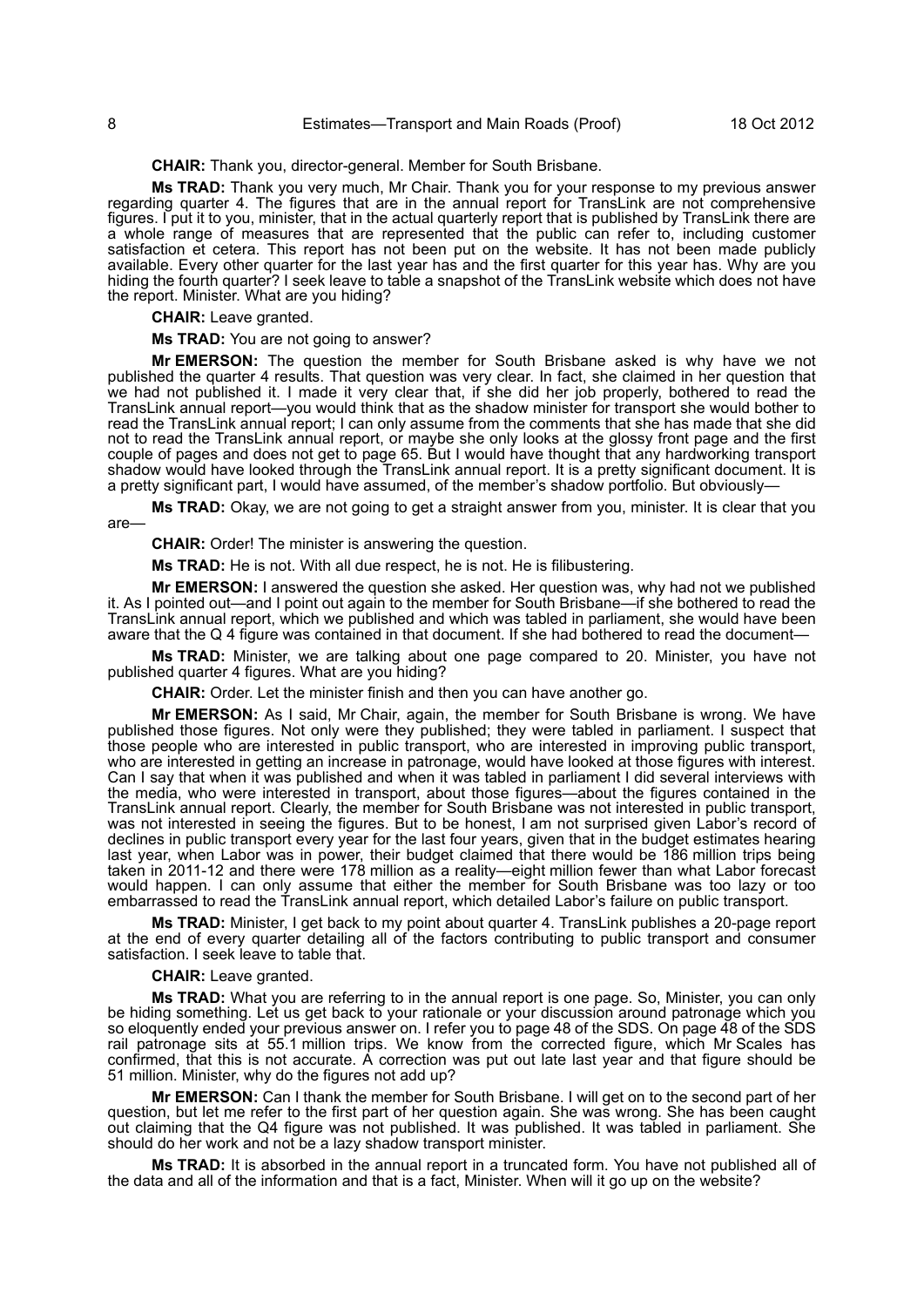# 8 Estimates—Transport and Main Roads (Proof) 18 Oct 2012

#### **CHAIR:** Thank you, director-general. Member for South Brisbane.

**Ms TRAD:** Thank you very much, Mr Chair. Thank you for your response to my previous answer regarding quarter 4. The figures that are in the annual report for TransLink are not comprehensive figures. I put it to you, minister, that in the actual quarterly report that is published by TransLink there are a whole range of measures that are represented that the public can refer to, including customer satisfaction et cetera. This report has not been put on the website. It has not been made publicly available. Every other quarter for the last year has and the first quarter for this year has. Why are you hiding the fourth quarter? I seek leave to table a snapshot of the TransLink website which does not have the report. Minister. What are you hiding?

#### **CHAIR:** Leave granted.

#### **Ms TRAD:** You are not going to answer?

**Mr EMERSON:** The question the member for South Brisbane asked is why have we not published the quarter 4 results. That question was very clear. In fact, she claimed in her question that we had not published it. I made it very clear that, if she did her job properly, bothered to read the TransLink annual report—you would think that as the shadow minister for transport she would bother to read the TransLink annual report; I can only assume from the comments that she has made that she did not to read the TransLink annual report, or maybe she only looks at the glossy front page and the first couple of pages and does not get to page 65. But I would have thought that any hardworking transport shadow would have looked through the TransLink annual report. It is a pretty significant document. It is a pretty significant part, I would have assumed, of the member's shadow portfolio. But obviously—

**Ms TRAD:** Okay, we are not going to get a straight answer from you, minister. It is clear that you are—

**CHAIR:** Order! The minister is answering the question.

**Ms TRAD:** He is not. With all due respect, he is not. He is filibustering.

**Mr EMERSON:** I answered the question she asked. Her question was, why had not we published it. As I pointed out—and I point out again to the member for South Brisbane—if she bothered to read the TransLink annual report, which we published and which was tabled in parliament, she would have been aware that the Q 4 figure was contained in that document. If she had bothered to read the document—

**Ms TRAD:** Minister, we are talking about one page compared to 20. Minister, you have not published quarter 4 figures. What are you hiding?

**CHAIR:** Order. Let the minister finish and then you can have another go.

**Mr EMERSON:** As I said, Mr Chair, again, the member for South Brisbane is wrong. We have published those figures. Not only were they published; they were tabled in parliament. I suspect that those people who are interested in public transport, who are interested in improving public transport, who are interested in getting an increase in patronage, would have looked at those figures with interest. Can I say that when it was published and when it was tabled in parliament I did several interviews with the media, who were interested in transport, about those figures—about the figures contained in the TransLink annual report. Clearly, the member for South Brisbane was not interested in public transport, was not interested in seeing the figures. But to be honest, I am not surprised given Labor's record of declines in public transport every year for the last four years, given that in the budget estimates hearing last year, when Labor was in power, their budget claimed that there would be 186 million trips being taken in 2011-12 and there were 178 million as a reality—eight million fewer than what Labor forecast would happen. I can only assume that either the member for South Brisbane was too lazy or too embarrassed to read the TransLink annual report, which detailed Labor's failure on public transport.

**Ms TRAD:** Minister, I get back to my point about quarter 4. TransLink publishes a 20-page report at the end of every quarter detailing all of the factors contributing to public transport and consumer satisfaction. I seek leave to table that.

#### **CHAIR:** Leave granted.

**Ms TRAD:** What you are referring to in the annual report is one page. So, Minister, you can only be hiding something. Let us get back to your rationale or your discussion around patronage which you so eloquently ended your previous answer on. I refer you to page 48 of the SDS. On page 48 of the SDS rail patronage sits at 55.1 million trips. We know from the corrected figure, which Mr Scales has confirmed, that this is not accurate. A correction was put out late last year and that figure should be 51 million. Minister, why do the figures not add up?

**Mr EMERSON:** Can I thank the member for South Brisbane. I will get on to the second part of her question, but let me refer to the first part of her question again. She was wrong. She has been caught out claiming that the Q4 figure was not published. It was published. It was tabled in parliament. She should do her work and not be a lazy shadow transport minister.

**Ms TRAD:** It is absorbed in the annual report in a truncated form. You have not published all of the data and all of the information and that is a fact, Minister. When will it go up on the website?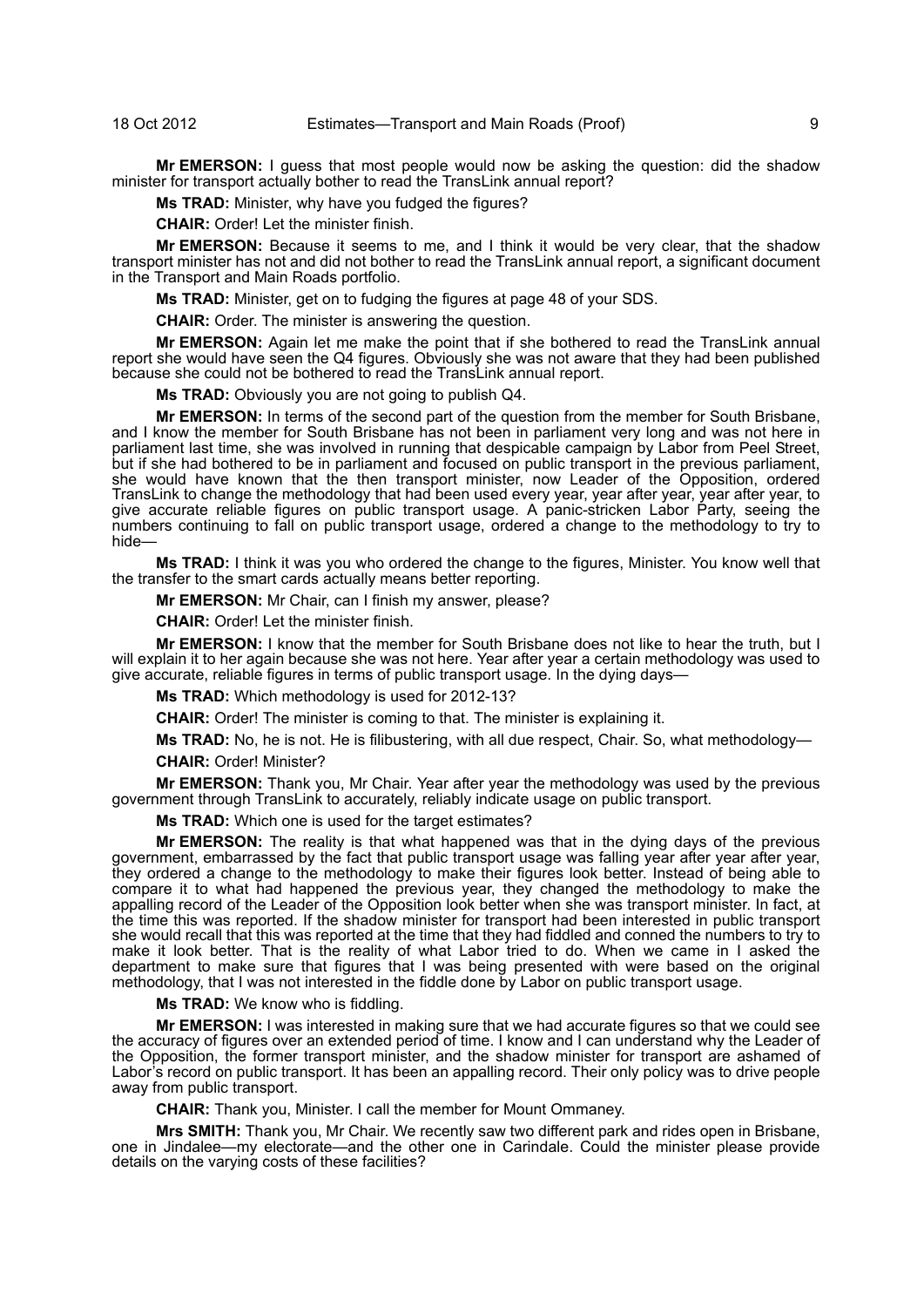**Mr EMERSON:** I guess that most people would now be asking the question: did the shadow minister for transport actually bother to read the TransLink annual report?

**Ms TRAD:** Minister, why have you fudged the figures?

**CHAIR:** Order! Let the minister finish.

**Mr EMERSON:** Because it seems to me, and I think it would be very clear, that the shadow transport minister has not and did not bother to read the TransLink annual report, a significant document in the Transport and Main Roads portfolio.

**Ms TRAD:** Minister, get on to fudging the figures at page 48 of your SDS.

**CHAIR:** Order. The minister is answering the question.

**Mr EMERSON:** Again let me make the point that if she bothered to read the TransLink annual report she would have seen the Q4 figures. Obviously she was not aware that they had been published because she could not be bothered to read the TransLink annual report.

**Ms TRAD:** Obviously you are not going to publish Q4.

**Mr EMERSON:** In terms of the second part of the question from the member for South Brisbane, and I know the member for South Brisbane has not been in parliament very long and was not here in parliament last time, she was involved in running that despicable campaign by Labor from Peel Street, but if she had bothered to be in parliament and focused on public transport in the previous parliament, she would have known that the then transport minister, now Leader of the Opposition, ordered TransLink to change the methodology that had been used every year, year after year, year after year, to give accurate reliable figures on public transport usage. A panic-stricken Labor Party, seeing the numbers continuing to fall on public transport usage, ordered a change to the methodology to try to hide—

**Ms TRAD:** I think it was you who ordered the change to the figures, Minister. You know well that the transfer to the smart cards actually means better reporting.

**Mr EMERSON:** Mr Chair, can I finish my answer, please?

**CHAIR:** Order! Let the minister finish.

**Mr EMERSON:** I know that the member for South Brisbane does not like to hear the truth, but I will explain it to her again because she was not here. Year after year a certain methodology was used to give accurate, reliable figures in terms of public transport usage. In the dying days—

**Ms TRAD:** Which methodology is used for 2012-13?

**CHAIR:** Order! The minister is coming to that. The minister is explaining it.

**Ms TRAD:** No, he is not. He is filibustering, with all due respect, Chair. So, what methodology— **CHAIR:** Order! Minister?

**Mr EMERSON:** Thank you, Mr Chair. Year after year the methodology was used by the previous government through TransLink to accurately, reliably indicate usage on public transport.

**Ms TRAD:** Which one is used for the target estimates?

**Mr EMERSON:** The reality is that what happened was that in the dying days of the previous government, embarrassed by the fact that public transport usage was falling year after year after year, they ordered a change to the methodology to make their figures look better. Instead of being able to compare it to what had happened the previous year, they changed the methodology to make the appalling record of the Leader of the Opposition look better when she was transport minister. In fact, at the time this was reported. If the shadow minister for transport had been interested in public transport she would recall that this was reported at the time that they had fiddled and conned the numbers to try to make it look better. That is the reality of what Labor tried to do. When we came in I asked the department to make sure that figures that I was being presented with were based on the original methodology, that I was not interested in the fiddle done by Labor on public transport usage.

**Ms TRAD:** We know who is fiddling.

**Mr EMERSON:** I was interested in making sure that we had accurate figures so that we could see the accuracy of figures over an extended period of time. I know and I can understand why the Leader of the Opposition, the former transport minister, and the shadow minister for transport are ashamed of Labor's record on public transport. It has been an appalling record. Their only policy was to drive people away from public transport.

**CHAIR:** Thank you, Minister. I call the member for Mount Ommaney.

**Mrs SMITH:** Thank you, Mr Chair. We recently saw two different park and rides open in Brisbane, one in Jindalee—my electorate—and the other one in Carindale. Could the minister please provide details on the varying costs of these facilities?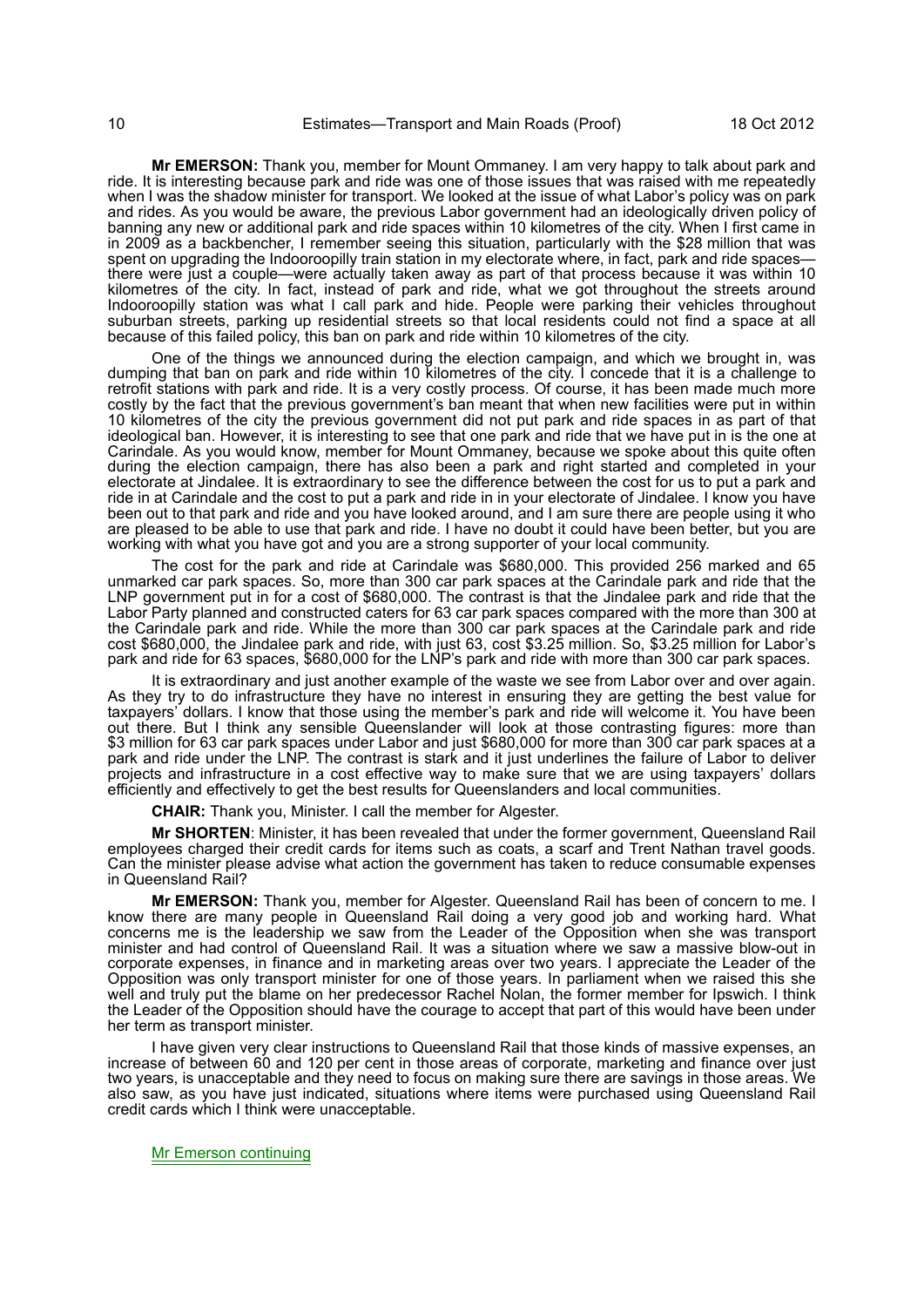**Mr EMERSON:** Thank you, member for Mount Ommaney. I am very happy to talk about park and ride. It is interesting because park and ride was one of those issues that was raised with me repeatedly when I was the shadow minister for transport. We looked at the issue of what Labor's policy was on park and rides. As you would be aware, the previous Labor government had an ideologically driven policy of banning any new or additional park and ride spaces within 10 kilometres of the city. When I first came in in 2009 as a backbencher, I remember seeing this situation, particularly with the \$28 million that was spent on upgrading the Indooroopilly train station in my electorate where, in fact, park and ride spaces there were just a couple—were actually taken away as part of that process because it was within 10 kilometres of the city. In fact, instead of park and ride, what we got throughout the streets around Indooroopilly station was what I call park and hide. People were parking their vehicles throughout suburban streets, parking up residential streets so that local residents could not find a space at all because of this failed policy, this ban on park and ride within 10 kilometres of the city.

One of the things we announced during the election campaign, and which we brought in, was dumping that ban on park and ride within 10 kilometres of the city. I concede that it is a challenge to retrofit stations with park and ride. It is a very costly process. Of course, it has been made much more costly by the fact that the previous government's ban meant that when new facilities were put in within 10 kilometres of the city the previous government did not put park and ride spaces in as part of that ideological ban. However, it is interesting to see that one park and ride that we have put in is the one at Carindale. As you would know, member for Mount Ommaney, because we spoke about this quite often during the election campaign, there has also been a park and right started and completed in your electorate at Jindalee. It is extraordinary to see the difference between the cost for us to put a park and ride in at Carindale and the cost to put a park and ride in in your electorate of Jindalee. I know you have been out to that park and ride and you have looked around, and I am sure there are people using it who are pleased to be able to use that park and ride. I have no doubt it could have been better, but you are working with what you have got and you are a strong supporter of your local community.

The cost for the park and ride at Carindale was \$680,000. This provided 256 marked and 65 unmarked car park spaces. So, more than 300 car park spaces at the Carindale park and ride that the LNP government put in for a cost of \$680,000. The contrast is that the Jindalee park and ride that the Labor Party planned and constructed caters for 63 car park spaces compared with the more than 300 at the Carindale park and ride. While the more than 300 car park spaces at the Carindale park and ride cost \$680,000, the Jindalee park and ride, with just 63, cost \$3.25 million. So, \$3.25 million for Labor's park and ride for 63 spaces, \$680,000 for the LNP's park and ride with more than 300 car park spaces.

It is extraordinary and just another example of the waste we see from Labor over and over again. As they try to do infrastructure they have no interest in ensuring they are getting the best value for taxpayers' dollars. I know that those using the member's park and ride will welcome it. You have been out there. But I think any sensible Queenslander will look at those contrasting figures: more than \$3 million for 63 car park spaces under Labor and just \$680,000 for more than 300 car park spaces at a park and ride under the LNP. The contrast is stark and it just underlines the failure of Labor to deliver projects and infrastructure in a cost effective way to make sure that we are using taxpayers' dollars efficiently and effectively to get the best results for Queenslanders and local communities.

**CHAIR:** Thank you, Minister. I call the member for Algester.

**Mr SHORTEN**: Minister, it has been revealed that under the former government, Queensland Rail employees charged their credit cards for items such as coats, a scarf and Trent Nathan travel goods. Can the minister please advise what action the government has taken to reduce consumable expenses in Queensland Rail?

**Mr EMERSON:** Thank you, member for Algester. Queensland Rail has been of concern to me. I know there are many people in Queensland Rail doing a very good job and working hard. What concerns me is the leadership we saw from the Leader of the Opposition when she was transport minister and had control of Queensland Rail. It was a situation where we saw a massive blow-out in corporate expenses, in finance and in marketing areas over two years. I appreciate the Leader of the Opposition was only transport minister for one of those years. In parliament when we raised this she well and truly put the blame on her predecessor Rachel Nolan, the former member for Ipswich. I think the Leader of the Opposition should have the courage to accept that part of this would have been under her term as transport minister.

I have given very clear instructions to Queensland Rail that those kinds of massive expenses, an increase of between 60 and 120 per cent in those areas of corporate, marketing and finance over just two years, is unacceptable and they need to focus on making sure there are savings in those areas. We also saw, as you have just indicated, situations where items were purchased using Queensland Rail credit cards which I think were unacceptable.

Mr Emerson continuing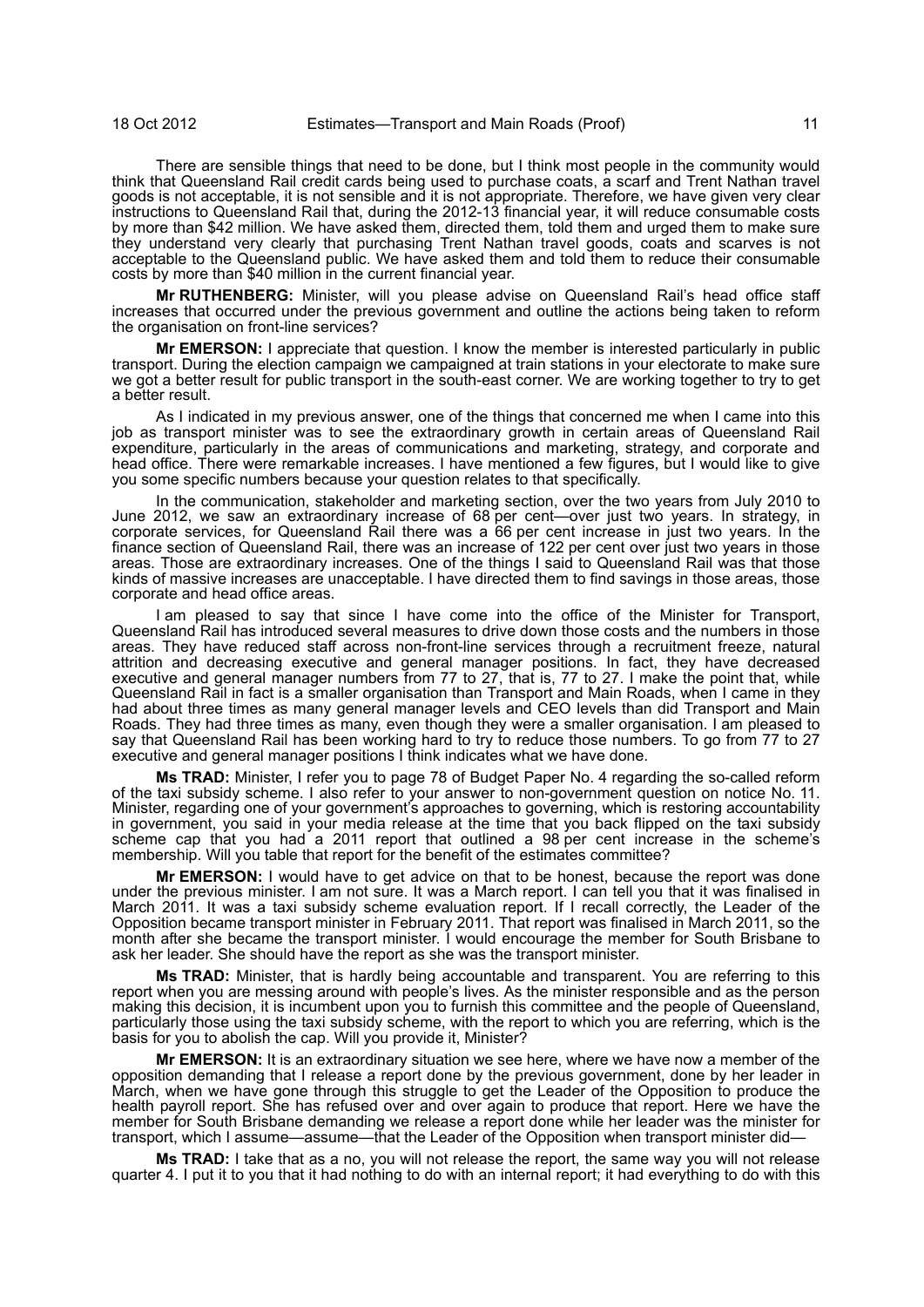There are sensible things that need to be done, but I think most people in the community would think that Queensland Rail credit cards being used to purchase coats, a scarf and Trent Nathan travel goods is not acceptable, it is not sensible and it is not appropriate. Therefore, we have given very clear instructions to Queensland Rail that, during the 2012-13 financial year, it will reduce consumable costs by more than \$42 million. We have asked them, directed them, told them and urged them to make sure they understand very clearly that purchasing Trent Nathan travel goods, coats and scarves is not acceptable to the Queensland public. We have asked them and told them to reduce their consumable costs by more than \$40 million in the current financial year.

**Mr RUTHENBERG:** Minister, will you please advise on Queensland Rail's head office staff increases that occurred under the previous government and outline the actions being taken to reform the organisation on front-line services?

**Mr EMERSON:** I appreciate that question. I know the member is interested particularly in public transport. During the election campaign we campaigned at train stations in your electorate to make sure we got a better result for public transport in the south-east corner. We are working together to try to get a better result.

As I indicated in my previous answer, one of the things that concerned me when I came into this job as transport minister was to see the extraordinary growth in certain areas of Queensland Rail expenditure, particularly in the areas of communications and marketing, strategy, and corporate and head office. There were remarkable increases. I have mentioned a few figures, but I would like to give you some specific numbers because your question relates to that specifically.

In the communication, stakeholder and marketing section, over the two years from July 2010 to June 2012, we saw an extraordinary increase of 68 per cent—over just two years. In strategy, in corporate services, for Queensland Rail there was a 66 per cent increase in just two years. In the finance section of Queensland Rail, there was an increase of 122 per cent over just two years in those areas. Those are extraordinary increases. One of the things I said to Queensland Rail was that those kinds of massive increases are unacceptable. I have directed them to find savings in those areas, those corporate and head office areas.

I am pleased to say that since I have come into the office of the Minister for Transport, Queensland Rail has introduced several measures to drive down those costs and the numbers in those areas. They have reduced staff across non-front-line services through a recruitment freeze, natural attrition and decreasing executive and general manager positions. In fact, they have decreased executive and general manager numbers from 77 to 27, that is, 77 to 27. I make the point that, while Queensland Rail in fact is a smaller organisation than Transport and Main Roads, when I came in they had about three times as many general manager levels and CEO levels than did Transport and Main Roads. They had three times as many, even though they were a smaller organisation. I am pleased to say that Queensland Rail has been working hard to try to reduce those numbers. To go from 77 to 27 executive and general manager positions I think indicates what we have done.

**Ms TRAD:** Minister, I refer you to page 78 of Budget Paper No. 4 regarding the so-called reform of the taxi subsidy scheme. I also refer to your answer to non-government question on notice No. 11. Minister, regarding one of your government's approaches to governing, which is restoring accountability in government, you said in your media release at the time that you back flipped on the taxi subsidy scheme cap that you had a 2011 report that outlined a 98 per cent increase in the scheme's membership. Will you table that report for the benefit of the estimates committee?

**Mr EMERSON:** I would have to get advice on that to be honest, because the report was done under the previous minister. I am not sure. It was a March report. I can tell you that it was finalised in March 2011. It was a taxi subsidy scheme evaluation report. If I recall correctly, the Leader of the Opposition became transport minister in February 2011. That report was finalised in March 2011, so the month after she became the transport minister. I would encourage the member for South Brisbane to ask her leader. She should have the report as she was the transport minister.

**Ms TRAD:** Minister, that is hardly being accountable and transparent. You are referring to this report when you are messing around with people's lives. As the minister responsible and as the person making this decision, it is incumbent upon you to furnish this committee and the people of Queensland, particularly those using the taxi subsidy scheme, with the report to which you are referring, which is the basis for you to abolish the cap. Will you provide it, Minister?

**Mr EMERSON:** It is an extraordinary situation we see here, where we have now a member of the opposition demanding that I release a report done by the previous government, done by her leader in March, when we have gone through this struggle to get the Leader of the Opposition to produce the health payroll report. She has refused over and over again to produce that report. Here we have the member for South Brisbane demanding we release a report done while her leader was the minister for transport, which I assume—assume—that the Leader of the Opposition when transport minister did—

**Ms TRAD:** I take that as a no, you will not release the report, the same way you will not release quarter 4. I put it to you that it had nothing to do with an internal report; it had everything to do with this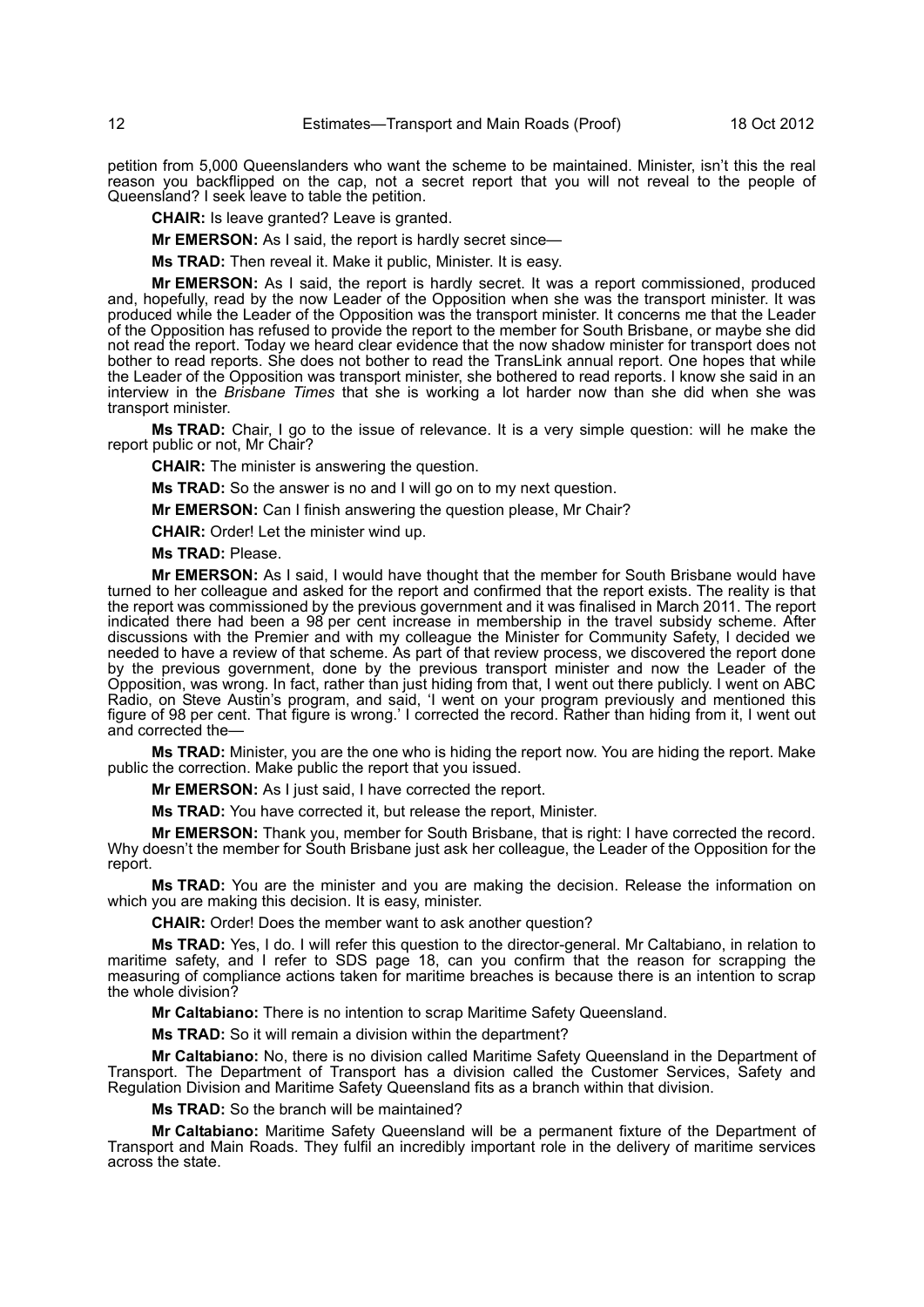petition from 5,000 Queenslanders who want the scheme to be maintained. Minister, isn't this the real reason you backflipped on the cap, not a secret report that you will not reveal to the people of Queensland? I seek leave to table the petition.

**CHAIR:** Is leave granted? Leave is granted.

**Mr EMERSON:** As I said, the report is hardly secret since—

**Ms TRAD:** Then reveal it. Make it public, Minister. It is easy.

**Mr EMERSON:** As I said, the report is hardly secret. It was a report commissioned, produced and, hopefully, read by the now Leader of the Opposition when she was the transport minister. It was produced while the Leader of the Opposition was the transport minister. It concerns me that the Leader of the Opposition has refused to provide the report to the member for South Brisbane, or maybe she did not read the report. Today we heard clear evidence that the now shadow minister for transport does not bother to read reports. She does not bother to read the TransLink annual report. One hopes that while the Leader of the Opposition was transport minister, she bothered to read reports. I know she said in an interview in the *Brisbane Times* that she is working a lot harder now than she did when she was transport minister.

**Ms TRAD:** Chair, I go to the issue of relevance. It is a very simple question: will he make the report public or not, Mr Chair?

**CHAIR:** The minister is answering the question.

**Ms TRAD:** So the answer is no and I will go on to my next question.

**Mr EMERSON:** Can I finish answering the question please, Mr Chair?

**CHAIR:** Order! Let the minister wind up.

**Ms TRAD:** Please.

**Mr EMERSON:** As I said, I would have thought that the member for South Brisbane would have turned to her colleague and asked for the report and confirmed that the report exists. The reality is that the report was commissioned by the previous government and it was finalised in March 2011. The report indicated there had been a 98 per cent increase in membership in the travel subsidy scheme. After discussions with the Premier and with my colleague the Minister for Community Safety, I decided we needed to have a review of that scheme. As part of that review process, we discovered the report done by the previous government, done by the previous transport minister and now the Leader of the Opposition, was wrong. In fact, rather than just hiding from that, I went out there publicly. I went on ABC Radio, on Steve Austin's program, and said, 'I went on your program previously and mentioned this figure of 98 per cent. That figure is wrong.' I corrected the record. Rather than hiding from it, I went out and corrected the—

**Ms TRAD:** Minister, you are the one who is hiding the report now. You are hiding the report. Make public the correction. Make public the report that you issued.

**Mr EMERSON:** As I just said, I have corrected the report.

**Ms TRAD:** You have corrected it, but release the report, Minister.

**Mr EMERSON:** Thank you, member for South Brisbane, that is right: I have corrected the record. Why doesn't the member for South Brisbane just ask her colleague, the Leader of the Opposition for the report.

**Ms TRAD:** You are the minister and you are making the decision. Release the information on which you are making this decision. It is easy, minister.

**CHAIR:** Order! Does the member want to ask another question?

**Ms TRAD:** Yes, I do. I will refer this question to the director-general. Mr Caltabiano, in relation to maritime safety, and I refer to SDS page 18, can you confirm that the reason for scrapping the measuring of compliance actions taken for maritime breaches is because there is an intention to scrap the whole division?

**Mr Caltabiano:** There is no intention to scrap Maritime Safety Queensland.

**Ms TRAD:** So it will remain a division within the department?

**Mr Caltabiano:** No, there is no division called Maritime Safety Queensland in the Department of Transport. The Department of Transport has a division called the Customer Services, Safety and Regulation Division and Maritime Safety Queensland fits as a branch within that division.

**Ms TRAD:** So the branch will be maintained?

**Mr Caltabiano:** Maritime Safety Queensland will be a permanent fixture of the Department of Transport and Main Roads. They fulfil an incredibly important role in the delivery of maritime services across the state.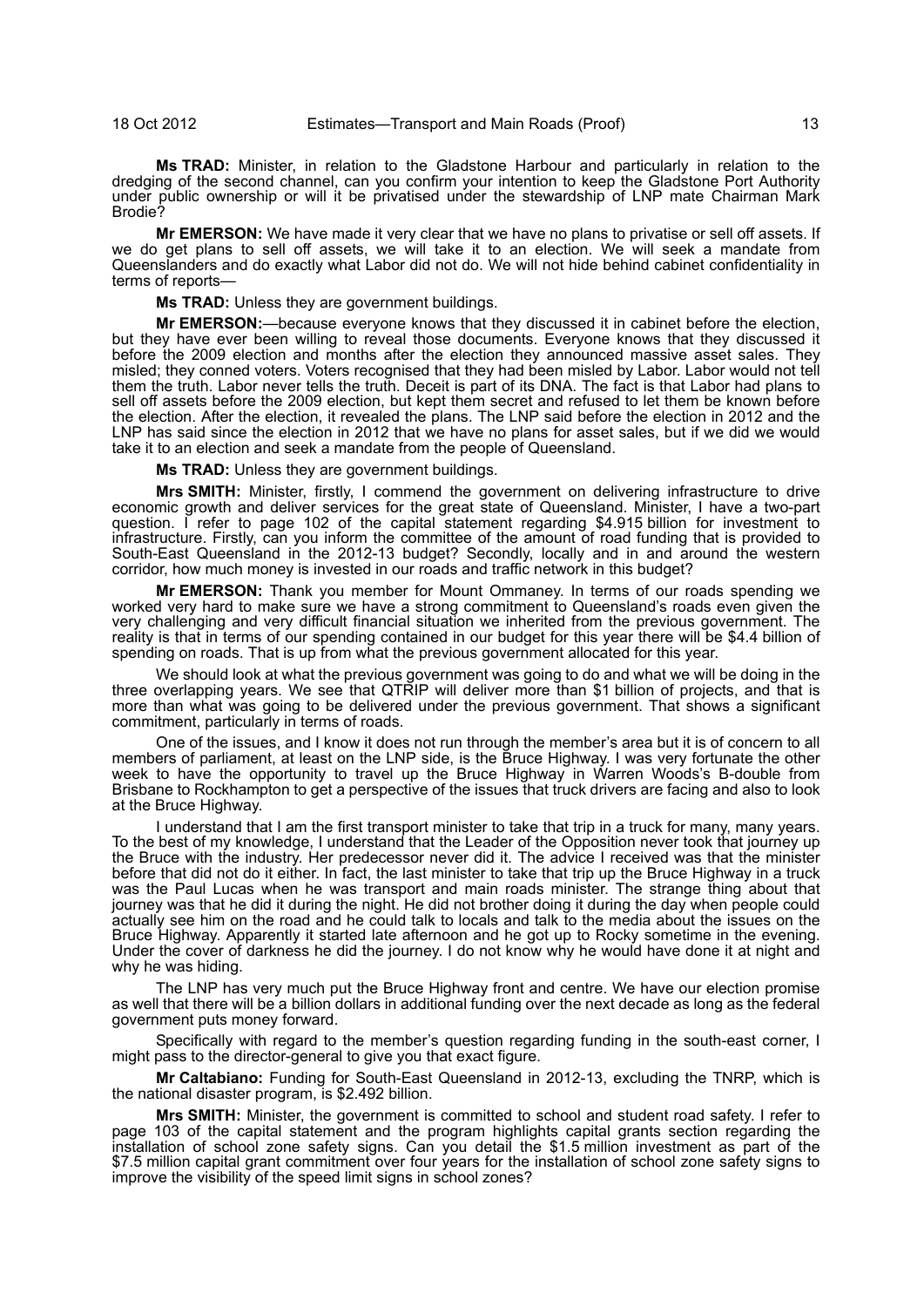**Ms TRAD:** Minister, in relation to the Gladstone Harbour and particularly in relation to the dredging of the second channel, can you confirm your intention to keep the Gladstone Port Authority under public ownership or will it be privatised under the stewardship of LNP mate Chairman Mark Brodie?

**Mr EMERSON:** We have made it very clear that we have no plans to privatise or sell off assets. If we do get plans to sell off assets, we will take it to an election. We will seek a mandate from Queenslanders and do exactly what Labor did not do. We will not hide behind cabinet confidentiality in terms of reports—

**Ms TRAD:** Unless they are government buildings.

**Mr EMERSON:**—because everyone knows that they discussed it in cabinet before the election, but they have ever been willing to reveal those documents. Everyone knows that they discussed it before the 2009 election and months after the election they announced massive asset sales. They misled; they conned voters. Voters recognised that they had been misled by Labor. Labor would not tell them the truth. Labor never tells the truth. Deceit is part of its DNA. The fact is that Labor had plans to sell off assets before the 2009 election, but kept them secret and refused to let them be known before the election. After the election, it revealed the plans. The LNP said before the election in 2012 and the LNP has said since the election in 2012 that we have no plans for asset sales, but if we did we would take it to an election and seek a mandate from the people of Queensland.

**Ms TRAD:** Unless they are government buildings.

**Mrs SMITH:** Minister, firstly, I commend the government on delivering infrastructure to drive economic growth and deliver services for the great state of Queensland. Minister, I have a two-part question. I refer to page 102 of the capital statement regarding \$4.915 billion for investment to infrastructure. Firstly, can you inform the committee of the amount of road funding that is provided to South-East Queensland in the 2012-13 budget? Secondly, locally and in and around the western corridor, how much money is invested in our roads and traffic network in this budget?

**Mr EMERSON:** Thank you member for Mount Ommaney. In terms of our roads spending we worked very hard to make sure we have a strong commitment to Queensland's roads even given the very challenging and very difficult financial situation we inherited from the previous government. The reality is that in terms of our spending contained in our budget for this year there will be \$4.4 billion of spending on roads. That is up from what the previous government allocated for this year.

We should look at what the previous government was going to do and what we will be doing in the three overlapping years. We see that QTRIP will deliver more than \$1 billion of projects, and that is more than what was going to be delivered under the previous government. That shows a significant commitment, particularly in terms of roads.

One of the issues, and I know it does not run through the member's area but it is of concern to all members of parliament, at least on the LNP side, is the Bruce Highway. I was very fortunate the other week to have the opportunity to travel up the Bruce Highway in Warren Woods's B-double from Brisbane to Rockhampton to get a perspective of the issues that truck drivers are facing and also to look at the Bruce Highway.

I understand that I am the first transport minister to take that trip in a truck for many, many years. To the best of my knowledge, I understand that the Leader of the Opposition never took that journey up the Bruce with the industry. Her predecessor never did it. The advice I received was that the minister before that did not do it either. In fact, the last minister to take that trip up the Bruce Highway in a truck was the Paul Lucas when he was transport and main roads minister. The strange thing about that journey was that he did it during the night. He did not brother doing it during the day when people could actually see him on the road and he could talk to locals and talk to the media about the issues on the Bruce Highway. Apparently it started late afternoon and he got up to Rocky sometime in the evening. Under the cover of darkness he did the journey. I do not know why he would have done it at night and why he was hiding.

The LNP has very much put the Bruce Highway front and centre. We have our election promise as well that there will be a billion dollars in additional funding over the next decade as long as the federal government puts money forward.

Specifically with regard to the member's question regarding funding in the south-east corner, I might pass to the director-general to give you that exact figure.

**Mr Caltabiano:** Funding for South-East Queensland in 2012-13, excluding the TNRP, which is the national disaster program, is \$2.492 billion.

**Mrs SMITH:** Minister, the government is committed to school and student road safety. I refer to page 103 of the capital statement and the program highlights capital grants section regarding the installation of school zone safety signs. Can you detail the \$1.5 million investment as part of the \$7.5 million capital grant commitment over four years for the installation of school zone safety signs to improve the visibility of the speed limit signs in school zones?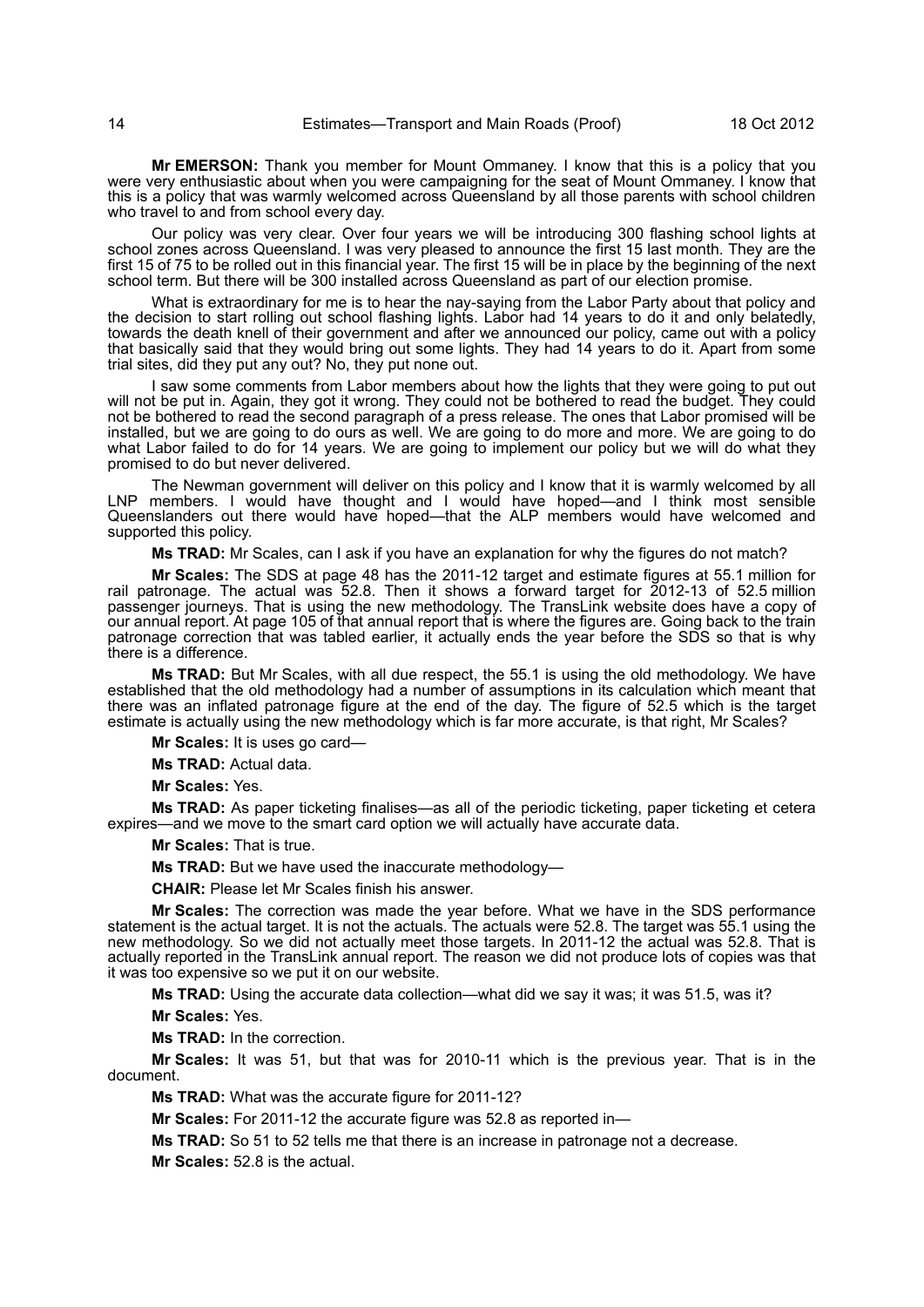**Mr EMERSON:** Thank you member for Mount Ommaney. I know that this is a policy that you were very enthusiastic about when you were campaigning for the seat of Mount Ommaney. I know that this is a policy that was warmly welcomed across Queensland by all those parents with school children who travel to and from school every day.

Our policy was very clear. Over four years we will be introducing 300 flashing school lights at school zones across Queensland. I was very pleased to announce the first 15 last month. They are the first 15 of 75 to be rolled out in this financial year. The first 15 will be in place by the beginning of the next school term. But there will be 300 installed across Queensland as part of our election promise.

What is extraordinary for me is to hear the nay-saying from the Labor Party about that policy and the decision to start rolling out school flashing lights. Labor had 14 years to do it and only belatedly, towards the death knell of their government and after we announced our policy, came out with a policy that basically said that they would bring out some lights. They had 14 years to do it. Apart from some trial sites, did they put any out? No, they put none out.

I saw some comments from Labor members about how the lights that they were going to put out will not be put in. Again, they got it wrong. They could not be bothered to read the budget. They could not be bothered to read the second paragraph of a press release. The ones that Labor promised will be installed, but we are going to do ours as well. We are going to do more and more. We are going to do what Labor failed to do for 14 years. We are going to implement our policy but we will do what they promised to do but never delivered.

The Newman government will deliver on this policy and I know that it is warmly welcomed by all LNP members. I would have thought and I would have hoped—and I think most sensible Queenslanders out there would have hoped—that the ALP members would have welcomed and supported this policy.

**Ms TRAD:** Mr Scales, can I ask if you have an explanation for why the figures do not match?

**Mr Scales:** The SDS at page 48 has the 2011-12 target and estimate figures at 55.1 million for rail patronage. The actual was 52.8. Then it shows a forward target for 2012-13 of 52.5 million passenger journeys. That is using the new methodology. The TransLink website does have a copy of our annual report. At page 105 of that annual report that is where the figures are. Going back to the train patronage correction that was tabled earlier, it actually ends the year before the SDS so that is why there is a difference.

**Ms TRAD:** But Mr Scales, with all due respect, the 55.1 is using the old methodology. We have established that the old methodology had a number of assumptions in its calculation which meant that there was an inflated patronage figure at the end of the day. The figure of 52.5 which is the target estimate is actually using the new methodology which is far more accurate, is that right, Mr Scales?

**Mr Scales:** It is uses go card—

**Ms TRAD:** Actual data.

**Mr Scales:** Yes.

**Ms TRAD:** As paper ticketing finalises—as all of the periodic ticketing, paper ticketing et cetera expires—and we move to the smart card option we will actually have accurate data.

**Mr Scales:** That is true.

**Ms TRAD:** But we have used the inaccurate methodology—

**CHAIR:** Please let Mr Scales finish his answer.

**Mr Scales:** The correction was made the year before. What we have in the SDS performance statement is the actual target. It is not the actuals. The actuals were 52.8. The target was 55.1 using the new methodology. So we did not actually meet those targets. In 2011-12 the actual was 52.8. That is actually reported in the TransLink annual report. The reason we did not produce lots of copies was that it was too expensive so we put it on our website.

**Ms TRAD:** Using the accurate data collection—what did we say it was; it was 51.5, was it?

**Mr Scales:** Yes.

**Ms TRAD:** In the correction.

**Mr Scales:** It was 51, but that was for 2010-11 which is the previous year. That is in the document.

**Ms TRAD:** What was the accurate figure for 2011-12?

**Mr Scales:** For 2011-12 the accurate figure was 52.8 as reported in—

**Ms TRAD:** So 51 to 52 tells me that there is an increase in patronage not a decrease.

**Mr Scales:** 52.8 is the actual.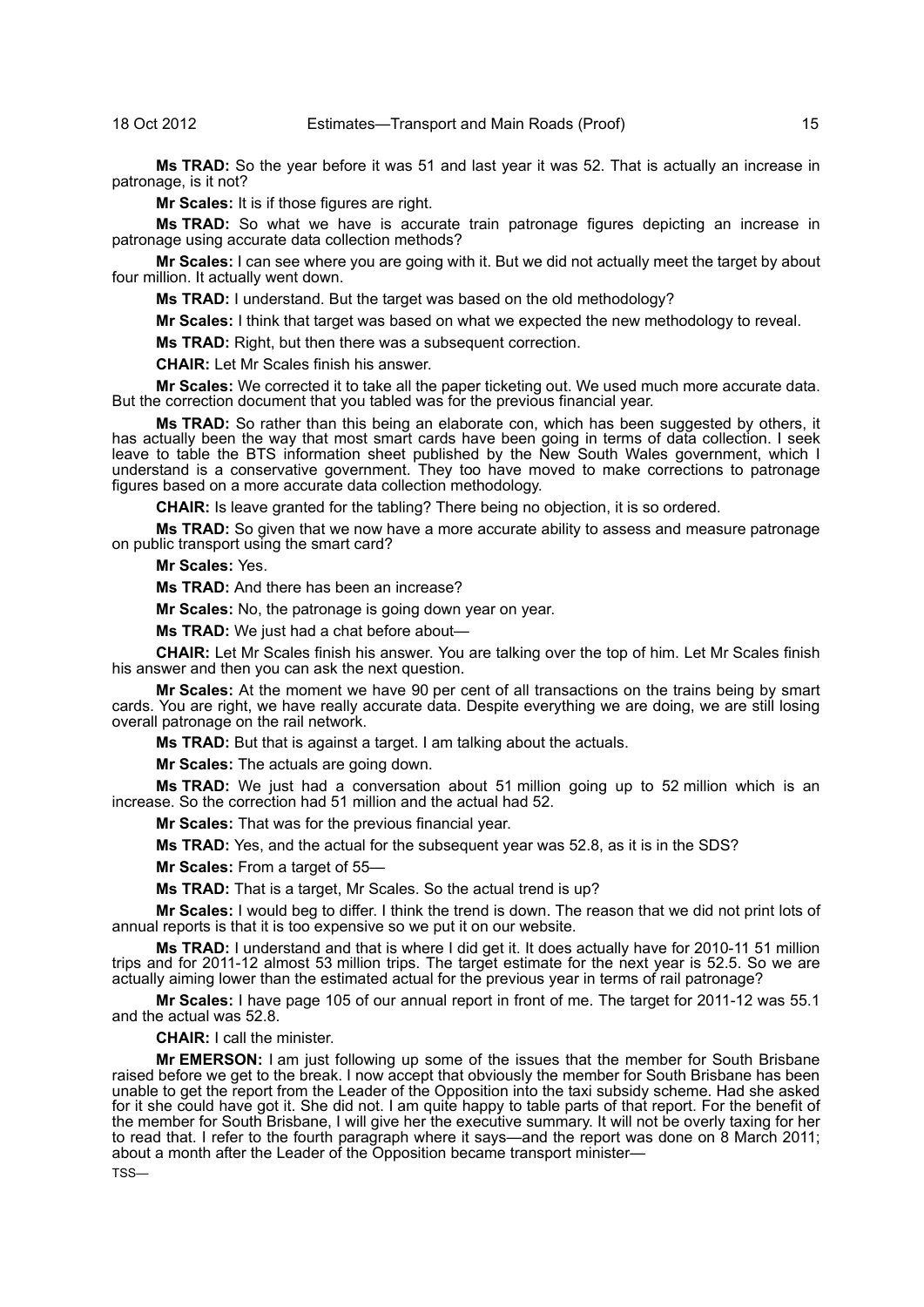**Ms TRAD:** So the year before it was 51 and last year it was 52. That is actually an increase in patronage, is it not?

**Mr Scales:** It is if those figures are right.

**Ms TRAD:** So what we have is accurate train patronage figures depicting an increase in patronage using accurate data collection methods?

**Mr Scales:** I can see where you are going with it. But we did not actually meet the target by about four million. It actually went down.

**Ms TRAD:** I understand. But the target was based on the old methodology?

**Mr Scales:** I think that target was based on what we expected the new methodology to reveal.

**Ms TRAD:** Right, but then there was a subsequent correction.

**CHAIR:** Let Mr Scales finish his answer.

**Mr Scales:** We corrected it to take all the paper ticketing out. We used much more accurate data. But the correction document that you tabled was for the previous financial year.

**Ms TRAD:** So rather than this being an elaborate con, which has been suggested by others, it has actually been the way that most smart cards have been going in terms of data collection. I seek leave to table the BTS information sheet published by the New South Wales government, which I understand is a conservative government. They too have moved to make corrections to patronage figures based on a more accurate data collection methodology.

**CHAIR:** Is leave granted for the tabling? There being no objection, it is so ordered.

**Ms TRAD:** So given that we now have a more accurate ability to assess and measure patronage on public transport using the smart card?

**Mr Scales:** Yes.

**Ms TRAD:** And there has been an increase?

**Mr Scales:** No, the patronage is going down year on year.

**Ms TRAD:** We just had a chat before about—

**CHAIR:** Let Mr Scales finish his answer. You are talking over the top of him. Let Mr Scales finish his answer and then you can ask the next question.

**Mr Scales:** At the moment we have 90 per cent of all transactions on the trains being by smart cards. You are right, we have really accurate data. Despite everything we are doing, we are still losing overall patronage on the rail network.

**Ms TRAD:** But that is against a target. I am talking about the actuals.

**Mr Scales:** The actuals are going down.

**Ms TRAD:** We just had a conversation about 51 million going up to 52 million which is an increase. So the correction had 51 million and the actual had 52.

**Mr Scales:** That was for the previous financial year.

**Ms TRAD:** Yes, and the actual for the subsequent year was 52.8, as it is in the SDS?

**Mr Scales:** From a target of 55—

**Ms TRAD:** That is a target, Mr Scales. So the actual trend is up?

**Mr Scales:** I would beg to differ. I think the trend is down. The reason that we did not print lots of annual reports is that it is too expensive so we put it on our website.

**Ms TRAD:** I understand and that is where I did get it. It does actually have for 2010-11 51 million trips and for 2011-12 almost 53 million trips. The target estimate for the next year is 52.5. So we are actually aiming lower than the estimated actual for the previous year in terms of rail patronage?

**Mr Scales:** I have page 105 of our annual report in front of me. The target for 2011-12 was 55.1 and the actual was 52.8.

**CHAIR:** I call the minister.

**Mr EMERSON:** I am just following up some of the issues that the member for South Brisbane raised before we get to the break. I now accept that obviously the member for South Brisbane has been unable to get the report from the Leader of the Opposition into the taxi subsidy scheme. Had she asked for it she could have got it. She did not. I am quite happy to table parts of that report. For the benefit of the member for South Brisbane, I will give her the executive summary. It will not be overly taxing for her to read that. I refer to the fourth paragraph where it says—and the report was done on 8 March 2011; about a month after the Leader of the Opposition became transport minister— TSS—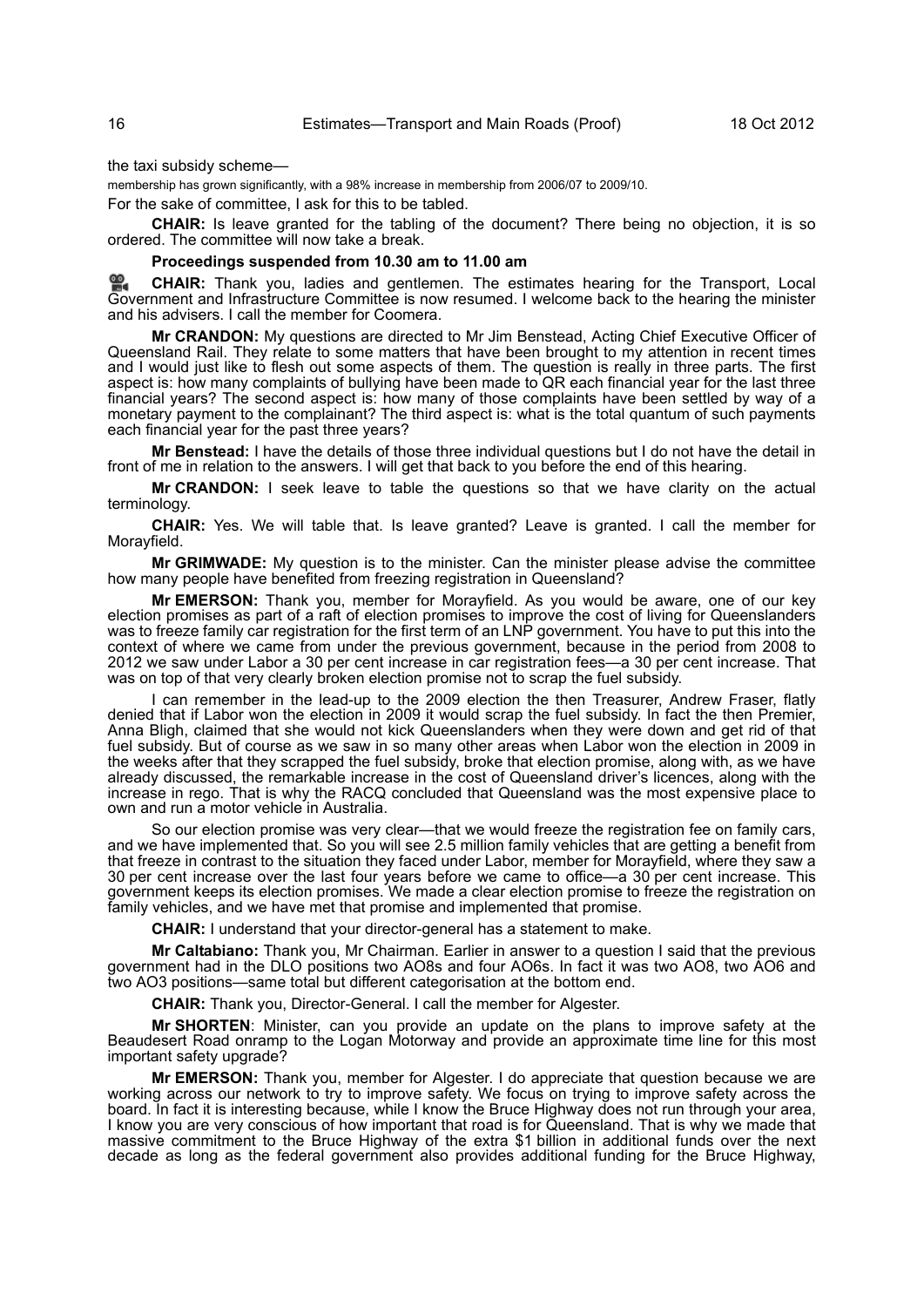the taxi subsidy scheme—

membership has grown significantly, with a 98% increase in membership from 2006/07 to 2009/10.

For the sake of committee, I ask for this to be tabled.

**CHAIR:** Is leave granted for the tabling of the document? There being no objection, it is so ordered. The committee will now take a break.

#### **Proceedings suspended from 10.30 am to 11.00 am**

≌. **[CHAIR:](http://www.parliament.qld.gov.au/docs/find.aspx?id=0Mba20121018_105958)** Thank you, ladies and gentlemen. The estimates hearing for the Transport, Local [Gov](http://www.parliament.qld.gov.au/docs/find.aspx?id=0Mba20121018_105958)ernment and Infrastructure Committee is now resumed. I welcome back to the hearing the minister and his advisers. I call the member for Coomera.

**Mr CRANDON:** My questions are directed to Mr Jim Benstead, Acting Chief Executive Officer of Queensland Rail. They relate to some matters that have been brought to my attention in recent times and I would just like to flesh out some aspects of them. The question is really in three parts. The first aspect is: how many complaints of bullying have been made to QR each financial year for the last three financial years? The second aspect is: how many of those complaints have been settled by way of a monetary payment to the complainant? The third aspect is: what is the total quantum of such payments each financial year for the past three years?

**Mr Benstead:** I have the details of those three individual questions but I do not have the detail in front of me in relation to the answers. I will get that back to you before the end of this hearing.

**Mr CRANDON:** I seek leave to table the questions so that we have clarity on the actual terminology.

**CHAIR:** Yes. We will table that. Is leave granted? Leave is granted. I call the member for Morayfield.

**Mr GRIMWADE:** My question is to the minister. Can the minister please advise the committee how many people have benefited from freezing registration in Queensland?

**Mr EMERSON:** Thank you, member for Morayfield. As you would be aware, one of our key election promises as part of a raft of election promises to improve the cost of living for Queenslanders was to freeze family car registration for the first term of an LNP government. You have to put this into the context of where we came from under the previous government, because in the period from 2008 to 2012 we saw under Labor a 30 per cent increase in car registration fees—a 30 per cent increase. That was on top of that very clearly broken election promise not to scrap the fuel subsidy.

I can remember in the lead-up to the 2009 election the then Treasurer, Andrew Fraser, flatly denied that if Labor won the election in 2009 it would scrap the fuel subsidy. In fact the then Premier, Anna Bligh, claimed that she would not kick Queenslanders when they were down and get rid of that fuel subsidy. But of course as we saw in so many other areas when Labor won the election in 2009 in the weeks after that they scrapped the fuel subsidy, broke that election promise, along with, as we have already discussed, the remarkable increase in the cost of Queensland driver's licences, along with the increase in rego. That is why the RACQ concluded that Queensland was the most expensive place to own and run a motor vehicle in Australia.

So our election promise was very clear—that we would freeze the registration fee on family cars, and we have implemented that. So you will see 2.5 million family vehicles that are getting a benefit from that freeze in contrast to the situation they faced under Labor, member for Morayfield, where they saw a 30 per cent increase over the last four years before we came to office—a 30 per cent increase. This government keeps its election promises. We made a clear election promise to freeze the registration on family vehicles, and we have met that promise and implemented that promise.

**CHAIR:** I understand that your director-general has a statement to make.

**Mr Caltabiano:** Thank you, Mr Chairman. Earlier in answer to a question I said that the previous government had in the DLO positions two AO8s and four AO6s. In fact it was two AO8, two AO6 and two AO3 positions—same total but different categorisation at the bottom end.

**CHAIR:** Thank you, Director-General. I call the member for Algester.

**Mr SHORTEN**: Minister, can you provide an update on the plans to improve safety at the Beaudesert Road onramp to the Logan Motorway and provide an approximate time line for this most important safety upgrade?

**Mr EMERSON:** Thank you, member for Algester. I do appreciate that question because we are working across our network to try to improve safety. We focus on trying to improve safety across the board. In fact it is interesting because, while I know the Bruce Highway does not run through your area, I know you are very conscious of how important that road is for Queensland. That is why we made that massive commitment to the Bruce Highway of the extra \$1 billion in additional funds over the next decade as long as the federal government also provides additional funding for the Bruce Highway,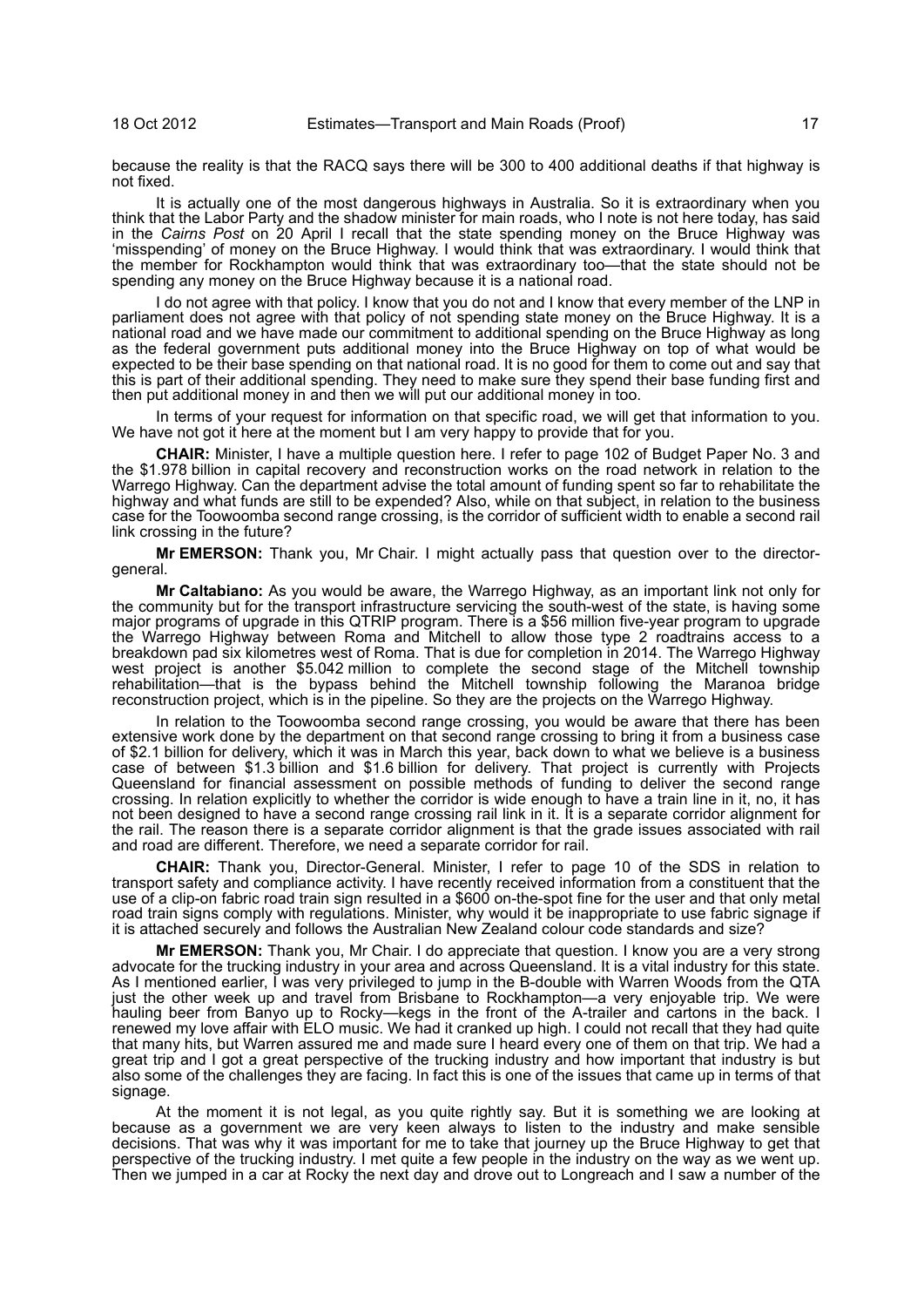because the reality is that the RACQ says there will be 300 to 400 additional deaths if that highway is not fixed.

It is actually one of the most dangerous highways in Australia. So it is extraordinary when you think that the Labor Party and the shadow minister for main roads, who I note is not here today, has said in the *Cairns Post* on 20 April I recall that the state spending money on the Bruce Highway was 'misspending' of money on the Bruce Highway. I would think that was extraordinary. I would think that the member for Rockhampton would think that was extraordinary too—that the state should not be spending any money on the Bruce Highway because it is a national road.

I do not agree with that policy. I know that you do not and I know that every member of the LNP in parliament does not agree with that policy of not spending state money on the Bruce Highway. It is a national road and we have made our commitment to additional spending on the Bruce Highway as long as the federal government puts additional money into the Bruce Highway on top of what would be expected to be their base spending on that national road. It is no good for them to come out and say that this is part of their additional spending. They need to make sure they spend their base funding first and then put additional money in and then we will put our additional money in too.

In terms of your request for information on that specific road, we will get that information to you. We have not got it here at the moment but I am very happy to provide that for you.

**CHAIR:** Minister, I have a multiple question here. I refer to page 102 of Budget Paper No. 3 and the \$1.978 billion in capital recovery and reconstruction works on the road network in relation to the Warrego Highway. Can the department advise the total amount of funding spent so far to rehabilitate the highway and what funds are still to be expended? Also, while on that subject, in relation to the business case for the Toowoomba second range crossing, is the corridor of sufficient width to enable a second rail link crossing in the future?

**Mr EMERSON:** Thank you, Mr Chair. I might actually pass that question over to the directorgeneral.

**Mr Caltabiano:** As you would be aware, the Warrego Highway, as an important link not only for the community but for the transport infrastructure servicing the south-west of the state, is having some major programs of upgrade in this QTRIP program. There is a \$56 million five-year program to upgrade the Warrego Highway between Roma and Mitchell to allow those type 2 roadtrains access to a breakdown pad six kilometres west of Roma. That is due for completion in 2014. The Warrego Highway west project is another \$5.042 million to complete the second stage of the Mitchell township rehabilitation—that is the bypass behind the Mitchell township following the Maranoa bridge reconstruction project, which is in the pipeline. So they are the projects on the Warrego Highway.

In relation to the Toowoomba second range crossing, you would be aware that there has been extensive work done by the department on that second range crossing to bring it from a business case of \$2.1 billion for delivery, which it was in March this year, back down to what we believe is a business case of between \$1.3 billion and \$1.6 billion for delivery. That project is currently with Projects Queensland for financial assessment on possible methods of funding to deliver the second range crossing. In relation explicitly to whether the corridor is wide enough to have a train line in it, no, it has not been designed to have a second range crossing rail link in it. It is a separate corridor alignment for the rail. The reason there is a separate corridor alignment is that the grade issues associated with rail and road are different. Therefore, we need a separate corridor for rail.

**CHAIR:** Thank you, Director-General. Minister, I refer to page 10 of the SDS in relation to transport safety and compliance activity. I have recently received information from a constituent that the use of a clip-on fabric road train sign resulted in a \$600 on-the-spot fine for the user and that only metal road train signs comply with regulations. Minister, why would it be inappropriate to use fabric signage if it is attached securely and follows the Australian New Zealand colour code standards and size?

**Mr EMERSON:** Thank you, Mr Chair. I do appreciate that question. I know you are a very strong advocate for the trucking industry in your area and across Queensland. It is a vital industry for this state. As I mentioned earlier, I was very privileged to jump in the B-double with Warren Woods from the QTA just the other week up and travel from Brisbane to Rockhampton—a very enjoyable trip. We were hauling beer from Banyo up to Rocky—kegs in the front of the A-trailer and cartons in the back. I renewed my love affair with ELO music. We had it cranked up high. I could not recall that they had quite that many hits, but Warren assured me and made sure I heard every one of them on that trip. We had a great trip and I got a great perspective of the trucking industry and how important that industry is but also some of the challenges they are facing. In fact this is one of the issues that came up in terms of that signage.

At the moment it is not legal, as you quite rightly say. But it is something we are looking at because as a government we are very keen always to listen to the industry and make sensible decisions. That was why it was important for me to take that journey up the Bruce Highway to get that perspective of the trucking industry. I met quite a few people in the industry on the way as we went up. Then we jumped in a car at Rocky the next day and drove out to Longreach and I saw a number of the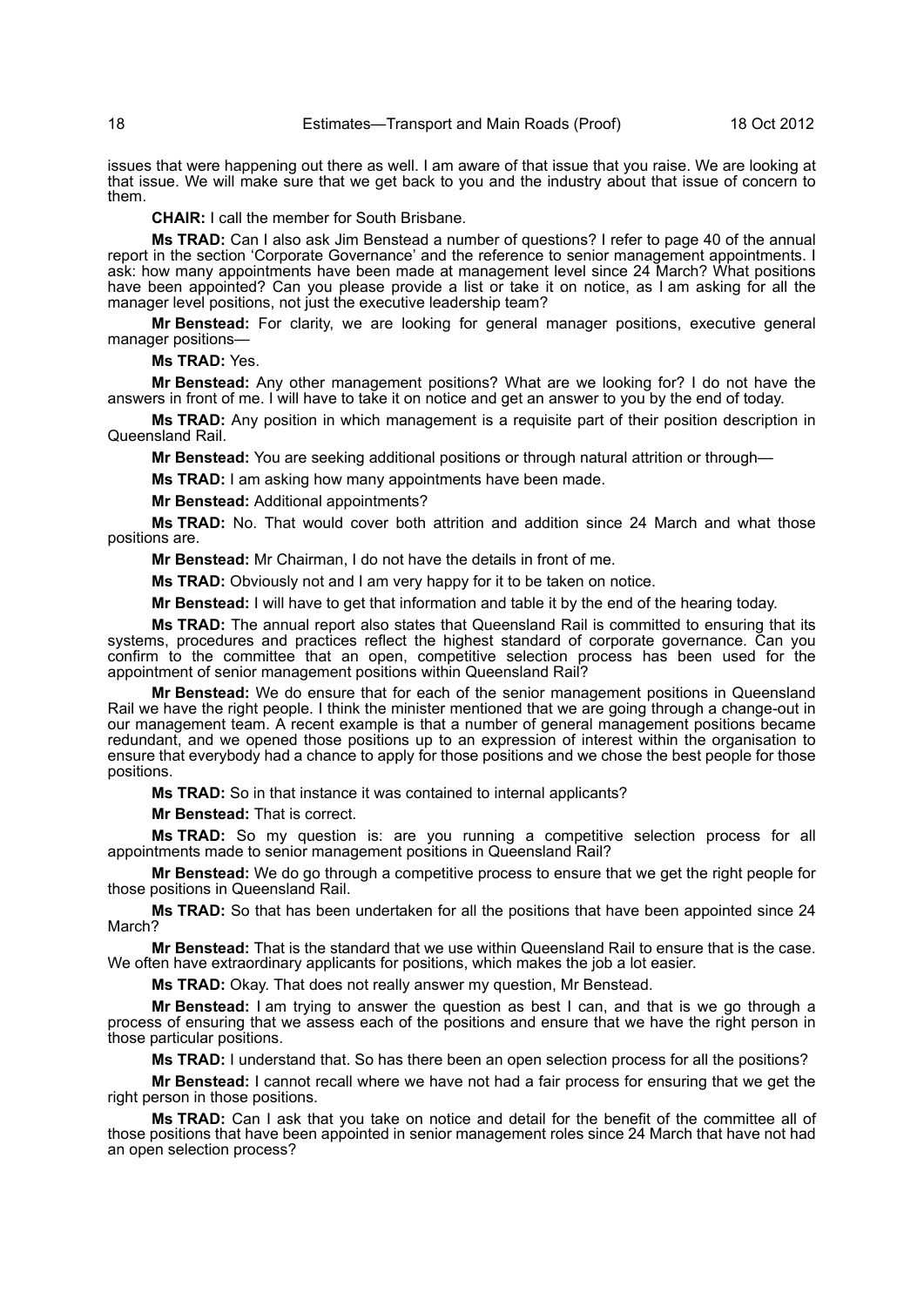issues that were happening out there as well. I am aware of that issue that you raise. We are looking at that issue. We will make sure that we get back to you and the industry about that issue of concern to them.

**CHAIR:** I call the member for South Brisbane.

**Ms TRAD:** Can I also ask Jim Benstead a number of questions? I refer to page 40 of the annual report in the section 'Corporate Governance' and the reference to senior management appointments. I ask: how many appointments have been made at management level since 24 March? What positions have been appointed? Can you please provide a list or take it on notice, as I am asking for all the manager level positions, not just the executive leadership team?

**Mr Benstead:** For clarity, we are looking for general manager positions, executive general manager positions—

**Ms TRAD:** Yes.

**Mr Benstead:** Any other management positions? What are we looking for? I do not have the answers in front of me. I will have to take it on notice and get an answer to you by the end of today.

**Ms TRAD:** Any position in which management is a requisite part of their position description in Queensland Rail.

**Mr Benstead:** You are seeking additional positions or through natural attrition or through—

**Ms TRAD:** I am asking how many appointments have been made.

**Mr Benstead:** Additional appointments?

**Ms TRAD:** No. That would cover both attrition and addition since 24 March and what those positions are.

**Mr Benstead:** Mr Chairman, I do not have the details in front of me.

**Ms TRAD:** Obviously not and I am very happy for it to be taken on notice.

**Mr Benstead:** I will have to get that information and table it by the end of the hearing today.

**Ms TRAD:** The annual report also states that Queensland Rail is committed to ensuring that its systems, procedures and practices reflect the highest standard of corporate governance. Can you confirm to the committee that an open, competitive selection process has been used for the appointment of senior management positions within Queensland Rail?

**Mr Benstead:** We do ensure that for each of the senior management positions in Queensland Rail we have the right people. I think the minister mentioned that we are going through a change-out in our management team. A recent example is that a number of general management positions became redundant, and we opened those positions up to an expression of interest within the organisation to ensure that everybody had a chance to apply for those positions and we chose the best people for those positions.

**Ms TRAD:** So in that instance it was contained to internal applicants?

**Mr Benstead:** That is correct.

**Ms TRAD:** So my question is: are you running a competitive selection process for all appointments made to senior management positions in Queensland Rail?

**Mr Benstead:** We do go through a competitive process to ensure that we get the right people for those positions in Queensland Rail.

**Ms TRAD:** So that has been undertaken for all the positions that have been appointed since 24 March?

**Mr Benstead:** That is the standard that we use within Queensland Rail to ensure that is the case. We often have extraordinary applicants for positions, which makes the job a lot easier.

**Ms TRAD:** Okay. That does not really answer my question, Mr Benstead.

**Mr Benstead:** I am trying to answer the question as best I can, and that is we go through a process of ensuring that we assess each of the positions and ensure that we have the right person in those particular positions.

**Ms TRAD:** I understand that. So has there been an open selection process for all the positions?

**Mr Benstead:** I cannot recall where we have not had a fair process for ensuring that we get the right person in those positions.

**Ms TRAD:** Can I ask that you take on notice and detail for the benefit of the committee all of those positions that have been appointed in senior management roles since 24 March that have not had an open selection process?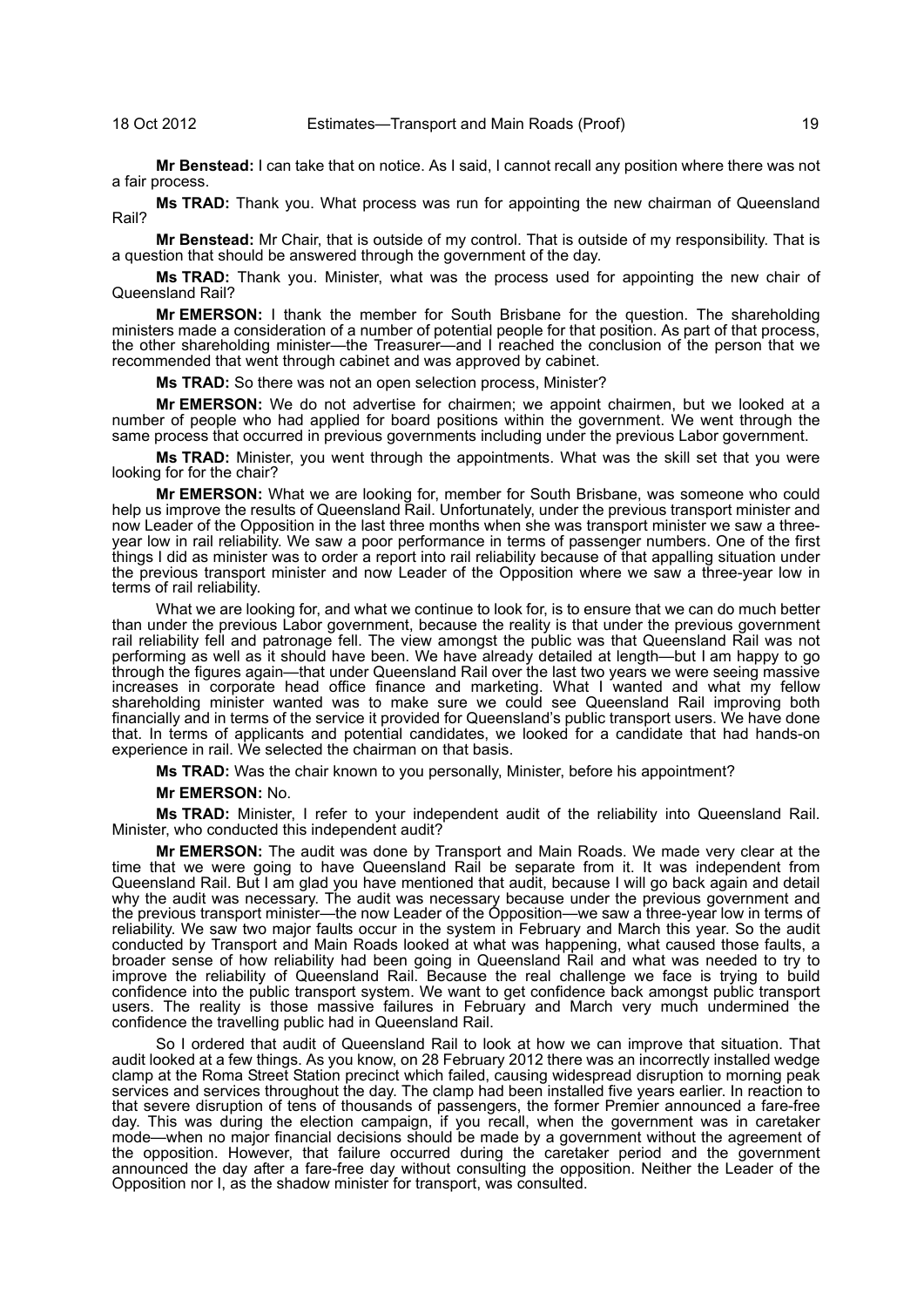**Mr Benstead:** I can take that on notice. As I said, I cannot recall any position where there was not a fair process.

**Ms TRAD:** Thank you. What process was run for appointing the new chairman of Queensland Rail?

**Mr Benstead:** Mr Chair, that is outside of my control. That is outside of my responsibility. That is a question that should be answered through the government of the day.

**Ms TRAD:** Thank you. Minister, what was the process used for appointing the new chair of Queensland Rail?

**Mr EMERSON:** I thank the member for South Brisbane for the question. The shareholding ministers made a consideration of a number of potential people for that position. As part of that process, the other shareholding minister—the Treasurer—and I reached the conclusion of the person that we recommended that went through cabinet and was approved by cabinet.

**Ms TRAD:** So there was not an open selection process, Minister?

**Mr EMERSON:** We do not advertise for chairmen; we appoint chairmen, but we looked at a number of people who had applied for board positions within the government. We went through the same process that occurred in previous governments including under the previous Labor government.

**Ms TRAD:** Minister, you went through the appointments. What was the skill set that you were looking for for the chair?

**Mr EMERSON:** What we are looking for, member for South Brisbane, was someone who could help us improve the results of Queensland Rail. Unfortunately, under the previous transport minister and now Leader of the Opposition in the last three months when she was transport minister we saw a threeyear low in rail reliability. We saw a poor performance in terms of passenger numbers. One of the first things I did as minister was to order a report into rail reliability because of that appalling situation under the previous transport minister and now Leader of the Opposition where we saw a three-year low in terms of rail reliability.

What we are looking for, and what we continue to look for, is to ensure that we can do much better than under the previous Labor government, because the reality is that under the previous government rail reliability fell and patronage fell. The view amongst the public was that Queensland Rail was not performing as well as it should have been. We have already detailed at length—but I am happy to go through the figures again—that under Queensland Rail over the last two years we were seeing massive increases in corporate head office finance and marketing. What I wanted and what my fellow shareholding minister wanted was to make sure we could see Queensland Rail improving both financially and in terms of the service it provided for Queensland's public transport users. We have done that. In terms of applicants and potential candidates, we looked for a candidate that had hands-on experience in rail. We selected the chairman on that basis.

**Ms TRAD:** Was the chair known to you personally, Minister, before his appointment?

#### **Mr EMERSON:** No.

**Ms TRAD:** Minister, I refer to your independent audit of the reliability into Queensland Rail. Minister, who conducted this independent audit?

**Mr EMERSON:** The audit was done by Transport and Main Roads. We made very clear at the time that we were going to have Queensland Rail be separate from it. It was independent from Queensland Rail. But I am glad you have mentioned that audit, because I will go back again and detail why the audit was necessary. The audit was necessary because under the previous government and the previous transport minister—the now Leader of the Opposition—we saw a three-year low in terms of reliability. We saw two major faults occur in the system in February and March this year. So the audit conducted by Transport and Main Roads looked at what was happening, what caused those faults, a broader sense of how reliability had been going in Queensland Rail and what was needed to try to improve the reliability of Queensland Rail. Because the real challenge we face is trying to build confidence into the public transport system. We want to get confidence back amongst public transport users. The reality is those massive failures in February and March very much undermined the confidence the travelling public had in Queensland Rail.

So I ordered that audit of Queensland Rail to look at how we can improve that situation. That audit looked at a few things. As you know, on 28 February 2012 there was an incorrectly installed wedge clamp at the Roma Street Station precinct which failed, causing widespread disruption to morning peak services and services throughout the day. The clamp had been installed five years earlier. In reaction to that severe disruption of tens of thousands of passengers, the former Premier announced a fare-free day. This was during the election campaign, if you recall, when the government was in caretaker mode—when no major financial decisions should be made by a government without the agreement of the opposition. However, that failure occurred during the caretaker period and the government announced the day after a fare-free day without consulting the opposition. Neither the Leader of the Opposition nor I, as the shadow minister for transport, was consulted.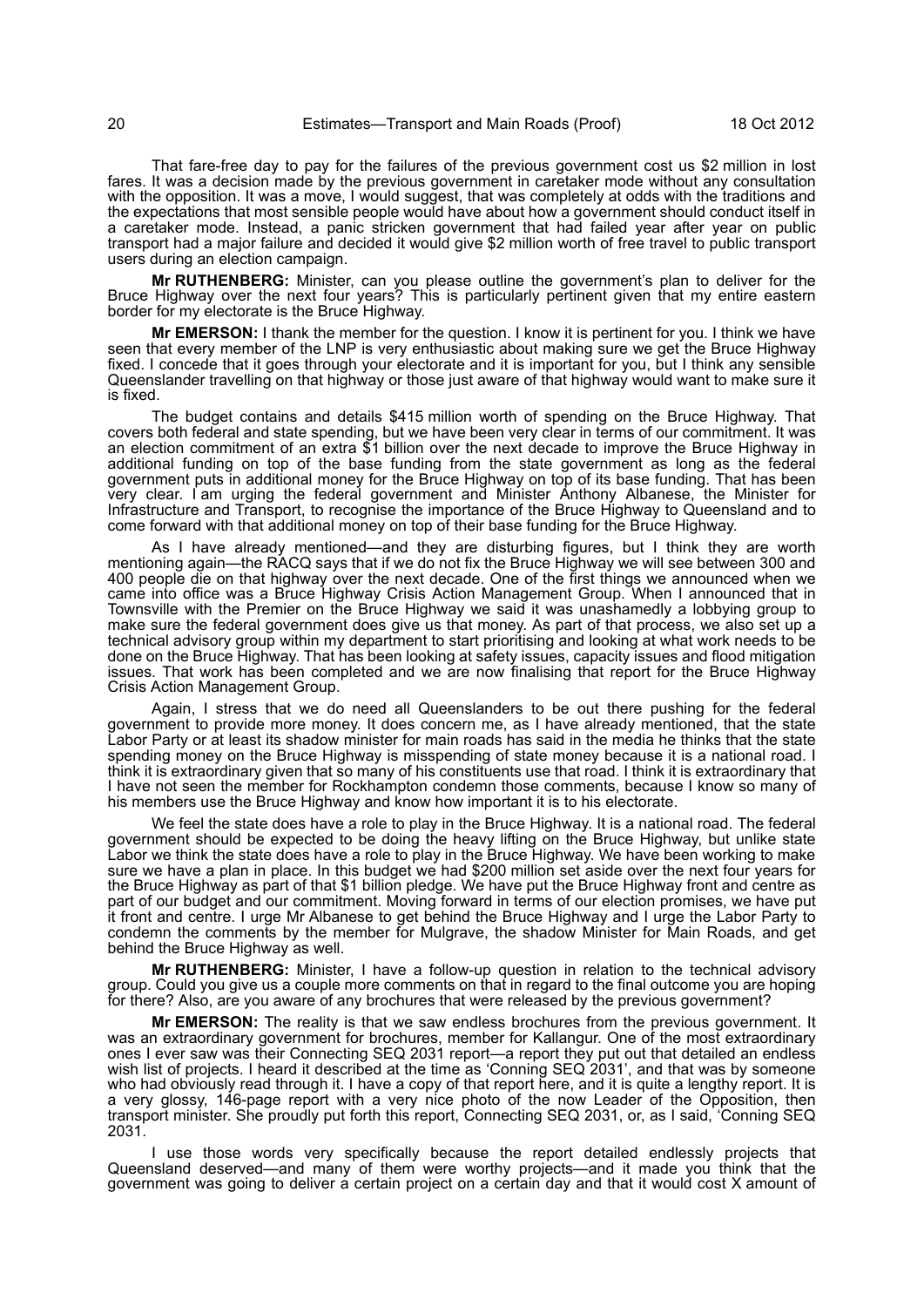That fare-free day to pay for the failures of the previous government cost us \$2 million in lost fares. It was a decision made by the previous government in caretaker mode without any consultation with the opposition. It was a move, I would suggest, that was completely at odds with the traditions and the expectations that most sensible people would have about how a government should conduct itself in a caretaker mode. Instead, a panic stricken government that had failed year after year on public transport had a major failure and decided it would give \$2 million worth of free travel to public transport users during an election campaign.

**Mr RUTHENBERG:** Minister, can you please outline the government's plan to deliver for the Bruce Highway over the next four years? This is particularly pertinent given that my entire eastern border for my electorate is the Bruce Highway.

**Mr EMERSON:** I thank the member for the question. I know it is pertinent for you. I think we have seen that every member of the LNP is very enthusiastic about making sure we get the Bruce Highway fixed. I concede that it goes through your electorate and it is important for you, but I think any sensible Queenslander travelling on that highway or those just aware of that highway would want to make sure it is fixed.

The budget contains and details \$415 million worth of spending on the Bruce Highway. That covers both federal and state spending, but we have been very clear in terms of our commitment. It was an election commitment of an extra \$1 billion over the next decade to improve the Bruce Highway in additional funding on top of the base funding from the state government as long as the federal government puts in additional money for the Bruce Highway on top of its base funding. That has been very clear. I am urging the federal government and Minister Anthony Albanese, the Minister for Infrastructure and Transport, to recognise the importance of the Bruce Highway to Queensland and to come forward with that additional money on top of their base funding for the Bruce Highway.

As I have already mentioned—and they are disturbing figures, but I think they are worth mentioning again—the RACQ says that if we do not fix the Bruce Highway we will see between 300 and 400 people die on that highway over the next decade. One of the first things we announced when we came into office was a Bruce Highway Crisis Action Management Group. When I announced that in Townsville with the Premier on the Bruce Highway we said it was unashamedly a lobbying group to make sure the federal government does give us that money. As part of that process, we also set up a technical advisory group within my department to start prioritising and looking at what work needs to be done on the Bruce Highway. That has been looking at safety issues, capacity issues and flood mitigation issues. That work has been completed and we are now finalising that report for the Bruce Highway Crisis Action Management Group.

Again, I stress that we do need all Queenslanders to be out there pushing for the federal government to provide more money. It does concern me, as I have already mentioned, that the state Labor Party or at least its shadow minister for main roads has said in the media he thinks that the state spending money on the Bruce Highway is misspending of state money because it is a national road. I think it is extraordinary given that so many of his constituents use that road. I think it is extraordinary that I have not seen the member for Rockhampton condemn those comments, because I know so many of his members use the Bruce Highway and know how important it is to his electorate.

We feel the state does have a role to play in the Bruce Highway. It is a national road. The federal government should be expected to be doing the heavy lifting on the Bruce Highway, but unlike state Labor we think the state does have a role to play in the Bruce Highway. We have been working to make sure we have a plan in place. In this budget we had \$200 million set aside over the next four years for the Bruce Highway as part of that \$1 billion pledge. We have put the Bruce Highway front and centre as part of our budget and our commitment. Moving forward in terms of our election promises, we have put it front and centre. I urge Mr Albanese to get behind the Bruce Highway and I urge the Labor Party to condemn the comments by the member for Mulgrave, the shadow Minister for Main Roads, and get behind the Bruce Highway as well.

**Mr RUTHENBERG:** Minister, I have a follow-up question in relation to the technical advisory group. Could you give us a couple more comments on that in regard to the final outcome you are hoping for there? Also, are you aware of any brochures that were released by the previous government?

**Mr EMERSON:** The reality is that we saw endless brochures from the previous government. It was an extraordinary government for brochures, member for Kallangur. One of the most extraordinary ones I ever saw was their Connecting SEQ 2031 report—a report they put out that detailed an endless wish list of projects. I heard it described at the time as 'Conning SEQ 2031', and that was by someone who had obviously read through it. I have a copy of that report here, and it is quite a lengthy report. It is a very glossy, 146-page report with a very nice photo of the now Leader of the Opposition, then transport minister. She proudly put forth this report, Connecting SEQ 2031, or, as I said, 'Conning SEQ 2031.

I use those words very specifically because the report detailed endlessly projects that Queensland deserved—and many of them were worthy projects—and it made you think that the government was going to deliver a certain project on a certain day and that it would cost X amount of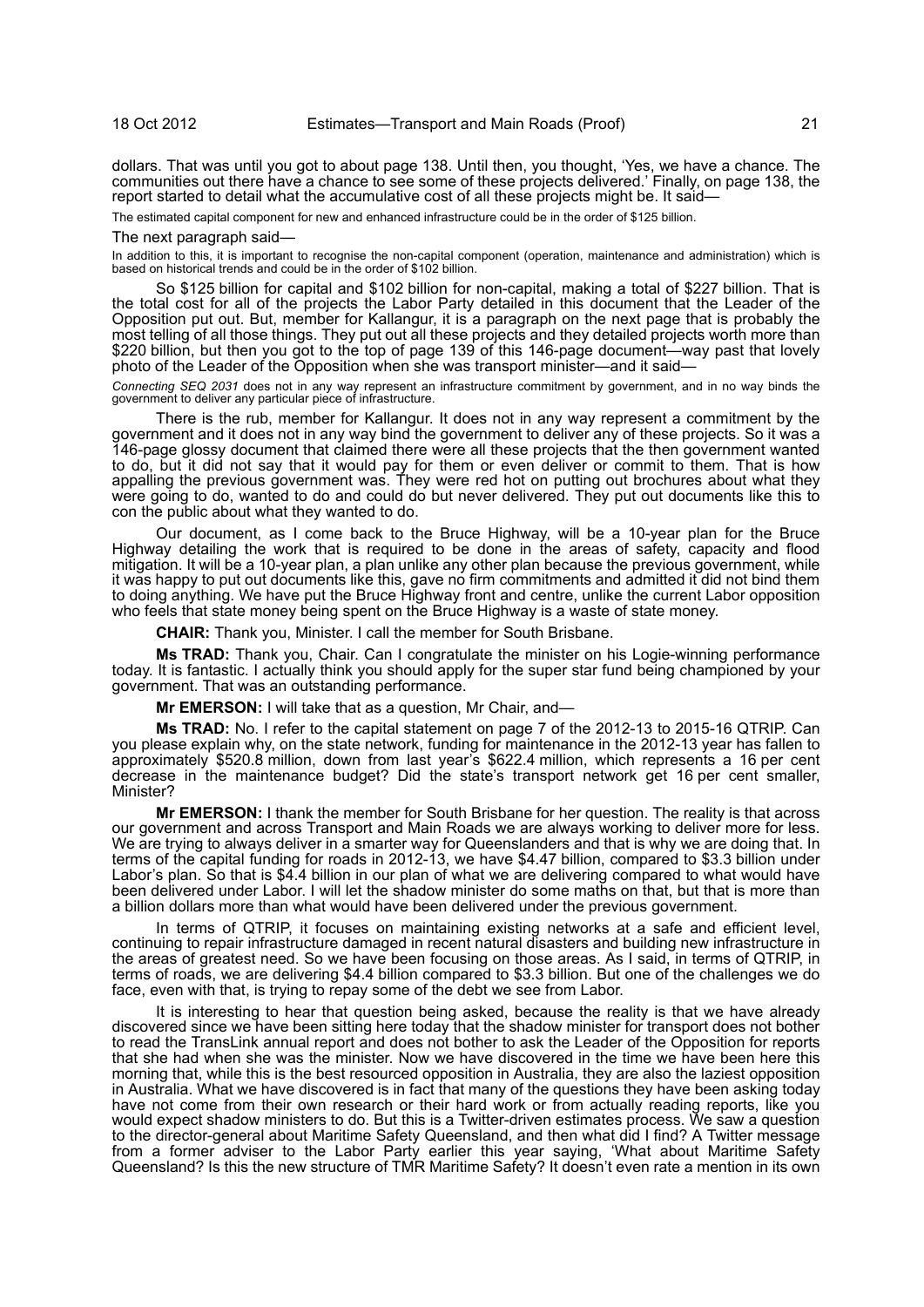dollars. That was until you got to about page 138. Until then, you thought, 'Yes, we have a chance. The communities out there have a chance to see some of these projects delivered.' Finally, on page 138, the report started to detail what the accumulative cost of all these projects might be. It said—

The estimated capital component for new and enhanced infrastructure could be in the order of \$125 billion.

#### The next paragraph said—

In addition to this, it is important to recognise the non-capital component (operation, maintenance and administration) which is based on historical trends and could be in the order of \$102 billion.

So \$125 billion for capital and \$102 billion for non-capital, making a total of \$227 billion. That is the total cost for all of the projects the Labor Party detailed in this document that the Leader of the Opposition put out. But, member for Kallangur, it is a paragraph on the next page that is probably the most telling of all those things. They put out all these projects and they detailed projects worth more than \$220 billion, but then you got to the top of page 139 of this 146-page document—way past that lovely photo of the Leader of the Opposition when she was transport minister—and it said—

*Connecting SEQ 2031* does not in any way represent an infrastructure commitment by government, and in no way binds the government to deliver any particular piece of infrastructure.

There is the rub, member for Kallangur. It does not in any way represent a commitment by the government and it does not in any way bind the government to deliver any of these projects. So it was a 146-page glossy document that claimed there were all these projects that the then government wanted to do, but it did not say that it would pay for them or even deliver or commit to them. That is how appalling the previous government was. They were red hot on putting out brochures about what they were going to do, wanted to do and could do but never delivered. They put out documents like this to con the public about what they wanted to do.

Our document, as I come back to the Bruce Highway, will be a 10-year plan for the Bruce Highway detailing the work that is required to be done in the areas of safety, capacity and flood mitigation. It will be a 10-year plan, a plan unlike any other plan because the previous government, while it was happy to put out documents like this, gave no firm commitments and admitted it did not bind them to doing anything. We have put the Bruce Highway front and centre, unlike the current Labor opposition who feels that state money being spent on the Bruce Highway is a waste of state money.

**CHAIR:** Thank you, Minister. I call the member for South Brisbane.

**Ms TRAD:** Thank you, Chair. Can I congratulate the minister on his Logie-winning performance today. It is fantastic. I actually think you should apply for the super star fund being championed by your government. That was an outstanding performance.

**Mr EMERSON:** I will take that as a question, Mr Chair, and—

**Ms TRAD:** No. I refer to the capital statement on page 7 of the 2012-13 to 2015-16 QTRIP. Can you please explain why, on the state network, funding for maintenance in the 2012-13 year has fallen to approximately \$520.8 million, down from last year's \$622.4 million, which represents a 16 per cent decrease in the maintenance budget? Did the state's transport network get 16 per cent smaller, Minister?

**Mr EMERSON:** I thank the member for South Brisbane for her question. The reality is that across our government and across Transport and Main Roads we are always working to deliver more for less. We are trying to always deliver in a smarter way for Queenslanders and that is why we are doing that. In terms of the capital funding for roads in 2012-13, we have \$4.47 billion, compared to \$3.3 billion under Labor's plan. So that is \$4.4 billion in our plan of what we are delivering compared to what would have been delivered under Labor. I will let the shadow minister do some maths on that, but that is more than a billion dollars more than what would have been delivered under the previous government.

In terms of QTRIP, it focuses on maintaining existing networks at a safe and efficient level, continuing to repair infrastructure damaged in recent natural disasters and building new infrastructure in the areas of greatest need. So we have been focusing on those areas. As I said, in terms of QTRIP, in terms of roads, we are delivering \$4.4 billion compared to \$3.3 billion. But one of the challenges we do face, even with that, is trying to repay some of the debt we see from Labor.

It is interesting to hear that question being asked, because the reality is that we have already discovered since we have been sitting here today that the shadow minister for transport does not bother to read the TransLink annual report and does not bother to ask the Leader of the Opposition for reports that she had when she was the minister. Now we have discovered in the time we have been here this morning that, while this is the best resourced opposition in Australia, they are also the laziest opposition in Australia. What we have discovered is in fact that many of the questions they have been asking today have not come from their own research or their hard work or from actually reading reports, like you would expect shadow ministers to do. But this is a Twitter-driven estimates process. We saw a question to the director-general about Maritime Safety Queensland, and then what did I find? A Twitter message from a former adviser to the Labor Party earlier this year saying, 'What about Maritime Safety Queensland? Is this the new structure of TMR Maritime Safety? It doesn't even rate a mention in its own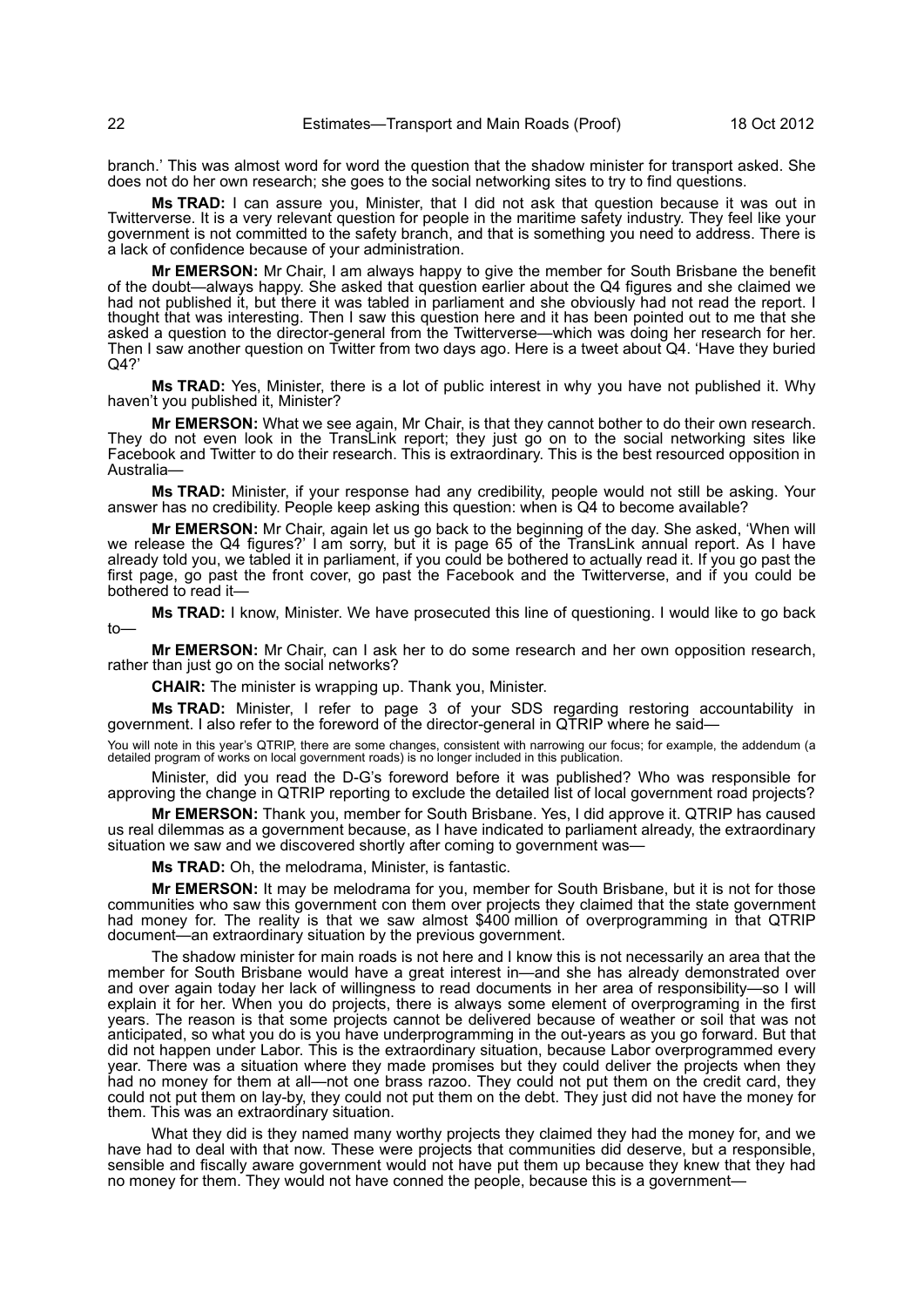branch.' This was almost word for word the question that the shadow minister for transport asked. She does not do her own research; she goes to the social networking sites to try to find questions.

**Ms TRAD:** I can assure you, Minister, that I did not ask that question because it was out in Twitterverse. It is a very relevant question for people in the maritime safety industry. They feel like your government is not committed to the safety branch, and that is something you need to address. There is a lack of confidence because of your administration.

**Mr EMERSON:** Mr Chair, I am always happy to give the member for South Brisbane the benefit of the doubt—always happy. She asked that question earlier about the Q4 figures and she claimed we had not published it, but there it was tabled in parliament and she obviously had not read the report. I thought that was interesting. Then I saw this question here and it has been pointed out to me that she asked a question to the director-general from the Twitterverse—which was doing her research for her. Then I saw another question on Twitter from two days ago. Here is a tweet about Q4. 'Have they buried Q4?'

**Ms TRAD:** Yes, Minister, there is a lot of public interest in why you have not published it. Why haven't you published it, Minister?

**Mr EMERSON:** What we see again, Mr Chair, is that they cannot bother to do their own research. They do not even look in the TransLink report; they just go on to the social networking sites like Facebook and Twitter to do their research. This is extraordinary. This is the best resourced opposition in Australia—

**Ms TRAD:** Minister, if your response had any credibility, people would not still be asking. Your answer has no credibility. People keep asking this question: when is Q4 to become available?

**Mr EMERSON:** Mr Chair, again let us go back to the beginning of the day. She asked, 'When will we release the Q4 figures?' I am sorry, but it is page 65 of the TransLink annual report. As I have already told you, we tabled it in parliament, if you could be bothered to actually read it. If you go past the first page, go past the front cover, go past the Facebook and the Twitterverse, and if you could be bothered to read it—

**Ms TRAD:** I know, Minister. We have prosecuted this line of questioning. I would like to go back to—

**Mr EMERSON:** Mr Chair, can I ask her to do some research and her own opposition research, rather than just go on the social networks?

**CHAIR:** The minister is wrapping up. Thank you, Minister.

**Ms TRAD:** Minister, I refer to page 3 of your SDS regarding restoring accountability in government. I also refer to the foreword of the director-general in QTRIP where he said—

You will note in this year's QTRIP, there are some changes, consistent with narrowing our focus; for example, the addendum (a detailed program of works on local government roads) is no longer included in this publication.

Minister, did you read the D-G's foreword before it was published? Who was responsible for approving the change in QTRIP reporting to exclude the detailed list of local government road projects?

**Mr EMERSON:** Thank you, member for South Brisbane. Yes, I did approve it. QTRIP has caused us real dilemmas as a government because, as I have indicated to parliament already, the extraordinary situation we saw and we discovered shortly after coming to government was-

**Ms TRAD:** Oh, the melodrama, Minister, is fantastic.

**Mr EMERSON:** It may be melodrama for you, member for South Brisbane, but it is not for those communities who saw this government con them over projects they claimed that the state government had money for. The reality is that we saw almost \$400 million of overprogramming in that QTRIP document—an extraordinary situation by the previous government.

The shadow minister for main roads is not here and I know this is not necessarily an area that the member for South Brisbane would have a great interest in—and she has already demonstrated over and over again today her lack of willingness to read documents in her area of responsibility—so I will explain it for her. When you do projects, there is always some element of overprograming in the first years. The reason is that some projects cannot be delivered because of weather or soil that was not anticipated, so what you do is you have underprogramming in the out-years as you go forward. But that did not happen under Labor. This is the extraordinary situation, because Labor overprogrammed every year. There was a situation where they made promises but they could deliver the projects when they had no money for them at all—not one brass razoo. They could not put them on the credit card, they could not put them on lay-by, they could not put them on the debt. They just did not have the money for them. This was an extraordinary situation.

What they did is they named many worthy projects they claimed they had the money for, and we have had to deal with that now. These were projects that communities did deserve, but a responsible, sensible and fiscally aware government would not have put them up because they knew that they had no money for them. They would not have conned the people, because this is a government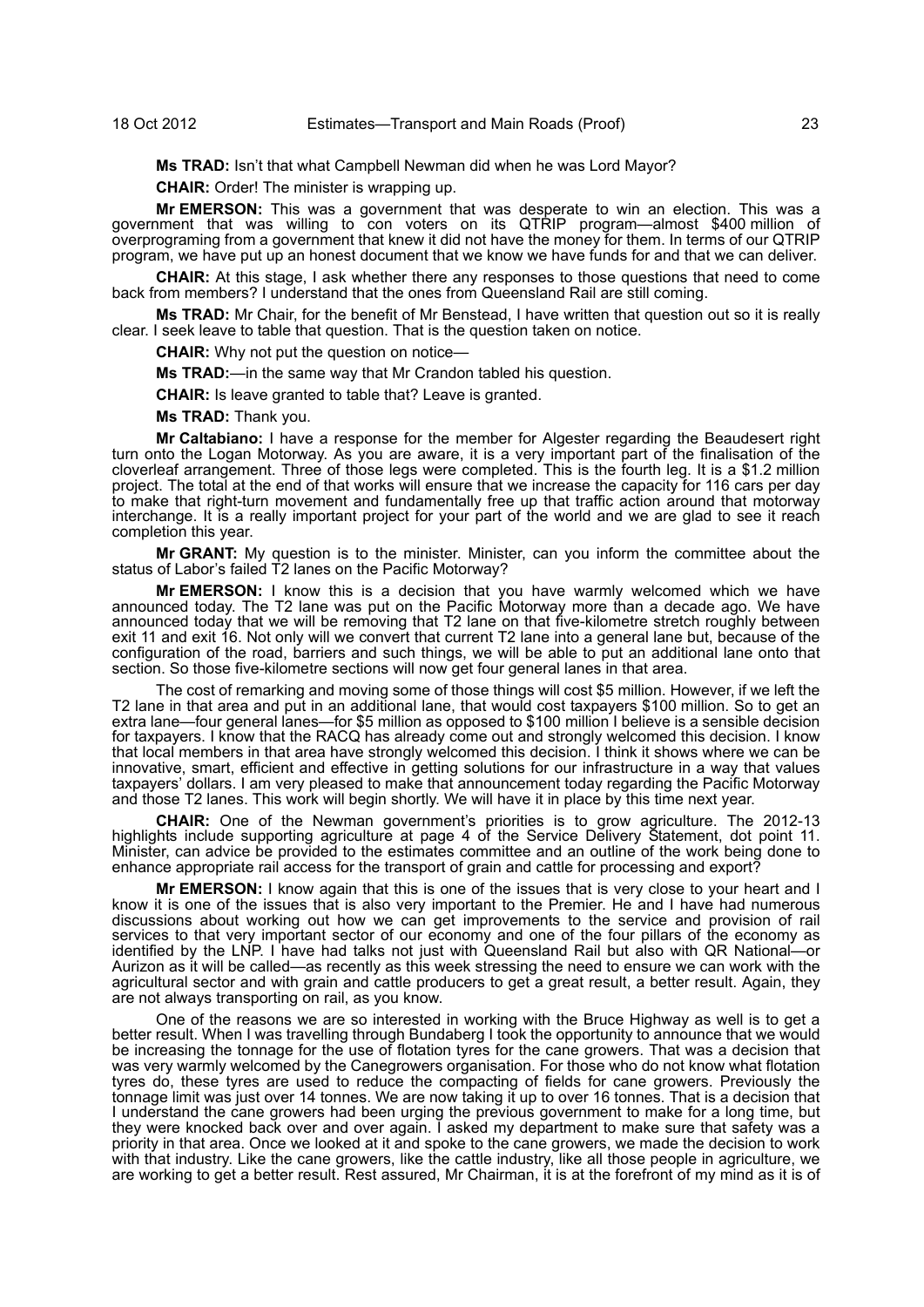**Ms TRAD:** Isn't that what Campbell Newman did when he was Lord Mayor?

**CHAIR:** Order! The minister is wrapping up.

**Mr EMERSON:** This was a government that was desperate to win an election. This was a government that was willing to con voters on its QTRIP program—almost \$400 million of overprograming from a government that knew it did not have the money for them. In terms of our QTRIP program, we have put up an honest document that we know we have funds for and that we can deliver.

**CHAIR:** At this stage, I ask whether there any responses to those questions that need to come back from members? I understand that the ones from Queensland Rail are still coming.

**Ms TRAD:** Mr Chair, for the benefit of Mr Benstead, I have written that question out so it is really clear. I seek leave to table that question. That is the question taken on notice.

**CHAIR:** Why not put the question on notice—

**Ms TRAD:**—in the same way that Mr Crandon tabled his question.

**CHAIR:** Is leave granted to table that? Leave is granted.

**Ms TRAD:** Thank you.

**Mr Caltabiano:** I have a response for the member for Algester regarding the Beaudesert right turn onto the Logan Motorway. As you are aware, it is a very important part of the finalisation of the cloverleaf arrangement. Three of those legs were completed. This is the fourth leg. It is a \$1.2 million project. The total at the end of that works will ensure that we increase the capacity for 116 cars per day to make that right-turn movement and fundamentally free up that traffic action around that motorway interchange. It is a really important project for your part of the world and we are glad to see it reach completion this year.

**Mr GRANT:** My question is to the minister. Minister, can you inform the committee about the status of Labor's failed T2 lanes on the Pacific Motorway?

**Mr EMERSON:** I know this is a decision that you have warmly welcomed which we have announced today. The T2 lane was put on the Pacific Motorway more than a decade ago. We have announced today that we will be removing that T2 lane on that five-kilometre stretch roughly between exit 11 and exit 16. Not only will we convert that current T2 lane into a general lane but, because of the configuration of the road, barriers and such things, we will be able to put an additional lane onto that section. So those five-kilometre sections will now get four general lanes in that area.

The cost of remarking and moving some of those things will cost \$5 million. However, if we left the T2 lane in that area and put in an additional lane, that would cost taxpayers \$100 million. So to get an extra lane—four general lanes—for \$5 million as opposed to \$100 million I believe is a sensible decision for taxpayers. I know that the RACQ has already come out and strongly welcomed this decision. I know that local members in that area have strongly welcomed this decision. I think it shows where we can be innovative, smart, efficient and effective in getting solutions for our infrastructure in a way that values taxpayers' dollars. I am very pleased to make that announcement today regarding the Pacific Motorway and those T2 lanes. This work will begin shortly. We will have it in place by this time next year.

**CHAIR:** One of the Newman government's priorities is to grow agriculture. The 2012-13 highlights include supporting agriculture at page 4 of the Service Delivery Statement, dot point 11. Minister, can advice be provided to the estimates committee and an outline of the work being done to enhance appropriate rail access for the transport of grain and cattle for processing and export?

**Mr EMERSON:** I know again that this is one of the issues that is very close to your heart and I know it is one of the issues that is also very important to the Premier. He and I have had numerous discussions about working out how we can get improvements to the service and provision of rail services to that very important sector of our economy and one of the four pillars of the economy as identified by the LNP. I have had talks not just with Queensland Rail but also with QR National—or Aurizon as it will be called—as recently as this week stressing the need to ensure we can work with the agricultural sector and with grain and cattle producers to get a great result, a better result. Again, they are not always transporting on rail, as you know.

One of the reasons we are so interested in working with the Bruce Highway as well is to get a better result. When I was travelling through Bundaberg I took the opportunity to announce that we would be increasing the tonnage for the use of flotation tyres for the cane growers. That was a decision that was very warmly welcomed by the Canegrowers organisation. For those who do not know what flotation tyres do, these tyres are used to reduce the compacting of fields for cane growers. Previously the tonnage limit was just over 14 tonnes. We are now taking it up to over 16 tonnes. That is a decision that I understand the cane growers had been urging the previous government to make for a long time, but they were knocked back over and over again. I asked my department to make sure that safety was a priority in that area. Once we looked at it and spoke to the cane growers, we made the decision to work with that industry. Like the cane growers, like the cattle industry, like all those people in agriculture, we are working to get a better result. Rest assured, Mr Chairman, it is at the forefront of my mind as it is of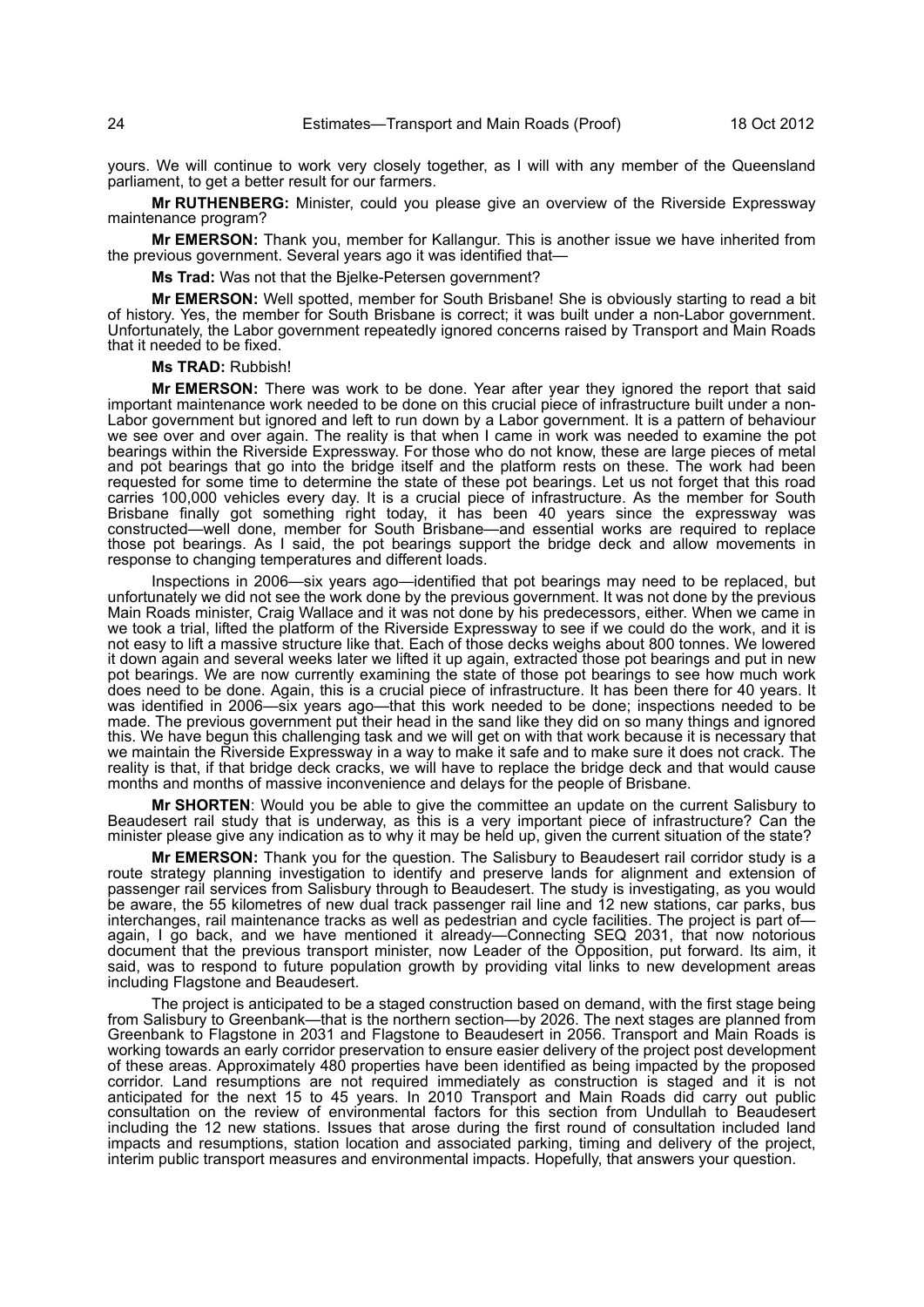yours. We will continue to work very closely together, as I will with any member of the Queensland parliament, to get a better result for our farmers.

**Mr RUTHENBERG:** Minister, could you please give an overview of the Riverside Expressway maintenance program?

**Mr EMERSON:** Thank you, member for Kallangur. This is another issue we have inherited from the previous government. Several years ago it was identified that—

**Ms Trad:** Was not that the Bjelke-Petersen government?

**Mr EMERSON:** Well spotted, member for South Brisbane! She is obviously starting to read a bit of history. Yes, the member for South Brisbane is correct; it was built under a non-Labor government. Unfortunately, the Labor government repeatedly ignored concerns raised by Transport and Main Roads that it needed to be fixed.

**Ms TRAD:** Rubbish!

**Mr EMERSON:** There was work to be done. Year after year they ignored the report that said important maintenance work needed to be done on this crucial piece of infrastructure built under a non-Labor government but ignored and left to run down by a Labor government. It is a pattern of behaviour we see over and over again. The reality is that when I came in work was needed to examine the pot bearings within the Riverside Expressway. For those who do not know, these are large pieces of metal and pot bearings that go into the bridge itself and the platform rests on these. The work had been requested for some time to determine the state of these pot bearings. Let us not forget that this road carries 100,000 vehicles every day. It is a crucial piece of infrastructure. As the member for South Brisbane finally got something right today, it has been 40 years since the expressway was constructed—well done, member for South Brisbane—and essential works are required to replace those pot bearings. As I said, the pot bearings support the bridge deck and allow movements in response to changing temperatures and different loads.

Inspections in 2006—six years ago—identified that pot bearings may need to be replaced, but unfortunately we did not see the work done by the previous government. It was not done by the previous Main Roads minister, Craig Wallace and it was not done by his predecessors, either. When we came in we took a trial, lifted the platform of the Riverside Expressway to see if we could do the work, and it is not easy to lift a massive structure like that. Each of those decks weighs about 800 tonnes. We lowered it down again and several weeks later we lifted it up again, extracted those pot bearings and put in new pot bearings. We are now currently examining the state of those pot bearings to see how much work does need to be done. Again, this is a crucial piece of infrastructure. It has been there for 40 years. It was identified in 2006—six years ago—that this work needed to be done; inspections needed to be made. The previous government put their head in the sand like they did on so many things and ignored this. We have begun this challenging task and we will get on with that work because it is necessary that we maintain the Riverside Expressway in a way to make it safe and to make sure it does not crack. The reality is that, if that bridge deck cracks, we will have to replace the bridge deck and that would cause months and months of massive inconvenience and delays for the people of Brisbane.

**Mr SHORTEN**: Would you be able to give the committee an update on the current Salisbury to Beaudesert rail study that is underway, as this is a very important piece of infrastructure? Can the minister please give any indication as to why it may be held up, given the current situation of the state?

**Mr EMERSON:** Thank you for the question. The Salisbury to Beaudesert rail corridor study is a route strategy planning investigation to identify and preserve lands for alignment and extension of passenger rail services from Salisbury through to Beaudesert. The study is investigating, as you would be aware, the 55 kilometres of new dual track passenger rail line and 12 new stations, car parks, bus interchanges, rail maintenance tracks as well as pedestrian and cycle facilities. The project is part ofagain, I go back, and we have mentioned it already—Connecting SEQ 2031, that now notorious document that the previous transport minister, now Leader of the Opposition, put forward. Its aim, it said, was to respond to future population growth by providing vital links to new development areas including Flagstone and Beaudesert.

The project is anticipated to be a staged construction based on demand, with the first stage being from Salisbury to Greenbank—that is the northern section—by 2026. The next stages are planned from Greenbank to Flagstone in 2031 and Flagstone to Beaudesert in 2056. Transport and Main Roads is working towards an early corridor preservation to ensure easier delivery of the project post development of these areas. Approximately 480 properties have been identified as being impacted by the proposed corridor. Land resumptions are not required immediately as construction is staged and it is not anticipated for the next 15 to 45 years. In 2010 Transport and Main Roads did carry out public consultation on the review of environmental factors for this section from Undullah to Beaudesert including the 12 new stations. Issues that arose during the first round of consultation included land impacts and resumptions, station location and associated parking, timing and delivery of the project, interim public transport measures and environmental impacts. Hopefully, that answers your question.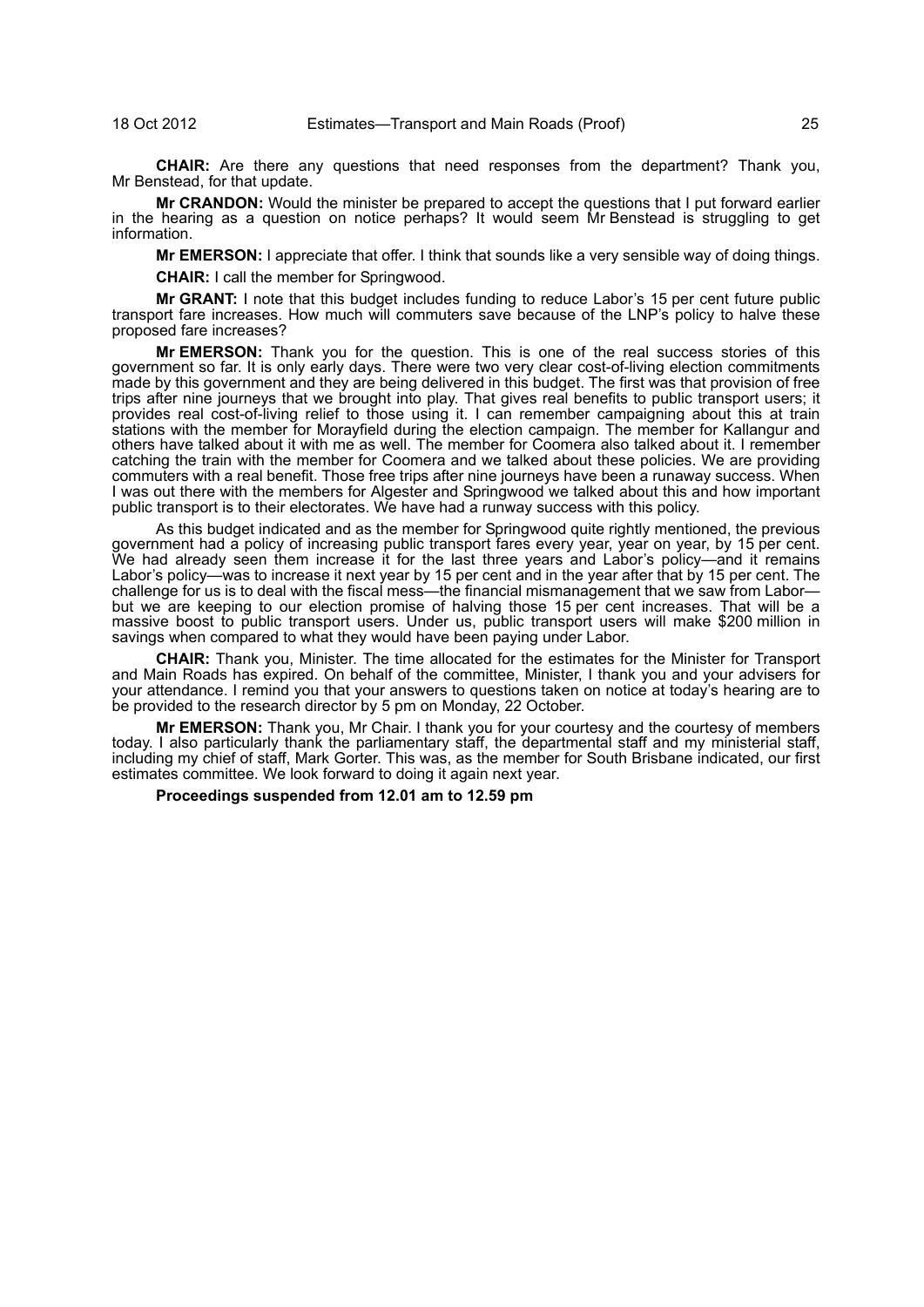**CHAIR:** Are there any questions that need responses from the department? Thank you, Mr Benstead, for that update.

**Mr CRANDON:** Would the minister be prepared to accept the questions that I put forward earlier in the hearing as a question on notice perhaps? It would seem Mr Benstead is struggling to get information.

**Mr EMERSON:** I appreciate that offer. I think that sounds like a very sensible way of doing things.

**CHAIR:** I call the member for Springwood.

**Mr GRANT:** I note that this budget includes funding to reduce Labor's 15 per cent future public transport fare increases. How much will commuters save because of the LNP's policy to halve these proposed fare increases?

**Mr EMERSON:** Thank you for the question. This is one of the real success stories of this government so far. It is only early days. There were two very clear cost-of-living election commitments made by this government and they are being delivered in this budget. The first was that provision of free trips after nine journeys that we brought into play. That gives real benefits to public transport users; it provides real cost-of-living relief to those using it. I can remember campaigning about this at train stations with the member for Morayfield during the election campaign. The member for Kallangur and others have talked about it with me as well. The member for Coomera also talked about it. I remember catching the train with the member for Coomera and we talked about these policies. We are providing commuters with a real benefit. Those free trips after nine journeys have been a runaway success. When I was out there with the members for Algester and Springwood we talked about this and how important public transport is to their electorates. We have had a runway success with this policy.

As this budget indicated and as the member for Springwood quite rightly mentioned, the previous government had a policy of increasing public transport fares every year, year on year, by 15 per cent. We had already seen them increase it for the last three years and Labor's policy—and it remains Labor's policy—was to increase it next year by 15 per cent and in the year after that by 15 per cent. The challenge for us is to deal with the fiscal mess—the financial mismanagement that we saw from Labor but we are keeping to our election promise of halving those 15 per cent increases. That will be a massive boost to public transport users. Under us, public transport users will make \$200 million in savings when compared to what they would have been paying under Labor.

**CHAIR:** Thank you, Minister. The time allocated for the estimates for the Minister for Transport and Main Roads has expired. On behalf of the committee, Minister, I thank you and your advisers for your attendance. I remind you that your answers to questions taken on notice at today's hearing are to be provided to the research director by 5 pm on Monday, 22 October.

**Mr EMERSON:** Thank you, Mr Chair. I thank you for your courtesy and the courtesy of members today. I also particularly thank the parliamentary staff, the departmental staff and my ministerial staff, including my chief of staff, Mark Gorter. This was, as the member for South Brisbane indicated, our first estimates committee. We look forward to doing it again next year.

**Proceedings suspended from 12.01 am to 12.59 pm**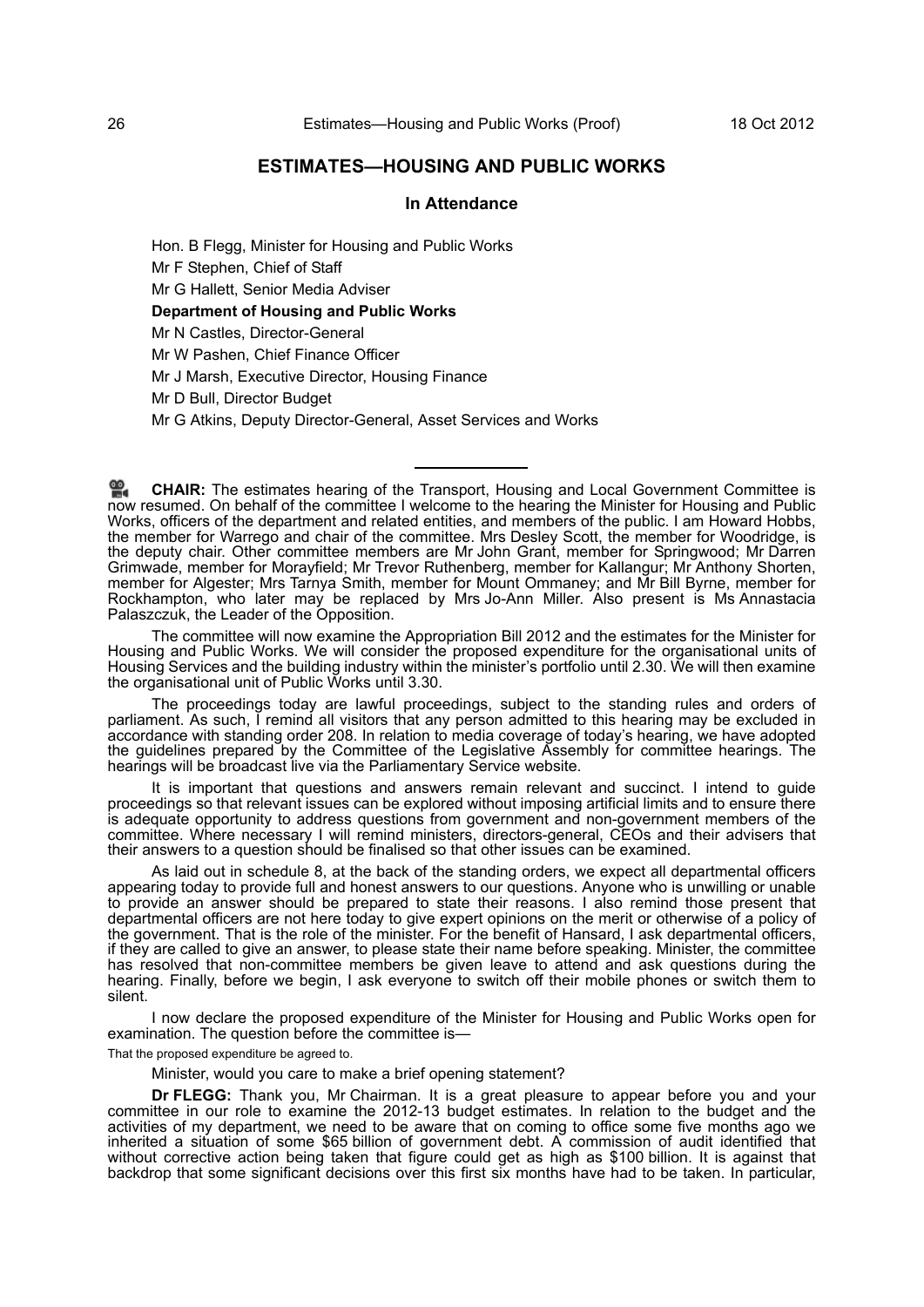# **ESTIMATES—HOUSING AND PUBLIC WORKS**

# **In Attendance**

Hon. B Flegg, Minister for Housing and Public Works Mr F Stephen, Chief of Staff Mr G Hallett, Senior Media Adviser **Department of Housing and Public Works** Mr N Castles, Director-General Mr W Pashen, Chief Finance Officer Mr J Marsh, Executive Director, Housing Finance Mr D Bull, Director Budget

Mr G Atkins, Deputy Director-General, Asset Services and Works

The committee will now examine the Appropriation Bill 2012 and the estimates for the Minister for Housing and Public Works. We will consider the proposed expenditure for the organisational units of Housing Services and the building industry within the minister's portfolio until 2.30. We will then examine the organisational unit of Public Works until 3.30.

The proceedings today are lawful proceedings, subject to the standing rules and orders of parliament. As such, I remind all visitors that any person admitted to this hearing may be excluded in accordance with standing order 208. In relation to media coverage of today's hearing, we have adopted the guidelines prepared by the Committee of the Legislative Assembly for committee hearings. The hearings will be broadcast live via the Parliamentary Service website.

It is important that questions and answers remain relevant and succinct. I intend to guide proceedings so that relevant issues can be explored without imposing artificial limits and to ensure there is adequate opportunity to address questions from government and non-government members of the committee. Where necessary I will remind ministers, directors-general, CEOs and their advisers that their answers to a question should be finalised so that other issues can be examined.

As laid out in schedule 8, at the back of the standing orders, we expect all departmental officers appearing today to provide full and honest answers to our questions. Anyone who is unwilling or unable to provide an answer should be prepared to state their reasons. I also remind those present that departmental officers are not here today to give expert opinions on the merit or otherwise of a policy of the government. That is the role of the minister. For the benefit of Hansard, I ask departmental officers, if they are called to give an answer, to please state their name before speaking. Minister, the committee has resolved that non-committee members be given leave to attend and ask questions during the hearing. Finally, before we begin, I ask everyone to switch off their mobile phones or switch them to silent.

I now declare the proposed expenditure of the Minister for Housing and Public Works open for examination. The question before the committee is—

That the proposed expenditure be agreed to.

Minister, would you care to make a brief opening statement?

**Dr FLEGG:** Thank you, Mr Chairman. It is a great pleasure to appear before you and your committee in our role to examine the 2012-13 budget estimates. In relation to the budget and the activities of my department, we need to be aware that on coming to office some five months ago we inherited a situation of some \$65 billion of government debt. A commission of audit identified that without corrective action being taken that figure could get as high as \$100 billion. It is against that backdrop that some significant decisions over this first six months have had to be taken. In particular,

**CHAIR:** The estimates hearing of the Transport, Housing and Local Government Committee is [now](http://www.parliament.qld.gov.au/docs/find.aspx?id=0Mba20121018_125949) resumed. On behalf of the committee I welcome to the hearing the Minister for Housing and Public Works, officers of the department and related entities, and members of the public. I am Howard Hobbs, the member for Warrego and chair of the committee. Mrs Desley Scott, the member for Woodridge, is the deputy chair. Other committee members are Mr John Grant, member for Springwood; Mr Darren Grimwade, member for Morayfield; Mr Trevor Ruthenberg, member for Kallangur; Mr Anthony Shorten, member for Algester; Mrs Tarnya Smith, member for Mount Ommaney; and Mr Bill Byrne, member for Rockhampton, who later may be replaced by Mrs Jo-Ann Miller. Also present is Ms Annastacia Palaszczuk, the Leader of the Opposition.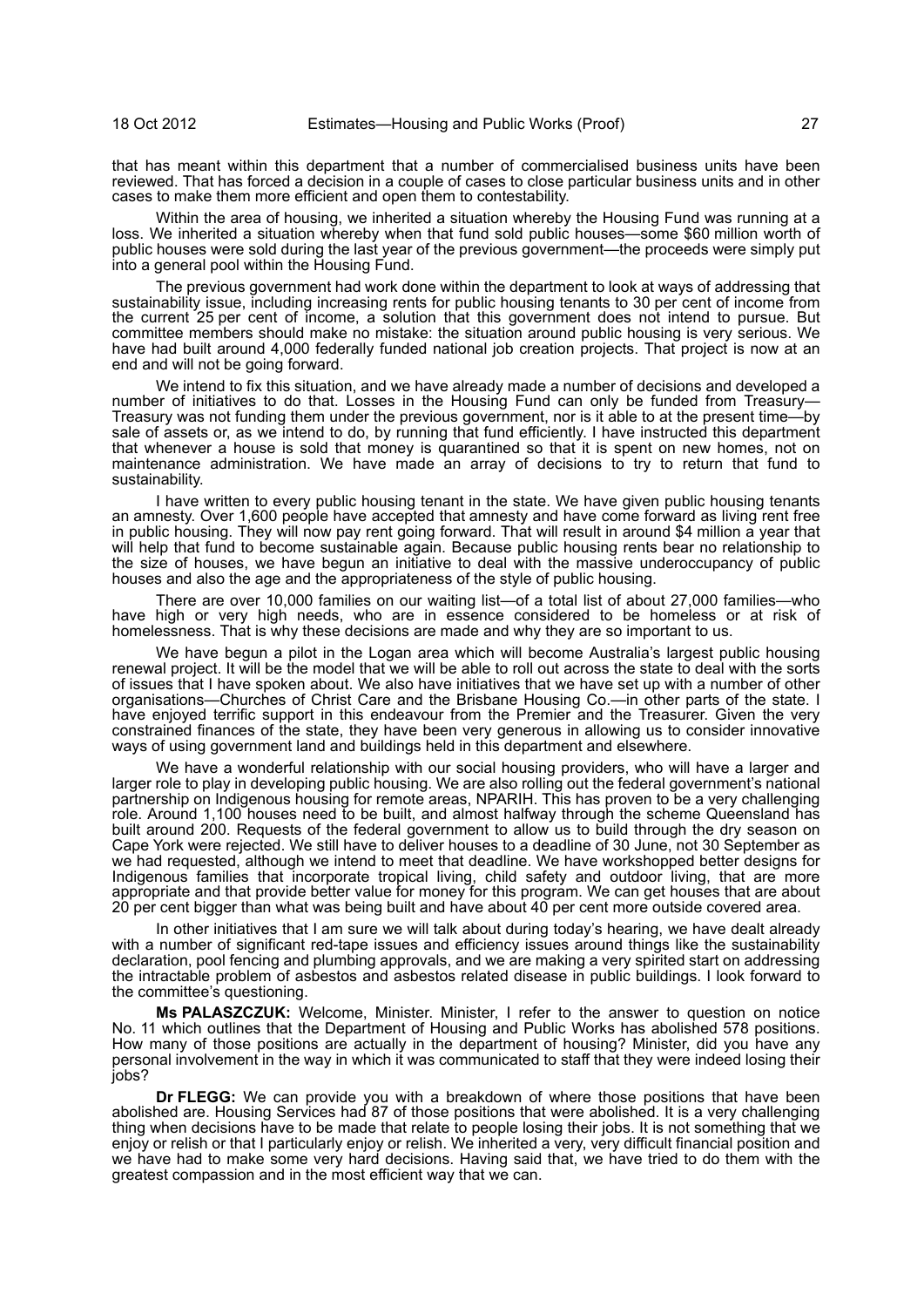that has meant within this department that a number of commercialised business units have been reviewed. That has forced a decision in a couple of cases to close particular business units and in other cases to make them more efficient and open them to contestability.

Within the area of housing, we inherited a situation whereby the Housing Fund was running at a loss. We inherited a situation whereby when that fund sold public houses—some \$60 million worth of public houses were sold during the last year of the previous government—the proceeds were simply put into a general pool within the Housing Fund.

The previous government had work done within the department to look at ways of addressing that sustainability issue, including increasing rents for public housing tenants to 30 per cent of income from the current 25 per cent of income, a solution that this government does not intend to pursue. But committee members should make no mistake: the situation around public housing is very serious. We have had built around 4,000 federally funded national job creation projects. That project is now at an end and will not be going forward.

We intend to fix this situation, and we have already made a number of decisions and developed a number of initiatives to do that. Losses in the Housing Fund can only be funded from Treasury-Treasury was not funding them under the previous government, nor is it able to at the present timesale of assets or, as we intend to do, by running that fund efficiently. I have instructed this department that whenever a house is sold that money is quarantined so that it is spent on new homes, not on maintenance administration. We have made an array of decisions to try to return that fund to sustainability.

I have written to every public housing tenant in the state. We have given public housing tenants an amnesty. Over 1,600 people have accepted that amnesty and have come forward as living rent free in public housing. They will now pay rent going forward. That will result in around \$4 million a year that will help that fund to become sustainable again. Because public housing rents bear no relationship to the size of houses, we have begun an initiative to deal with the massive underoccupancy of public houses and also the age and the appropriateness of the style of public housing.

There are over 10,000 families on our waiting list—of a total list of about 27,000 families—who have high or very high needs, who are in essence considered to be homeless or at risk of homelessness. That is why these decisions are made and why they are so important to us.

We have begun a pilot in the Logan area which will become Australia's largest public housing renewal project. It will be the model that we will be able to roll out across the state to deal with the sorts of issues that I have spoken about. We also have initiatives that we have set up with a number of other organisations—Churches of Christ Care and the Brisbane Housing Co.—in other parts of the state. I have enjoyed terrific support in this endeavour from the Premier and the Treasurer. Given the very constrained finances of the state, they have been very generous in allowing us to consider innovative ways of using government land and buildings held in this department and elsewhere.

We have a wonderful relationship with our social housing providers, who will have a larger and larger role to play in developing public housing. We are also rolling out the federal government's national partnership on Indigenous housing for remote areas, NPARIH. This has proven to be a very challenging role. Around 1,100 houses need to be built, and almost halfway through the scheme Queensland has built around 200. Requests of the federal government to allow us to build through the dry season on Cape York were rejected. We still have to deliver houses to a deadline of 30 June, not 30 September as we had requested, although we intend to meet that deadline. We have workshopped better designs for Indigenous families that incorporate tropical living, child safety and outdoor living, that are more appropriate and that provide better value for money for this program. We can get houses that are about 20 per cent bigger than what was being built and have about 40 per cent more outside covered area.

In other initiatives that I am sure we will talk about during today's hearing, we have dealt already with a number of significant red-tape issues and efficiency issues around things like the sustainability declaration, pool fencing and plumbing approvals, and we are making a very spirited start on addressing the intractable problem of asbestos and asbestos related disease in public buildings. I look forward to the committee's questioning.

**Ms PALASZCZUK:** Welcome, Minister. Minister, I refer to the answer to question on notice No. 11 which outlines that the Department of Housing and Public Works has abolished 578 positions. How many of those positions are actually in the department of housing? Minister, did you have any personal involvement in the way in which it was communicated to staff that they were indeed losing their jobs?

**Dr FLEGG:** We can provide you with a breakdown of where those positions that have been abolished are. Housing Services had 87 of those positions that were abolished. It is a very challenging thing when decisions have to be made that relate to people losing their jobs. It is not something that we enjoy or relish or that I particularly enjoy or relish. We inherited a very, very difficult financial position and we have had to make some very hard decisions. Having said that, we have tried to do them with the greatest compassion and in the most efficient way that we can.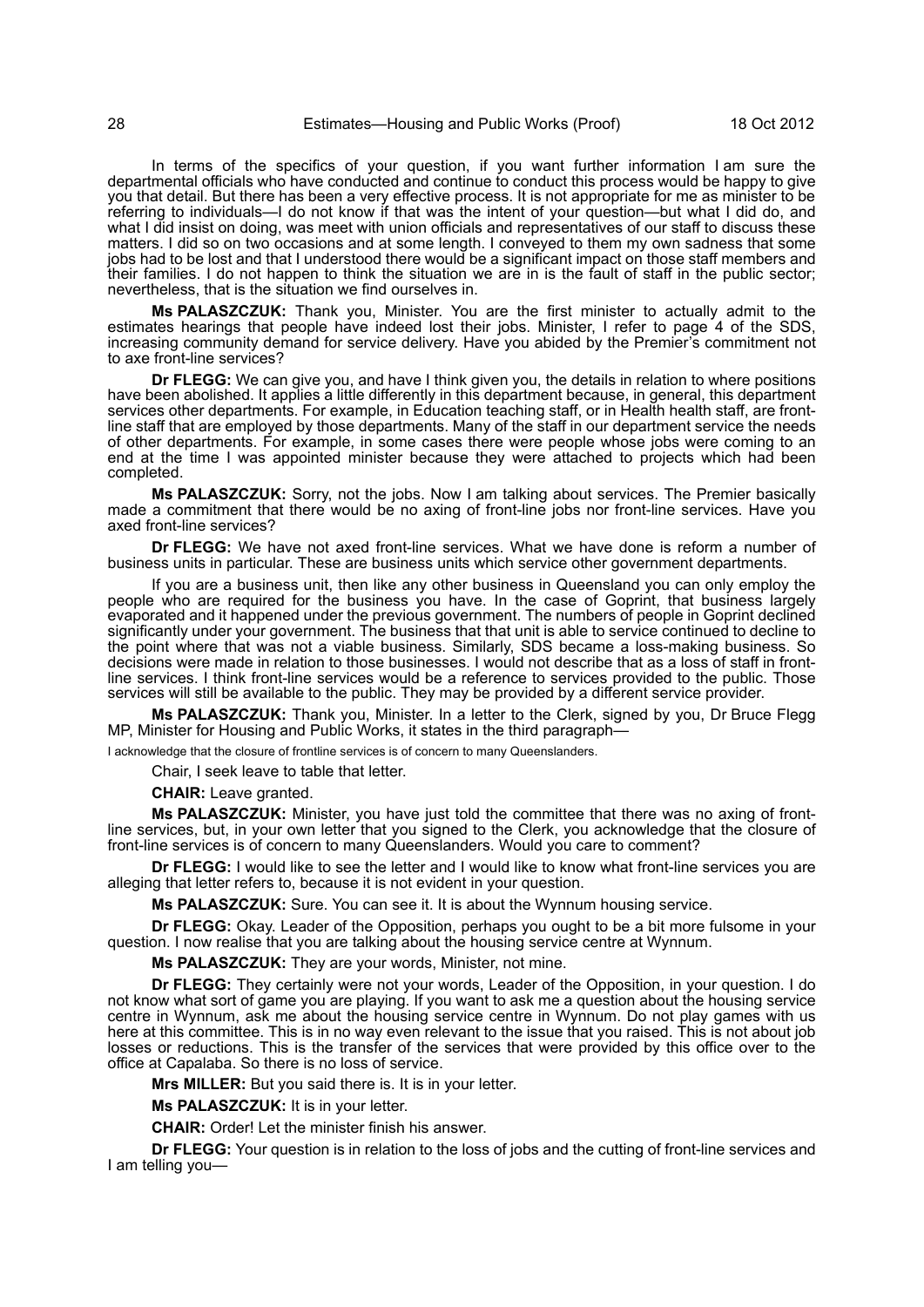In terms of the specifics of your question, if you want further information I am sure the departmental officials who have conducted and continue to conduct this process would be happy to give you that detail. But there has been a very effective process. It is not appropriate for me as minister to be referring to individuals—I do not know if that was the intent of your question—but what I did do, and what I did insist on doing, was meet with union officials and representatives of our staff to discuss these matters. I did so on two occasions and at some length. I conveyed to them my own sadness that some jobs had to be lost and that I understood there would be a significant impact on those staff members and their families. I do not happen to think the situation we are in is the fault of staff in the public sector; nevertheless, that is the situation we find ourselves in.

**Ms PALASZCZUK:** Thank you, Minister. You are the first minister to actually admit to the estimates hearings that people have indeed lost their jobs. Minister, I refer to page 4 of the SDS, increasing community demand for service delivery. Have you abided by the Premier's commitment not to axe front-line services?

**Dr FLEGG:** We can give you, and have I think given you, the details in relation to where positions have been abolished. It applies a little differently in this department because, in general, this department services other departments. For example, in Education teaching staff, or in Health health staff, are frontline staff that are employed by those departments. Many of the staff in our department service the needs of other departments. For example, in some cases there were people whose jobs were coming to an end at the time I was appointed minister because they were attached to projects which had been completed.

**Ms PALASZCZUK:** Sorry, not the jobs. Now I am talking about services. The Premier basically made a commitment that there would be no axing of front-line jobs nor front-line services. Have you axed front-line services?

**Dr FLEGG:** We have not axed front-line services. What we have done is reform a number of business units in particular. These are business units which service other government departments.

If you are a business unit, then like any other business in Queensland you can only employ the people who are required for the business you have. In the case of Goprint, that business largely evaporated and it happened under the previous government. The numbers of people in Goprint declined significantly under your government. The business that that unit is able to service continued to decline to the point where that was not a viable business. Similarly, SDS became a loss-making business. So decisions were made in relation to those businesses. I would not describe that as a loss of staff in frontline services. I think front-line services would be a reference to services provided to the public. Those services will still be available to the public. They may be provided by a different service provider.

**Ms PALASZCZUK:** Thank you, Minister. In a letter to the Clerk, signed by you, Dr Bruce Flegg MP, Minister for Housing and Public Works, it states in the third paragraph—

I acknowledge that the closure of frontline services is of concern to many Queenslanders.

Chair, I seek leave to table that letter.

**CHAIR:** Leave granted.

**Ms PALASZCZUK:** Minister, you have just told the committee that there was no axing of frontline services, but, in your own letter that you signed to the Clerk, you acknowledge that the closure of front-line services is of concern to many Queenslanders. Would you care to comment?

**Dr FLEGG:** I would like to see the letter and I would like to know what front-line services you are alleging that letter refers to, because it is not evident in your question.

**Ms PALASZCZUK:** Sure. You can see it. It is about the Wynnum housing service.

**Dr FLEGG:** Okay. Leader of the Opposition, perhaps you ought to be a bit more fulsome in your question. I now realise that you are talking about the housing service centre at Wynnum.

**Ms PALASZCZUK:** They are your words, Minister, not mine.

**Dr FLEGG:** They certainly were not your words, Leader of the Opposition, in your question. I do not know what sort of game you are playing. If you want to ask me a question about the housing service centre in Wynnum, ask me about the housing service centre in Wynnum. Do not play games with us here at this committee. This is in no way even relevant to the issue that you raised. This is not about job losses or reductions. This is the transfer of the services that were provided by this office over to the office at Capalaba. So there is no loss of service.

**Mrs MILLER:** But you said there is. It is in your letter.

**Ms PALASZCZUK:** It is in your letter.

**CHAIR:** Order! Let the minister finish his answer.

**Dr FLEGG:** Your question is in relation to the loss of jobs and the cutting of front-line services and I am telling you—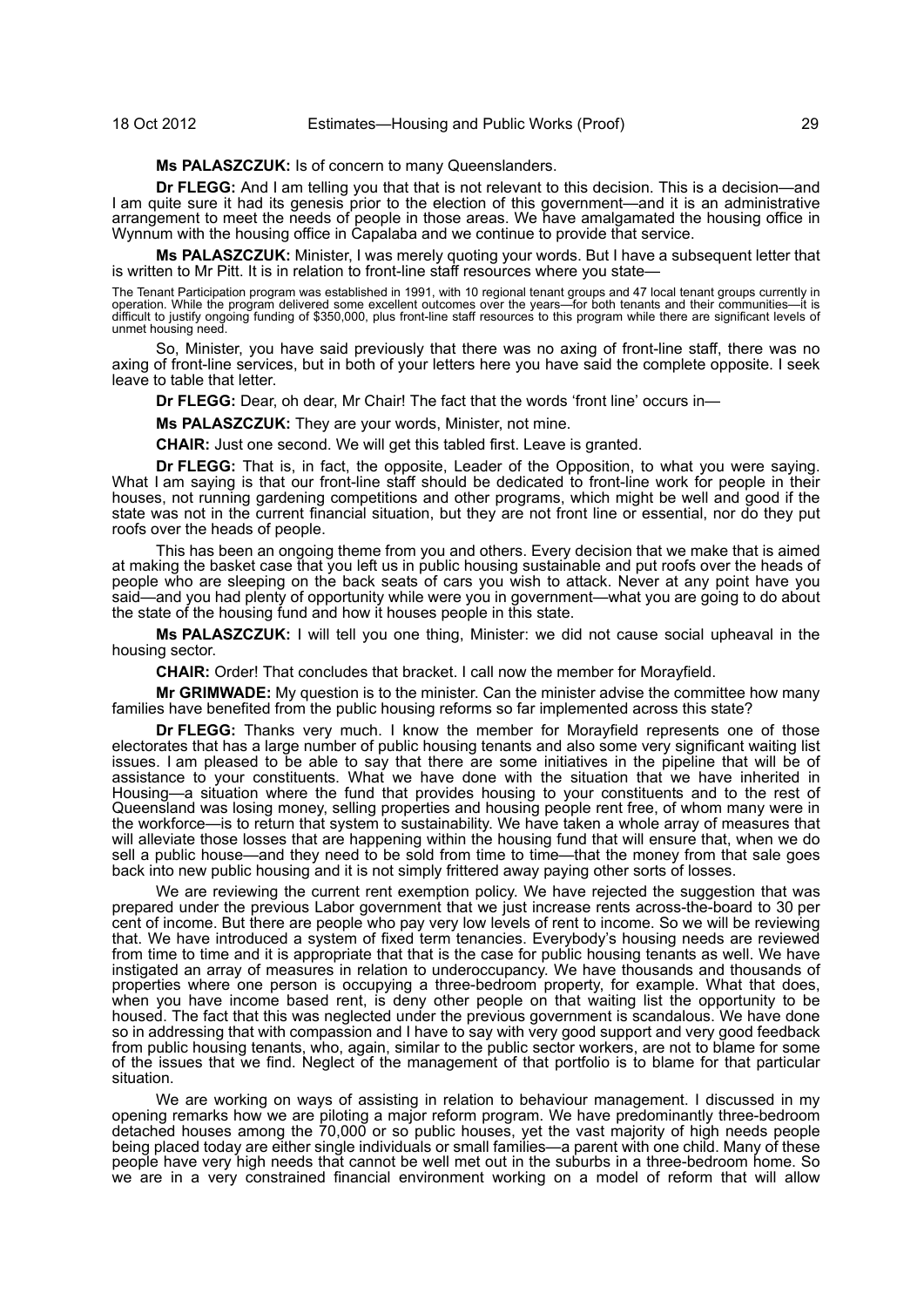#### **Ms PALASZCZUK:** Is of concern to many Queenslanders.

**Dr FLEGG:** And I am telling you that that is not relevant to this decision. This is a decision—and I am quite sure it had its genesis prior to the election of this government—and it is an administrative arrangement to meet the needs of people in those areas. We have amalgamated the housing office in Wynnum with the housing office in Capalaba and we continue to provide that service.

**Ms PALASZCZUK:** Minister, I was merely quoting your words. But I have a subsequent letter that is written to Mr Pitt. It is in relation to front-line staff resources where you state—

The Tenant Participation program was established in 1991, with 10 regional tenant groups and 47 local tenant groups currently in<br>operation. While the program delivered some excellent outcomes over the years—for both tenant unmet housing need.

So, Minister, you have said previously that there was no axing of front-line staff, there was no axing of front-line services, but in both of your letters here you have said the complete opposite. I seek leave to table that letter.

**Dr FLEGG:** Dear, oh dear, Mr Chair! The fact that the words 'front line' occurs in—

**Ms PALASZCZUK:** They are your words, Minister, not mine.

**CHAIR:** Just one second. We will get this tabled first. Leave is granted.

**Dr FLEGG:** That is, in fact, the opposite, Leader of the Opposition, to what you were saying. What I am saying is that our front-line staff should be dedicated to front-line work for people in their houses, not running gardening competitions and other programs, which might be well and good if the state was not in the current financial situation, but they are not front line or essential, nor do they put roofs over the heads of people.

This has been an ongoing theme from you and others. Every decision that we make that is aimed at making the basket case that you left us in public housing sustainable and put roofs over the heads of people who are sleeping on the back seats of cars you wish to attack. Never at any point have you said—and you had plenty of opportunity while were you in government—what you are going to do about the state of the housing fund and how it houses people in this state.

**Ms PALASZCZUK:** I will tell you one thing, Minister: we did not cause social upheaval in the housing sector.

**CHAIR:** Order! That concludes that bracket. I call now the member for Morayfield.

**Mr GRIMWADE:** My question is to the minister. Can the minister advise the committee how many families have benefited from the public housing reforms so far implemented across this state?

**Dr FLEGG:** Thanks very much. I know the member for Morayfield represents one of those electorates that has a large number of public housing tenants and also some very significant waiting list issues. I am pleased to be able to say that there are some initiatives in the pipeline that will be of assistance to your constituents. What we have done with the situation that we have inherited in Housing—a situation where the fund that provides housing to your constituents and to the rest of Queensland was losing money, selling properties and housing people rent free, of whom many were in the workforce—is to return that system to sustainability. We have taken a whole array of measures that will alleviate those losses that are happening within the housing fund that will ensure that, when we do sell a public house—and they need to be sold from time to time—that the money from that sale goes back into new public housing and it is not simply frittered away paying other sorts of losses.

We are reviewing the current rent exemption policy. We have rejected the suggestion that was prepared under the previous Labor government that we just increase rents across-the-board to 30 per cent of income. But there are people who pay very low levels of rent to income. So we will be reviewing that. We have introduced a system of fixed term tenancies. Everybody's housing needs are reviewed from time to time and it is appropriate that that is the case for public housing tenants as well. We have instigated an array of measures in relation to underoccupancy. We have thousands and thousands of properties where one person is occupying a three-bedroom property, for example. What that does, when you have income based rent, is deny other people on that waiting list the opportunity to be housed. The fact that this was neglected under the previous government is scandalous. We have done so in addressing that with compassion and I have to say with very good support and very good feedback from public housing tenants, who, again, similar to the public sector workers, are not to blame for some of the issues that we find. Neglect of the management of that portfolio is to blame for that particular situation.

We are working on ways of assisting in relation to behaviour management. I discussed in my opening remarks how we are piloting a major reform program. We have predominantly three-bedroom detached houses among the 70,000 or so public houses, yet the vast majority of high needs people being placed today are either single individuals or small families—a parent with one child. Many of these people have very high needs that cannot be well met out in the suburbs in a three-bedroom home. So we are in a very constrained financial environment working on a model of reform that will allow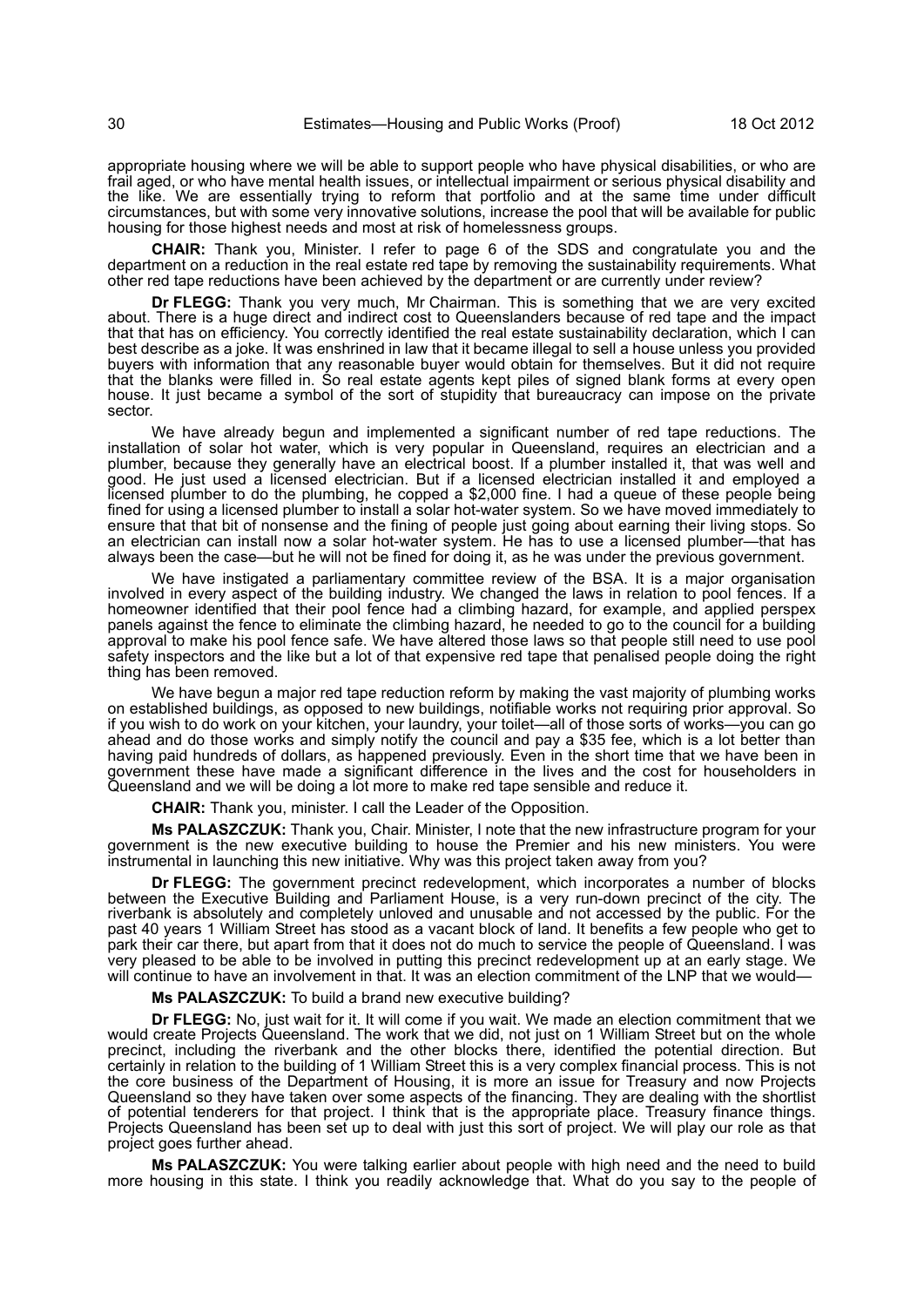appropriate housing where we will be able to support people who have physical disabilities, or who are frail aged, or who have mental health issues, or intellectual impairment or serious physical disability and the like. We are essentially trying to reform that portfolio and at the same time under difficult circumstances, but with some very innovative solutions, increase the pool that will be available for public housing for those highest needs and most at risk of homelessness groups.

**CHAIR:** Thank you, Minister. I refer to page 6 of the SDS and congratulate you and the department on a reduction in the real estate red tape by removing the sustainability requirements. What other red tape reductions have been achieved by the department or are currently under review?

**Dr FLEGG:** Thank you very much, Mr Chairman. This is something that we are very excited about. There is a huge direct and indirect cost to Queenslanders because of red tape and the impact that that has on efficiency. You correctly identified the real estate sustainability declaration, which I can best describe as a joke. It was enshrined in law that it became illegal to sell a house unless you provided buyers with information that any reasonable buyer would obtain for themselves. But it did not require that the blanks were filled in. So real estate agents kept piles of signed blank forms at every open house. It just became a symbol of the sort of stupidity that bureaucracy can impose on the private sector.

We have already begun and implemented a significant number of red tape reductions. The installation of solar hot water, which is very popular in Queensland, requires an electrician and a plumber, because they generally have an electrical boost. If a plumber installed it, that was well and good. He just used a licensed electrician. But if a licensed electrician installed it and employed a licensed plumber to do the plumbing, he copped a \$2,000 fine. I had a queue of these people being fined for using a licensed plumber to install a solar hot-water system. So we have moved immediately to ensure that that bit of nonsense and the fining of people just going about earning their living stops. So an electrician can install now a solar hot-water system. He has to use a licensed plumber—that has always been the case—but he will not be fined for doing it, as he was under the previous government.

We have instigated a parliamentary committee review of the BSA. It is a major organisation involved in every aspect of the building industry. We changed the laws in relation to pool fences. If a homeowner identified that their pool fence had a climbing hazard, for example, and applied perspex panels against the fence to eliminate the climbing hazard, he needed to go to the council for a building approval to make his pool fence safe. We have altered those laws so that people still need to use pool safety inspectors and the like but a lot of that expensive red tape that penalised people doing the right thing has been removed.

We have begun a major red tape reduction reform by making the vast majority of plumbing works on established buildings, as opposed to new buildings, notifiable works not requiring prior approval. So if you wish to do work on your kitchen, your laundry, your toilet—all of those sorts of works—you can go ahead and do those works and simply notify the council and pay a \$35 fee, which is a lot better than having paid hundreds of dollars, as happened previously. Even in the short time that we have been in government these have made a significant difference in the lives and the cost for householders in Queensland and we will be doing a lot more to make red tape sensible and reduce it.

**CHAIR:** Thank you, minister. I call the Leader of the Opposition.

**Ms PALASZCZUK:** Thank you, Chair. Minister, I note that the new infrastructure program for your government is the new executive building to house the Premier and his new ministers. You were instrumental in launching this new initiative. Why was this project taken away from you?

**Dr FLEGG:** The government precinct redevelopment, which incorporates a number of blocks between the Executive Building and Parliament House, is a very run-down precinct of the city. The riverbank is absolutely and completely unloved and unusable and not accessed by the public. For the past 40 years 1 William Street has stood as a vacant block of land. It benefits a few people who get to park their car there, but apart from that it does not do much to service the people of Queensland. I was very pleased to be able to be involved in putting this precinct redevelopment up at an early stage. We will continue to have an involvement in that. It was an election commitment of the LNP that we would—

**Ms PALASZCZUK:** To build a brand new executive building?

**Dr FLEGG:** No, just wait for it. It will come if you wait. We made an election commitment that we would create Projects Queensland. The work that we did, not just on 1 William Street but on the whole precinct, including the riverbank and the other blocks there, identified the potential direction. But certainly in relation to the building of 1 William Street this is a very complex financial process. This is not the core business of the Department of Housing, it is more an issue for Treasury and now Projects Queensland so they have taken over some aspects of the financing. They are dealing with the shortlist of potential tenderers for that project. I think that is the appropriate place. Treasury finance things. Projects Queensland has been set up to deal with just this sort of project. We will play our role as that project goes further ahead.

**Ms PALASZCZUK:** You were talking earlier about people with high need and the need to build more housing in this state. I think you readily acknowledge that. What do you say to the people of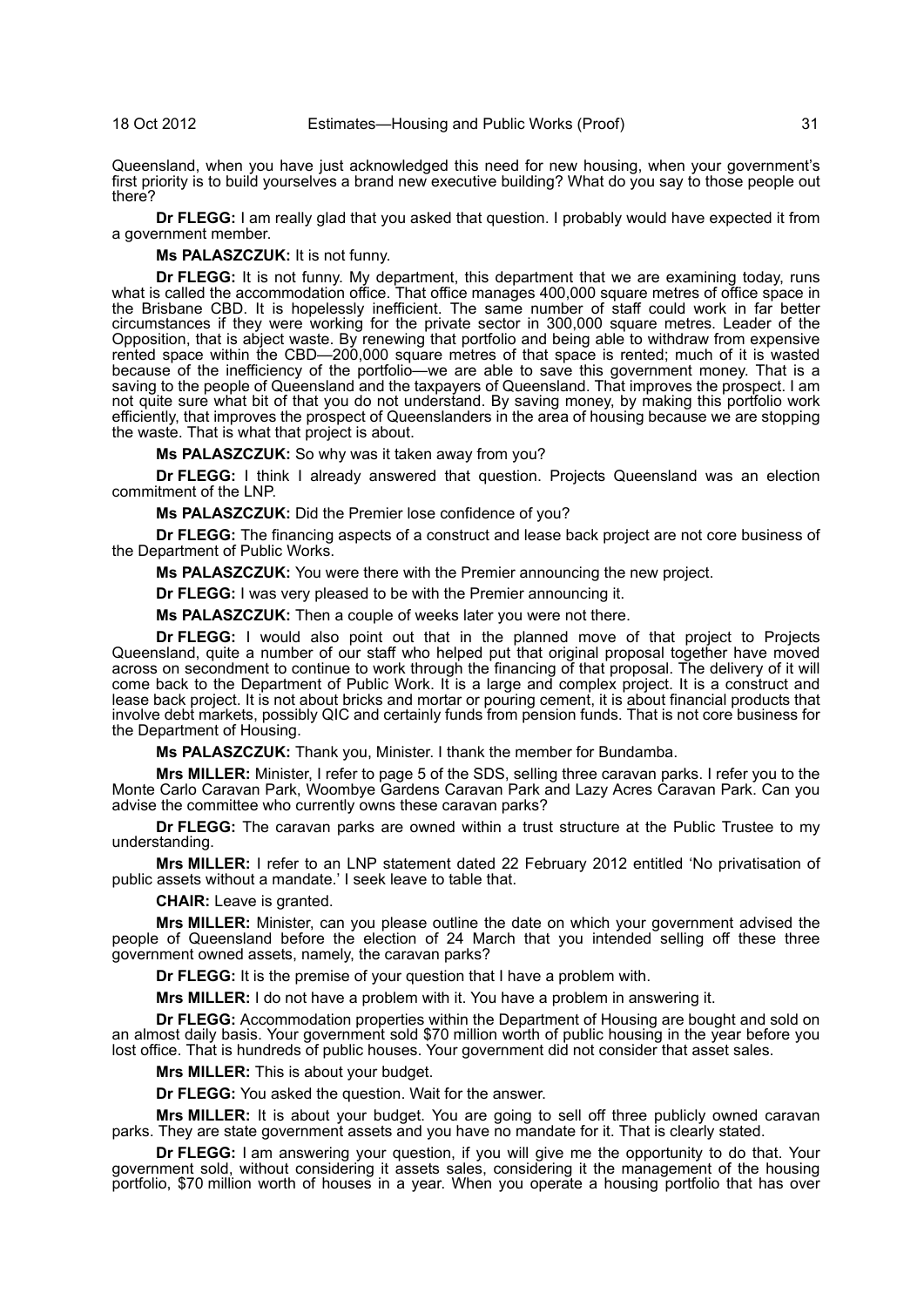Queensland, when you have just acknowledged this need for new housing, when your government's first priority is to build yourselves a brand new executive building? What do you say to those people out there?

**Dr FLEGG:** I am really glad that you asked that question. I probably would have expected it from a government member.

#### **Ms PALASZCZUK:** It is not funny.

**Dr FLEGG:** It is not funny. My department, this department that we are examining today, runs what is called the accommodation office. That office manages 400,000 square metres of office space in the Brisbane CBD. It is hopelessly inefficient. The same number of staff could work in far better circumstances if they were working for the private sector in 300,000 square metres. Leader of the Opposition, that is abject waste. By renewing that portfolio and being able to withdraw from expensive rented space within the CBD—200,000 square metres of that space is rented; much of it is wasted because of the inefficiency of the portfolio—we are able to save this government money. That is a saving to the people of Queensland and the taxpayers of Queensland. That improves the prospect. I am not quite sure what bit of that you do not understand. By saving money, by making this portfolio work efficiently, that improves the prospect of Queenslanders in the area of housing because we are stopping the waste. That is what that project is about.

**Ms PALASZCZUK:** So why was it taken away from you?

**Dr FLEGG:** I think I already answered that question. Projects Queensland was an election commitment of the LNP.

**Ms PALASZCZUK:** Did the Premier lose confidence of you?

**Dr FLEGG:** The financing aspects of a construct and lease back project are not core business of the Department of Public Works.

**Ms PALASZCZUK:** You were there with the Premier announcing the new project.

**Dr FLEGG:** I was very pleased to be with the Premier announcing it.

**Ms PALASZCZUK:** Then a couple of weeks later you were not there.

**Dr FLEGG:** I would also point out that in the planned move of that project to Projects Queensland, quite a number of our staff who helped put that original proposal together have moved across on secondment to continue to work through the financing of that proposal. The delivery of it will come back to the Department of Public Work. It is a large and complex project. It is a construct and lease back project. It is not about bricks and mortar or pouring cement, it is about financial products that involve debt markets, possibly QIC and certainly funds from pension funds. That is not core business for the Department of Housing.

**Ms PALASZCZUK:** Thank you, Minister. I thank the member for Bundamba.

**Mrs MILLER:** Minister, I refer to page 5 of the SDS, selling three caravan parks. I refer you to the Monte Carlo Caravan Park, Woombye Gardens Caravan Park and Lazy Acres Caravan Park. Can you advise the committee who currently owns these caravan parks?

**Dr FLEGG:** The caravan parks are owned within a trust structure at the Public Trustee to my understanding.

**Mrs MILLER:** I refer to an LNP statement dated 22 February 2012 entitled 'No privatisation of public assets without a mandate.' I seek leave to table that.

**CHAIR:** Leave is granted.

**Mrs MILLER:** Minister, can you please outline the date on which your government advised the people of Queensland before the election of 24 March that you intended selling off these three government owned assets, namely, the caravan parks?

**Dr FLEGG:** It is the premise of your question that I have a problem with.

**Mrs MILLER:** I do not have a problem with it. You have a problem in answering it.

**Dr FLEGG:** Accommodation properties within the Department of Housing are bought and sold on an almost daily basis. Your government sold \$70 million worth of public housing in the year before you lost office. That is hundreds of public houses. Your government did not consider that asset sales.

**Mrs MILLER:** This is about your budget.

**Dr FLEGG:** You asked the question. Wait for the answer.

**Mrs MILLER:** It is about your budget. You are going to sell off three publicly owned caravan parks. They are state government assets and you have no mandate for it. That is clearly stated.

**Dr FLEGG:** I am answering your question, if you will give me the opportunity to do that. Your government sold, without considering it assets sales, considering it the management of the housing portfolio, \$70 million worth of houses in a year. When you operate a housing portfolio that has over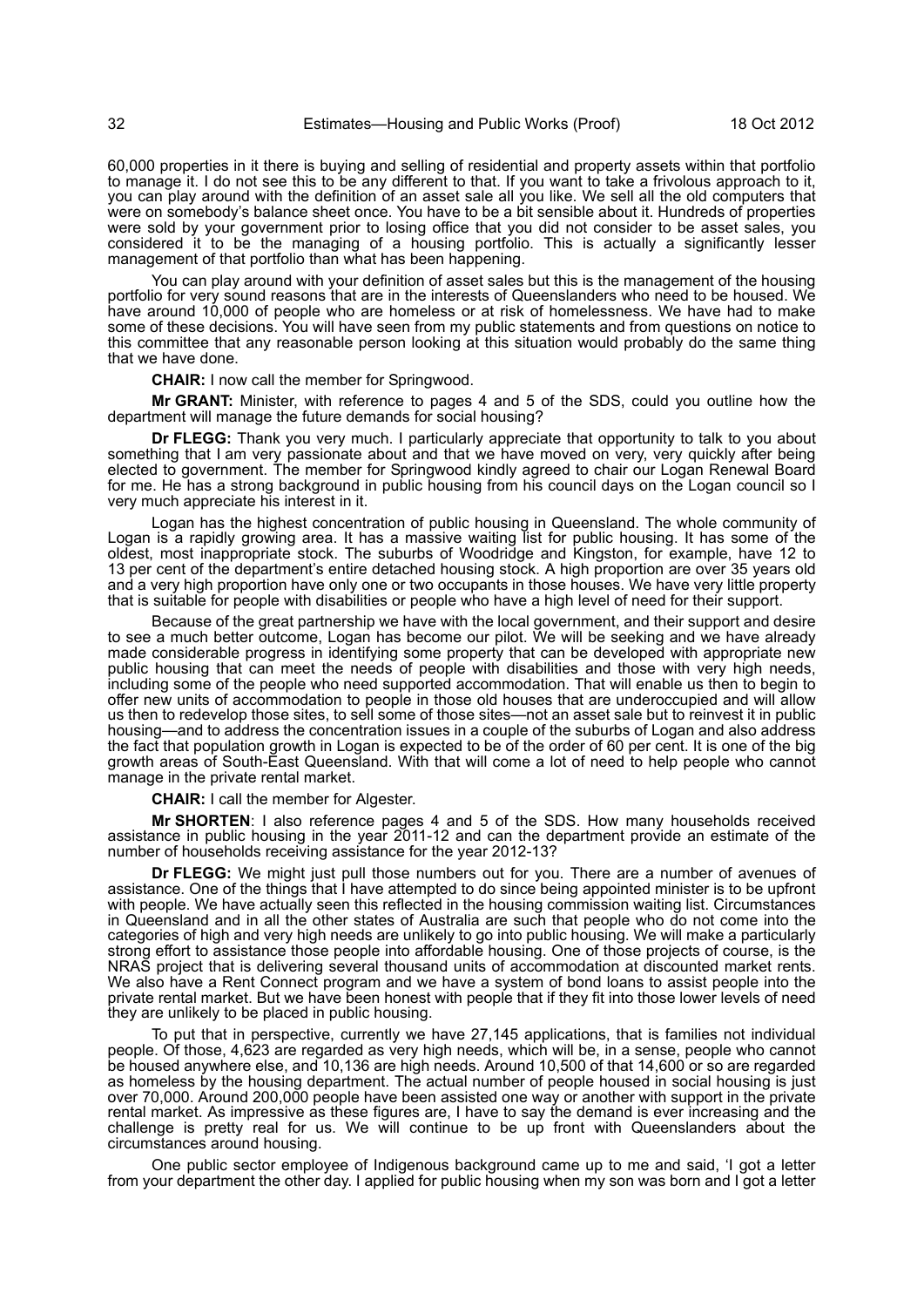60,000 properties in it there is buying and selling of residential and property assets within that portfolio to manage it. I do not see this to be any different to that. If you want to take a frivolous approach to it, you can play around with the definition of an asset sale all you like. We sell all the old computers that were on somebody's balance sheet once. You have to be a bit sensible about it. Hundreds of properties were sold by your government prior to losing office that you did not consider to be asset sales, you considered it to be the managing of a housing portfolio. This is actually a significantly lesser management of that portfolio than what has been happening.

You can play around with your definition of asset sales but this is the management of the housing portfolio for very sound reasons that are in the interests of Queenslanders who need to be housed. We have around 10,000 of people who are homeless or at risk of homelessness. We have had to make some of these decisions. You will have seen from my public statements and from questions on notice to this committee that any reasonable person looking at this situation would probably do the same thing that we have done.

**CHAIR:** I now call the member for Springwood.

**Mr GRANT:** Minister, with reference to pages 4 and 5 of the SDS, could you outline how the department will manage the future demands for social housing?

**Dr FLEGG:** Thank you very much. I particularly appreciate that opportunity to talk to you about something that I am very passionate about and that we have moved on very, very quickly after being elected to government. The member for Springwood kindly agreed to chair our Logan Renewal Board for me. He has a strong background in public housing from his council days on the Logan council so I very much appreciate his interest in it.

Logan has the highest concentration of public housing in Queensland. The whole community of Logan is a rapidly growing area. It has a massive waiting list for public housing. It has some of the oldest, most inappropriate stock. The suburbs of Woodridge and Kingston, for example, have 12 to 13 per cent of the department's entire detached housing stock. A high proportion are over 35 years old and a very high proportion have only one or two occupants in those houses. We have very little property that is suitable for people with disabilities or people who have a high level of need for their support.

Because of the great partnership we have with the local government, and their support and desire to see a much better outcome, Logan has become our pilot. We will be seeking and we have already made considerable progress in identifying some property that can be developed with appropriate new public housing that can meet the needs of people with disabilities and those with very high needs, including some of the people who need supported accommodation. That will enable us then to begin to offer new units of accommodation to people in those old houses that are underoccupied and will allow us then to redevelop those sites, to sell some of those sites—not an asset sale but to reinvest it in public housing—and to address the concentration issues in a couple of the suburbs of Logan and also address the fact that population growth in Logan is expected to be of the order of 60 per cent. It is one of the big growth areas of South-East Queensland. With that will come a lot of need to help people who cannot manage in the private rental market.

**CHAIR:** I call the member for Algester.

**Mr SHORTEN**: I also reference pages 4 and 5 of the SDS. How many households received assistance in public housing in the year 2011-12 and can the department provide an estimate of the number of households receiving assistance for the year 2012-13?

**Dr FLEGG:** We might just pull those numbers out for you. There are a number of avenues of assistance. One of the things that I have attempted to do since being appointed minister is to be upfront with people. We have actually seen this reflected in the housing commission waiting list. Circumstances in Queensland and in all the other states of Australia are such that people who do not come into the categories of high and very high needs are unlikely to go into public housing. We will make a particularly strong effort to assistance those people into affordable housing. One of those projects of course, is the NRAS project that is delivering several thousand units of accommodation at discounted market rents. We also have a Rent Connect program and we have a system of bond loans to assist people into the private rental market. But we have been honest with people that if they fit into those lower levels of need they are unlikely to be placed in public housing.

To put that in perspective, currently we have 27,145 applications, that is families not individual people. Of those, 4,623 are regarded as very high needs, which will be, in a sense, people who cannot be housed anywhere else, and 10,136 are high needs. Around 10,500 of that 14,600 or so are regarded as homeless by the housing department. The actual number of people housed in social housing is just over 70,000. Around 200,000 people have been assisted one way or another with support in the private rental market. As impressive as these figures are, I have to say the demand is ever increasing and the challenge is pretty real for us. We will continue to be up front with Queenslanders about the circumstances around housing.

One public sector employee of Indigenous background came up to me and said, 'I got a letter from your department the other day. I applied for public housing when my son was born and I got a letter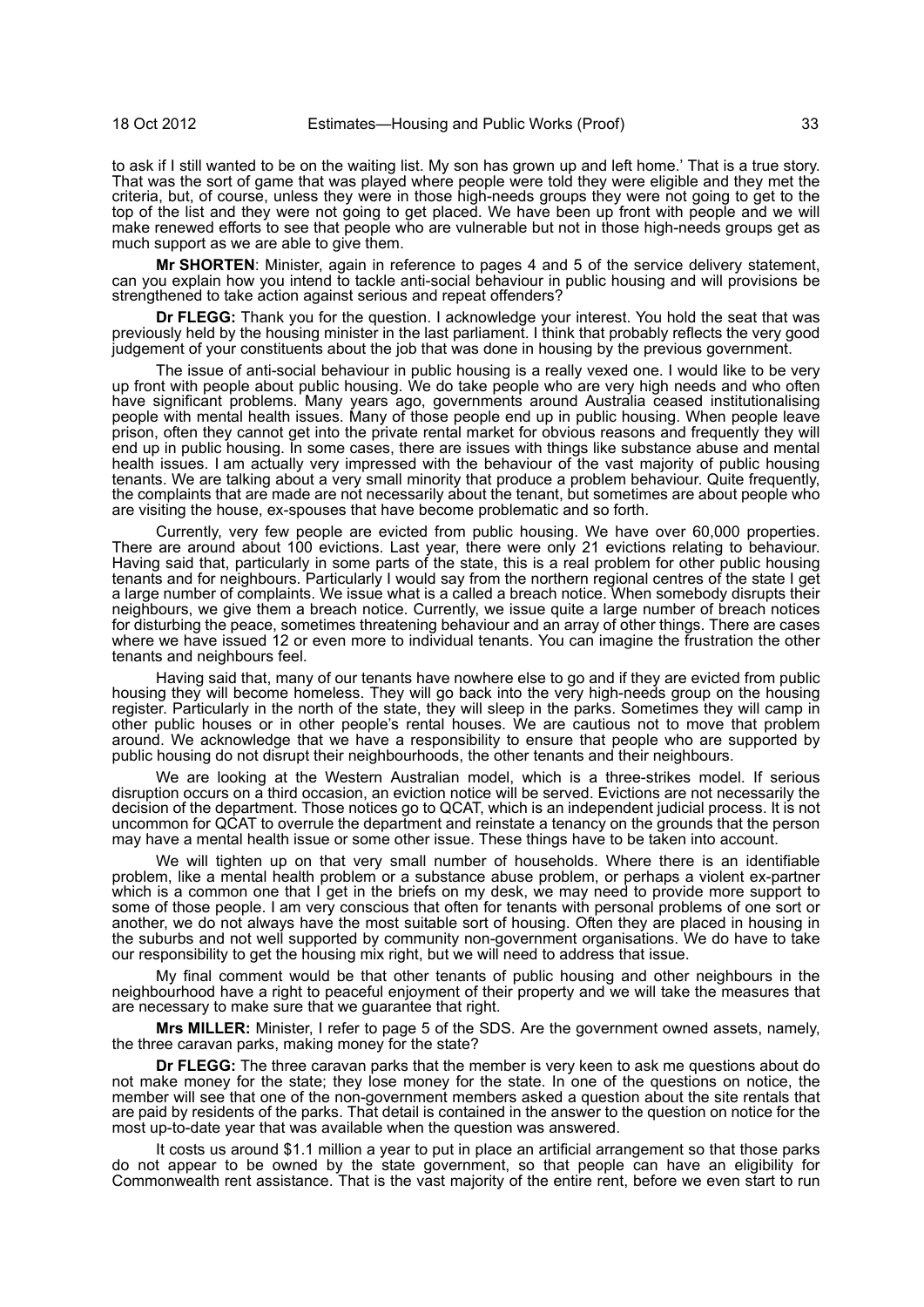to ask if I still wanted to be on the waiting list. My son has grown up and left home.' That is a true story. That was the sort of game that was played where people were told they were eligible and they met the criteria, but, of course, unless they were in those high-needs groups they were not going to get to the top of the list and they were not going to get placed. We have been up front with people and we will make renewed efforts to see that people who are vulnerable but not in those high-needs groups get as much support as we are able to give them.

**Mr SHORTEN**: Minister, again in reference to pages 4 and 5 of the service delivery statement, can you explain how you intend to tackle anti-social behaviour in public housing and will provisions be strengthened to take action against serious and repeat offenders?

**Dr FLEGG:** Thank you for the question. I acknowledge your interest. You hold the seat that was previously held by the housing minister in the last parliament. I think that probably reflects the very good judgement of your constituents about the job that was done in housing by the previous government.

The issue of anti-social behaviour in public housing is a really vexed one. I would like to be very up front with people about public housing. We do take people who are very high needs and who often have significant problems. Many years ago, governments around Australia ceased institutionalising people with mental health issues. Many of those people end up in public housing. When people leave prison, often they cannot get into the private rental market for obvious reasons and frequently they will end up in public housing. In some cases, there are issues with things like substance abuse and mental health issues. I am actually very impressed with the behaviour of the vast majority of public housing tenants. We are talking about a very small minority that produce a problem behaviour. Quite frequently, the complaints that are made are not necessarily about the tenant, but sometimes are about people who are visiting the house, ex-spouses that have become problematic and so forth.

Currently, very few people are evicted from public housing. We have over 60,000 properties. There are around about 100 evictions. Last year, there were only 21 evictions relating to behaviour. Having said that, particularly in some parts of the state, this is a real problem for other public housing tenants and for neighbours. Particularly I would say from the northern regional centres of the state I get a large number of complaints. We issue what is a called a breach notice. When somebody disrupts their neighbours, we give them a breach notice. Currently, we issue quite a large number of breach notices for disturbing the peace, sometimes threatening behaviour and an array of other things. There are cases where we have issued 12 or even more to individual tenants. You can imagine the frustration the other tenants and neighbours feel.

Having said that, many of our tenants have nowhere else to go and if they are evicted from public housing they will become homeless. They will go back into the very high-needs group on the housing register. Particularly in the north of the state, they will sleep in the parks. Sometimes they will camp in other public houses or in other people's rental houses. We are cautious not to move that problem around. We acknowledge that we have a responsibility to ensure that people who are supported by public housing do not disrupt their neighbourhoods, the other tenants and their neighbours.

We are looking at the Western Australian model, which is a three-strikes model. If serious disruption occurs on a third occasion, an eviction notice will be served. Evictions are not necessarily the decision of the department. Those notices go to QCAT, which is an independent judicial process. It is not uncommon for QCAT to overrule the department and reinstate a tenancy on the grounds that the person may have a mental health issue or some other issue. These things have to be taken into account.

We will tighten up on that very small number of households. Where there is an identifiable problem, like a mental health problem or a substance abuse problem, or perhaps a violent ex-partner which is a common one that I get in the briefs on my desk, we may need to provide more support to some of those people. I am very conscious that often for tenants with personal problems of one sort or another, we do not always have the most suitable sort of housing. Often they are placed in housing in the suburbs and not well supported by community non-government organisations. We do have to take our responsibility to get the housing mix right, but we will need to address that issue.

My final comment would be that other tenants of public housing and other neighbours in the neighbourhood have a right to peaceful enjoyment of their property and we will take the measures that are necessary to make sure that we guarantee that right.

**Mrs MILLER:** Minister, I refer to page 5 of the SDS. Are the government owned assets, namely, the three caravan parks, making money for the state?

**Dr FLEGG:** The three caravan parks that the member is very keen to ask me questions about do not make money for the state; they lose money for the state. In one of the questions on notice, the member will see that one of the non-government members asked a question about the site rentals that are paid by residents of the parks. That detail is contained in the answer to the question on notice for the most up-to-date year that was available when the question was answered.

It costs us around \$1.1 million a year to put in place an artificial arrangement so that those parks do not appear to be owned by the state government, so that people can have an eligibility for Commonwealth rent assistance. That is the vast majority of the entire rent, before we even start to run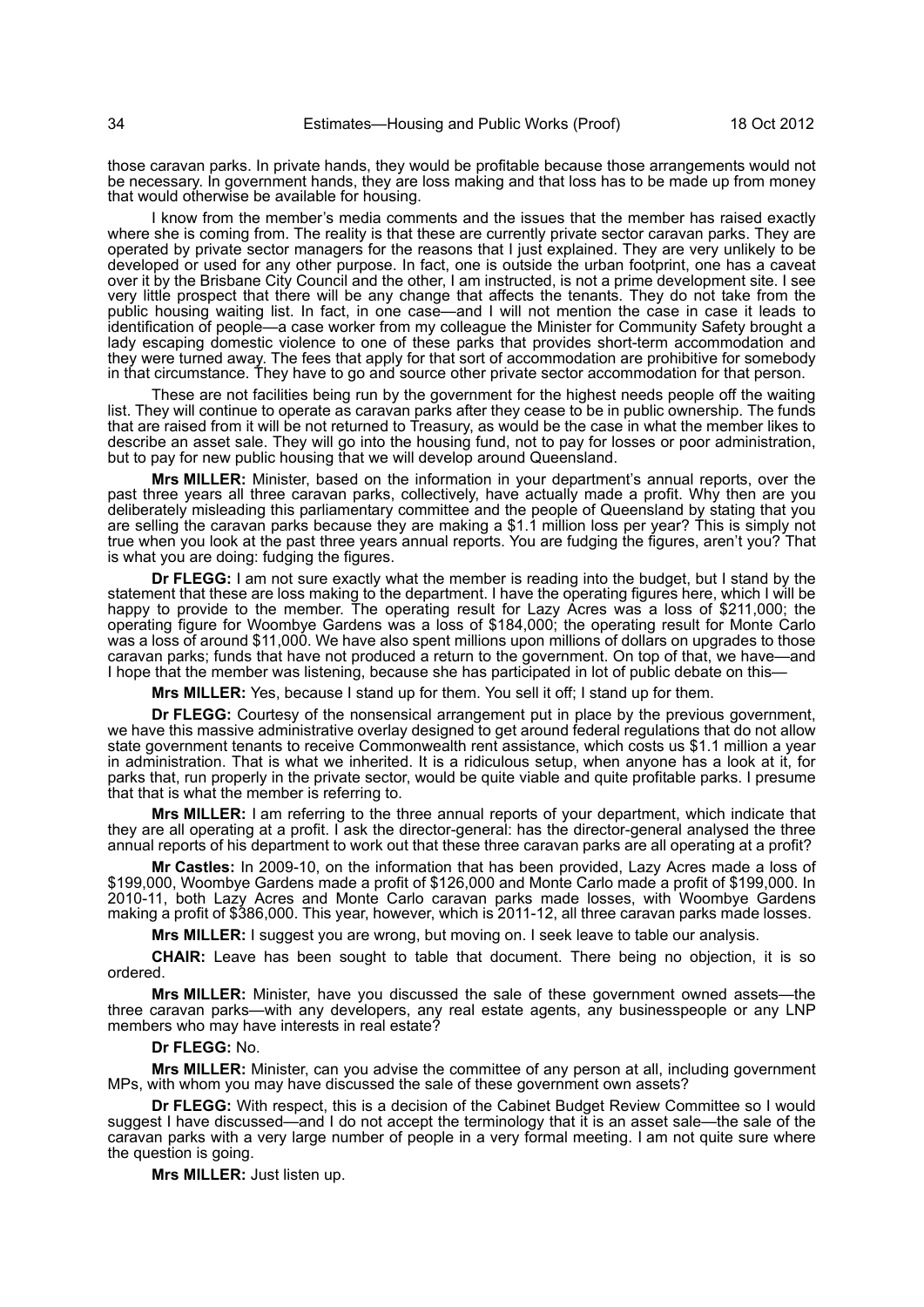those caravan parks. In private hands, they would be profitable because those arrangements would not be necessary. In government hands, they are loss making and that loss has to be made up from money that would otherwise be available for housing.

I know from the member's media comments and the issues that the member has raised exactly where she is coming from. The reality is that these are currently private sector caravan parks. They are operated by private sector managers for the reasons that I just explained. They are very unlikely to be developed or used for any other purpose. In fact, one is outside the urban footprint, one has a caveat over it by the Brisbane City Council and the other, I am instructed, is not a prime development site. I see very little prospect that there will be any change that affects the tenants. They do not take from the public housing waiting list. In fact, in one case—and I will not mention the case in case it leads to identification of people—a case worker from my colleague the Minister for Community Safety brought a lady escaping domestic violence to one of these parks that provides short-term accommodation and they were turned away. The fees that apply for that sort of accommodation are prohibitive for somebody in that circumstance. They have to go and source other private sector accommodation for that person.

These are not facilities being run by the government for the highest needs people off the waiting list. They will continue to operate as caravan parks after they cease to be in public ownership. The funds that are raised from it will be not returned to Treasury, as would be the case in what the member likes to describe an asset sale. They will go into the housing fund, not to pay for losses or poor administration, but to pay for new public housing that we will develop around Queensland.

**Mrs MILLER:** Minister, based on the information in your department's annual reports, over the past three years all three caravan parks, collectively, have actually made a profit. Why then are you deliberately misleading this parliamentary committee and the people of Queensland by stating that you are selling the caravan parks because they are making a \$1.1 million loss per year? This is simply not true when you look at the past three years annual reports. You are fudging the figures, aren't you? That is what you are doing: fudging the figures.

**Dr FLEGG:** I am not sure exactly what the member is reading into the budget, but I stand by the statement that these are loss making to the department. I have the operating figures here, which I will be happy to provide to the member. The operating result for Lazy Acres was a loss of \$211,000; the operating figure for Woombye Gardens was a loss of \$184,000; the operating result for Monte Carlo was a loss of around \$11,000. We have also spent millions upon millions of dollars on upgrades to those caravan parks; funds that have not produced a return to the government. On top of that, we have—and I hope that the member was listening, because she has participated in lot of public debate on this—

**Mrs MILLER:** Yes, because I stand up for them. You sell it off; I stand up for them.

**Dr FLEGG:** Courtesy of the nonsensical arrangement put in place by the previous government, we have this massive administrative overlay designed to get around federal regulations that do not allow state government tenants to receive Commonwealth rent assistance, which costs us \$1.1 million a year in administration. That is what we inherited. It is a ridiculous setup, when anyone has a look at it, for parks that, run properly in the private sector, would be quite viable and quite profitable parks. I presume that that is what the member is referring to.

**Mrs MILLER:** I am referring to the three annual reports of your department, which indicate that they are all operating at a profit. I ask the director-general: has the director-general analysed the three annual reports of his department to work out that these three caravan parks are all operating at a profit?

**Mr Castles:** In 2009-10, on the information that has been provided, Lazy Acres made a loss of \$199,000, Woombye Gardens made a profit of \$126,000 and Monte Carlo made a profit of \$199,000. In 2010-11, both Lazy Acres and Monte Carlo caravan parks made losses, with Woombye Gardens making a profit of \$386,000. This year, however, which is 2011-12, all three caravan parks made losses.

**Mrs MILLER:** I suggest you are wrong, but moving on. I seek leave to table our analysis.

**CHAIR:** Leave has been sought to table that document. There being no objection, it is so ordered.

**Mrs MILLER:** Minister, have you discussed the sale of these government owned assets—the three caravan parks—with any developers, any real estate agents, any businesspeople or any LNP members who may have interests in real estate?

#### **Dr FLEGG:** No.

**Mrs MILLER:** Minister, can you advise the committee of any person at all, including government MPs, with whom you may have discussed the sale of these government own assets?

**Dr FLEGG:** With respect, this is a decision of the Cabinet Budget Review Committee so I would suggest I have discussed—and I do not accept the terminology that it is an asset sale—the sale of the caravan parks with a very large number of people in a very formal meeting. I am not quite sure where the question is going.

**Mrs MILLER:** Just listen up.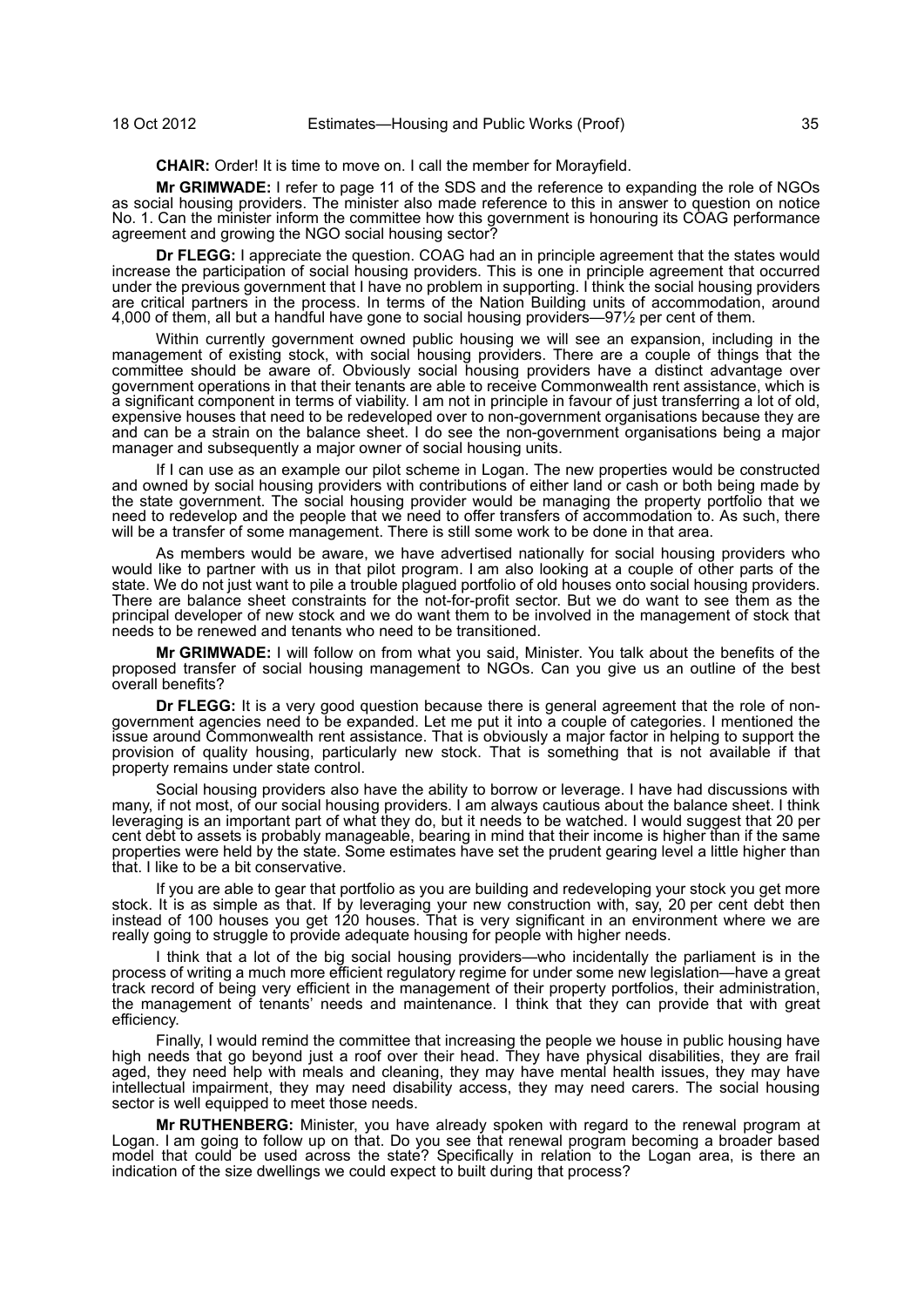**CHAIR:** Order! It is time to move on. I call the member for Morayfield.

**Mr GRIMWADE:** I refer to page 11 of the SDS and the reference to expanding the role of NGOs as social housing providers. The minister also made reference to this in answer to question on notice No. 1. Can the minister inform the committee how this government is honouring its COAG performance agreement and growing the NGO social housing sector?

**Dr FLEGG:** I appreciate the question. COAG had an in principle agreement that the states would increase the participation of social housing providers. This is one in principle agreement that occurred under the previous government that I have no problem in supporting. I think the social housing providers are critical partners in the process. In terms of the Nation Building units of accommodation, around 4,000 of them, all but a handful have gone to social housing providers—97½ per cent of them.

Within currently government owned public housing we will see an expansion, including in the management of existing stock, with social housing providers. There are a couple of things that the committee should be aware of. Obviously social housing providers have a distinct advantage over government operations in that their tenants are able to receive Commonwealth rent assistance, which is a significant component in terms of viability. I am not in principle in favour of just transferring a lot of old, expensive houses that need to be redeveloped over to non-government organisations because they are and can be a strain on the balance sheet. I do see the non-government organisations being a major manager and subsequently a major owner of social housing units.

If I can use as an example our pilot scheme in Logan. The new properties would be constructed and owned by social housing providers with contributions of either land or cash or both being made by the state government. The social housing provider would be managing the property portfolio that we need to redevelop and the people that we need to offer transfers of accommodation to. As such, there will be a transfer of some management. There is still some work to be done in that area.

As members would be aware, we have advertised nationally for social housing providers who would like to partner with us in that pilot program. I am also looking at a couple of other parts of the state. We do not just want to pile a trouble plagued portfolio of old houses onto social housing providers. There are balance sheet constraints for the not-for-profit sector. But we do want to see them as the principal developer of new stock and we do want them to be involved in the management of stock that needs to be renewed and tenants who need to be transitioned.

**Mr GRIMWADE:** I will follow on from what you said, Minister. You talk about the benefits of the proposed transfer of social housing management to NGOs. Can you give us an outline of the best overall benefits?

**Dr FLEGG:** It is a very good question because there is general agreement that the role of nongovernment agencies need to be expanded. Let me put it into a couple of categories. I mentioned the issue around Commonwealth rent assistance. That is obviously a major factor in helping to support the provision of quality housing, particularly new stock. That is something that is not available if that property remains under state control.

Social housing providers also have the ability to borrow or leverage. I have had discussions with many, if not most, of our social housing providers. I am always cautious about the balance sheet. I think leveraging is an important part of what they do, but it needs to be watched. I would suggest that 20 per cent debt to assets is probably manageable, bearing in mind that their income is higher than if the same properties were held by the state. Some estimates have set the prudent gearing level a little higher than that. I like to be a bit conservative.

If you are able to gear that portfolio as you are building and redeveloping your stock you get more stock. It is as simple as that. If by leveraging your new construction with, say, 20 per cent debt then instead of 100 houses you get 120 houses. That is very significant in an environment where we are really going to struggle to provide adequate housing for people with higher needs.

I think that a lot of the big social housing providers—who incidentally the parliament is in the process of writing a much more efficient regulatory regime for under some new legislation—have a great track record of being very efficient in the management of their property portfolios, their administration, the management of tenants' needs and maintenance. I think that they can provide that with great efficiency.

Finally, I would remind the committee that increasing the people we house in public housing have high needs that go beyond just a roof over their head. They have physical disabilities, they are frail aged, they need help with meals and cleaning, they may have mental health issues, they may have intellectual impairment, they may need disability access, they may need carers. The social housing sector is well equipped to meet those needs.

**Mr RUTHENBERG:** Minister, you have already spoken with regard to the renewal program at Logan. I am going to follow up on that. Do you see that renewal program becoming a broader based model that could be used across the state? Specifically in relation to the Logan area, is there an indication of the size dwellings we could expect to built during that process?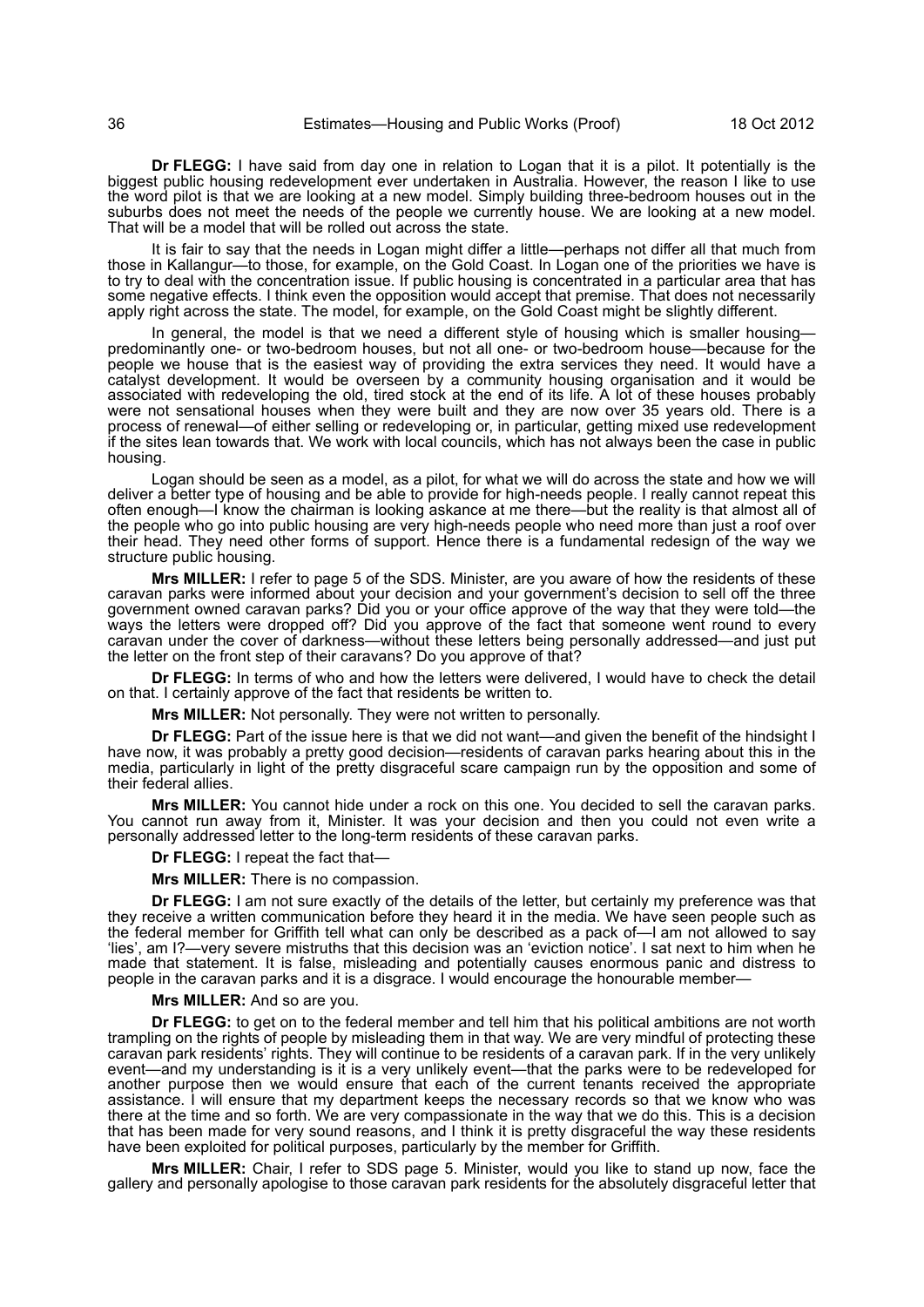**Dr FLEGG:** I have said from day one in relation to Logan that it is a pilot. It potentially is the biggest public housing redevelopment ever undertaken in Australia. However, the reason I like to use the word pilot is that we are looking at a new model. Simply building three-bedroom houses out in the suburbs does not meet the needs of the people we currently house. We are looking at a new model. That will be a model that will be rolled out across the state.

It is fair to say that the needs in Logan might differ a little—perhaps not differ all that much from those in Kallangur—to those, for example, on the Gold Coast. In Logan one of the priorities we have is to try to deal with the concentration issue. If public housing is concentrated in a particular area that has some negative effects. I think even the opposition would accept that premise. That does not necessarily apply right across the state. The model, for example, on the Gold Coast might be slightly different.

In general, the model is that we need a different style of housing which is smaller housingpredominantly one- or two-bedroom houses, but not all one- or two-bedroom house—because for the people we house that is the easiest way of providing the extra services they need. It would have a catalyst development. It would be overseen by a community housing organisation and it would be associated with redeveloping the old, tired stock at the end of its life. A lot of these houses probably were not sensational houses when they were built and they are now over 35 years old. There is a process of renewal—of either selling or redeveloping or, in particular, getting mixed use redevelopment if the sites lean towards that. We work with local councils, which has not always been the case in public housing.

Logan should be seen as a model, as a pilot, for what we will do across the state and how we will deliver a better type of housing and be able to provide for high-needs people. I really cannot repeat this often enough—I know the chairman is looking askance at me there—but the reality is that almost all of the people who go into public housing are very high-needs people who need more than just a roof over their head. They need other forms of support. Hence there is a fundamental redesign of the way we structure public housing.

**Mrs MILLER:** I refer to page 5 of the SDS. Minister, are you aware of how the residents of these caravan parks were informed about your decision and your government's decision to sell off the three government owned caravan parks? Did you or your office approve of the way that they were told—the ways the letters were dropped off? Did you approve of the fact that someone went round to every caravan under the cover of darkness—without these letters being personally addressed—and just put the letter on the front step of their caravans? Do you approve of that?

**Dr FLEGG:** In terms of who and how the letters were delivered, I would have to check the detail on that. I certainly approve of the fact that residents be written to.

**Mrs MILLER:** Not personally. They were not written to personally.

**Dr FLEGG:** Part of the issue here is that we did not want—and given the benefit of the hindsight I have now, it was probably a pretty good decision—residents of caravan parks hearing about this in the media, particularly in light of the pretty disgraceful scare campaign run by the opposition and some of their federal allies.

**Mrs MILLER:** You cannot hide under a rock on this one. You decided to sell the caravan parks. You cannot run away from it, Minister. It was your decision and then you could not even write a personally addressed letter to the long-term residents of these caravan parks.

#### **Dr FLEGG:** I repeat the fact that—

**Mrs MILLER:** There is no compassion.

**Dr FLEGG:** I am not sure exactly of the details of the letter, but certainly my preference was that they receive a written communication before they heard it in the media. We have seen people such as the federal member for Griffith tell what can only be described as a pack of—I am not allowed to say 'lies', am I?—very severe mistruths that this decision was an 'eviction notice'. I sat next to him when he made that statement. It is false, misleading and potentially causes enormous panic and distress to people in the caravan parks and it is a disgrace. I would encourage the honourable member—

#### **Mrs MILLER:** And so are you.

**Dr FLEGG:** to get on to the federal member and tell him that his political ambitions are not worth trampling on the rights of people by misleading them in that way. We are very mindful of protecting these caravan park residents' rights. They will continue to be residents of a caravan park. If in the very unlikely event—and my understanding is it is a very unlikely event—that the parks were to be redeveloped for another purpose then we would ensure that each of the current tenants received the appropriate assistance. I will ensure that my department keeps the necessary records so that we know who was there at the time and so forth. We are very compassionate in the way that we do this. This is a decision that has been made for very sound reasons, and I think it is pretty disgraceful the way these residents have been exploited for political purposes, particularly by the member for Griffith.

**Mrs MILLER:** Chair, I refer to SDS page 5. Minister, would you like to stand up now, face the gallery and personally apologise to those caravan park residents for the absolutely disgraceful letter that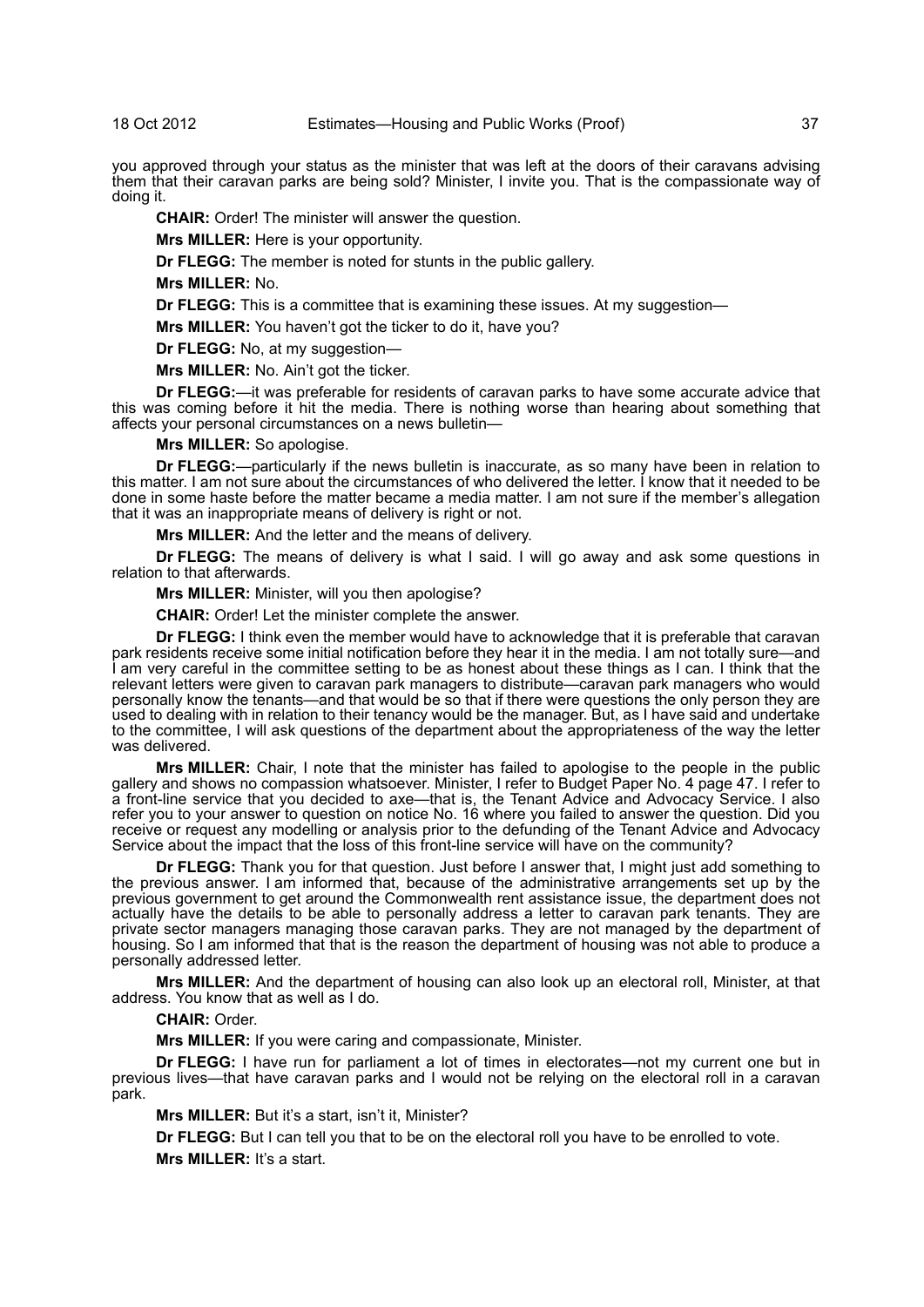you approved through your status as the minister that was left at the doors of their caravans advising them that their caravan parks are being sold? Minister, I invite you. That is the compassionate way of doing it.

**CHAIR:** Order! The minister will answer the question.

**Mrs MILLER:** Here is your opportunity.

**Dr FLEGG:** The member is noted for stunts in the public gallery.

**Mrs MILLER:** No.

**Dr FLEGG:** This is a committee that is examining these issues. At my suggestion—

**Mrs MILLER:** You haven't got the ticker to do it, have you?

**Dr FLEGG:** No, at my suggestion—

**Mrs MILLER:** No. Ain't got the ticker.

**Dr FLEGG:**—it was preferable for residents of caravan parks to have some accurate advice that this was coming before it hit the media. There is nothing worse than hearing about something that affects your personal circumstances on a news bulletin—

**Mrs MILLER:** So apologise.

**Dr FLEGG:**—particularly if the news bulletin is inaccurate, as so many have been in relation to this matter. I am not sure about the circumstances of who delivered the letter. I know that it needed to be done in some haste before the matter became a media matter. I am not sure if the member's allegation that it was an inappropriate means of delivery is right or not.

**Mrs MILLER:** And the letter and the means of delivery.

**Dr FLEGG:** The means of delivery is what I said. I will go away and ask some questions in relation to that afterwards.

**Mrs MILLER:** Minister, will you then apologise?

**CHAIR:** Order! Let the minister complete the answer.

**Dr FLEGG:** I think even the member would have to acknowledge that it is preferable that caravan park residents receive some initial notification before they hear it in the media. I am not totally sure—and I am very careful in the committee setting to be as honest about these things as I can. I think that the relevant letters were given to caravan park managers to distribute—caravan park managers who would personally know the tenants—and that would be so that if there were questions the only person they are used to dealing with in relation to their tenancy would be the manager. But, as I have said and undertake to the committee, I will ask questions of the department about the appropriateness of the way the letter was delivered.

**Mrs MILLER:** Chair, I note that the minister has failed to apologise to the people in the public gallery and shows no compassion whatsoever. Minister, I refer to Budget Paper No. 4 page 47. I refer to a front-line service that you decided to axe—that is, the Tenant Advice and Advocacy Service. I also refer you to your answer to question on notice No. 16 where you failed to answer the question. Did you receive or request any modelling or analysis prior to the defunding of the Tenant Advice and Advocacy Service about the impact that the loss of this front-line service will have on the community?

**Dr FLEGG:** Thank you for that question. Just before I answer that, I might just add something to the previous answer. I am informed that, because of the administrative arrangements set up by the previous government to get around the Commonwealth rent assistance issue, the department does not actually have the details to be able to personally address a letter to caravan park tenants. They are private sector managers managing those caravan parks. They are not managed by the department of housing. So I am informed that that is the reason the department of housing was not able to produce a personally addressed letter.

**Mrs MILLER:** And the department of housing can also look up an electoral roll, Minister, at that address. You know that as well as I do.

**CHAIR:** Order.

**Mrs MILLER:** If you were caring and compassionate, Minister.

**Dr FLEGG:** I have run for parliament a lot of times in electorates—not my current one but in previous lives—that have caravan parks and I would not be relying on the electoral roll in a caravan park.

**Mrs MILLER:** But it's a start, isn't it, Minister?

**Dr FLEGG:** But I can tell you that to be on the electoral roll you have to be enrolled to vote.

**Mrs MILLER:** It's a start.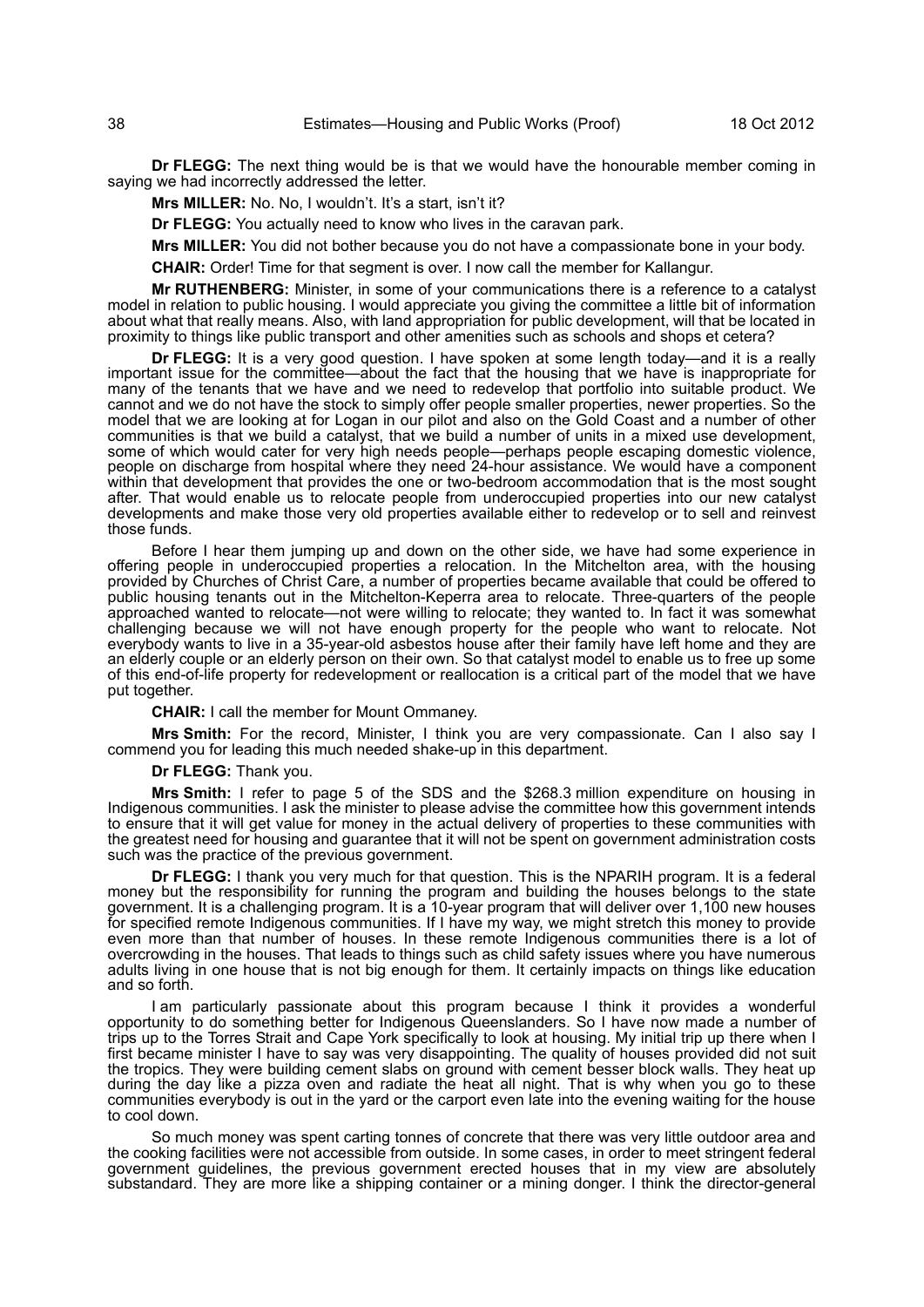**Dr FLEGG:** The next thing would be is that we would have the honourable member coming in saying we had incorrectly addressed the letter.

**Mrs MILLER:** No. No, I wouldn't. It's a start, isn't it?

**Dr FLEGG:** You actually need to know who lives in the caravan park.

**Mrs MILLER:** You did not bother because you do not have a compassionate bone in your body.

**CHAIR:** Order! Time for that segment is over. I now call the member for Kallangur.

**Mr RUTHENBERG:** Minister, in some of your communications there is a reference to a catalyst model in relation to public housing. I would appreciate you giving the committee a little bit of information about what that really means. Also, with land appropriation for public development, will that be located in proximity to things like public transport and other amenities such as schools and shops et cetera?

**Dr FLEGG:** It is a very good question. I have spoken at some length today—and it is a really important issue for the committee—about the fact that the housing that we have is inappropriate for many of the tenants that we have and we need to redevelop that portfolio into suitable product. We cannot and we do not have the stock to simply offer people smaller properties, newer properties. So the model that we are looking at for Logan in our pilot and also on the Gold Coast and a number of other communities is that we build a catalyst, that we build a number of units in a mixed use development, some of which would cater for very high needs people—perhaps people escaping domestic violence, people on discharge from hospital where they need 24-hour assistance. We would have a component within that development that provides the one or two-bedroom accommodation that is the most sought after. That would enable us to relocate people from underoccupied properties into our new catalyst developments and make those very old properties available either to redevelop or to sell and reinvest those funds.

Before I hear them jumping up and down on the other side, we have had some experience in offering people in underoccupied properties a relocation. In the Mitchelton area, with the housing provided by Churches of Christ Care, a number of properties became available that could be offered to public housing tenants out in the Mitchelton-Keperra area to relocate. Three-quarters of the people approached wanted to relocate—not were willing to relocate; they wanted to. In fact it was somewhat challenging because we will not have enough property for the people who want to relocate. Not everybody wants to live in a 35-year-old asbestos house after their family have left home and they are an elderly couple or an elderly person on their own. So that catalyst model to enable us to free up some of this end-of-life property for redevelopment or reallocation is a critical part of the model that we have put together.

**CHAIR:** I call the member for Mount Ommaney.

**Mrs Smith:** For the record, Minister, I think you are very compassionate. Can I also say I commend you for leading this much needed shake-up in this department.

**Dr FLEGG:** Thank you.

**Mrs Smith:** I refer to page 5 of the SDS and the \$268.3 million expenditure on housing in Indigenous communities. I ask the minister to please advise the committee how this government intends to ensure that it will get value for money in the actual delivery of properties to these communities with the greatest need for housing and guarantee that it will not be spent on government administration costs such was the practice of the previous government.

**Dr FLEGG:** I thank you very much for that question. This is the NPARIH program. It is a federal money but the responsibility for running the program and building the houses belongs to the state government. It is a challenging program. It is a 10-year program that will deliver over 1,100 new houses for specified remote Indigenous communities. If I have my way, we might stretch this money to provide even more than that number of houses. In these remote Indigenous communities there is a lot of overcrowding in the houses. That leads to things such as child safety issues where you have numerous adults living in one house that is not big enough for them. It certainly impacts on things like education and so forth.

I am particularly passionate about this program because I think it provides a wonderful opportunity to do something better for Indigenous Queenslanders. So I have now made a number of trips up to the Torres Strait and Cape York specifically to look at housing. My initial trip up there when I first became minister I have to say was very disappointing. The quality of houses provided did not suit the tropics. They were building cement slabs on ground with cement besser block walls. They heat up during the day like a pizza oven and radiate the heat all night. That is why when you go to these communities everybody is out in the yard or the carport even late into the evening waiting for the house to cool down.

So much money was spent carting tonnes of concrete that there was very little outdoor area and the cooking facilities were not accessible from outside. In some cases, in order to meet stringent federal government guidelines, the previous government erected houses that in my view are absolutely substandard. They are more like a shipping container or a mining donger. I think the director-general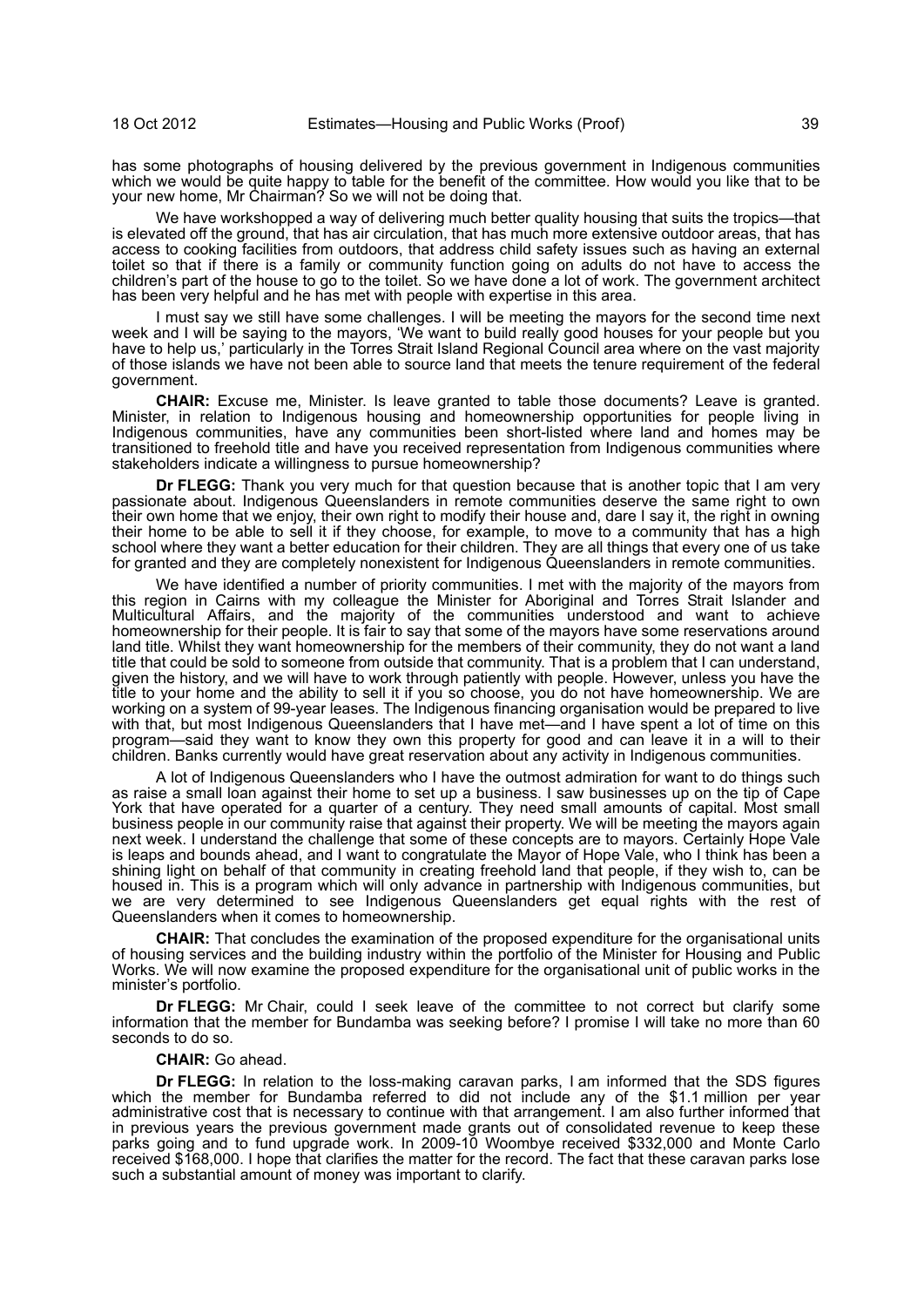has some photographs of housing delivered by the previous government in Indigenous communities which we would be quite happy to table for the benefit of the committee. How would you like that to be your new home, Mr Chairman? So we will not be doing that.

We have workshopped a way of delivering much better quality housing that suits the tropics—that is elevated off the ground, that has air circulation, that has much more extensive outdoor areas, that has access to cooking facilities from outdoors, that address child safety issues such as having an external toilet so that if there is a family or community function going on adults do not have to access the children's part of the house to go to the toilet. So we have done a lot of work. The government architect has been very helpful and he has met with people with expertise in this area.

I must say we still have some challenges. I will be meeting the mayors for the second time next week and I will be saying to the mayors, 'We want to build really good houses for your people but you have to help us,' particularly in the Torres Strait Island Regional Council area where on the vast majority of those islands we have not been able to source land that meets the tenure requirement of the federal government.

**CHAIR:** Excuse me, Minister. Is leave granted to table those documents? Leave is granted. Minister, in relation to Indigenous housing and homeownership opportunities for people living in Indigenous communities, have any communities been short-listed where land and homes may be transitioned to freehold title and have you received representation from Indigenous communities where stakeholders indicate a willingness to pursue homeownership?

**Dr FLEGG:** Thank you very much for that question because that is another topic that I am very passionate about. Indigenous Queenslanders in remote communities deserve the same right to own their own home that we enjoy, their own right to modify their house and, dare I say it, the right in owning their home to be able to sell it if they choose, for example, to move to a community that has a high school where they want a better education for their children. They are all things that every one of us take for granted and they are completely nonexistent for Indigenous Queenslanders in remote communities.

We have identified a number of priority communities. I met with the majority of the mayors from this region in Cairns with my colleague the Minister for Aboriginal and Torres Strait Islander and Multicultural Affairs, and the majority of the communities understood and want to achieve homeownership for their people. It is fair to say that some of the mayors have some reservations around land title. Whilst they want homeownership for the members of their community, they do not want a land title that could be sold to someone from outside that community. That is a problem that I can understand, given the history, and we will have to work through patiently with people. However, unless you have the title to your home and the ability to sell it if you so choose, you do not have homeownership. We are working on a system of 99-year leases. The Indigenous financing organisation would be prepared to live with that, but most Indigenous Queenslanders that I have met—and I have spent a lot of time on this program—said they want to know they own this property for good and can leave it in a will to their children. Banks currently would have great reservation about any activity in Indigenous communities.

A lot of Indigenous Queenslanders who I have the outmost admiration for want to do things such as raise a small loan against their home to set up a business. I saw businesses up on the tip of Cape York that have operated for a quarter of a century. They need small amounts of capital. Most small business people in our community raise that against their property. We will be meeting the mayors again next week. I understand the challenge that some of these concepts are to mayors. Certainly Hope Vale is leaps and bounds ahead, and I want to congratulate the Mayor of Hope Vale, who I think has been a shining light on behalf of that community in creating freehold land that people, if they wish to, can be housed in. This is a program which will only advance in partnership with Indigenous communities, but we are very determined to see Indigenous Queenslanders get equal rights with the rest of Queenslanders when it comes to homeownership.

**CHAIR:** That concludes the examination of the proposed expenditure for the organisational units of housing services and the building industry within the portfolio of the Minister for Housing and Public Works. We will now examine the proposed expenditure for the organisational unit of public works in the minister's portfolio.

**Dr FLEGG:** Mr Chair, could I seek leave of the committee to not correct but clarify some information that the member for Bundamba was seeking before? I promise I will take no more than 60 seconds to do so.

#### **CHAIR:** Go ahead.

**Dr FLEGG:** In relation to the loss-making caravan parks, I am informed that the SDS figures which the member for Bundamba referred to did not include any of the \$1.1 million per year administrative cost that is necessary to continue with that arrangement. I am also further informed that in previous years the previous government made grants out of consolidated revenue to keep these parks going and to fund upgrade work. In 2009-10 Woombye received \$332,000 and Monte Carlo received \$168,000. I hope that clarifies the matter for the record. The fact that these caravan parks lose such a substantial amount of money was important to clarify.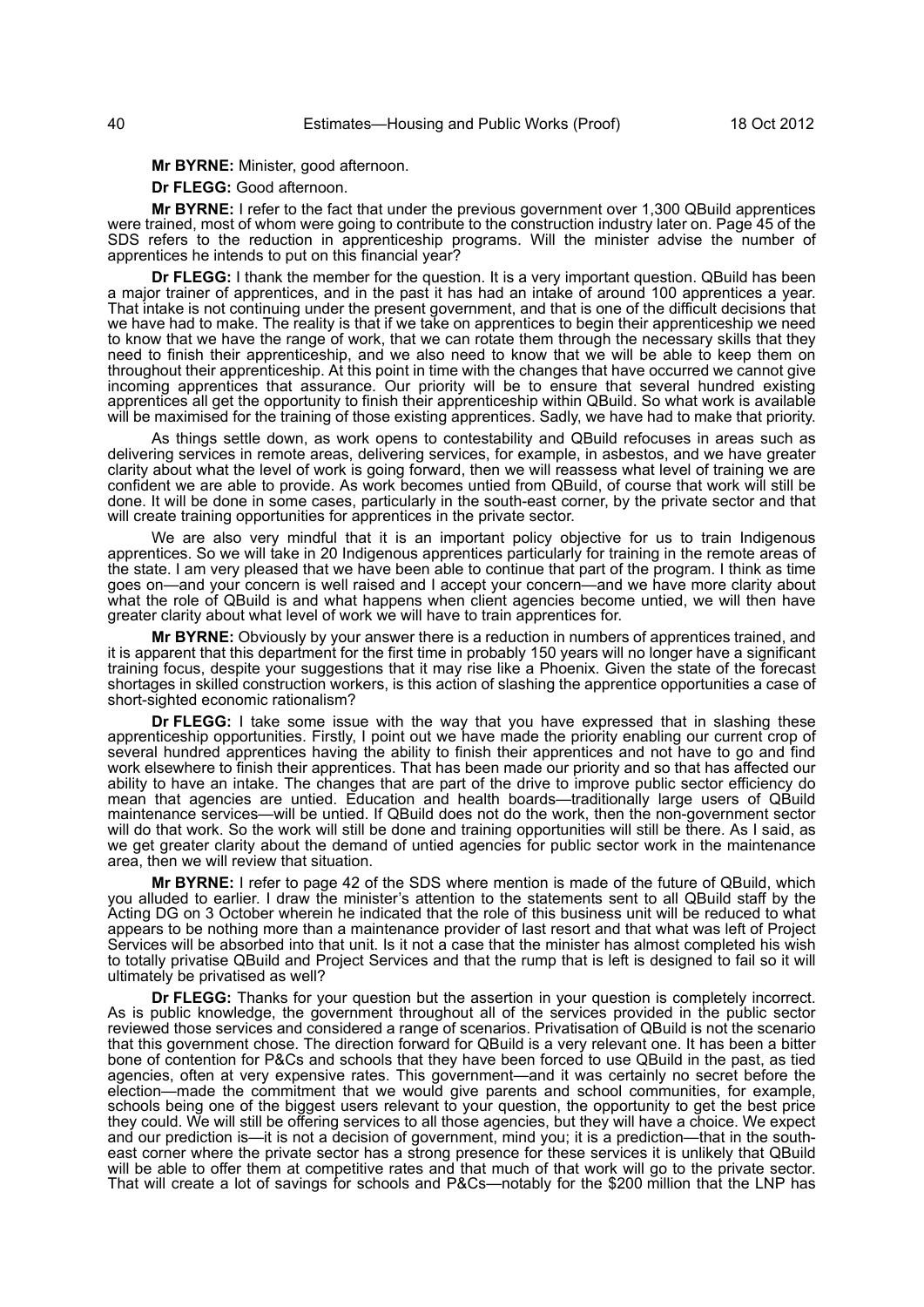**Mr BYRNE:** Minister, good afternoon.

**Dr FLEGG:** Good afternoon.

**Mr BYRNE:** I refer to the fact that under the previous government over 1,300 QBuild apprentices were trained, most of whom were going to contribute to the construction industry later on. Page 45 of the SDS refers to the reduction in apprenticeship programs. Will the minister advise the number of apprentices he intends to put on this financial year?

**Dr FLEGG:** I thank the member for the question. It is a very important question. QBuild has been a major trainer of apprentices, and in the past it has had an intake of around 100 apprentices a year. That intake is not continuing under the present government, and that is one of the difficult decisions that we have had to make. The reality is that if we take on apprentices to begin their apprenticeship we need to know that we have the range of work, that we can rotate them through the necessary skills that they need to finish their apprenticeship, and we also need to know that we will be able to keep them on throughout their apprenticeship. At this point in time with the changes that have occurred we cannot give incoming apprentices that assurance. Our priority will be to ensure that several hundred existing apprentices all get the opportunity to finish their apprenticeship within QBuild. So what work is available will be maximised for the training of those existing apprentices. Sadly, we have had to make that priority.

As things settle down, as work opens to contestability and QBuild refocuses in areas such as delivering services in remote areas, delivering services, for example, in asbestos, and we have greater clarity about what the level of work is going forward, then we will reassess what level of training we are confident we are able to provide. As work becomes untied from QBuild, of course that work will still be done. It will be done in some cases, particularly in the south-east corner, by the private sector and that will create training opportunities for apprentices in the private sector.

We are also very mindful that it is an important policy objective for us to train Indigenous apprentices. So we will take in 20 Indigenous apprentices particularly for training in the remote areas of the state. I am very pleased that we have been able to continue that part of the program. I think as time goes on—and your concern is well raised and I accept your concern—and we have more clarity about what the role of QBuild is and what happens when client agencies become untied, we will then have greater clarity about what level of work we will have to train apprentices for.

**Mr BYRNE:** Obviously by your answer there is a reduction in numbers of apprentices trained, and it is apparent that this department for the first time in probably 150 years will no longer have a significant training focus, despite your suggestions that it may rise like a Phoenix. Given the state of the forecast shortages in skilled construction workers, is this action of slashing the apprentice opportunities a case of short-sighted economic rationalism?

**Dr FLEGG:** I take some issue with the way that you have expressed that in slashing these apprenticeship opportunities. Firstly, I point out we have made the priority enabling our current crop of several hundred apprentices having the ability to finish their apprentices and not have to go and find work elsewhere to finish their apprentices. That has been made our priority and so that has affected our ability to have an intake. The changes that are part of the drive to improve public sector efficiency do mean that agencies are untied. Education and health boards—traditionally large users of QBuild maintenance services—will be untied. If QBuild does not do the work, then the non-government sector will do that work. So the work will still be done and training opportunities will still be there. As I said, as we get greater clarity about the demand of untied agencies for public sector work in the maintenance area, then we will review that situation.

**Mr BYRNE:** I refer to page 42 of the SDS where mention is made of the future of QBuild, which you alluded to earlier. I draw the minister's attention to the statements sent to all QBuild staff by the Acting DG on 3 October wherein he indicated that the role of this business unit will be reduced to what appears to be nothing more than a maintenance provider of last resort and that what was left of Project Services will be absorbed into that unit. Is it not a case that the minister has almost completed his wish to totally privatise QBuild and Project Services and that the rump that is left is designed to fail so it will ultimately be privatised as well?

**Dr FLEGG:** Thanks for your question but the assertion in your question is completely incorrect. As is public knowledge, the government throughout all of the services provided in the public sector reviewed those services and considered a range of scenarios. Privatisation of QBuild is not the scenario that this government chose. The direction forward for QBuild is a very relevant one. It has been a bitter bone of contention for P&Cs and schools that they have been forced to use QBuild in the past, as tied agencies, often at very expensive rates. This government—and it was certainly no secret before the election—made the commitment that we would give parents and school communities, for example, schools being one of the biggest users relevant to your question, the opportunity to get the best price they could. We will still be offering services to all those agencies, but they will have a choice. We expect and our prediction is—it is not a decision of government, mind you; it is a prediction—that in the southeast corner where the private sector has a strong presence for these services it is unlikely that QBuild will be able to offer them at competitive rates and that much of that work will go to the private sector. That will create a lot of savings for schools and P&Cs—notably for the \$200 million that the LNP has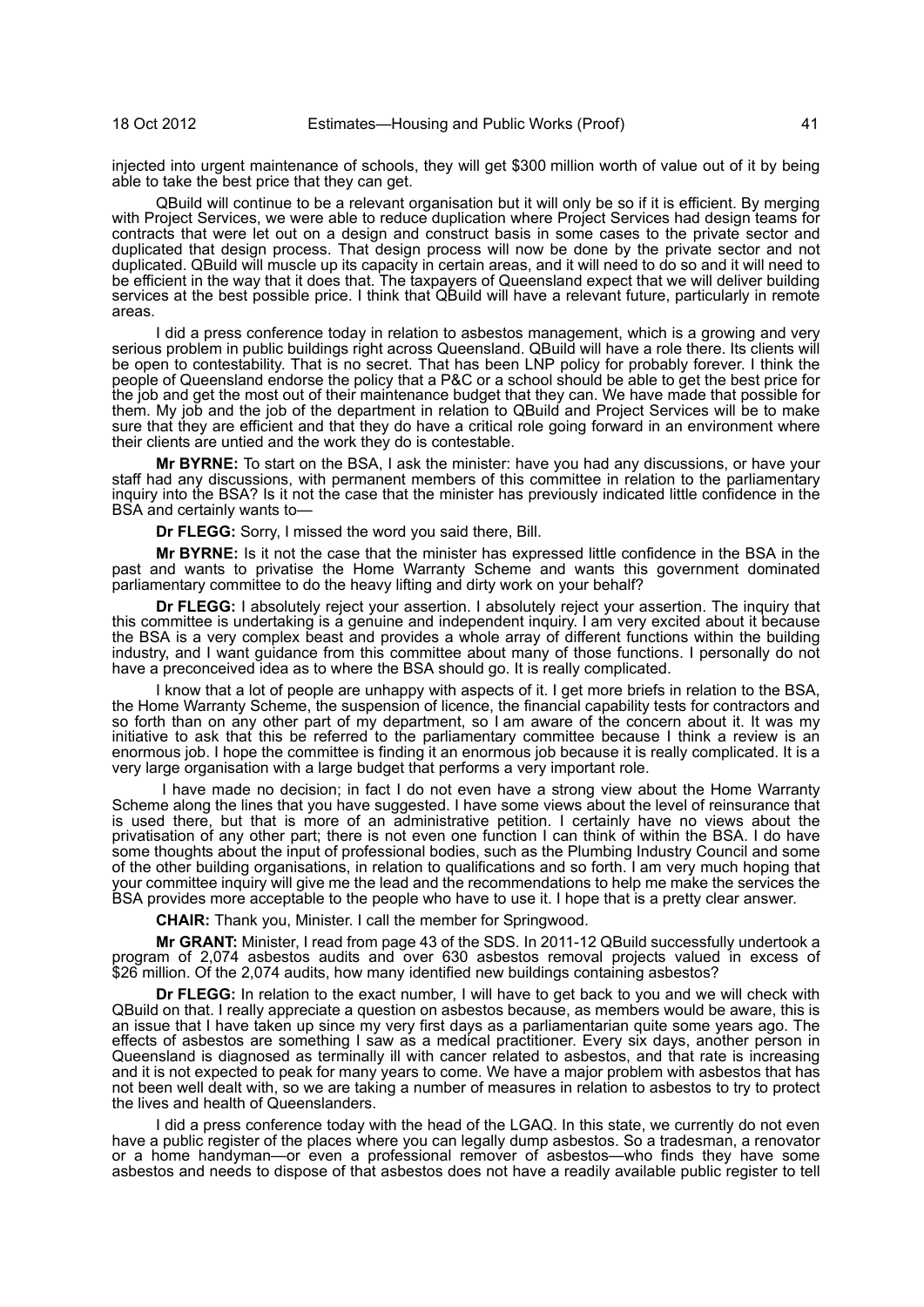injected into urgent maintenance of schools, they will get \$300 million worth of value out of it by being able to take the best price that they can get.

QBuild will continue to be a relevant organisation but it will only be so if it is efficient. By merging with Project Services, we were able to reduce duplication where Project Services had design teams for contracts that were let out on a design and construct basis in some cases to the private sector and duplicated that design process. That design process will now be done by the private sector and not duplicated. QBuild will muscle up its capacity in certain areas, and it will need to do so and it will need to be efficient in the way that it does that. The taxpayers of Queensland expect that we will deliver building services at the best possible price. I think that QBuild will have a relevant future, particularly in remote areas.

I did a press conference today in relation to asbestos management, which is a growing and very serious problem in public buildings right across Queensland. QBuild will have a role there. Its clients will be open to contestability. That is no secret. That has been LNP policy for probably forever. I think the people of Queensland endorse the policy that a P&C or a school should be able to get the best price for the job and get the most out of their maintenance budget that they can. We have made that possible for them. My job and the job of the department in relation to QBuild and Project Services will be to make sure that they are efficient and that they do have a critical role going forward in an environment where their clients are untied and the work they do is contestable.

**Mr BYRNE:** To start on the BSA, I ask the minister: have you had any discussions, or have your staff had any discussions, with permanent members of this committee in relation to the parliamentary inquiry into the BSA? Is it not the case that the minister has previously indicated little confidence in the BSA and certainly wants to—

**Dr FLEGG:** Sorry, I missed the word you said there, Bill.

**Mr BYRNE:** Is it not the case that the minister has expressed little confidence in the BSA in the past and wants to privatise the Home Warranty Scheme and wants this government dominated parliamentary committee to do the heavy lifting and dirty work on your behalf?

**Dr FLEGG:** I absolutely reject your assertion. I absolutely reject your assertion. The inquiry that this committee is undertaking is a genuine and independent inquiry. I am very excited about it because the BSA is a very complex beast and provides a whole array of different functions within the building industry, and I want guidance from this committee about many of those functions. I personally do not have a preconceived idea as to where the BSA should go. It is really complicated.

I know that a lot of people are unhappy with aspects of it. I get more briefs in relation to the BSA, the Home Warranty Scheme, the suspension of licence, the financial capability tests for contractors and so forth than on any other part of my department, so I am aware of the concern about it. It was my initiative to ask that this be referred to the parliamentary committee because I think a review is an enormous job. I hope the committee is finding it an enormous job because it is really complicated. It is a very large organisation with a large budget that performs a very important role.

 I have made no decision; in fact I do not even have a strong view about the Home Warranty Scheme along the lines that you have suggested. I have some views about the level of reinsurance that is used there, but that is more of an administrative petition. I certainly have no views about the privatisation of any other part; there is not even one function I can think of within the BSA. I do have some thoughts about the input of professional bodies, such as the Plumbing Industry Council and some of the other building organisations, in relation to qualifications and so forth. I am very much hoping that your committee inquiry will give me the lead and the recommendations to help me make the services the BSA provides more acceptable to the people who have to use it. I hope that is a pretty clear answer.

**CHAIR:** Thank you, Minister. I call the member for Springwood.

**Mr GRANT:** Minister, I read from page 43 of the SDS. In 2011-12 QBuild successfully undertook a program of 2,074 asbestos audits and over 630 asbestos removal projects valued in excess of \$26 million. Of the 2,074 audits, how many identified new buildings containing asbestos?

**Dr FLEGG:** In relation to the exact number, I will have to get back to you and we will check with QBuild on that. I really appreciate a question on asbestos because, as members would be aware, this is an issue that I have taken up since my very first days as a parliamentarian quite some years ago. The effects of asbestos are something I saw as a medical practitioner. Every six days, another person in Queensland is diagnosed as terminally ill with cancer related to asbestos, and that rate is increasing and it is not expected to peak for many years to come. We have a major problem with asbestos that has not been well dealt with, so we are taking a number of measures in relation to asbestos to try to protect the lives and health of Queenslanders.

I did a press conference today with the head of the LGAQ. In this state, we currently do not even have a public register of the places where you can legally dump asbestos. So a tradesman, a renovator or a home handyman—or even a professional remover of asbestos—who finds they have some asbestos and needs to dispose of that asbestos does not have a readily available public register to tell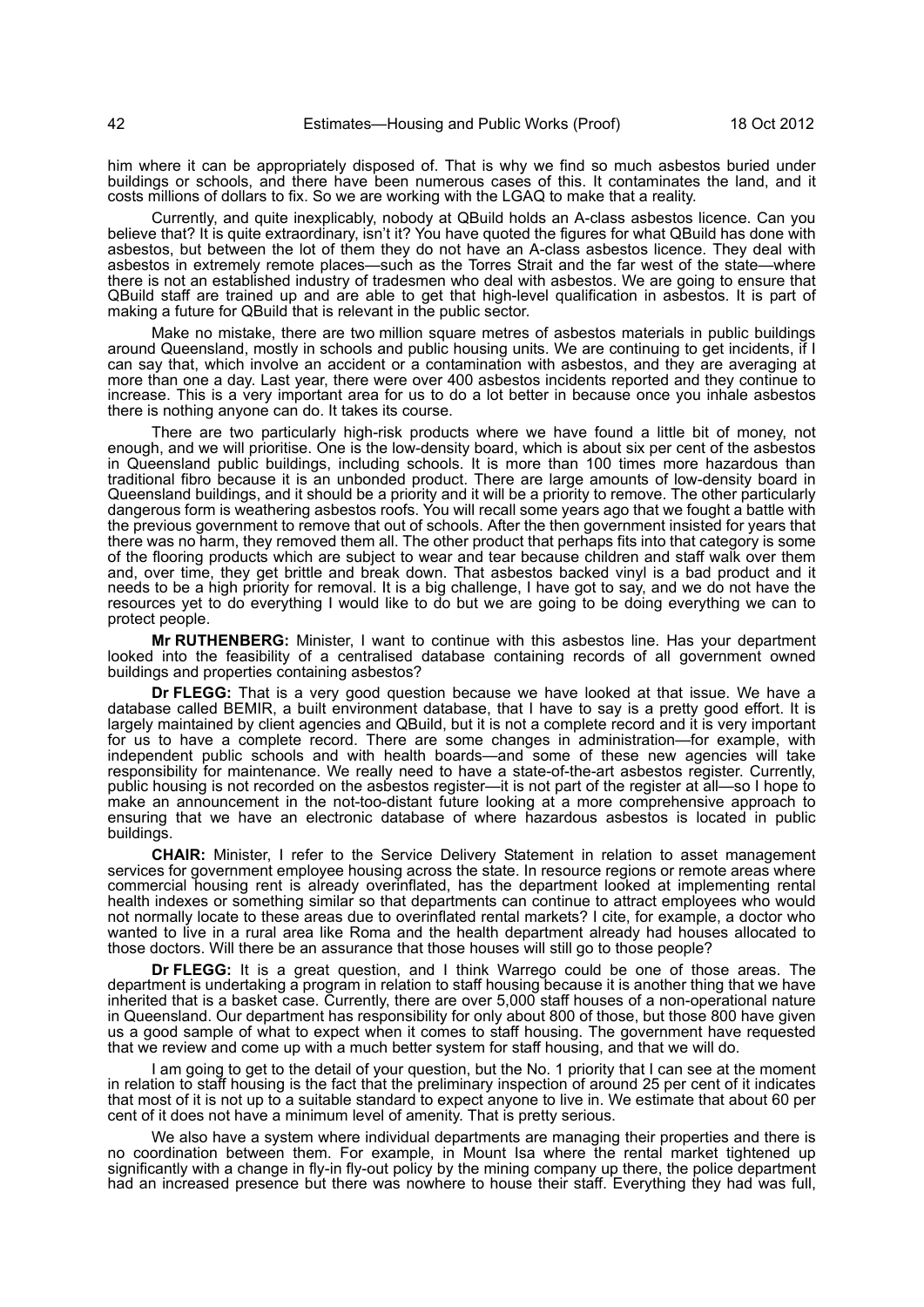him where it can be appropriately disposed of. That is why we find so much asbestos buried under buildings or schools, and there have been numerous cases of this. It contaminates the land, and it costs millions of dollars to fix. So we are working with the LGAQ to make that a reality.

Currently, and quite inexplicably, nobody at QBuild holds an A-class asbestos licence. Can you believe that? It is quite extraordinary, isn't it? You have quoted the figures for what QBuild has done with asbestos, but between the lot of them they do not have an A-class asbestos licence. They deal with asbestos in extremely remote places—such as the Torres Strait and the far west of the state—where there is not an established industry of tradesmen who deal with asbestos. We are going to ensure that QBuild staff are trained up and are able to get that high-level qualification in asbestos. It is part of making a future for QBuild that is relevant in the public sector.

Make no mistake, there are two million square metres of asbestos materials in public buildings around Queensland, mostly in schools and public housing units. We are continuing to get incidents, if I can say that, which involve an accident or a contamination with asbestos, and they are averaging at more than one a day. Last year, there were over 400 asbestos incidents reported and they continue to increase. This is a very important area for us to do a lot better in because once you inhale asbestos there is nothing anyone can do. It takes its course.

There are two particularly high-risk products where we have found a little bit of money, not enough, and we will prioritise. One is the low-density board, which is about six per cent of the asbestos in Queensland public buildings, including schools. It is more than 100 times more hazardous than traditional fibro because it is an unbonded product. There are large amounts of low-density board in Queensland buildings, and it should be a priority and it will be a priority to remove. The other particularly dangerous form is weathering asbestos roofs. You will recall some years ago that we fought a battle with the previous government to remove that out of schools. After the then government insisted for years that there was no harm, they removed them all. The other product that perhaps fits into that category is some of the flooring products which are subject to wear and tear because children and staff walk over them and, over time, they get brittle and break down. That asbestos backed vinyl is a bad product and it needs to be a high priority for removal. It is a big challenge, I have got to say, and we do not have the resources yet to do everything I would like to do but we are going to be doing everything we can to protect people.

**Mr RUTHENBERG:** Minister, I want to continue with this asbestos line. Has your department looked into the feasibility of a centralised database containing records of all government owned buildings and properties containing asbestos?

**Dr FLEGG:** That is a very good question because we have looked at that issue. We have a database called BEMIR, a built environment database, that I have to say is a pretty good effort. It is largely maintained by client agencies and QBuild, but it is not a complete record and it is very important for us to have a complete record. There are some changes in administration—for example, with independent public schools and with health boards—and some of these new agencies will take responsibility for maintenance. We really need to have a state-of-the-art asbestos register. Currently, public housing is not recorded on the asbestos register—it is not part of the register at all—so I hope to make an announcement in the not-too-distant future looking at a more comprehensive approach to ensuring that we have an electronic database of where hazardous asbestos is located in public buildings.

**CHAIR:** Minister, I refer to the Service Delivery Statement in relation to asset management services for government employee housing across the state. In resource regions or remote areas where commercial housing rent is already overinflated, has the department looked at implementing rental health indexes or something similar so that departments can continue to attract employees who would not normally locate to these areas due to overinflated rental markets? I cite, for example, a doctor who wanted to live in a rural area like Roma and the health department already had houses allocated to those doctors. Will there be an assurance that those houses will still go to those people?

**Dr FLEGG:** It is a great question, and I think Warrego could be one of those areas. The department is undertaking a program in relation to staff housing because it is another thing that we have inherited that is a basket case. Currently, there are over 5,000 staff houses of a non-operational nature in Queensland. Our department has responsibility for only about 800 of those, but those 800 have given us a good sample of what to expect when it comes to staff housing. The government have requested that we review and come up with a much better system for staff housing, and that we will do.

I am going to get to the detail of your question, but the No. 1 priority that I can see at the moment in relation to staff housing is the fact that the preliminary inspection of around 25 per cent of it indicates that most of it is not up to a suitable standard to expect anyone to live in. We estimate that about 60 per cent of it does not have a minimum level of amenity. That is pretty serious.

We also have a system where individual departments are managing their properties and there is no coordination between them. For example, in Mount Isa where the rental market tightened up significantly with a change in fly-in fly-out policy by the mining company up there, the police department had an increased presence but there was nowhere to house their staff. Everything they had was full,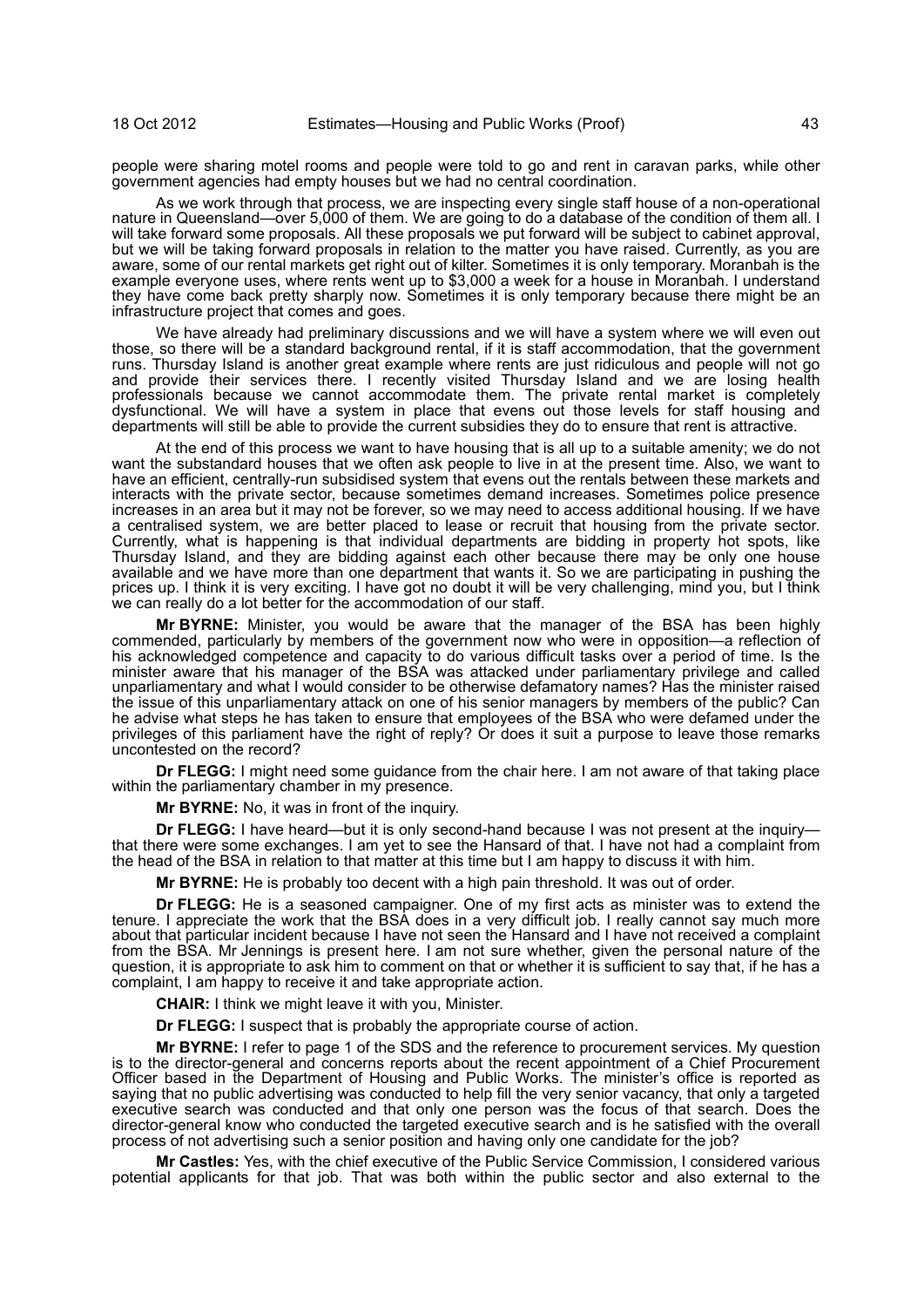people were sharing motel rooms and people were told to go and rent in caravan parks, while other government agencies had empty houses but we had no central coordination.

As we work through that process, we are inspecting every single staff house of a non-operational nature in Queensland—over 5,000 of them. We are going to do a database of the condition of them all. I will take forward some proposals. All these proposals we put forward will be subject to cabinet approval, but we will be taking forward proposals in relation to the matter you have raised. Currently, as you are aware, some of our rental markets get right out of kilter. Sometimes it is only temporary. Moranbah is the example everyone uses, where rents went up to \$3,000 a week for a house in Moranbah. I understand they have come back pretty sharply now. Sometimes it is only temporary because there might be an infrastructure project that comes and goes.

We have already had preliminary discussions and we will have a system where we will even out those, so there will be a standard background rental, if it is staff accommodation, that the government runs. Thursday Island is another great example where rents are just ridiculous and people will not go and provide their services there. I recently visited Thursday Island and we are losing health professionals because we cannot accommodate them. The private rental market is completely dysfunctional. We will have a system in place that evens out those levels for staff housing and departments will still be able to provide the current subsidies they do to ensure that rent is attractive.

At the end of this process we want to have housing that is all up to a suitable amenity; we do not want the substandard houses that we often ask people to live in at the present time. Also, we want to have an efficient, centrally-run subsidised system that evens out the rentals between these markets and interacts with the private sector, because sometimes demand increases. Sometimes police presence increases in an area but it may not be forever, so we may need to access additional housing. If we have a centralised system, we are better placed to lease or recruit that housing from the private sector. Currently, what is happening is that individual departments are bidding in property hot spots, like Thursday Island, and they are bidding against each other because there may be only one house available and we have more than one department that wants it. So we are participating in pushing the prices up. I think it is very exciting. I have got no doubt it will be very challenging, mind you, but I think we can really do a lot better for the accommodation of our staff.

**Mr BYRNE:** Minister, you would be aware that the manager of the BSA has been highly commended, particularly by members of the government now who were in opposition—a reflection of his acknowledged competence and capacity to do various difficult tasks over a period of time. Is the minister aware that his manager of the BSA was attacked under parliamentary privilege and called unparliamentary and what I would consider to be otherwise defamatory names? Has the minister raised the issue of this unparliamentary attack on one of his senior managers by members of the public? Can he advise what steps he has taken to ensure that employees of the BSA who were defamed under the privileges of this parliament have the right of reply? Or does it suit a purpose to leave those remarks uncontested on the record?

**Dr FLEGG:** I might need some guidance from the chair here. I am not aware of that taking place within the parliamentary chamber in my presence.

**Mr BYRNE:** No, it was in front of the inquiry.

**Dr FLEGG:** I have heard—but it is only second-hand because I was not present at the inquiry that there were some exchanges. I am yet to see the Hansard of that. I have not had a complaint from the head of the BSA in relation to that matter at this time but I am happy to discuss it with him.

**Mr BYRNE:** He is probably too decent with a high pain threshold. It was out of order.

**Dr FLEGG:** He is a seasoned campaigner. One of my first acts as minister was to extend the tenure. I appreciate the work that the BSA does in a very difficult job. I really cannot say much more about that particular incident because I have not seen the Hansard and I have not received a complaint from the BSA. Mr Jennings is present here. I am not sure whether, given the personal nature of the question, it is appropriate to ask him to comment on that or whether it is sufficient to say that, if he has a complaint, I am happy to receive it and take appropriate action.

**CHAIR:** I think we might leave it with you, Minister.

**Dr FLEGG:** I suspect that is probably the appropriate course of action.

**Mr BYRNE:** I refer to page 1 of the SDS and the reference to procurement services. My question is to the director-general and concerns reports about the recent appointment of a Chief Procurement Officer based in the Department of Housing and Public Works. The minister's office is reported as saying that no public advertising was conducted to help fill the very senior vacancy, that only a targeted executive search was conducted and that only one person was the focus of that search. Does the director-general know who conducted the targeted executive search and is he satisfied with the overall process of not advertising such a senior position and having only one candidate for the job?

**Mr Castles:** Yes, with the chief executive of the Public Service Commission, I considered various potential applicants for that job. That was both within the public sector and also external to the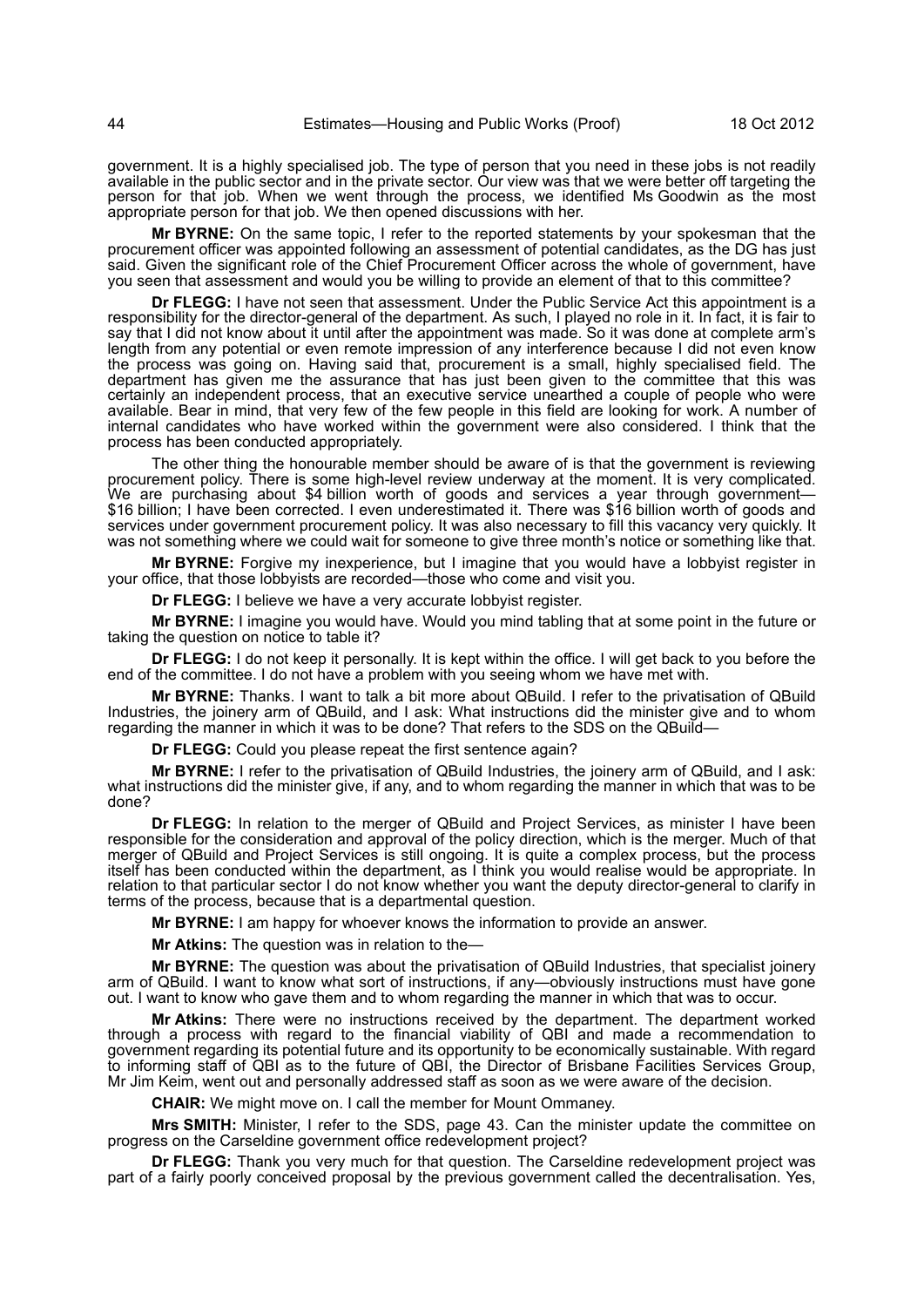government. It is a highly specialised job. The type of person that you need in these jobs is not readily available in the public sector and in the private sector. Our view was that we were better off targeting the person for that job. When we went through the process, we identified Ms Goodwin as the most appropriate person for that job. We then opened discussions with her.

**Mr BYRNE:** On the same topic, I refer to the reported statements by your spokesman that the procurement officer was appointed following an assessment of potential candidates, as the DG has just said. Given the significant role of the Chief Procurement Officer across the whole of government, have you seen that assessment and would you be willing to provide an element of that to this committee?

**Dr FLEGG:** I have not seen that assessment. Under the Public Service Act this appointment is a responsibility for the director-general of the department. As such, I played no role in it. In fact, it is fair to say that I did not know about it until after the appointment was made. So it was done at complete arm's length from any potential or even remote impression of any interference because I did not even know the process was going on. Having said that, procurement is a small, highly specialised field. The department has given me the assurance that has just been given to the committee that this was certainly an independent process, that an executive service unearthed a couple of people who were available. Bear in mind, that very few of the few people in this field are looking for work. A number of internal candidates who have worked within the government were also considered. I think that the process has been conducted appropriately.

The other thing the honourable member should be aware of is that the government is reviewing procurement policy. There is some high-level review underway at the moment. It is very complicated. We are purchasing about \$4 billion worth of goods and services a year through government— \$16 billion; I have been corrected. I even underestimated it. There was \$16 billion worth of goods and services under government procurement policy. It was also necessary to fill this vacancy very quickly. It was not something where we could wait for someone to give three month's notice or something like that.

**Mr BYRNE:** Forgive my inexperience, but I imagine that you would have a lobbyist register in your office, that those lobbyists are recorded—those who come and visit you.

**Dr FLEGG:** I believe we have a very accurate lobbyist register.

**Mr BYRNE:** I imagine you would have. Would you mind tabling that at some point in the future or taking the question on notice to table it?

**Dr FLEGG:** I do not keep it personally. It is kept within the office. I will get back to you before the end of the committee. I do not have a problem with you seeing whom we have met with.

**Mr BYRNE:** Thanks. I want to talk a bit more about QBuild. I refer to the privatisation of QBuild Industries, the joinery arm of QBuild, and I ask: What instructions did the minister give and to whom regarding the manner in which it was to be done? That refers to the SDS on the QBuild—

**Dr FLEGG:** Could you please repeat the first sentence again?

**Mr BYRNE:** I refer to the privatisation of QBuild Industries, the joinery arm of QBuild, and I ask: what instructions did the minister give, if any, and to whom regarding the manner in which that was to be done?

**Dr FLEGG:** In relation to the merger of QBuild and Project Services, as minister I have been responsible for the consideration and approval of the policy direction, which is the merger. Much of that merger of QBuild and Project Services is still ongoing. It is quite a complex process, but the process itself has been conducted within the department, as I think you would realise would be appropriate. In relation to that particular sector I do not know whether you want the deputy director-general to clarify in terms of the process, because that is a departmental question.

**Mr BYRNE:** I am happy for whoever knows the information to provide an answer.

**Mr Atkins:** The question was in relation to the—

**Mr BYRNE:** The question was about the privatisation of QBuild Industries, that specialist joinery arm of QBuild. I want to know what sort of instructions, if any—obviously instructions must have gone out. I want to know who gave them and to whom regarding the manner in which that was to occur.

**Mr Atkins:** There were no instructions received by the department. The department worked through a process with regard to the financial viability of QBI and made a recommendation to government regarding its potential future and its opportunity to be economically sustainable. With regard to informing staff of QBI as to the future of QBI, the Director of Brisbane Facilities Services Group, Mr Jim Keim, went out and personally addressed staff as soon as we were aware of the decision.

**CHAIR:** We might move on. I call the member for Mount Ommaney.

**Mrs SMITH:** Minister, I refer to the SDS, page 43. Can the minister update the committee on progress on the Carseldine government office redevelopment project?

**Dr FLEGG:** Thank you very much for that question. The Carseldine redevelopment project was part of a fairly poorly conceived proposal by the previous government called the decentralisation. Yes,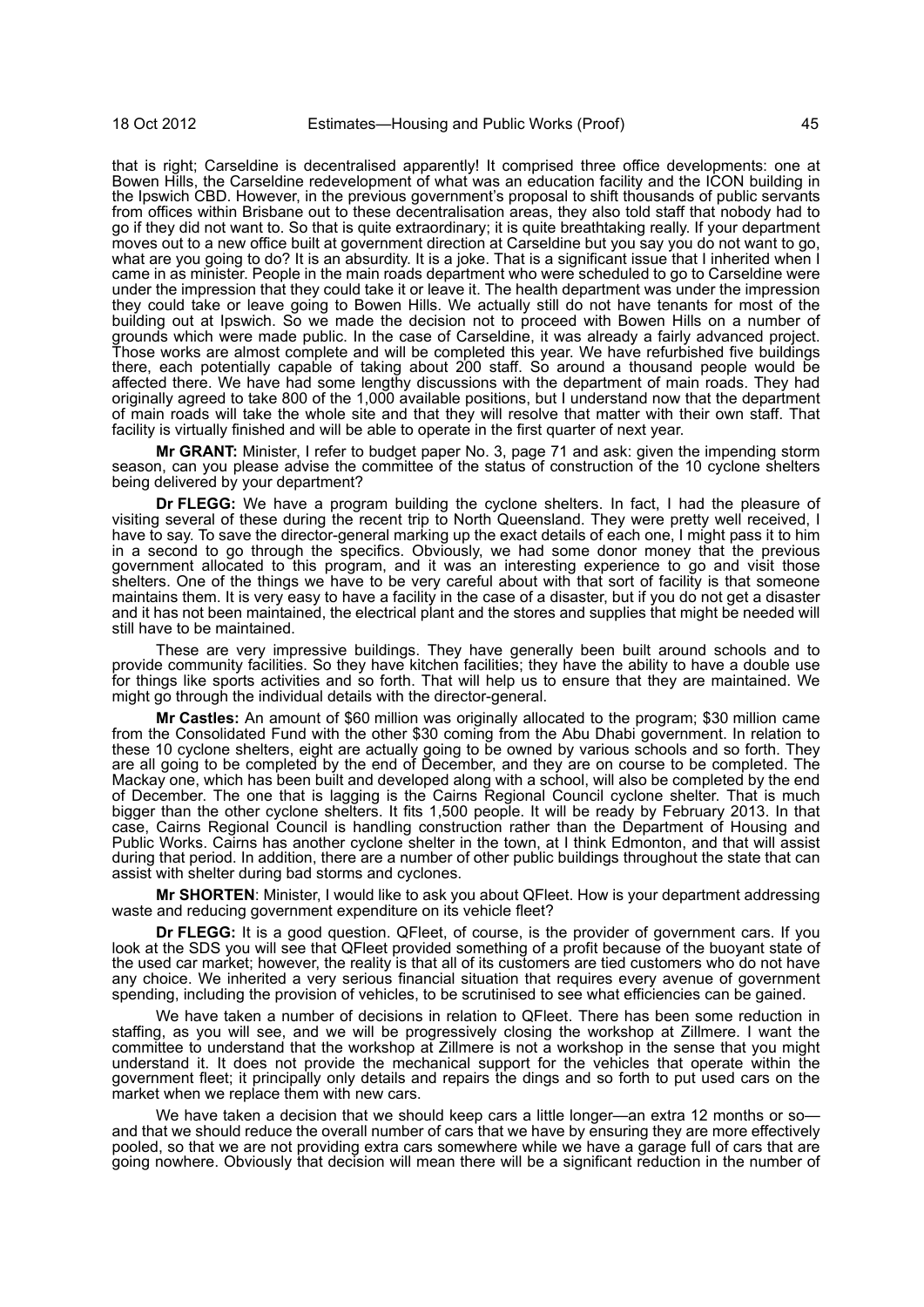that is right; Carseldine is decentralised apparently! It comprised three office developments: one at Bowen Hills, the Carseldine redevelopment of what was an education facility and the ICON building in the Ipswich CBD. However, in the previous government's proposal to shift thousands of public servants from offices within Brisbane out to these decentralisation areas, they also told staff that nobody had to go if they did not want to. So that is quite extraordinary; it is quite breathtaking really. If your department moves out to a new office built at government direction at Carseldine but you say you do not want to go, what are you going to do? It is an absurdity. It is a joke. That is a significant issue that I inherited when I came in as minister. People in the main roads department who were scheduled to go to Carseldine were under the impression that they could take it or leave it. The health department was under the impression they could take or leave going to Bowen Hills. We actually still do not have tenants for most of the building out at Ipswich. So we made the decision not to proceed with Bowen Hills on a number of grounds which were made public. In the case of Carseldine, it was already a fairly advanced project. Those works are almost complete and will be completed this year. We have refurbished five buildings there, each potentially capable of taking about 200 staff. So around a thousand people would be affected there. We have had some lengthy discussions with the department of main roads. They had originally agreed to take 800 of the 1,000 available positions, but I understand now that the department of main roads will take the whole site and that they will resolve that matter with their own staff. That facility is virtually finished and will be able to operate in the first quarter of next year.

**Mr GRANT:** Minister, I refer to budget paper No. 3, page 71 and ask: given the impending storm season, can you please advise the committee of the status of construction of the 10 cyclone shelters being delivered by your department?

**Dr FLEGG:** We have a program building the cyclone shelters. In fact, I had the pleasure of visiting several of these during the recent trip to North Queensland. They were pretty well received, I have to say. To save the director-general marking up the exact details of each one, I might pass it to him in a second to go through the specifics. Obviously, we had some donor money that the previous government allocated to this program, and it was an interesting experience to go and visit those shelters. One of the things we have to be very careful about with that sort of facility is that someone maintains them. It is very easy to have a facility in the case of a disaster, but if you do not get a disaster and it has not been maintained, the electrical plant and the stores and supplies that might be needed will still have to be maintained.

These are very impressive buildings. They have generally been built around schools and to provide community facilities. So they have kitchen facilities; they have the ability to have a double use for things like sports activities and so forth. That will help us to ensure that they are maintained. We might go through the individual details with the director-general.

**Mr Castles:** An amount of \$60 million was originally allocated to the program; \$30 million came from the Consolidated Fund with the other \$30 coming from the Abu Dhabi government. In relation to these 10 cyclone shelters, eight are actually going to be owned by various schools and so forth. They are all going to be completed by the end of December, and they are on course to be completed. The Mackay one, which has been built and developed along with a school, will also be completed by the end of December. The one that is lagging is the Cairns Regional Council cyclone shelter. That is much bigger than the other cyclone shelters. It fits 1,500 people. It will be ready by February 2013. In that case, Cairns Regional Council is handling construction rather than the Department of Housing and Public Works. Cairns has another cyclone shelter in the town, at I think Edmonton, and that will assist during that period. In addition, there are a number of other public buildings throughout the state that can assist with shelter during bad storms and cyclones.

**Mr SHORTEN**: Minister, I would like to ask you about QFleet. How is your department addressing waste and reducing government expenditure on its vehicle fleet?

**Dr FLEGG:** It is a good question. QFleet, of course, is the provider of government cars. If you look at the SDS you will see that QFleet provided something of a profit because of the buoyant state of the used car market; however, the reality is that all of its customers are tied customers who do not have any choice. We inherited a very serious financial situation that requires every avenue of government spending, including the provision of vehicles, to be scrutinised to see what efficiencies can be gained.

We have taken a number of decisions in relation to QFleet. There has been some reduction in staffing, as you will see, and we will be progressively closing the workshop at Zillmere. I want the committee to understand that the workshop at Zillmere is not a workshop in the sense that you might understand it. It does not provide the mechanical support for the vehicles that operate within the government fleet; it principally only details and repairs the dings and so forth to put used cars on the market when we replace them with new cars.

We have taken a decision that we should keep cars a little longer-an extra 12 months or soand that we should reduce the overall number of cars that we have by ensuring they are more effectively pooled, so that we are not providing extra cars somewhere while we have a garage full of cars that are going nowhere. Obviously that decision will mean there will be a significant reduction in the number of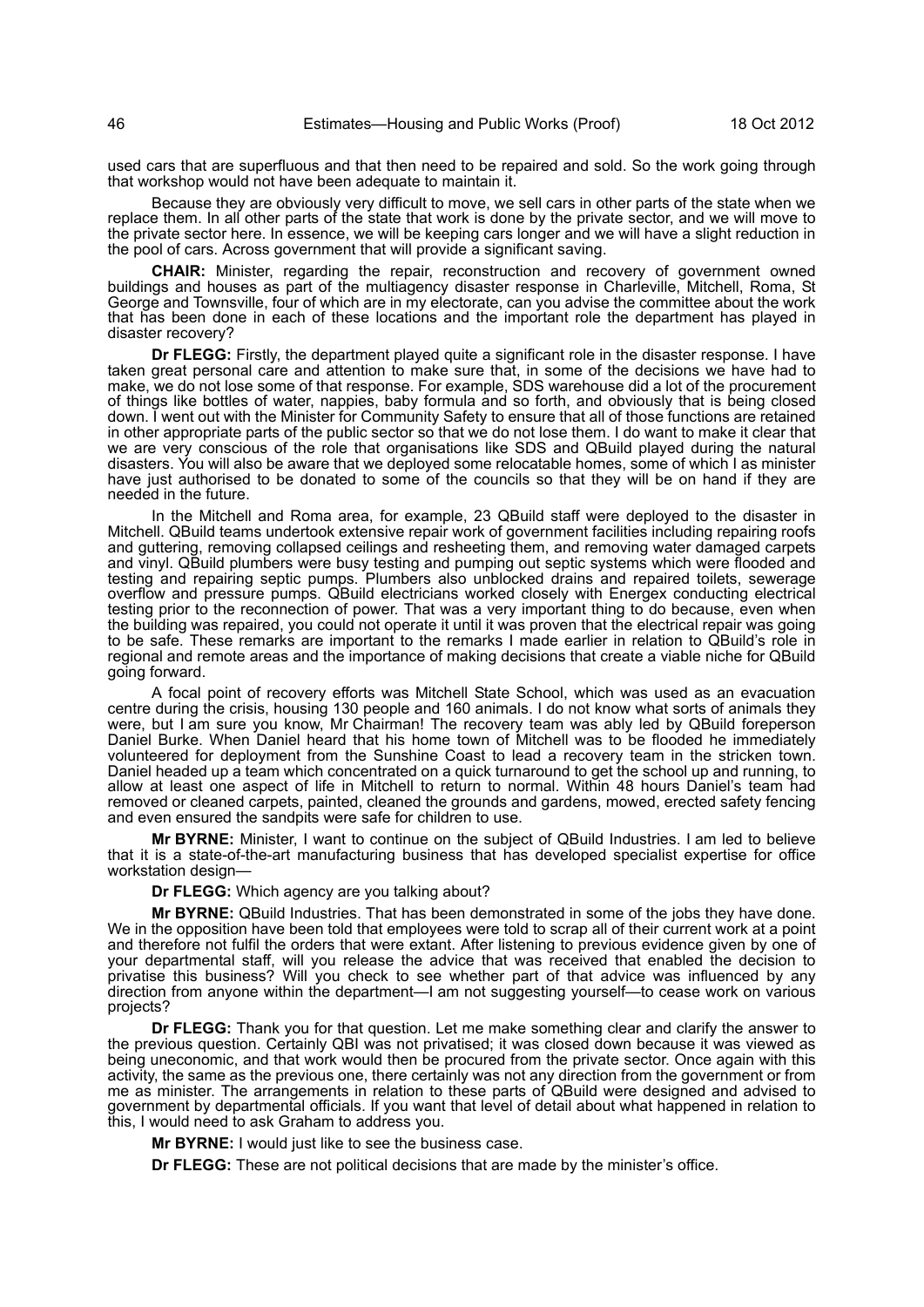used cars that are superfluous and that then need to be repaired and sold. So the work going through that workshop would not have been adequate to maintain it.

Because they are obviously very difficult to move, we sell cars in other parts of the state when we replace them. In all other parts of the state that work is done by the private sector, and we will move to the private sector here. In essence, we will be keeping cars longer and we will have a slight reduction in the pool of cars. Across government that will provide a significant saving.

**CHAIR:** Minister, regarding the repair, reconstruction and recovery of government owned buildings and houses as part of the multiagency disaster response in Charleville, Mitchell, Roma, St George and Townsville, four of which are in my electorate, can you advise the committee about the work that has been done in each of these locations and the important role the department has played in disaster recovery?

**Dr FLEGG:** Firstly, the department played quite a significant role in the disaster response. I have taken great personal care and attention to make sure that, in some of the decisions we have had to make, we do not lose some of that response. For example, SDS warehouse did a lot of the procurement of things like bottles of water, nappies, baby formula and so forth, and obviously that is being closed down. I went out with the Minister for Community Safety to ensure that all of those functions are retained in other appropriate parts of the public sector so that we do not lose them. I do want to make it clear that we are very conscious of the role that organisations like SDS and QBuild played during the natural disasters. You will also be aware that we deployed some relocatable homes, some of which I as minister have just authorised to be donated to some of the councils so that they will be on hand if they are needed in the future.

In the Mitchell and Roma area, for example, 23 QBuild staff were deployed to the disaster in Mitchell. QBuild teams undertook extensive repair work of government facilities including repairing roofs and guttering, removing collapsed ceilings and resheeting them, and removing water damaged carpets and vinyl. QBuild plumbers were busy testing and pumping out septic systems which were flooded and testing and repairing septic pumps. Plumbers also unblocked drains and repaired toilets, sewerage overflow and pressure pumps. QBuild electricians worked closely with Energex conducting electrical testing prior to the reconnection of power. That was a very important thing to do because, even when the building was repaired, you could not operate it until it was proven that the electrical repair was going to be safe. These remarks are important to the remarks I made earlier in relation to QBuild's role in regional and remote areas and the importance of making decisions that create a viable niche for QBuild going forward.

A focal point of recovery efforts was Mitchell State School, which was used as an evacuation centre during the crisis, housing 130 people and 160 animals. I do not know what sorts of animals they were, but I am sure you know, Mr Chairman! The recovery team was ably led by QBuild foreperson Daniel Burke. When Daniel heard that his home town of Mitchell was to be flooded he immediately volunteered for deployment from the Sunshine Coast to lead a recovery team in the stricken town. Daniel headed up a team which concentrated on a quick turnaround to get the school up and running, to allow at least one aspect of life in Mitchell to return to normal. Within 48 hours Daniel's team had removed or cleaned carpets, painted, cleaned the grounds and gardens, mowed, erected safety fencing and even ensured the sandpits were safe for children to use.

**Mr BYRNE:** Minister, I want to continue on the subject of QBuild Industries. I am led to believe that it is a state-of-the-art manufacturing business that has developed specialist expertise for office workstation design—

**Dr FLEGG:** Which agency are you talking about?

**Mr BYRNE:** QBuild Industries. That has been demonstrated in some of the jobs they have done. We in the opposition have been told that employees were told to scrap all of their current work at a point and therefore not fulfil the orders that were extant. After listening to previous evidence given by one of your departmental staff, will you release the advice that was received that enabled the decision to privatise this business? Will you check to see whether part of that advice was influenced by any direction from anyone within the department—I am not suggesting yourself—to cease work on various projects?

**Dr FLEGG:** Thank you for that question. Let me make something clear and clarify the answer to the previous question. Certainly QBI was not privatised; it was closed down because it was viewed as being uneconomic, and that work would then be procured from the private sector. Once again with this activity, the same as the previous one, there certainly was not any direction from the government or from me as minister. The arrangements in relation to these parts of QBuild were designed and advised to government by departmental officials. If you want that level of detail about what happened in relation to this, I would need to ask Graham to address you.

**Mr BYRNE:** I would just like to see the business case.

**Dr FLEGG:** These are not political decisions that are made by the minister's office.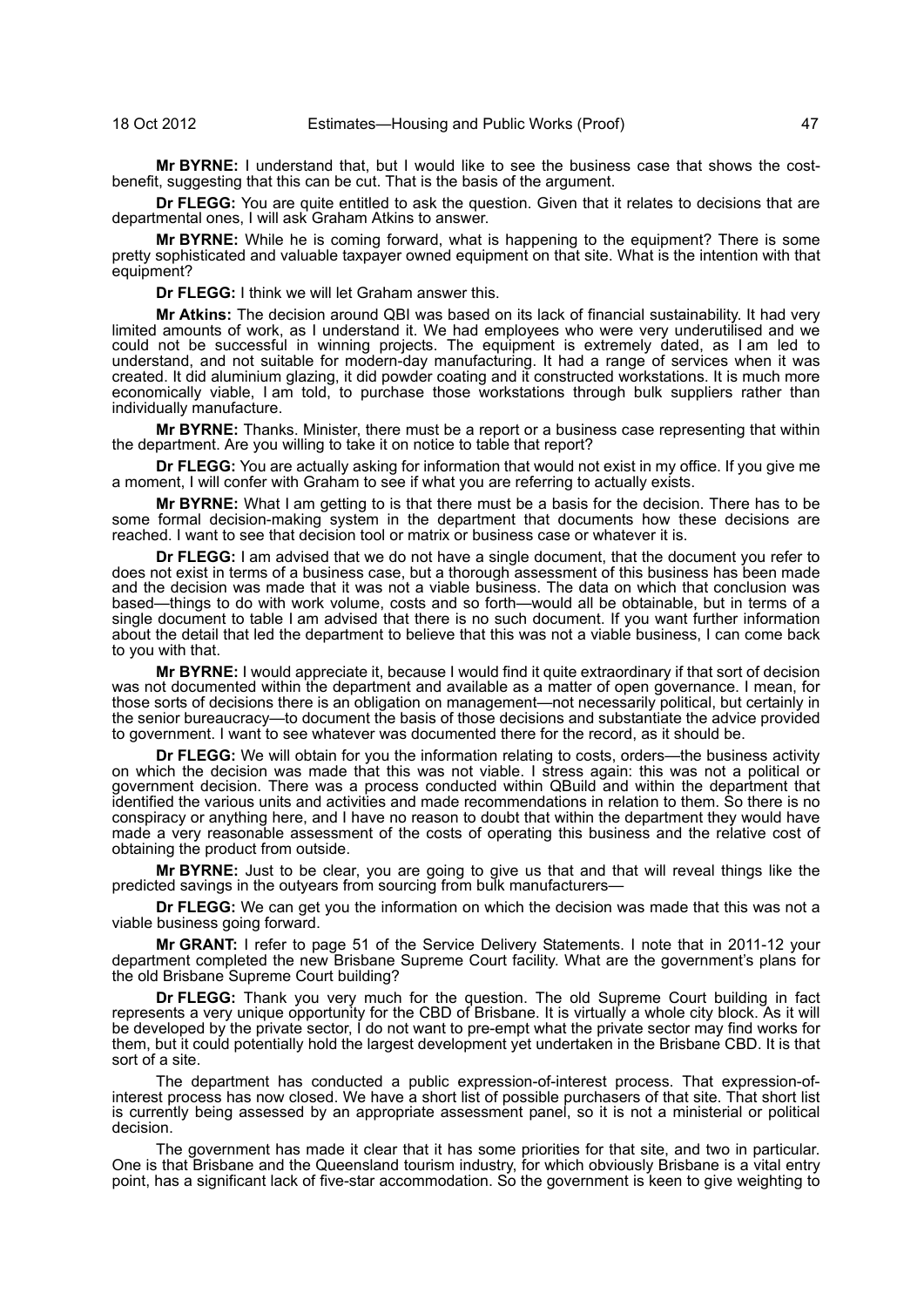**Mr BYRNE:** I understand that, but I would like to see the business case that shows the costbenefit, suggesting that this can be cut. That is the basis of the argument.

**Dr FLEGG:** You are quite entitled to ask the question. Given that it relates to decisions that are departmental ones, I will ask Graham Atkins to answer.

**Mr BYRNE:** While he is coming forward, what is happening to the equipment? There is some pretty sophisticated and valuable taxpayer owned equipment on that site. What is the intention with that equipment?

**Dr FLEGG:** I think we will let Graham answer this.

**Mr Atkins:** The decision around QBI was based on its lack of financial sustainability. It had very limited amounts of work, as I understand it. We had employees who were very underutilised and we could not be successful in winning projects. The equipment is extremely dated, as I am led to understand, and not suitable for modern-day manufacturing. It had a range of services when it was created. It did aluminium glazing, it did powder coating and it constructed workstations. It is much more economically viable, I am told, to purchase those workstations through bulk suppliers rather than individually manufacture.

**Mr BYRNE:** Thanks. Minister, there must be a report or a business case representing that within the department. Are you willing to take it on notice to table that report?

**Dr FLEGG:** You are actually asking for information that would not exist in my office. If you give me a moment, I will confer with Graham to see if what you are referring to actually exists.

**Mr BYRNE:** What I am getting to is that there must be a basis for the decision. There has to be some formal decision-making system in the department that documents how these decisions are reached. I want to see that decision tool or matrix or business case or whatever it is.

**Dr FLEGG:** I am advised that we do not have a single document, that the document you refer to does not exist in terms of a business case, but a thorough assessment of this business has been made and the decision was made that it was not a viable business. The data on which that conclusion was based—things to do with work volume, costs and so forth—would all be obtainable, but in terms of a single document to table I am advised that there is no such document. If you want further information about the detail that led the department to believe that this was not a viable business, I can come back to you with that.

**Mr BYRNE:** I would appreciate it, because I would find it quite extraordinary if that sort of decision was not documented within the department and available as a matter of open governance. I mean, for those sorts of decisions there is an obligation on management—not necessarily political, but certainly in the senior bureaucracy—to document the basis of those decisions and substantiate the advice provided to government. I want to see whatever was documented there for the record, as it should be.

**Dr FLEGG:** We will obtain for you the information relating to costs, orders—the business activity on which the decision was made that this was not viable. I stress again: this was not a political or government decision. There was a process conducted within QBuild and within the department that identified the various units and activities and made recommendations in relation to them. So there is no conspiracy or anything here, and I have no reason to doubt that within the department they would have made a very reasonable assessment of the costs of operating this business and the relative cost of obtaining the product from outside.

**Mr BYRNE:** Just to be clear, you are going to give us that and that will reveal things like the predicted savings in the outyears from sourcing from bulk manufacturers—

**Dr FLEGG:** We can get you the information on which the decision was made that this was not a viable business going forward.

**Mr GRANT:** I refer to page 51 of the Service Delivery Statements. I note that in 2011-12 your department completed the new Brisbane Supreme Court facility. What are the government's plans for the old Brisbane Supreme Court building?

**Dr FLEGG:** Thank you very much for the question. The old Supreme Court building in fact represents a very unique opportunity for the CBD of Brisbane. It is virtually a whole city block. As it will be developed by the private sector, I do not want to pre-empt what the private sector may find works for them, but it could potentially hold the largest development yet undertaken in the Brisbane CBD. It is that sort of a site.

The department has conducted a public expression-of-interest process. That expression-ofinterest process has now closed. We have a short list of possible purchasers of that site. That short list is currently being assessed by an appropriate assessment panel, so it is not a ministerial or political decision.

The government has made it clear that it has some priorities for that site, and two in particular. One is that Brisbane and the Queensland tourism industry, for which obviously Brisbane is a vital entry point, has a significant lack of five-star accommodation. So the government is keen to give weighting to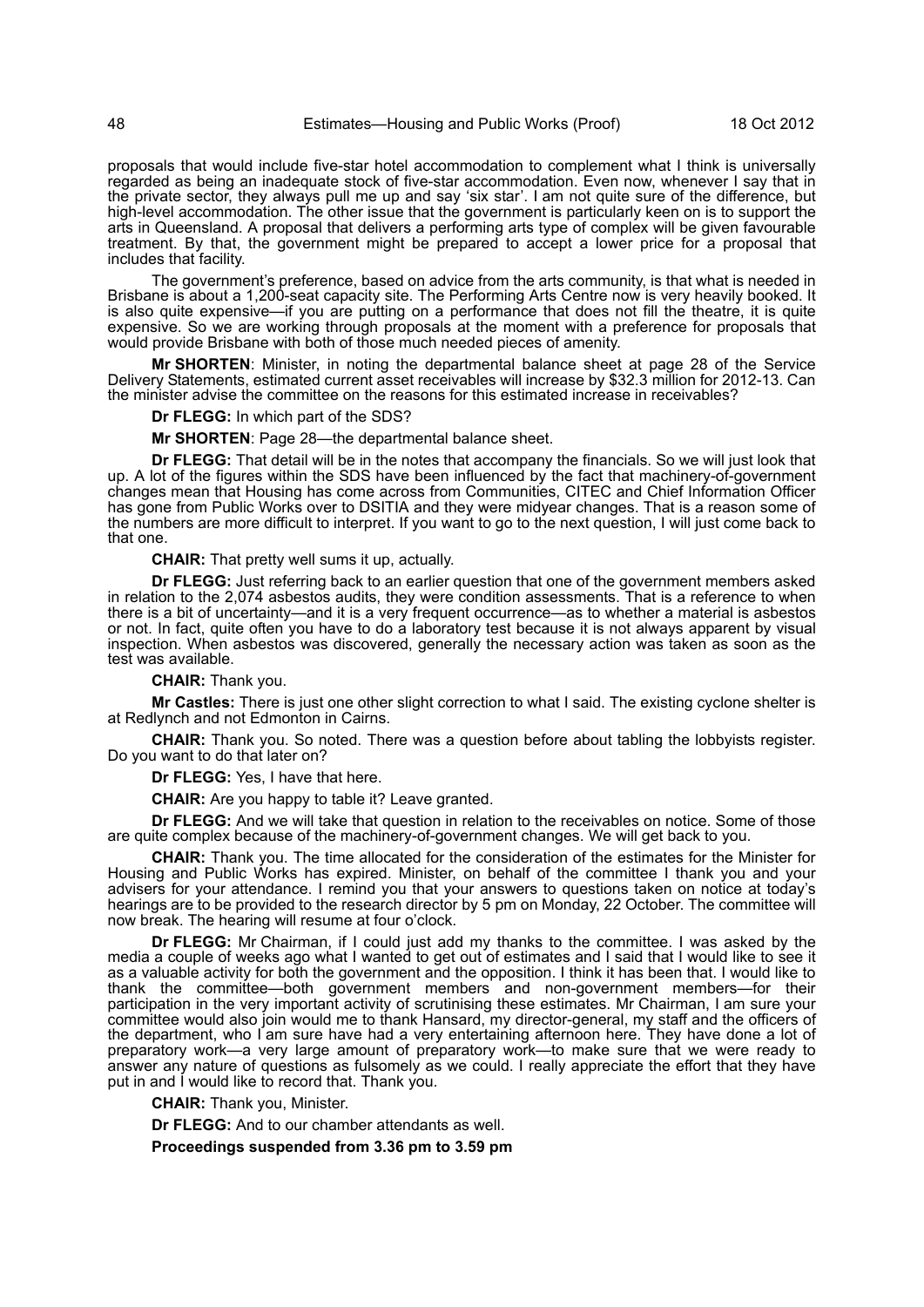proposals that would include five-star hotel accommodation to complement what I think is universally regarded as being an inadequate stock of five-star accommodation. Even now, whenever I say that in the private sector, they always pull me up and say 'six star'. I am not quite sure of the difference, but high-level accommodation. The other issue that the government is particularly keen on is to support the arts in Queensland. A proposal that delivers a performing arts type of complex will be given favourable treatment. By that, the government might be prepared to accept a lower price for a proposal that includes that facility.

The government's preference, based on advice from the arts community, is that what is needed in Brisbane is about a 1,200-seat capacity site. The Performing Arts Centre now is very heavily booked. It is also quite expensive—if you are putting on a performance that does not fill the theatre, it is quite expensive. So we are working through proposals at the moment with a preference for proposals that would provide Brisbane with both of those much needed pieces of amenity.

**Mr SHORTEN**: Minister, in noting the departmental balance sheet at page 28 of the Service Delivery Statements, estimated current asset receivables will increase by \$32.3 million for 2012-13. Can the minister advise the committee on the reasons for this estimated increase in receivables?

**Dr FLEGG:** In which part of the SDS?

**Mr SHORTEN**: Page 28—the departmental balance sheet.

**Dr FLEGG:** That detail will be in the notes that accompany the financials. So we will just look that up. A lot of the figures within the SDS have been influenced by the fact that machinery-of-government changes mean that Housing has come across from Communities, CITEC and Chief Information Officer has gone from Public Works over to DSITIA and they were midyear changes. That is a reason some of the numbers are more difficult to interpret. If you want to go to the next question, I will just come back to that one.

**CHAIR:** That pretty well sums it up, actually.

**Dr FLEGG:** Just referring back to an earlier question that one of the government members asked in relation to the 2,074 asbestos audits, they were condition assessments. That is a reference to when there is a bit of uncertainty—and it is a very frequent occurrence—as to whether a material is asbestos or not. In fact, quite often you have to do a laboratory test because it is not always apparent by visual inspection. When asbestos was discovered, generally the necessary action was taken as soon as the test was available.

**CHAIR:** Thank you.

**Mr Castles:** There is just one other slight correction to what I said. The existing cyclone shelter is at Redlynch and not Edmonton in Cairns.

**CHAIR:** Thank you. So noted. There was a question before about tabling the lobbyists register. Do you want to do that later on?

**Dr FLEGG:** Yes, I have that here.

**CHAIR:** Are you happy to table it? Leave granted.

**Dr FLEGG:** And we will take that question in relation to the receivables on notice. Some of those are quite complex because of the machinery-of-government changes. We will get back to you.

**CHAIR:** Thank you. The time allocated for the consideration of the estimates for the Minister for Housing and Public Works has expired. Minister, on behalf of the committee I thank you and your advisers for your attendance. I remind you that your answers to questions taken on notice at today's hearings are to be provided to the research director by 5 pm on Monday, 22 October. The committee will now break. The hearing will resume at four o'clock.

**Dr FLEGG:** Mr Chairman, if I could just add my thanks to the committee. I was asked by the media a couple of weeks ago what I wanted to get out of estimates and I said that I would like to see it as a valuable activity for both the government and the opposition. I think it has been that. I would like to thank the committee—both government members and non-government members—for their participation in the very important activity of scrutinising these estimates. Mr Chairman, I am sure your committee would also join would me to thank Hansard, my director-general, my staff and the officers of the department, who I am sure have had a very entertaining afternoon here. They have done a lot of preparatory work—a very large amount of preparatory work—to make sure that we were ready to answer any nature of questions as fulsomely as we could. I really appreciate the effort that they have put in and I would like to record that. Thank you.

**CHAIR:** Thank you, Minister.

**Dr FLEGG:** And to our chamber attendants as well.

**Proceedings suspended from 3.36 pm to 3.59 pm**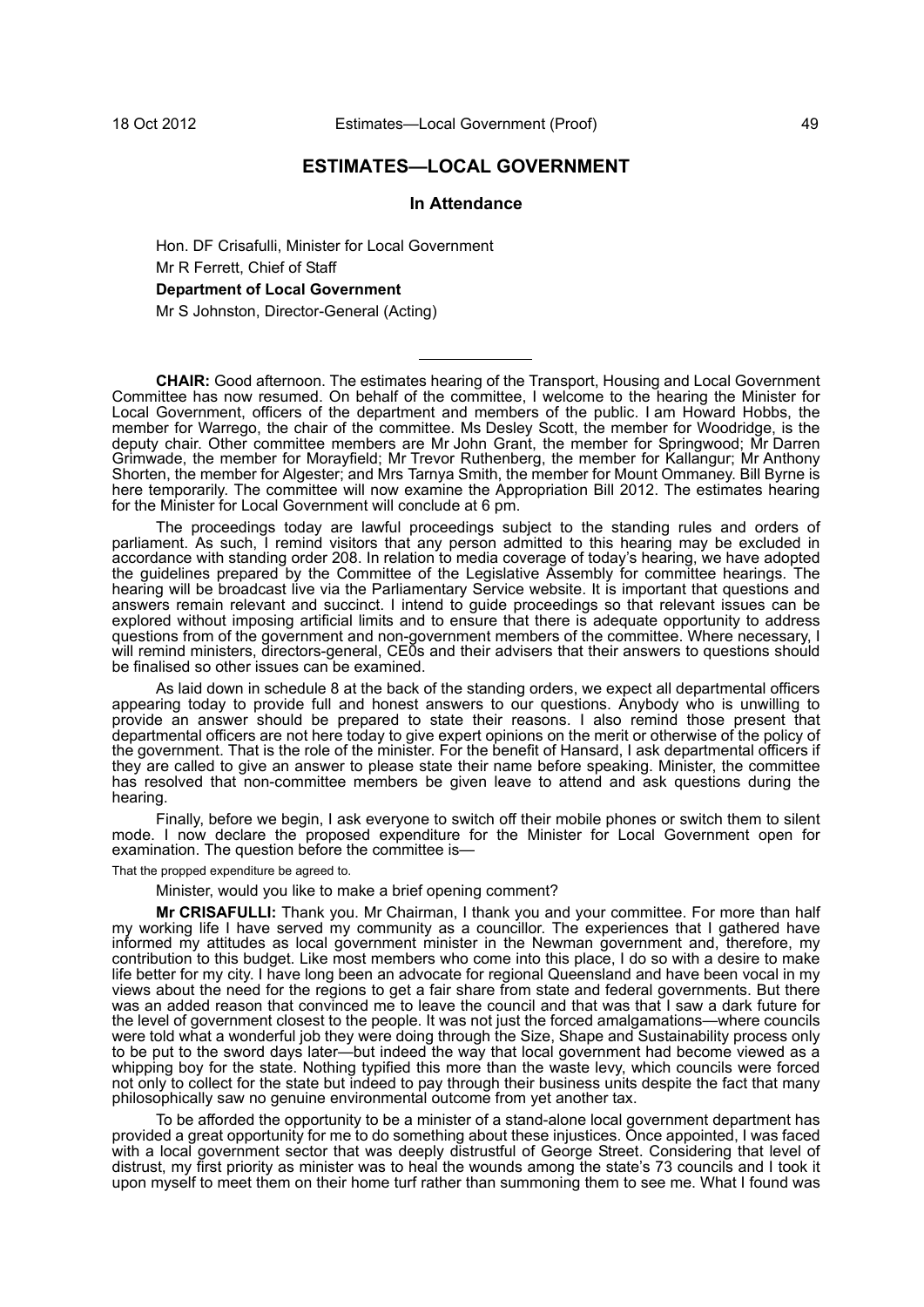# **ESTIMATES—LOCAL GOVERNMENT**

#### **In Attendance**

Hon. DF Crisafulli, Minister for Local Government Mr R Ferrett, Chief of Staff **Department of Local Government**

Mr S Johnston, Director-General (Acting)

**CHAIR:** Good afternoon. The estimates hearing of the Transport, Housing and Local Government Committee has now resumed. On behalf of the committee, I welcome to the hearing the Minister for Local Government, officers of the department and members of the public. I am Howard Hobbs, the member for Warrego, the chair of the committee. Ms Desley Scott, the member for Woodridge, is the deputy chair. Other committee members are Mr John Grant, the member for Springwood; Mr Darren Grimwade, the member for Morayfield; Mr Trevor Ruthenberg, the member for Kallangur; Mr Anthony Shorten, the member for Algester; and Mrs Tarnya Smith, the member for Mount Ommaney. Bill Byrne is here temporarily. The committee will now examine the Appropriation Bill 2012. The estimates hearing for the Minister for Local Government will conclude at 6 pm.

The proceedings today are lawful proceedings subject to the standing rules and orders of parliament. As such, I remind visitors that any person admitted to this hearing may be excluded in accordance with standing order 208. In relation to media coverage of today's hearing, we have adopted the guidelines prepared by the Committee of the Legislative Assembly for committee hearings. The hearing will be broadcast live via the Parliamentary Service website. It is important that questions and answers remain relevant and succinct. I intend to guide proceedings so that relevant issues can be explored without imposing artificial limits and to ensure that there is adequate opportunity to address questions from of the government and non-government members of the committee. Where necessary, I will remind ministers, directors-general, CE0s and their advisers that their answers to questions should be finalised so other issues can be examined.

As laid down in schedule 8 at the back of the standing orders, we expect all departmental officers appearing today to provide full and honest answers to our questions. Anybody who is unwilling to provide an answer should be prepared to state their reasons. I also remind those present that departmental officers are not here today to give expert opinions on the merit or otherwise of the policy of the government. That is the role of the minister. For the benefit of Hansard, I ask departmental officers if they are called to give an answer to please state their name before speaking. Minister, the committee has resolved that non-committee members be given leave to attend and ask questions during the hearing.

Finally, before we begin, I ask everyone to switch off their mobile phones or switch them to silent mode. I now declare the proposed expenditure for the Minister for Local Government open for examination. The question before the committee is-

That the propped expenditure be agreed to.

Minister, would you like to make a brief opening comment?

**Mr CRISAFULLI:** Thank you. Mr Chairman, I thank you and your committee. For more than half my working life I have served my community as a councillor. The experiences that I gathered have informed my attitudes as local government minister in the Newman government and, therefore, my contribution to this budget. Like most members who come into this place, I do so with a desire to make life better for my city. I have long been an advocate for regional Queensland and have been vocal in my views about the need for the regions to get a fair share from state and federal governments. But there was an added reason that convinced me to leave the council and that was that I saw a dark future for the level of government closest to the people. It was not just the forced amalgamations—where councils were told what a wonderful job they were doing through the Size, Shape and Sustainability process only to be put to the sword days later—but indeed the way that local government had become viewed as a whipping boy for the state. Nothing typified this more than the waste levy, which councils were forced not only to collect for the state but indeed to pay through their business units despite the fact that many philosophically saw no genuine environmental outcome from yet another tax.

To be afforded the opportunity to be a minister of a stand-alone local government department has provided a great opportunity for me to do something about these injustices. Once appointed, I was faced with a local government sector that was deeply distrustful of George Street. Considering that level of distrust, my first priority as minister was to heal the wounds among the state's 73 councils and I took it upon myself to meet them on their home turf rather than summoning them to see me. What I found was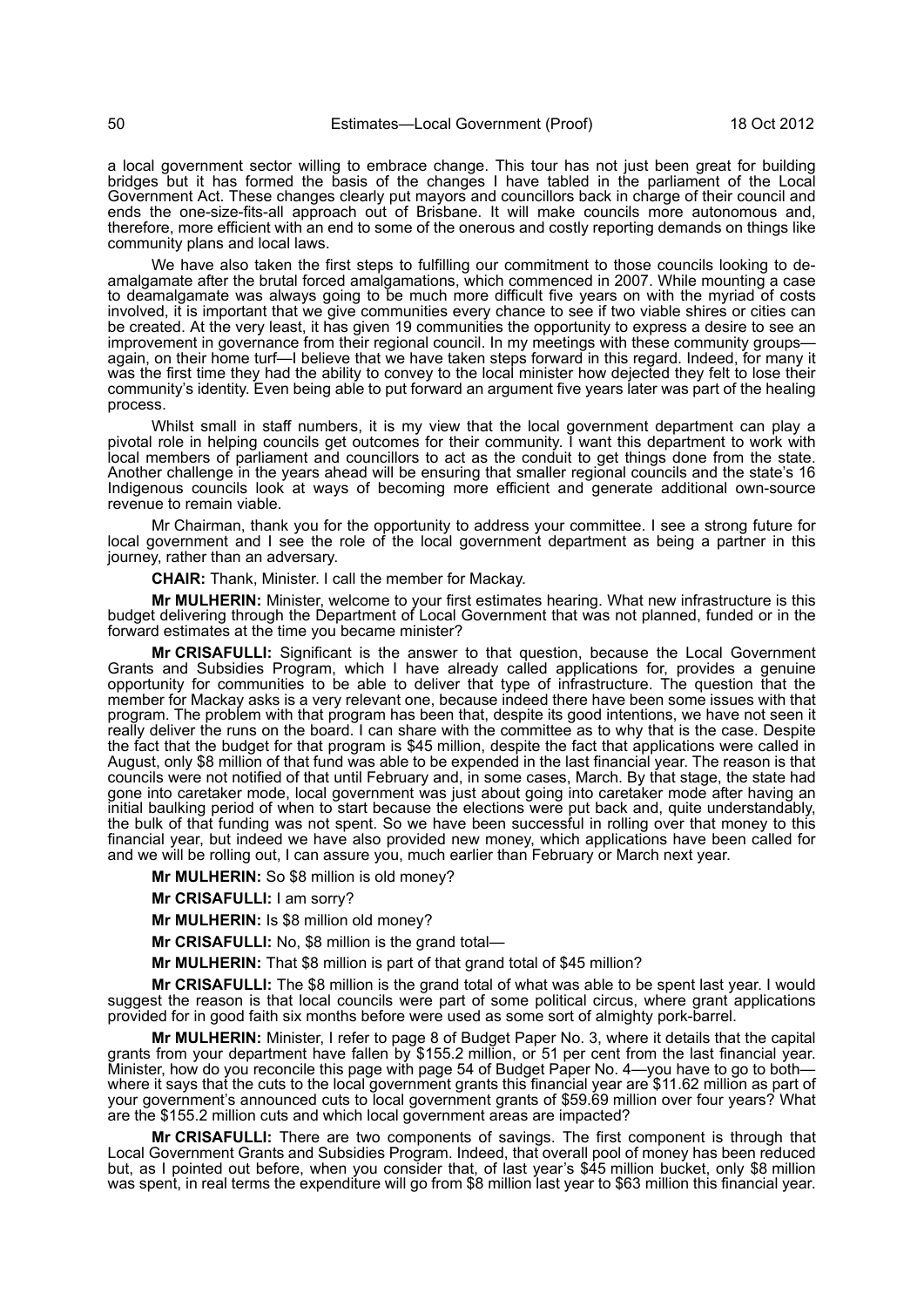a local government sector willing to embrace change. This tour has not just been great for building bridges but it has formed the basis of the changes I have tabled in the parliament of the Local Government Act. These changes clearly put mayors and councillors back in charge of their council and ends the one-size-fits-all approach out of Brisbane. It will make councils more autonomous and, therefore, more efficient with an end to some of the onerous and costly reporting demands on things like community plans and local laws.

We have also taken the first steps to fulfilling our commitment to those councils looking to deamalgamate after the brutal forced amalgamations, which commenced in 2007. While mounting a case to deamalgamate was always going to be much more difficult five years on with the myriad of costs involved, it is important that we give communities every chance to see if two viable shires or cities can be created. At the very least, it has given 19 communities the opportunity to express a desire to see an improvement in governance from their regional council. In my meetings with these community groups again, on their home turf—I believe that we have taken steps forward in this regard. Indeed, for many it was the first time they had the ability to convey to the local minister how dejected they felt to lose their community's identity. Even being able to put forward an argument five years later was part of the healing process.

Whilst small in staff numbers, it is my view that the local government department can play a pivotal role in helping councils get outcomes for their community. I want this department to work with local members of parliament and councillors to act as the conduit to get things done from the state. Another challenge in the years ahead will be ensuring that smaller regional councils and the state's 16 Indigenous councils look at ways of becoming more efficient and generate additional own-source revenue to remain viable.

Mr Chairman, thank you for the opportunity to address your committee. I see a strong future for local government and I see the role of the local government department as being a partner in this journey, rather than an adversary.

**CHAIR:** Thank, Minister. I call the member for Mackay.

**Mr MULHERIN:** Minister, welcome to your first estimates hearing. What new infrastructure is this budget delivering through the Department of Local Government that was not planned, funded or in the forward estimates at the time you became minister?

**Mr CRISAFULLI:** Significant is the answer to that question, because the Local Government Grants and Subsidies Program, which I have already called applications for, provides a genuine opportunity for communities to be able to deliver that type of infrastructure. The question that the member for Mackay asks is a very relevant one, because indeed there have been some issues with that program. The problem with that program has been that, despite its good intentions, we have not seen it really deliver the runs on the board. I can share with the committee as to why that is the case. Despite the fact that the budget for that program is \$45 million, despite the fact that applications were called in August, only \$8 million of that fund was able to be expended in the last financial year. The reason is that councils were not notified of that until February and, in some cases, March. By that stage, the state had gone into caretaker mode, local government was just about going into caretaker mode after having an initial baulking period of when to start because the elections were put back and, quite understandably, the bulk of that funding was not spent. So we have been successful in rolling over that money to this financial year, but indeed we have also provided new money, which applications have been called for and we will be rolling out, I can assure you, much earlier than February or March next year.

**Mr MULHERIN:** So \$8 million is old money?

**Mr CRISAFULLI:** I am sorry?

**Mr MULHERIN:** Is \$8 million old money?

**Mr CRISAFULLI:** No, \$8 million is the grand total—

**Mr MULHERIN:** That \$8 million is part of that grand total of \$45 million?

**Mr CRISAFULLI:** The \$8 million is the grand total of what was able to be spent last year. I would suggest the reason is that local councils were part of some political circus, where grant applications provided for in good faith six months before were used as some sort of almighty pork-barrel.

**Mr MULHERIN:** Minister, I refer to page 8 of Budget Paper No. 3, where it details that the capital grants from your department have fallen by \$155.2 million, or 51 per cent from the last financial year. Minister, how do you reconcile this page with page 54 of Budget Paper No. 4—you have to go to both where it says that the cuts to the local government grants this financial year are \$11.62 million as part of your government's announced cuts to local government grants of \$59.69 million over four years? What are the \$155.2 million cuts and which local government areas are impacted?

**Mr CRISAFULLI:** There are two components of savings. The first component is through that Local Government Grants and Subsidies Program. Indeed, that overall pool of money has been reduced but, as I pointed out before, when you consider that, of last year's \$45 million bucket, only \$8 million was spent, in real terms the expenditure will go from \$8 million last year to \$63 million this financial year.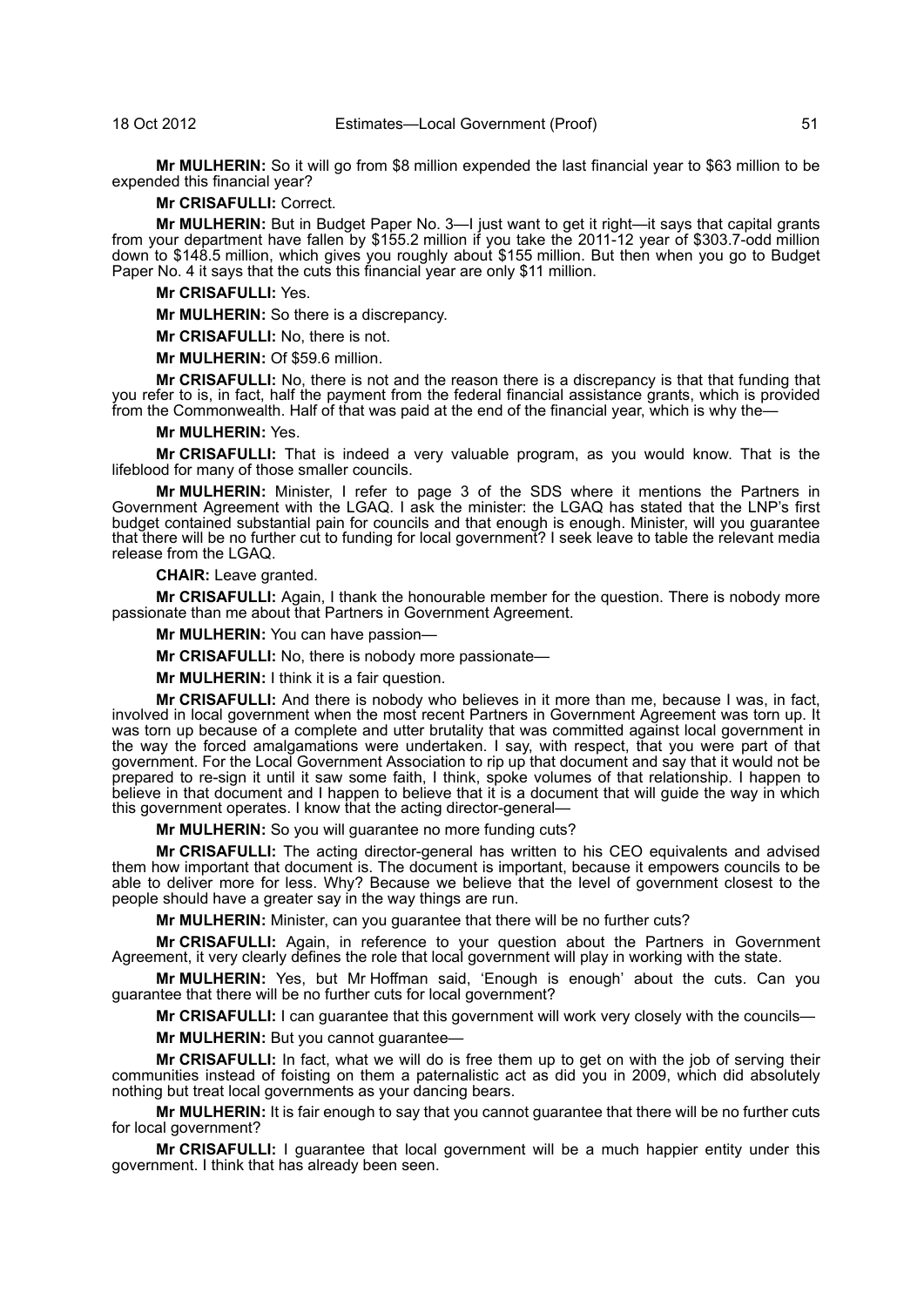**Mr MULHERIN:** So it will go from \$8 million expended the last financial year to \$63 million to be expended this financial year?

#### **Mr CRISAFULLI:** Correct.

**Mr MULHERIN:** But in Budget Paper No. 3—I just want to get it right—it says that capital grants from your department have fallen by \$155.2 million if you take the 2011-12 year of \$303.7-odd million down to \$148.5 million, which gives you roughly about \$155 million. But then when you go to Budget Paper No. 4 it says that the cuts this financial year are only \$11 million.

#### **Mr CRISAFULLI:** Yes.

**Mr MULHERIN:** So there is a discrepancy.

**Mr CRISAFULLI:** No, there is not.

**Mr MULHERIN:** Of \$59.6 million.

**Mr CRISAFULLI:** No, there is not and the reason there is a discrepancy is that that funding that you refer to is, in fact, half the payment from the federal financial assistance grants, which is provided from the Commonwealth. Half of that was paid at the end of the financial year, which is why the—

## **Mr MULHERIN:** Yes.

**Mr CRISAFULLI:** That is indeed a very valuable program, as you would know. That is the lifeblood for many of those smaller councils.

**Mr MULHERIN:** Minister, I refer to page 3 of the SDS where it mentions the Partners in Government Agreement with the LGAQ. I ask the minister: the LGAQ has stated that the LNP's first budget contained substantial pain for councils and that enough is enough. Minister, will you guarantee that there will be no further cut to funding for local government? I seek leave to table the relevant media release from the LGAQ.

#### **CHAIR:** Leave granted.

**Mr CRISAFULLI:** Again, I thank the honourable member for the question. There is nobody more passionate than me about that Partners in Government Agreement.

**Mr MULHERIN:** You can have passion—

**Mr CRISAFULLI:** No, there is nobody more passionate—

**Mr MULHERIN:** I think it is a fair question.

**Mr CRISAFULLI:** And there is nobody who believes in it more than me, because I was, in fact, involved in local government when the most recent Partners in Government Agreement was torn up. It was torn up because of a complete and utter brutality that was committed against local government in the way the forced amalgamations were undertaken. I say, with respect, that you were part of that government. For the Local Government Association to rip up that document and say that it would not be prepared to re-sign it until it saw some faith, I think, spoke volumes of that relationship. I happen to believe in that document and I happen to believe that it is a document that will guide the way in which this government operates. I know that the acting director-general—

**Mr MULHERIN:** So you will guarantee no more funding cuts?

**Mr CRISAFULLI:** The acting director-general has written to his CEO equivalents and advised them how important that document is. The document is important, because it empowers councils to be able to deliver more for less. Why? Because we believe that the level of government closest to the people should have a greater say in the way things are run.

**Mr MULHERIN:** Minister, can you guarantee that there will be no further cuts?

**Mr CRISAFULLI:** Again, in reference to your question about the Partners in Government Agreement, it very clearly defines the role that local government will play in working with the state.

**Mr MULHERIN:** Yes, but Mr Hoffman said, 'Enough is enough' about the cuts. Can you guarantee that there will be no further cuts for local government?

**Mr CRISAFULLI:** I can guarantee that this government will work very closely with the councils—

**Mr MULHERIN:** But you cannot guarantee—

**Mr CRISAFULLI:** In fact, what we will do is free them up to get on with the job of serving their communities instead of foisting on them a paternalistic act as did you in 2009, which did absolutely nothing but treat local governments as your dancing bears.

**Mr MULHERIN:** It is fair enough to say that you cannot guarantee that there will be no further cuts for local government?

**Mr CRISAFULLI:** I guarantee that local government will be a much happier entity under this government. I think that has already been seen.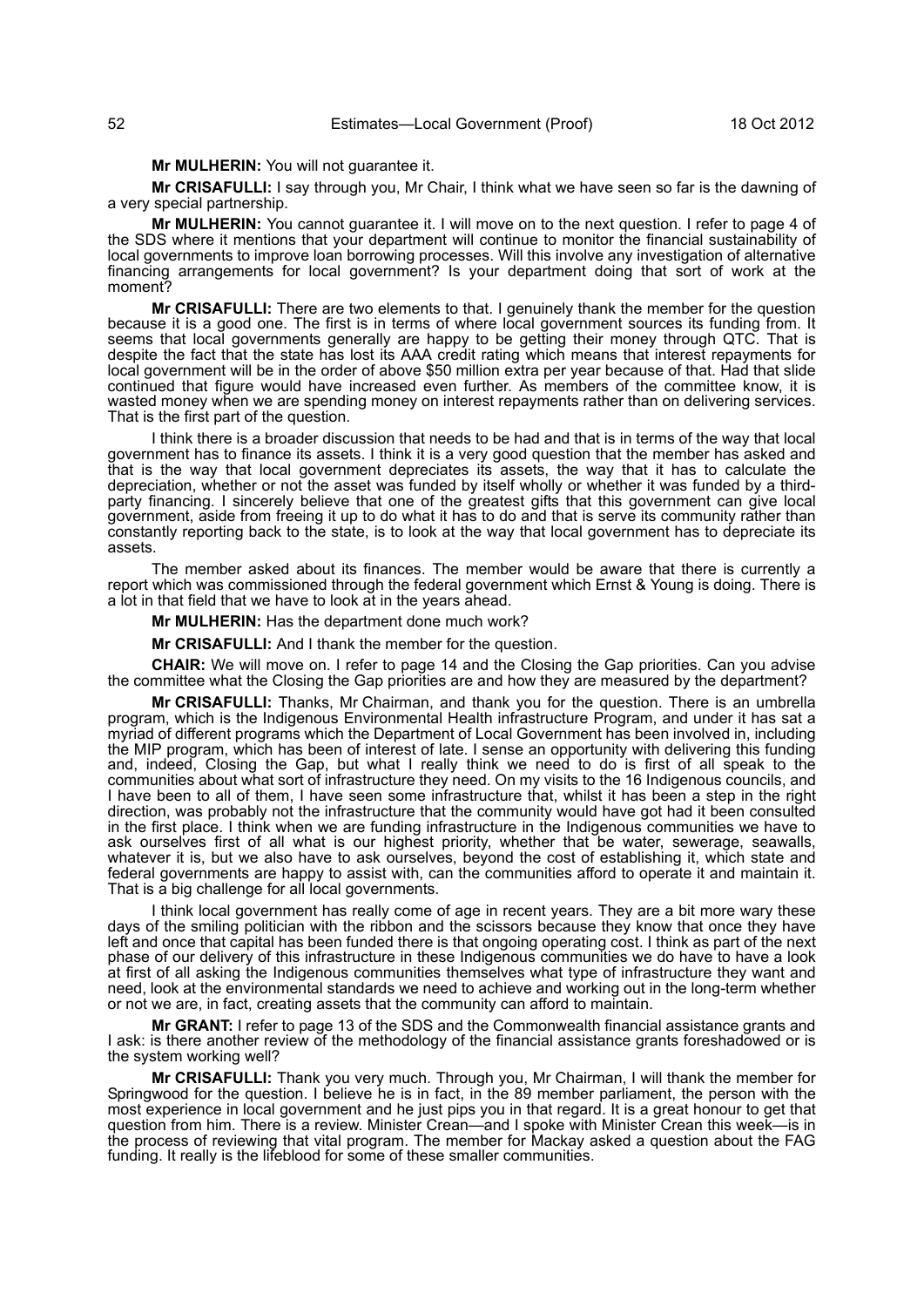**Mr MULHERIN:** You will not guarantee it.

**Mr CRISAFULLI:** I say through you, Mr Chair, I think what we have seen so far is the dawning of a very special partnership.

**Mr MULHERIN:** You cannot guarantee it. I will move on to the next question. I refer to page 4 of the SDS where it mentions that your department will continue to monitor the financial sustainability of local governments to improve loan borrowing processes. Will this involve any investigation of alternative financing arrangements for local government? Is your department doing that sort of work at the moment?

**Mr CRISAFULLI:** There are two elements to that. I genuinely thank the member for the question because it is a good one. The first is in terms of where local government sources its funding from. It seems that local governments generally are happy to be getting their money through QTC. That is despite the fact that the state has lost its AAA credit rating which means that interest repayments for local government will be in the order of above \$50 million extra per year because of that. Had that slide continued that figure would have increased even further. As members of the committee know, it is wasted money when we are spending money on interest repayments rather than on delivering services. That is the first part of the question.

I think there is a broader discussion that needs to be had and that is in terms of the way that local government has to finance its assets. I think it is a very good question that the member has asked and that is the way that local government depreciates its assets, the way that it has to calculate the depreciation, whether or not the asset was funded by itself wholly or whether it was funded by a thirdparty financing. I sincerely believe that one of the greatest gifts that this government can give local government, aside from freeing it up to do what it has to do and that is serve its community rather than constantly reporting back to the state, is to look at the way that local government has to depreciate its assets.

The member asked about its finances. The member would be aware that there is currently a report which was commissioned through the federal government which Ernst & Young is doing. There is a lot in that field that we have to look at in the years ahead.

**Mr MULHERIN:** Has the department done much work?

**Mr CRISAFULLI:** And I thank the member for the question.

**CHAIR:** We will move on. I refer to page 14 and the Closing the Gap priorities. Can you advise the committee what the Closing the Gap priorities are and how they are measured by the department?

**Mr CRISAFULLI:** Thanks, Mr Chairman, and thank you for the question. There is an umbrella program, which is the Indigenous Environmental Health infrastructure Program, and under it has sat a myriad of different programs which the Department of Local Government has been involved in, including the MIP program, which has been of interest of late. I sense an opportunity with delivering this funding and, indeed, Closing the Gap, but what I really think we need to do is first of all speak to the communities about what sort of infrastructure they need. On my visits to the 16 Indigenous councils, and I have been to all of them, I have seen some infrastructure that, whilst it has been a step in the right direction, was probably not the infrastructure that the community would have got had it been consulted in the first place. I think when we are funding infrastructure in the Indigenous communities we have to ask ourselves first of all what is our highest priority, whether that be water, sewerage, seawalls, whatever it is, but we also have to ask ourselves, beyond the cost of establishing it, which state and federal governments are happy to assist with, can the communities afford to operate it and maintain it. That is a big challenge for all local governments.

I think local government has really come of age in recent years. They are a bit more wary these days of the smiling politician with the ribbon and the scissors because they know that once they have left and once that capital has been funded there is that ongoing operating cost. I think as part of the next phase of our delivery of this infrastructure in these Indigenous communities we do have to have a look at first of all asking the Indigenous communities themselves what type of infrastructure they want and need, look at the environmental standards we need to achieve and working out in the long-term whether or not we are, in fact, creating assets that the community can afford to maintain.

**Mr GRANT:** I refer to page 13 of the SDS and the Commonwealth financial assistance grants and I ask: is there another review of the methodology of the financial assistance grants foreshadowed or is the system working well?

**Mr CRISAFULLI:** Thank you very much. Through you, Mr Chairman, I will thank the member for Springwood for the question. I believe he is in fact, in the 89 member parliament, the person with the most experience in local government and he just pips you in that regard. It is a great honour to get that question from him. There is a review. Minister Crean—and I spoke with Minister Crean this week—is in the process of reviewing that vital program. The member for Mackay asked a question about the FAG funding. It really is the lifeblood for some of these smaller communities.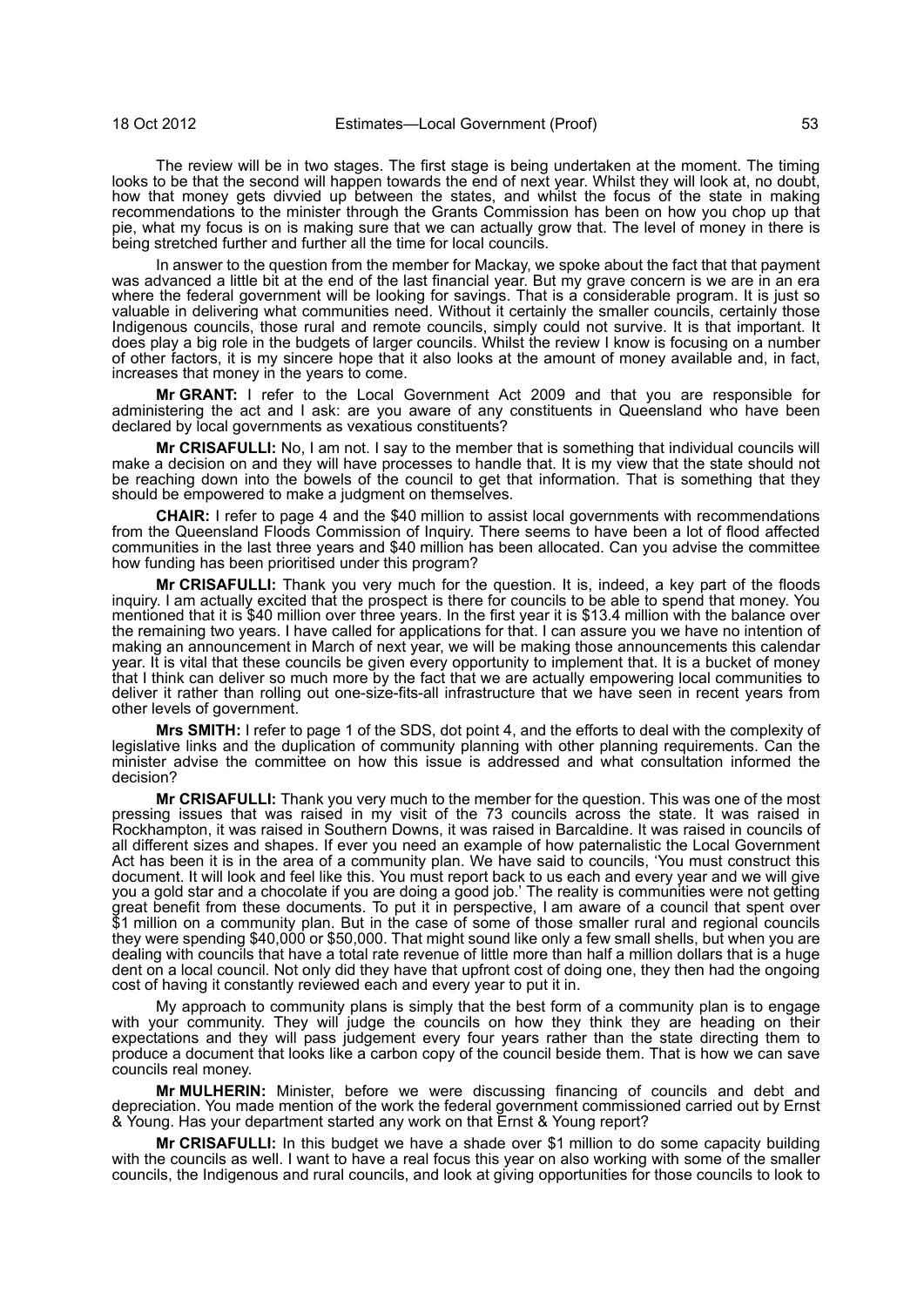The review will be in two stages. The first stage is being undertaken at the moment. The timing looks to be that the second will happen towards the end of next year. Whilst they will look at, no doubt, how that money gets divvied up between the states, and whilst the focus of the state in making recommendations to the minister through the Grants Commission has been on how you chop up that pie, what my focus is on is making sure that we can actually grow that. The level of money in there is being stretched further and further all the time for local councils.

In answer to the question from the member for Mackay, we spoke about the fact that that payment was advanced a little bit at the end of the last financial year. But my grave concern is we are in an era where the federal government will be looking for savings. That is a considerable program. It is just so valuable in delivering what communities need. Without it certainly the smaller councils, certainly those Indigenous councils, those rural and remote councils, simply could not survive. It is that important. It does play a big role in the budgets of larger councils. Whilst the review I know is focusing on a number of other factors, it is my sincere hope that it also looks at the amount of money available and, in fact, increases that money in the years to come.

**Mr GRANT:** I refer to the Local Government Act 2009 and that you are responsible for administering the act and I ask: are you aware of any constituents in Queensland who have been declared by local governments as vexatious constituents?

**Mr CRISAFULLI:** No, I am not. I say to the member that is something that individual councils will make a decision on and they will have processes to handle that. It is my view that the state should not be reaching down into the bowels of the council to get that information. That is something that they should be empowered to make a judgment on themselves.

**CHAIR:** I refer to page 4 and the \$40 million to assist local governments with recommendations from the Queensland Floods Commission of Inquiry. There seems to have been a lot of flood affected communities in the last three years and \$40 million has been allocated. Can you advise the committee how funding has been prioritised under this program?

**Mr CRISAFULLI:** Thank you very much for the question. It is, indeed, a key part of the floods inquiry. I am actually excited that the prospect is there for councils to be able to spend that money. You mentioned that it is \$40 million over three years. In the first year it is \$13.4 million with the balance over the remaining two years. I have called for applications for that. I can assure you we have no intention of making an announcement in March of next year, we will be making those announcements this calendar year. It is vital that these councils be given every opportunity to implement that. It is a bucket of money that I think can deliver so much more by the fact that we are actually empowering local communities to deliver it rather than rolling out one-size-fits-all infrastructure that we have seen in recent years from other levels of government.

**Mrs SMITH:** I refer to page 1 of the SDS, dot point 4, and the efforts to deal with the complexity of legislative links and the duplication of community planning with other planning requirements. Can the minister advise the committee on how this issue is addressed and what consultation informed the decision?

**Mr CRISAFULLI:** Thank you very much to the member for the question. This was one of the most pressing issues that was raised in my visit of the 73 councils across the state. It was raised in Rockhampton, it was raised in Southern Downs, it was raised in Barcaldine. It was raised in councils of all different sizes and shapes. If ever you need an example of how paternalistic the Local Government Act has been it is in the area of a community plan. We have said to councils, 'You must construct this document. It will look and feel like this. You must report back to us each and every year and we will give you a gold star and a chocolate if you are doing a good job.' The reality is communities were not getting great benefit from these documents. To put it in perspective, I am aware of a council that spent over \$1 million on a community plan. But in the case of some of those smaller rural and regional councils they were spending \$40,000 or \$50,000. That might sound like only a few small shells, but when you are dealing with councils that have a total rate revenue of little more than half a million dollars that is a huge dent on a local council. Not only did they have that upfront cost of doing one, they then had the ongoing cost of having it constantly reviewed each and every year to put it in.

My approach to community plans is simply that the best form of a community plan is to engage with your community. They will judge the councils on how they think they are heading on their expectations and they will pass judgement every four years rather than the state directing them to produce a document that looks like a carbon copy of the council beside them. That is how we can save councils real money.

**Mr MULHERIN:** Minister, before we were discussing financing of councils and debt and depreciation. You made mention of the work the federal government commissioned carried out by Ernst & Young. Has your department started any work on that Ernst & Young report?

**Mr CRISAFULLI:** In this budget we have a shade over \$1 million to do some capacity building with the councils as well. I want to have a real focus this year on also working with some of the smaller councils, the Indigenous and rural councils, and look at giving opportunities for those councils to look to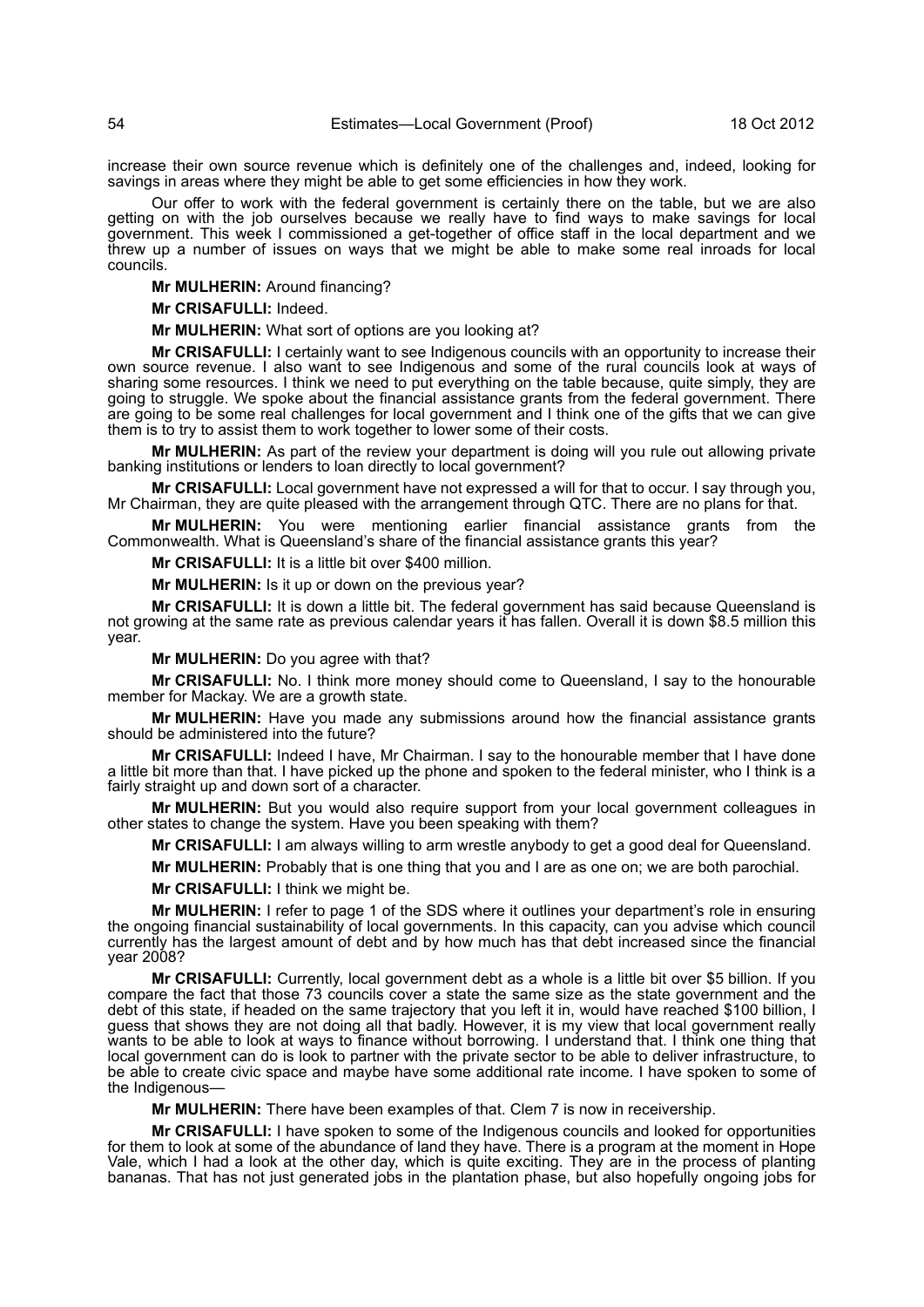increase their own source revenue which is definitely one of the challenges and, indeed, looking for savings in areas where they might be able to get some efficiencies in how they work.

Our offer to work with the federal government is certainly there on the table, but we are also getting on with the job ourselves because we really have to find ways to make savings for local government. This week I commissioned a get-together of office staff in the local department and we threw up a number of issues on ways that we might be able to make some real inroads for local councils.

**Mr MULHERIN:** Around financing?

**Mr CRISAFULLI:** Indeed.

**Mr MULHERIN:** What sort of options are you looking at?

**Mr CRISAFULLI:** I certainly want to see Indigenous councils with an opportunity to increase their own source revenue. I also want to see Indigenous and some of the rural councils look at ways of sharing some resources. I think we need to put everything on the table because, quite simply, they are going to struggle. We spoke about the financial assistance grants from the federal government. There are going to be some real challenges for local government and I think one of the gifts that we can give them is to try to assist them to work together to lower some of their costs.

**Mr MULHERIN:** As part of the review your department is doing will you rule out allowing private banking institutions or lenders to loan directly to local government?

**Mr CRISAFULLI:** Local government have not expressed a will for that to occur. I say through you, Mr Chairman, they are quite pleased with the arrangement through QTC. There are no plans for that.

**Mr MULHERIN:** You were mentioning earlier financial assistance grants from the Commonwealth. What is Queensland's share of the financial assistance grants this year?

**Mr CRISAFULLI:** It is a little bit over \$400 million.

**Mr MULHERIN:** Is it up or down on the previous year?

**Mr CRISAFULLI:** It is down a little bit. The federal government has said because Queensland is not growing at the same rate as previous calendar years it has fallen. Overall it is down \$8.5 million this year.

**Mr MULHERIN:** Do you agree with that?

**Mr CRISAFULLI:** No. I think more money should come to Queensland, I say to the honourable member for Mackay. We are a growth state.

**Mr MULHERIN:** Have you made any submissions around how the financial assistance grants should be administered into the future?

**Mr CRISAFULLI:** Indeed I have, Mr Chairman. I say to the honourable member that I have done a little bit more than that. I have picked up the phone and spoken to the federal minister, who I think is a fairly straight up and down sort of a character.

**Mr MULHERIN:** But you would also require support from your local government colleagues in other states to change the system. Have you been speaking with them?

**Mr CRISAFULLI:** I am always willing to arm wrestle anybody to get a good deal for Queensland.

**Mr MULHERIN:** Probably that is one thing that you and I are as one on; we are both parochial.

**Mr CRISAFULLI:** I think we might be.

**Mr MULHERIN:** I refer to page 1 of the SDS where it outlines your department's role in ensuring the ongoing financial sustainability of local governments. In this capacity, can you advise which council currently has the largest amount of debt and by how much has that debt increased since the financial year 2008?

**Mr CRISAFULLI:** Currently, local government debt as a whole is a little bit over \$5 billion. If you compare the fact that those 73 councils cover a state the same size as the state government and the debt of this state, if headed on the same trajectory that you left it in, would have reached \$100 billion, I guess that shows they are not doing all that badly. However, it is my view that local government really wants to be able to look at ways to finance without borrowing. I understand that. I think one thing that local government can do is look to partner with the private sector to be able to deliver infrastructure, to be able to create civic space and maybe have some additional rate income. I have spoken to some of the Indigenous—

**Mr MULHERIN:** There have been examples of that. Clem 7 is now in receivership.

**Mr CRISAFULLI:** I have spoken to some of the Indigenous councils and looked for opportunities for them to look at some of the abundance of land they have. There is a program at the moment in Hope Vale, which I had a look at the other day, which is quite exciting. They are in the process of planting bananas. That has not just generated jobs in the plantation phase, but also hopefully ongoing jobs for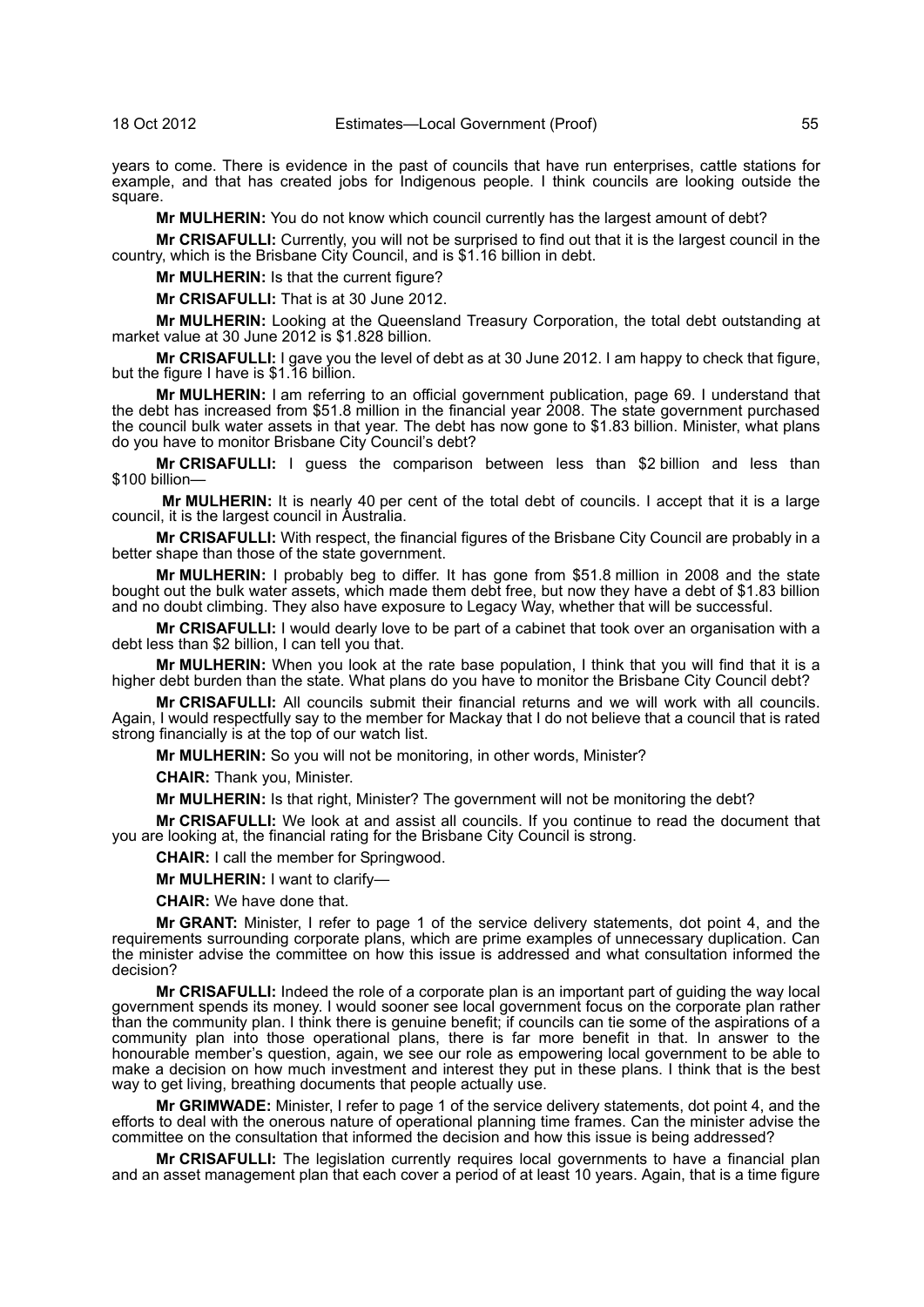years to come. There is evidence in the past of councils that have run enterprises, cattle stations for example, and that has created jobs for Indigenous people. I think councils are looking outside the square.

**Mr MULHERIN:** You do not know which council currently has the largest amount of debt?

**Mr CRISAFULLI:** Currently, you will not be surprised to find out that it is the largest council in the country, which is the Brisbane City Council, and is \$1.16 billion in debt.

**Mr MULHERIN:** Is that the current figure?

**Mr CRISAFULLI:** That is at 30 June 2012.

**Mr MULHERIN:** Looking at the Queensland Treasury Corporation, the total debt outstanding at market value at 30 June 2012 is \$1.828 billion.

**Mr CRISAFULLI:** I gave you the level of debt as at 30 June 2012. I am happy to check that figure, but the figure I have is \$1.16 billion.

**Mr MULHERIN:** I am referring to an official government publication, page 69. I understand that the debt has increased from \$51.8 million in the financial year 2008. The state government purchased the council bulk water assets in that year. The debt has now gone to \$1.83 billion. Minister, what plans do you have to monitor Brisbane City Council's debt?

**Mr CRISAFULLI:** I guess the comparison between less than \$2 billion and less than \$100 billion—

**Mr MULHERIN:** It is nearly 40 per cent of the total debt of councils. I accept that it is a large council, it is the largest council in Australia.

**Mr CRISAFULLI:** With respect, the financial figures of the Brisbane City Council are probably in a better shape than those of the state government.

**Mr MULHERIN:** I probably beg to differ. It has gone from \$51.8 million in 2008 and the state bought out the bulk water assets, which made them debt free, but now they have a debt of \$1.83 billion and no doubt climbing. They also have exposure to Legacy Way, whether that will be successful.

**Mr CRISAFULLI:** I would dearly love to be part of a cabinet that took over an organisation with a debt less than \$2 billion, I can tell you that.

**Mr MULHERIN:** When you look at the rate base population, I think that you will find that it is a higher debt burden than the state. What plans do you have to monitor the Brisbane City Council debt?

**Mr CRISAFULLI:** All councils submit their financial returns and we will work with all councils. Again, I would respectfully say to the member for Mackay that I do not believe that a council that is rated strong financially is at the top of our watch list.

**Mr MULHERIN:** So you will not be monitoring, in other words, Minister?

**CHAIR:** Thank you, Minister.

**Mr MULHERIN:** Is that right, Minister? The government will not be monitoring the debt?

**Mr CRISAFULLI:** We look at and assist all councils. If you continue to read the document that you are looking at, the financial rating for the Brisbane City Council is strong.

**CHAIR:** I call the member for Springwood.

**Mr MULHERIN:** I want to clarify—

**CHAIR:** We have done that.

**Mr GRANT:** Minister, I refer to page 1 of the service delivery statements, dot point 4, and the requirements surrounding corporate plans, which are prime examples of unnecessary duplication. Can the minister advise the committee on how this issue is addressed and what consultation informed the decision?

**Mr CRISAFULLI:** Indeed the role of a corporate plan is an important part of guiding the way local government spends its money. I would sooner see local government focus on the corporate plan rather than the community plan. I think there is genuine benefit; if councils can tie some of the aspirations of a community plan into those operational plans, there is far more benefit in that. In answer to the honourable member's question, again, we see our role as empowering local government to be able to make a decision on how much investment and interest they put in these plans. I think that is the best way to get living, breathing documents that people actually use.

**Mr GRIMWADE:** Minister, I refer to page 1 of the service delivery statements, dot point 4, and the efforts to deal with the onerous nature of operational planning time frames. Can the minister advise the committee on the consultation that informed the decision and how this issue is being addressed?

**Mr CRISAFULLI:** The legislation currently requires local governments to have a financial plan and an asset management plan that each cover a period of at least 10 years. Again, that is a time figure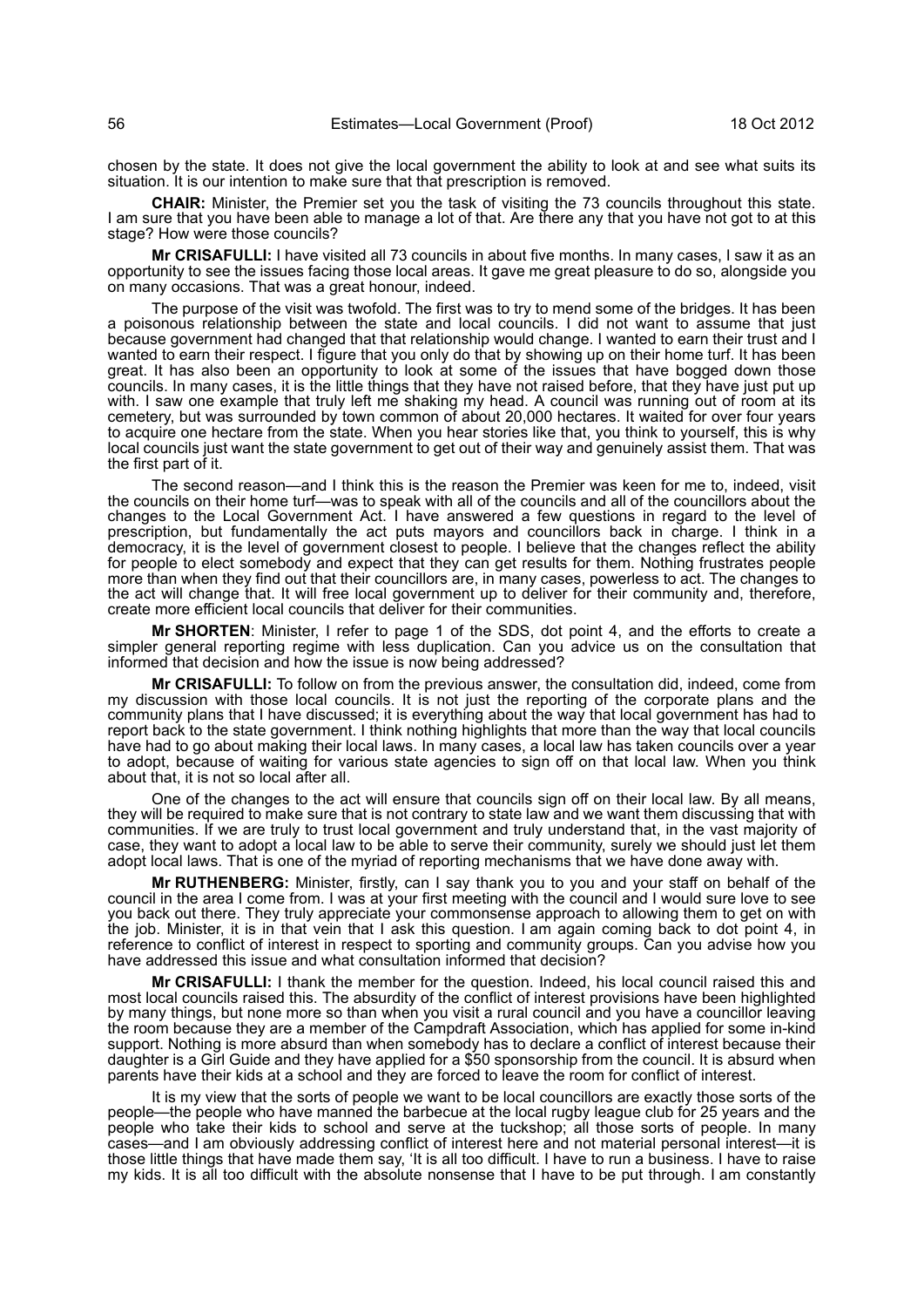chosen by the state. It does not give the local government the ability to look at and see what suits its situation. It is our intention to make sure that that prescription is removed.

**CHAIR:** Minister, the Premier set you the task of visiting the 73 councils throughout this state. I am sure that you have been able to manage a lot of that. Are there any that you have not got to at this stage? How were those councils?

**Mr CRISAFULLI:** I have visited all 73 councils in about five months. In many cases, I saw it as an opportunity to see the issues facing those local areas. It gave me great pleasure to do so, alongside you on many occasions. That was a great honour, indeed.

The purpose of the visit was twofold. The first was to try to mend some of the bridges. It has been a poisonous relationship between the state and local councils. I did not want to assume that just because government had changed that that relationship would change. I wanted to earn their trust and I wanted to earn their respect. I figure that you only do that by showing up on their home turf. It has been great. It has also been an opportunity to look at some of the issues that have bogged down those councils. In many cases, it is the little things that they have not raised before, that they have just put up with. I saw one example that truly left me shaking my head. A council was running out of room at its cemetery, but was surrounded by town common of about 20,000 hectares. It waited for over four years to acquire one hectare from the state. When you hear stories like that, you think to yourself, this is why local councils just want the state government to get out of their way and genuinely assist them. That was the first part of it.

The second reason—and I think this is the reason the Premier was keen for me to, indeed, visit the councils on their home turf—was to speak with all of the councils and all of the councillors about the changes to the Local Government Act. I have answered a few questions in regard to the level of prescription, but fundamentally the act puts mayors and councillors back in charge. I think in a democracy, it is the level of government closest to people. I believe that the changes reflect the ability for people to elect somebody and expect that they can get results for them. Nothing frustrates people more than when they find out that their councillors are, in many cases, powerless to act. The changes to the act will change that. It will free local government up to deliver for their community and, therefore, create more efficient local councils that deliver for their communities.

**Mr SHORTEN**: Minister, I refer to page 1 of the SDS, dot point 4, and the efforts to create a simpler general reporting regime with less duplication. Can you advice us on the consultation that informed that decision and how the issue is now being addressed?

**Mr CRISAFULLI:** To follow on from the previous answer, the consultation did, indeed, come from my discussion with those local councils. It is not just the reporting of the corporate plans and the community plans that I have discussed; it is everything about the way that local government has had to report back to the state government. I think nothing highlights that more than the way that local councils have had to go about making their local laws. In many cases, a local law has taken councils over a year to adopt, because of waiting for various state agencies to sign off on that local law. When you think about that, it is not so local after all.

One of the changes to the act will ensure that councils sign off on their local law. By all means, they will be required to make sure that is not contrary to state law and we want them discussing that with communities. If we are truly to trust local government and truly understand that, in the vast majority of case, they want to adopt a local law to be able to serve their community, surely we should just let them adopt local laws. That is one of the myriad of reporting mechanisms that we have done away with.

**Mr RUTHENBERG:** Minister, firstly, can I say thank you to you and your staff on behalf of the council in the area I come from. I was at your first meeting with the council and I would sure love to see you back out there. They truly appreciate your commonsense approach to allowing them to get on with the job. Minister, it is in that vein that I ask this question. I am again coming back to dot point 4, in reference to conflict of interest in respect to sporting and community groups. Can you advise how you have addressed this issue and what consultation informed that decision?

**Mr CRISAFULLI:** I thank the member for the question. Indeed, his local council raised this and most local councils raised this. The absurdity of the conflict of interest provisions have been highlighted by many things, but none more so than when you visit a rural council and you have a councillor leaving the room because they are a member of the Campdraft Association, which has applied for some in-kind support. Nothing is more absurd than when somebody has to declare a conflict of interest because their daughter is a Girl Guide and they have applied for a \$50 sponsorship from the council. It is absurd when parents have their kids at a school and they are forced to leave the room for conflict of interest.

It is my view that the sorts of people we want to be local councillors are exactly those sorts of the people—the people who have manned the barbecue at the local rugby league club for 25 years and the people who take their kids to school and serve at the tuckshop; all those sorts of people. In many cases—and I am obviously addressing conflict of interest here and not material personal interest—it is those little things that have made them say, 'It is all too difficult. I have to run a business. I have to raise my kids. It is all too difficult with the absolute nonsense that I have to be put through. I am constantly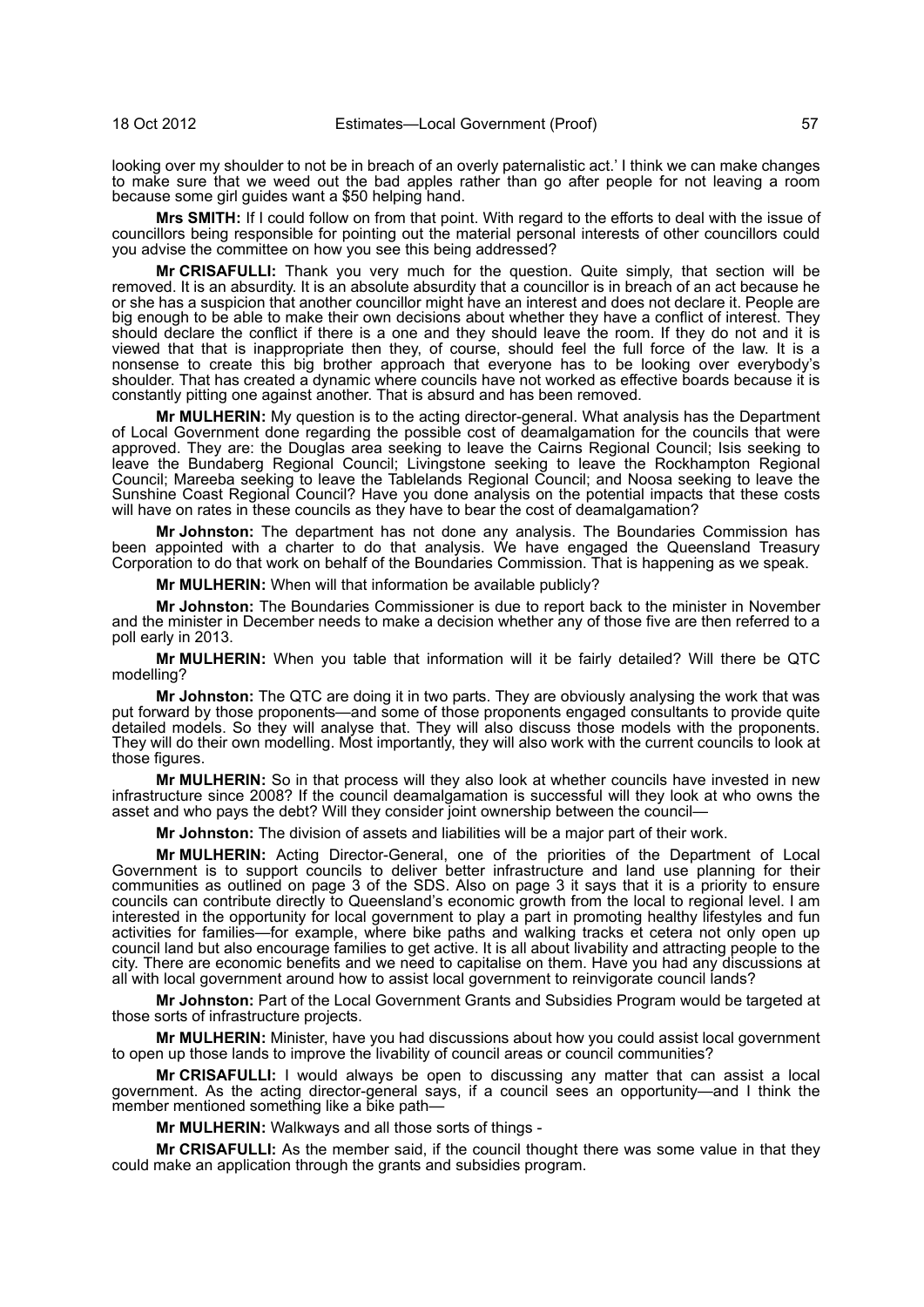looking over my shoulder to not be in breach of an overly paternalistic act.' I think we can make changes to make sure that we weed out the bad apples rather than go after people for not leaving a room because some girl guides want a \$50 helping hand.

**Mrs SMITH:** If I could follow on from that point. With regard to the efforts to deal with the issue of councillors being responsible for pointing out the material personal interests of other councillors could you advise the committee on how you see this being addressed?

**Mr CRISAFULLI:** Thank you very much for the question. Quite simply, that section will be removed. It is an absurdity. It is an absolute absurdity that a councillor is in breach of an act because he or she has a suspicion that another councillor might have an interest and does not declare it. People are big enough to be able to make their own decisions about whether they have a conflict of interest. They should declare the conflict if there is a one and they should leave the room. If they do not and it is viewed that that is inappropriate then they, of course, should feel the full force of the law. It is a nonsense to create this big brother approach that everyone has to be looking over everybody's shoulder. That has created a dynamic where councils have not worked as effective boards because it is constantly pitting one against another. That is absurd and has been removed.

**Mr MULHERIN:** My question is to the acting director-general. What analysis has the Department of Local Government done regarding the possible cost of deamalgamation for the councils that were approved. They are: the Douglas area seeking to leave the Cairns Regional Council; Isis seeking to leave the Bundaberg Regional Council; Livingstone seeking to leave the Rockhampton Regional Council; Mareeba seeking to leave the Tablelands Regional Council; and Noosa seeking to leave the Sunshine Coast Regional Council? Have you done analysis on the potential impacts that these costs will have on rates in these councils as they have to bear the cost of deamalgamation?

**Mr Johnston:** The department has not done any analysis. The Boundaries Commission has been appointed with a charter to do that analysis. We have engaged the Queensland Treasury Corporation to do that work on behalf of the Boundaries Commission. That is happening as we speak.

**Mr MULHERIN:** When will that information be available publicly?

**Mr Johnston:** The Boundaries Commissioner is due to report back to the minister in November and the minister in December needs to make a decision whether any of those five are then referred to a poll early in 2013.

**Mr MULHERIN:** When you table that information will it be fairly detailed? Will there be QTC modelling?

**Mr Johnston:** The QTC are doing it in two parts. They are obviously analysing the work that was put forward by those proponents—and some of those proponents engaged consultants to provide quite detailed models. So they will analyse that. They will also discuss those models with the proponents. They will do their own modelling. Most importantly, they will also work with the current councils to look at those figures.

**Mr MULHERIN:** So in that process will they also look at whether councils have invested in new infrastructure since 2008? If the council deamalgamation is successful will they look at who owns the asset and who pays the debt? Will they consider joint ownership between the council-

**Mr Johnston:** The division of assets and liabilities will be a major part of their work.

**Mr MULHERIN:** Acting Director-General, one of the priorities of the Department of Local Government is to support councils to deliver better infrastructure and land use planning for their communities as outlined on page 3 of the SDS. Also on page 3 it says that it is a priority to ensure councils can contribute directly to Queensland's economic growth from the local to regional level. I am interested in the opportunity for local government to play a part in promoting healthy lifestyles and fun activities for families—for example, where bike paths and walking tracks et cetera not only open up council land but also encourage families to get active. It is all about livability and attracting people to the city. There are economic benefits and we need to capitalise on them. Have you had any discussions at all with local government around how to assist local government to reinvigorate council lands?

**Mr Johnston:** Part of the Local Government Grants and Subsidies Program would be targeted at those sorts of infrastructure projects.

**Mr MULHERIN:** Minister, have you had discussions about how you could assist local government to open up those lands to improve the livability of council areas or council communities?

**Mr CRISAFULLI:** I would always be open to discussing any matter that can assist a local government. As the acting director-general says, if a council sees an opportunity—and I think the member mentioned something like a bike path–

**Mr MULHERIN:** Walkways and all those sorts of things -

**Mr CRISAFULLI:** As the member said, if the council thought there was some value in that they could make an application through the grants and subsidies program.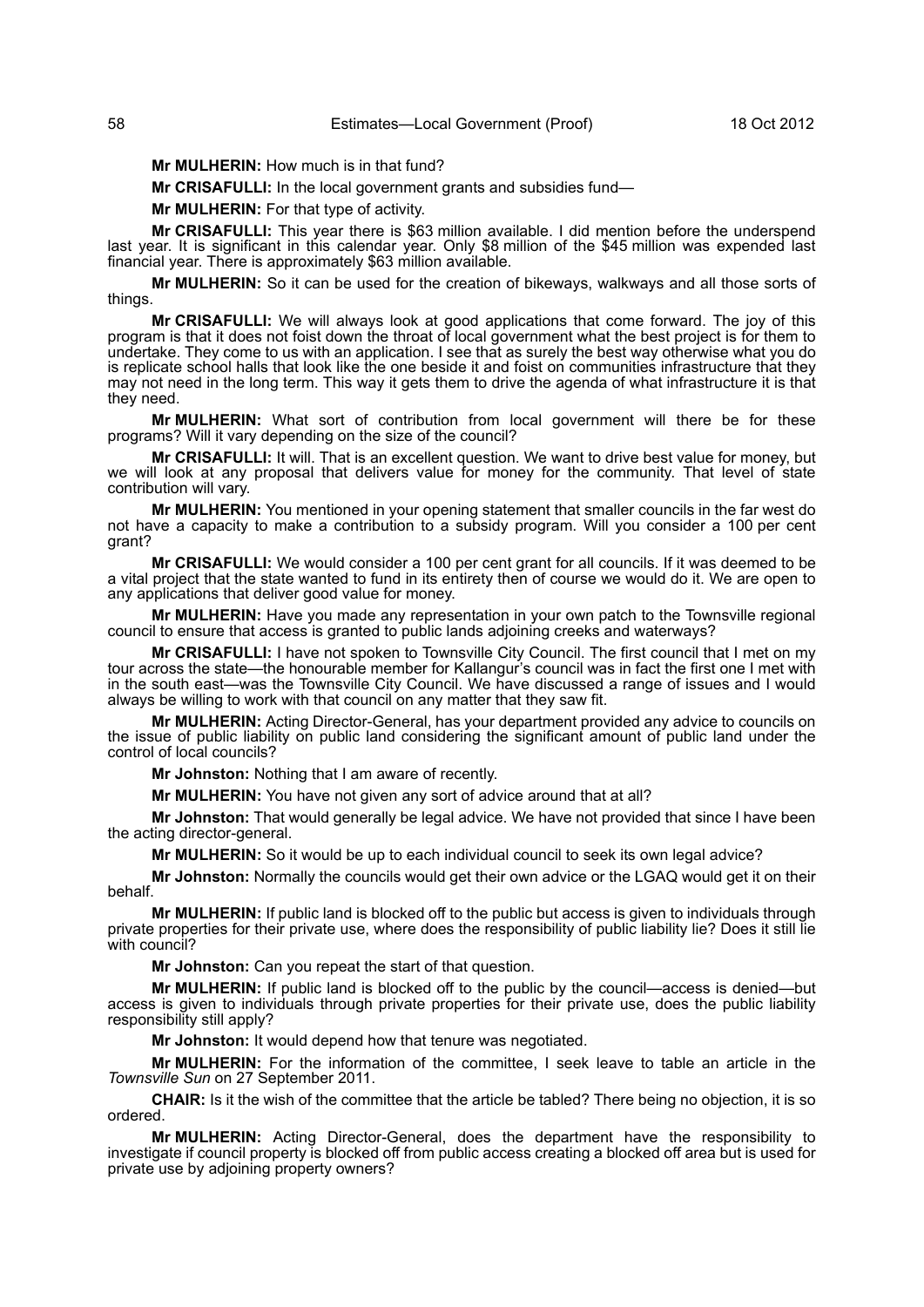**Mr MULHERIN:** How much is in that fund?

**Mr CRISAFULLI:** In the local government grants and subsidies fund—

**Mr MULHERIN:** For that type of activity.

**Mr CRISAFULLI:** This year there is \$63 million available. I did mention before the underspend last year. It is significant in this calendar year. Only \$8 million of the \$45 million was expended last financial year. There is approximately \$63 million available.

**Mr MULHERIN:** So it can be used for the creation of bikeways, walkways and all those sorts of things.

**Mr CRISAFULLI:** We will always look at good applications that come forward. The joy of this program is that it does not foist down the throat of local government what the best project is for them to undertake. They come to us with an application. I see that as surely the best way otherwise what you do is replicate school halls that look like the one beside it and foist on communities infrastructure that they may not need in the long term. This way it gets them to drive the agenda of what infrastructure it is that they need.

**Mr MULHERIN:** What sort of contribution from local government will there be for these programs? Will it vary depending on the size of the council?

**Mr CRISAFULLI:** It will. That is an excellent question. We want to drive best value for money, but we will look at any proposal that delivers value for money for the community. That level of state contribution will vary.

**Mr MULHERIN:** You mentioned in your opening statement that smaller councils in the far west do not have a capacity to make a contribution to a subsidy program. Will you consider a 100 per cent grant?

**Mr CRISAFULLI:** We would consider a 100 per cent grant for all councils. If it was deemed to be a vital project that the state wanted to fund in its entirety then of course we would do it. We are open to any applications that deliver good value for money.

**Mr MULHERIN:** Have you made any representation in your own patch to the Townsville regional council to ensure that access is granted to public lands adjoining creeks and waterways?

**Mr CRISAFULLI:** I have not spoken to Townsville City Council. The first council that I met on my tour across the state—the honourable member for Kallangur's council was in fact the first one I met with in the south east—was the Townsville City Council. We have discussed a range of issues and I would always be willing to work with that council on any matter that they saw fit.

**Mr MULHERIN:** Acting Director-General, has your department provided any advice to councils on the issue of public liability on public land considering the significant amount of public land under the control of local councils?

**Mr Johnston:** Nothing that I am aware of recently.

**Mr MULHERIN:** You have not given any sort of advice around that at all?

**Mr Johnston:** That would generally be legal advice. We have not provided that since I have been the acting director-general.

**Mr MULHERIN:** So it would be up to each individual council to seek its own legal advice?

**Mr Johnston:** Normally the councils would get their own advice or the LGAQ would get it on their behalf.

**Mr MULHERIN:** If public land is blocked off to the public but access is given to individuals through private properties for their private use, where does the responsibility of public liability lie? Does it still lie with council?

**Mr Johnston:** Can you repeat the start of that question.

**Mr MULHERIN:** If public land is blocked off to the public by the council—access is denied—but access is given to individuals through private properties for their private use, does the public liability responsibility still apply?

**Mr Johnston:** It would depend how that tenure was negotiated.

**Mr MULHERIN:** For the information of the committee, I seek leave to table an article in the *Townsville Sun* on 27 September 2011.

**CHAIR:** Is it the wish of the committee that the article be tabled? There being no objection, it is so ordered.

**Mr MULHERIN:** Acting Director-General, does the department have the responsibility to investigate if council property is blocked off from public access creating a blocked off area but is used for private use by adjoining property owners?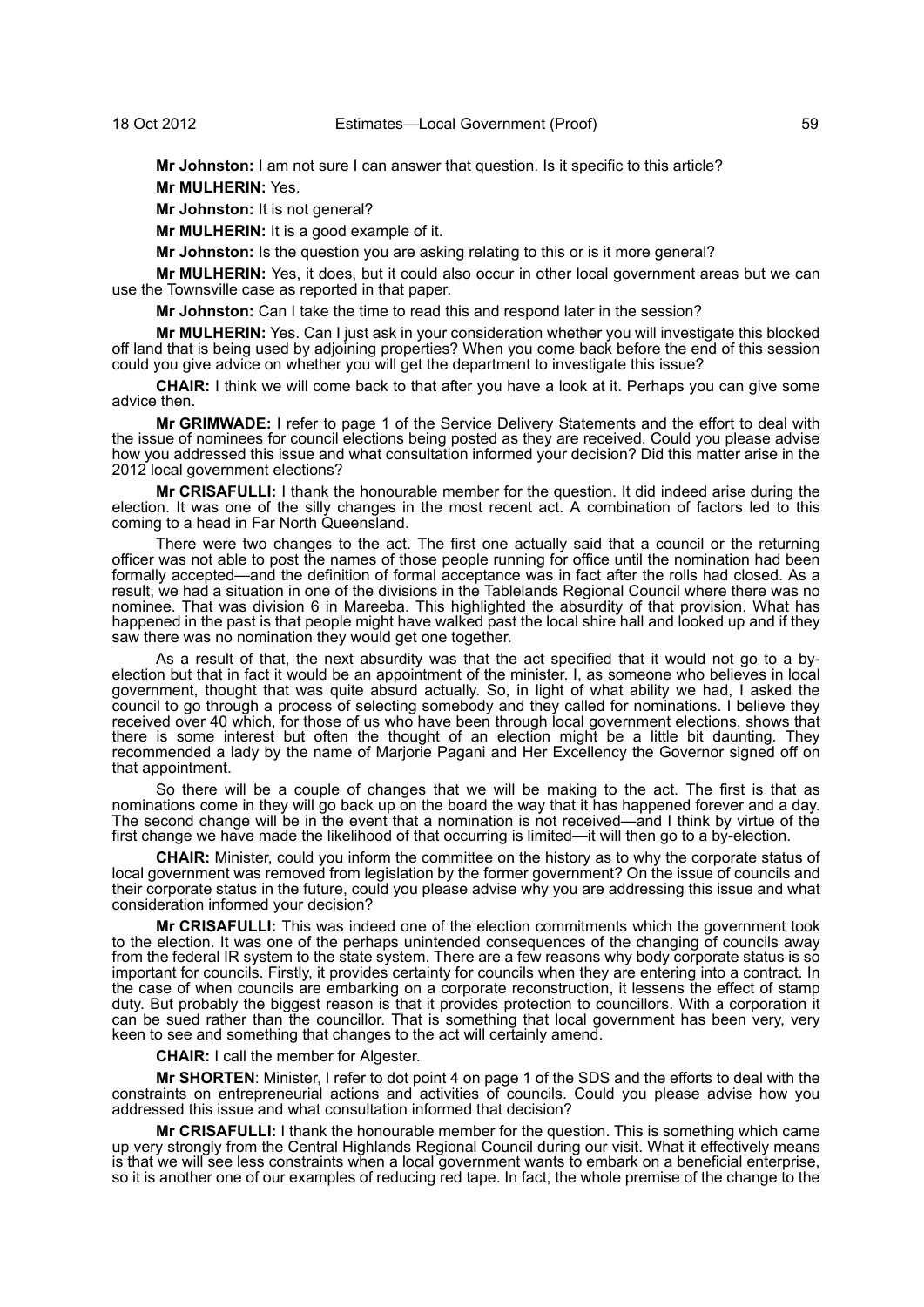**Mr Johnston:** I am not sure I can answer that question. Is it specific to this article?

**Mr MULHERIN:** Yes.

**Mr Johnston:** It is not general?

**Mr MULHERIN:** It is a good example of it.

**Mr Johnston:** Is the question you are asking relating to this or is it more general?

**Mr MULHERIN:** Yes, it does, but it could also occur in other local government areas but we can use the Townsville case as reported in that paper.

**Mr Johnston:** Can I take the time to read this and respond later in the session?

**Mr MULHERIN:** Yes. Can I just ask in your consideration whether you will investigate this blocked off land that is being used by adjoining properties? When you come back before the end of this session could you give advice on whether you will get the department to investigate this issue?

**CHAIR:** I think we will come back to that after you have a look at it. Perhaps you can give some advice then.

**Mr GRIMWADE:** I refer to page 1 of the Service Delivery Statements and the effort to deal with the issue of nominees for council elections being posted as they are received. Could you please advise how you addressed this issue and what consultation informed your decision? Did this matter arise in the 2012 local government elections?

**Mr CRISAFULLI:** I thank the honourable member for the question. It did indeed arise during the election. It was one of the silly changes in the most recent act. A combination of factors led to this coming to a head in Far North Queensland.

There were two changes to the act. The first one actually said that a council or the returning officer was not able to post the names of those people running for office until the nomination had been formally accepted—and the definition of formal acceptance was in fact after the rolls had closed. As a result, we had a situation in one of the divisions in the Tablelands Regional Council where there was no nominee. That was division 6 in Mareeba. This highlighted the absurdity of that provision. What has happened in the past is that people might have walked past the local shire hall and looked up and if they saw there was no nomination they would get one together.

As a result of that, the next absurdity was that the act specified that it would not go to a byelection but that in fact it would be an appointment of the minister. I, as someone who believes in local government, thought that was quite absurd actually. So, in light of what ability we had, I asked the council to go through a process of selecting somebody and they called for nominations. I believe they received over 40 which, for those of us who have been through local government elections, shows that there is some interest but often the thought of an election might be a little bit daunting. They recommended a lady by the name of Marjorie Pagani and Her Excellency the Governor signed off on that appointment.

So there will be a couple of changes that we will be making to the act. The first is that as nominations come in they will go back up on the board the way that it has happened forever and a day. The second change will be in the event that a nomination is not received—and I think by virtue of the first change we have made the likelihood of that occurring is limited—it will then go to a by-election.

**CHAIR:** Minister, could you inform the committee on the history as to why the corporate status of local government was removed from legislation by the former government? On the issue of councils and their corporate status in the future, could you please advise why you are addressing this issue and what consideration informed your decision?

**Mr CRISAFULLI:** This was indeed one of the election commitments which the government took to the election. It was one of the perhaps unintended consequences of the changing of councils away from the federal IR system to the state system. There are a few reasons why body corporate status is so important for councils. Firstly, it provides certainty for councils when they are entering into a contract. In the case of when councils are embarking on a corporate reconstruction, it lessens the effect of stamp duty. But probably the biggest reason is that it provides protection to councillors. With a corporation it can be sued rather than the councillor. That is something that local government has been very, very keen to see and something that changes to the act will certainly amend.

**CHAIR:** I call the member for Algester.

**Mr SHORTEN**: Minister, I refer to dot point 4 on page 1 of the SDS and the efforts to deal with the constraints on entrepreneurial actions and activities of councils. Could you please advise how you addressed this issue and what consultation informed that decision?

**Mr CRISAFULLI:** I thank the honourable member for the question. This is something which came up very strongly from the Central Highlands Regional Council during our visit. What it effectively means is that we will see less constraints when a local government wants to embark on a beneficial enterprise, so it is another one of our examples of reducing red tape. In fact, the whole premise of the change to the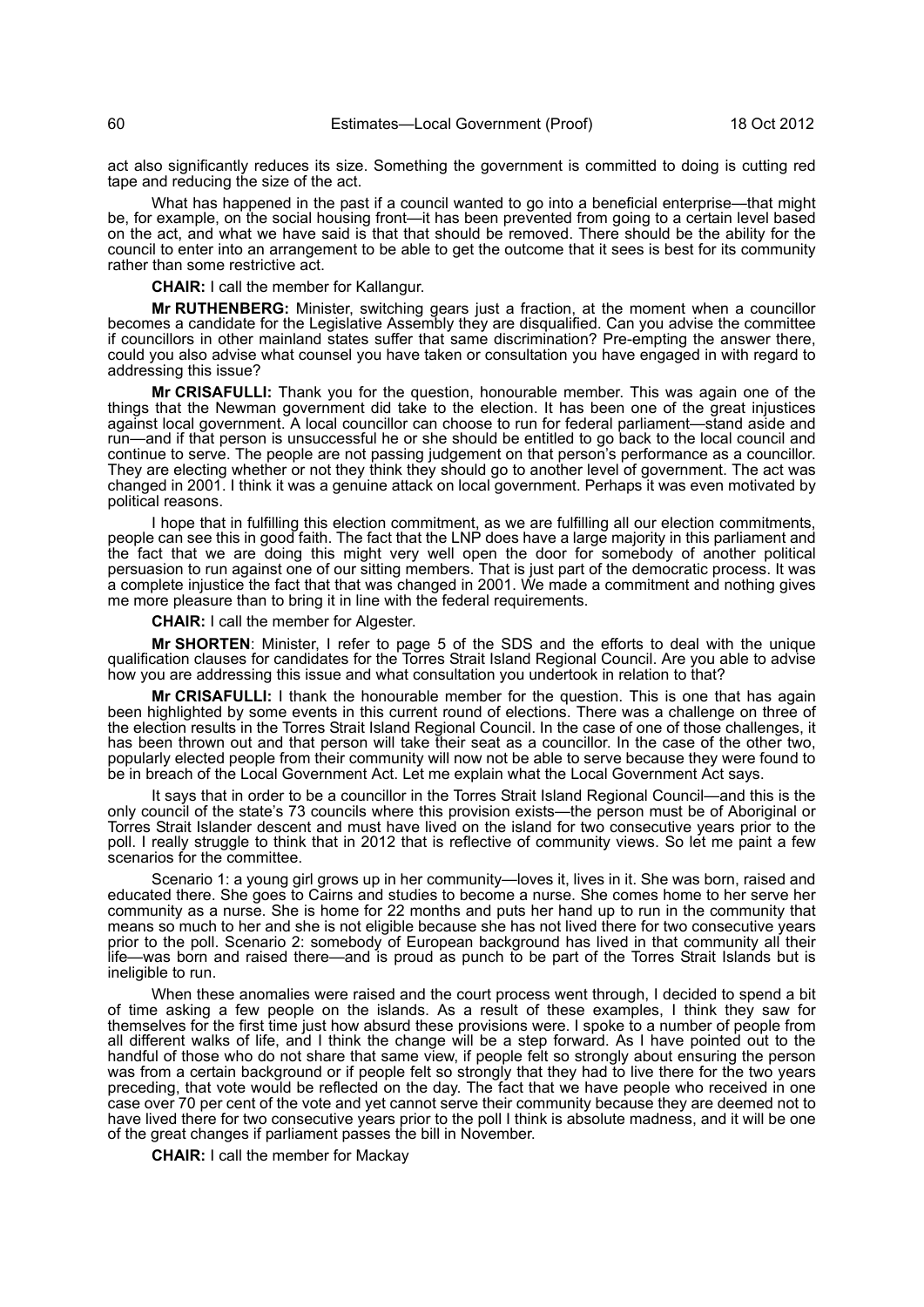act also significantly reduces its size. Something the government is committed to doing is cutting red tape and reducing the size of the act.

What has happened in the past if a council wanted to go into a beneficial enterprise—that might be, for example, on the social housing front—it has been prevented from going to a certain level based on the act, and what we have said is that that should be removed. There should be the ability for the council to enter into an arrangement to be able to get the outcome that it sees is best for its community rather than some restrictive act.

**CHAIR:** I call the member for Kallangur.

**Mr RUTHENBERG:** Minister, switching gears just a fraction, at the moment when a councillor becomes a candidate for the Legislative Assembly they are disqualified. Can you advise the committee if councillors in other mainland states suffer that same discrimination? Pre-empting the answer there, could you also advise what counsel you have taken or consultation you have engaged in with regard to addressing this issue?

**Mr CRISAFULLI:** Thank you for the question, honourable member. This was again one of the things that the Newman government did take to the election. It has been one of the great injustices against local government. A local councillor can choose to run for federal parliament—stand aside and run—and if that person is unsuccessful he or she should be entitled to go back to the local council and continue to serve. The people are not passing judgement on that person's performance as a councillor. They are electing whether or not they think they should go to another level of government. The act was changed in 2001. I think it was a genuine attack on local government. Perhaps it was even motivated by political reasons.

I hope that in fulfilling this election commitment, as we are fulfilling all our election commitments, people can see this in good faith. The fact that the LNP does have a large majority in this parliament and the fact that we are doing this might very well open the door for somebody of another political persuasion to run against one of our sitting members. That is just part of the democratic process. It was a complete injustice the fact that that was changed in 2001. We made a commitment and nothing gives me more pleasure than to bring it in line with the federal requirements.

**CHAIR:** I call the member for Algester.

**Mr SHORTEN**: Minister, I refer to page 5 of the SDS and the efforts to deal with the unique qualification clauses for candidates for the Torres Strait Island Regional Council. Are you able to advise how you are addressing this issue and what consultation you undertook in relation to that?

**Mr CRISAFULLI:** I thank the honourable member for the question. This is one that has again been highlighted by some events in this current round of elections. There was a challenge on three of the election results in the Torres Strait Island Regional Council. In the case of one of those challenges, it has been thrown out and that person will take their seat as a councillor. In the case of the other two, popularly elected people from their community will now not be able to serve because they were found to be in breach of the Local Government Act. Let me explain what the Local Government Act says.

It says that in order to be a councillor in the Torres Strait Island Regional Council—and this is the only council of the state's 73 councils where this provision exists—the person must be of Aboriginal or Torres Strait Islander descent and must have lived on the island for two consecutive years prior to the poll. I really struggle to think that in 2012 that is reflective of community views. So let me paint a few scenarios for the committee.

Scenario 1: a young girl grows up in her community—loves it, lives in it. She was born, raised and educated there. She goes to Cairns and studies to become a nurse. She comes home to her serve her community as a nurse. She is home for 22 months and puts her hand up to run in the community that means so much to her and she is not eligible because she has not lived there for two consecutive years prior to the poll. Scenario 2: somebody of European background has lived in that community all their life—was born and raised there—and is proud as punch to be part of the Torres Strait Islands but is ineligible to run.

When these anomalies were raised and the court process went through, I decided to spend a bit of time asking a few people on the islands. As a result of these examples, I think they saw for themselves for the first time just how absurd these provisions were. I spoke to a number of people from all different walks of life, and I think the change will be a step forward. As I have pointed out to the handful of those who do not share that same view, if people felt so strongly about ensuring the person was from a certain background or if people felt so strongly that they had to live there for the two years preceding, that vote would be reflected on the day. The fact that we have people who received in one case over 70 per cent of the vote and yet cannot serve their community because they are deemed not to have lived there for two consecutive years prior to the poll I think is absolute madness, and it will be one of the great changes if parliament passes the bill in November.

**CHAIR:** I call the member for Mackay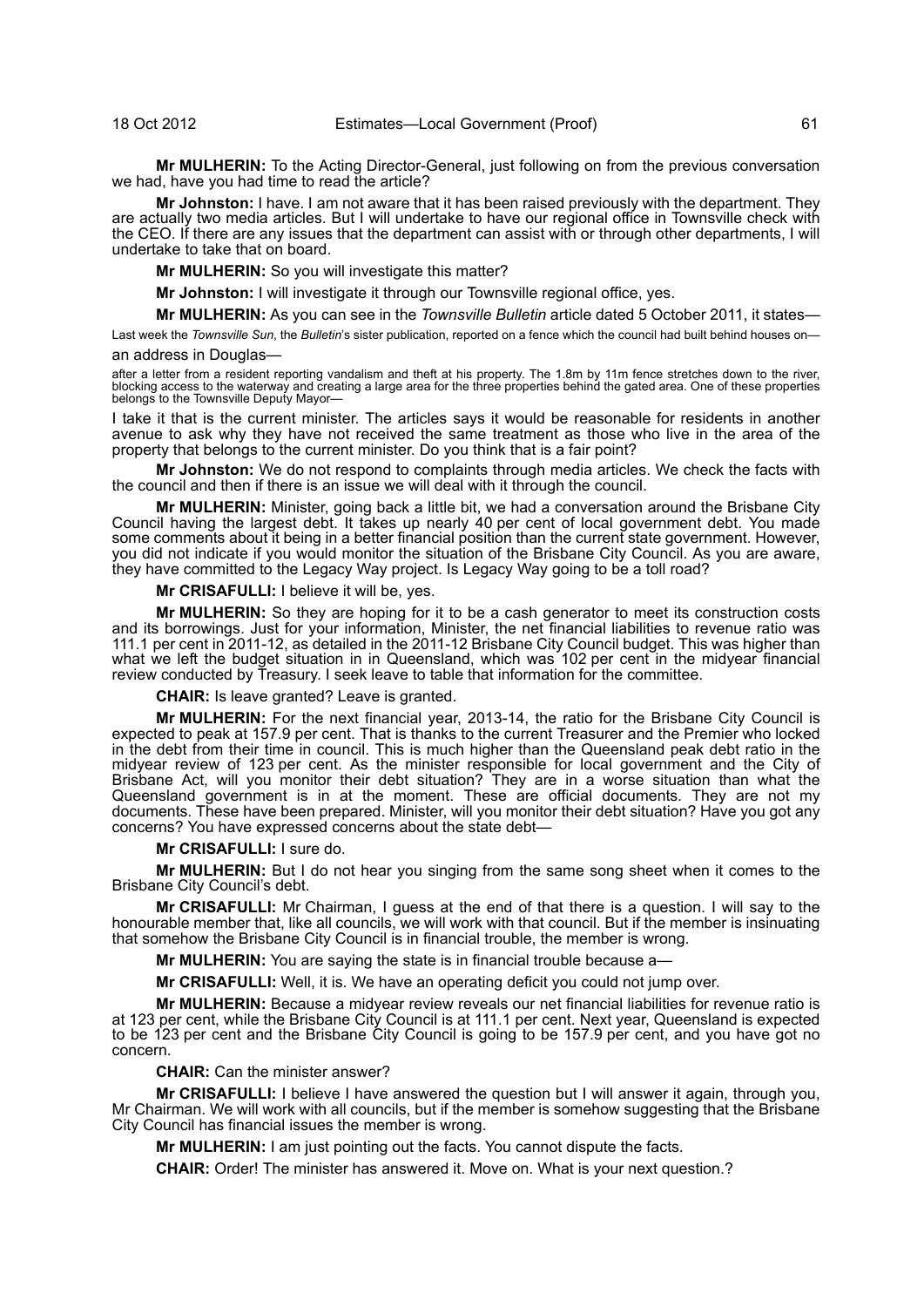**Mr MULHERIN:** To the Acting Director-General, just following on from the previous conversation we had, have you had time to read the article?

**Mr Johnston:** I have. I am not aware that it has been raised previously with the department. They are actually two media articles. But I will undertake to have our regional office in Townsville check with the CEO. If there are any issues that the department can assist with or through other departments, I will undertake to take that on board.

**Mr MULHERIN:** So you will investigate this matter?

**Mr Johnston:** I will investigate it through our Townsville regional office, yes.

**Mr MULHERIN:** As you can see in the *Townsville Bulletin* article dated 5 October 2011, it states—

Last week the *Townsville Sun*, the *Bulletin*'s sister publication, reported on a fence which the council had built behind houses on an address in Douglas—

after a letter from a resident reporting vandalism and theft at his property. The 1.8m by 11m fence stretches down to the river, blocking access to the waterway and creating a large area for the three properties behind the gated area. One of these properties belongs to the Townsville Deputy Mayor-

I take it that is the current minister. The articles says it would be reasonable for residents in another avenue to ask why they have not received the same treatment as those who live in the area of the property that belongs to the current minister. Do you think that is a fair point?

**Mr Johnston:** We do not respond to complaints through media articles. We check the facts with the council and then if there is an issue we will deal with it through the council.

**Mr MULHERIN:** Minister, going back a little bit, we had a conversation around the Brisbane City Council having the largest debt. It takes up nearly 40 per cent of local government debt. You made some comments about it being in a better financial position than the current state government. However, you did not indicate if you would monitor the situation of the Brisbane City Council. As you are aware, they have committed to the Legacy Way project. Is Legacy Way going to be a toll road?

**Mr CRISAFULLI:** I believe it will be, yes.

**Mr MULHERIN:** So they are hoping for it to be a cash generator to meet its construction costs and its borrowings. Just for your information, Minister, the net financial liabilities to revenue ratio was 111.1 per cent in 2011-12, as detailed in the 2011-12 Brisbane City Council budget. This was higher than what we left the budget situation in in Queensland, which was 102 per cent in the midyear financial review conducted by Treasury. I seek leave to table that information for the committee.

**CHAIR:** Is leave granted? Leave is granted.

**Mr MULHERIN:** For the next financial year, 2013-14, the ratio for the Brisbane City Council is expected to peak at 157.9 per cent. That is thanks to the current Treasurer and the Premier who locked in the debt from their time in council. This is much higher than the Queensland peak debt ratio in the midyear review of 123 per cent. As the minister responsible for local government and the City of Brisbane Act, will you monitor their debt situation? They are in a worse situation than what the Queensland government is in at the moment. These are official documents. They are not my documents. These have been prepared. Minister, will you monitor their debt situation? Have you got any concerns? You have expressed concerns about the state debt—

**Mr CRISAFULLI:** I sure do.

**Mr MULHERIN:** But I do not hear you singing from the same song sheet when it comes to the Brisbane City Council's debt.

**Mr CRISAFULLI:** Mr Chairman, I guess at the end of that there is a question. I will say to the honourable member that, like all councils, we will work with that council. But if the member is insinuating that somehow the Brisbane City Council is in financial trouble, the member is wrong.

**Mr MULHERIN:** You are saying the state is in financial trouble because a—

**Mr CRISAFULLI:** Well, it is. We have an operating deficit you could not jump over.

**Mr MULHERIN:** Because a midyear review reveals our net financial liabilities for revenue ratio is at 123 per cent, while the Brisbane City Council is at 111.1 per cent. Next year, Queensland is expected to be 123 per cent and the Brisbane City Council is going to be 157.9 per cent, and you have got no concern.

**CHAIR:** Can the minister answer?

**Mr CRISAFULLI:** I believe I have answered the question but I will answer it again, through you, Mr Chairman. We will work with all councils, but if the member is somehow suggesting that the Brisbane City Council has financial issues the member is wrong.

**Mr MULHERIN:** I am just pointing out the facts. You cannot dispute the facts.

**CHAIR:** Order! The minister has answered it. Move on. What is your next question.?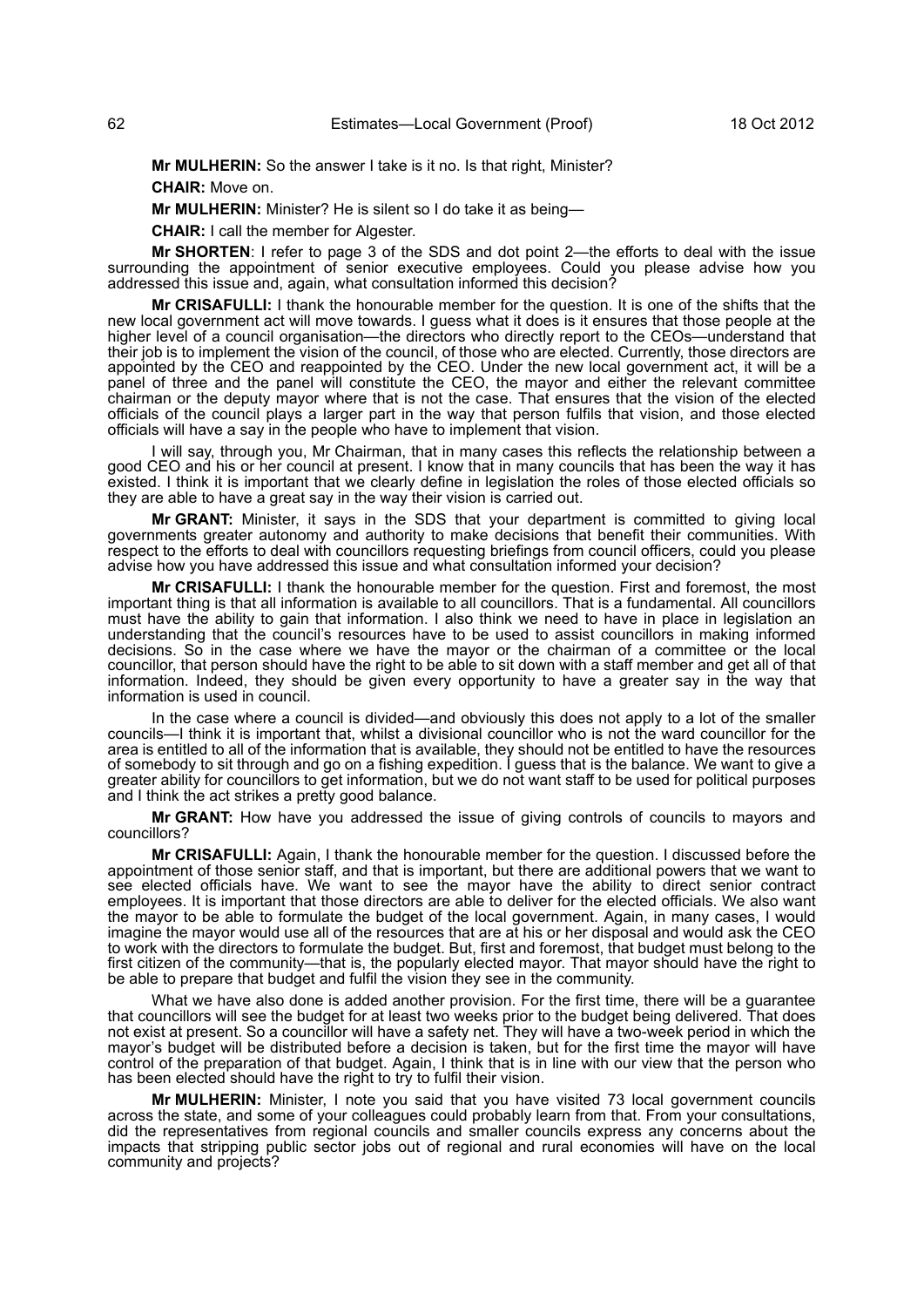**Mr MULHERIN:** So the answer I take is it no. Is that right, Minister?

**CHAIR:** Move on.

**Mr MULHERIN:** Minister? He is silent so I do take it as being—

**CHAIR:** I call the member for Algester.

**Mr SHORTEN**: I refer to page 3 of the SDS and dot point 2—the efforts to deal with the issue surrounding the appointment of senior executive employees. Could you please advise how you addressed this issue and, again, what consultation informed this decision?

**Mr CRISAFULLI:** I thank the honourable member for the question. It is one of the shifts that the new local government act will move towards. I guess what it does is it ensures that those people at the higher level of a council organisation—the directors who directly report to the CEOs—understand that their job is to implement the vision of the council, of those who are elected. Currently, those directors are appointed by the CEO and reappointed by the CEO. Under the new local government act, it will be a panel of three and the panel will constitute the CEO, the mayor and either the relevant committee chairman or the deputy mayor where that is not the case. That ensures that the vision of the elected officials of the council plays a larger part in the way that person fulfils that vision, and those elected officials will have a say in the people who have to implement that vision.

I will say, through you, Mr Chairman, that in many cases this reflects the relationship between a good CEO and his or her council at present. I know that in many councils that has been the way it has existed. I think it is important that we clearly define in legislation the roles of those elected officials so they are able to have a great say in the way their vision is carried out.

**Mr GRANT:** Minister, it says in the SDS that your department is committed to giving local governments greater autonomy and authority to make decisions that benefit their communities. With respect to the efforts to deal with councillors requesting briefings from council officers, could you please advise how you have addressed this issue and what consultation informed your decision?

**Mr CRISAFULLI:** I thank the honourable member for the question. First and foremost, the most important thing is that all information is available to all councillors. That is a fundamental. All councillors must have the ability to gain that information. I also think we need to have in place in legislation an understanding that the council's resources have to be used to assist councillors in making informed decisions. So in the case where we have the mayor or the chairman of a committee or the local councillor, that person should have the right to be able to sit down with a staff member and get all of that information. Indeed, they should be given every opportunity to have a greater say in the way that information is used in council.

In the case where a council is divided—and obviously this does not apply to a lot of the smaller councils—I think it is important that, whilst a divisional councillor who is not the ward councillor for the area is entitled to all of the information that is available, they should not be entitled to have the resources of somebody to sit through and go on a fishing expedition. I guess that is the balance. We want to give a greater ability for councillors to get information, but we do not want staff to be used for political purposes and I think the act strikes a pretty good balance.

**Mr GRANT:** How have you addressed the issue of giving controls of councils to mayors and councillors?

**Mr CRISAFULLI:** Again, I thank the honourable member for the question. I discussed before the appointment of those senior staff, and that is important, but there are additional powers that we want to see elected officials have. We want to see the mayor have the ability to direct senior contract employees. It is important that those directors are able to deliver for the elected officials. We also want the mayor to be able to formulate the budget of the local government. Again, in many cases, I would imagine the mayor would use all of the resources that are at his or her disposal and would ask the CEO to work with the directors to formulate the budget. But, first and foremost, that budget must belong to the first citizen of the community—that is, the popularly elected mayor. That mayor should have the right to be able to prepare that budget and fulfil the vision they see in the community.

What we have also done is added another provision. For the first time, there will be a guarantee that councillors will see the budget for at least two weeks prior to the budget being delivered. That does not exist at present. So a councillor will have a safety net. They will have a two-week period in which the mayor's budget will be distributed before a decision is taken, but for the first time the mayor will have control of the preparation of that budget. Again, I think that is in line with our view that the person who has been elected should have the right to try to fulfil their vision.

**Mr MULHERIN:** Minister, I note you said that you have visited 73 local government councils across the state, and some of your colleagues could probably learn from that. From your consultations, did the representatives from regional councils and smaller councils express any concerns about the impacts that stripping public sector jobs out of regional and rural economies will have on the local community and projects?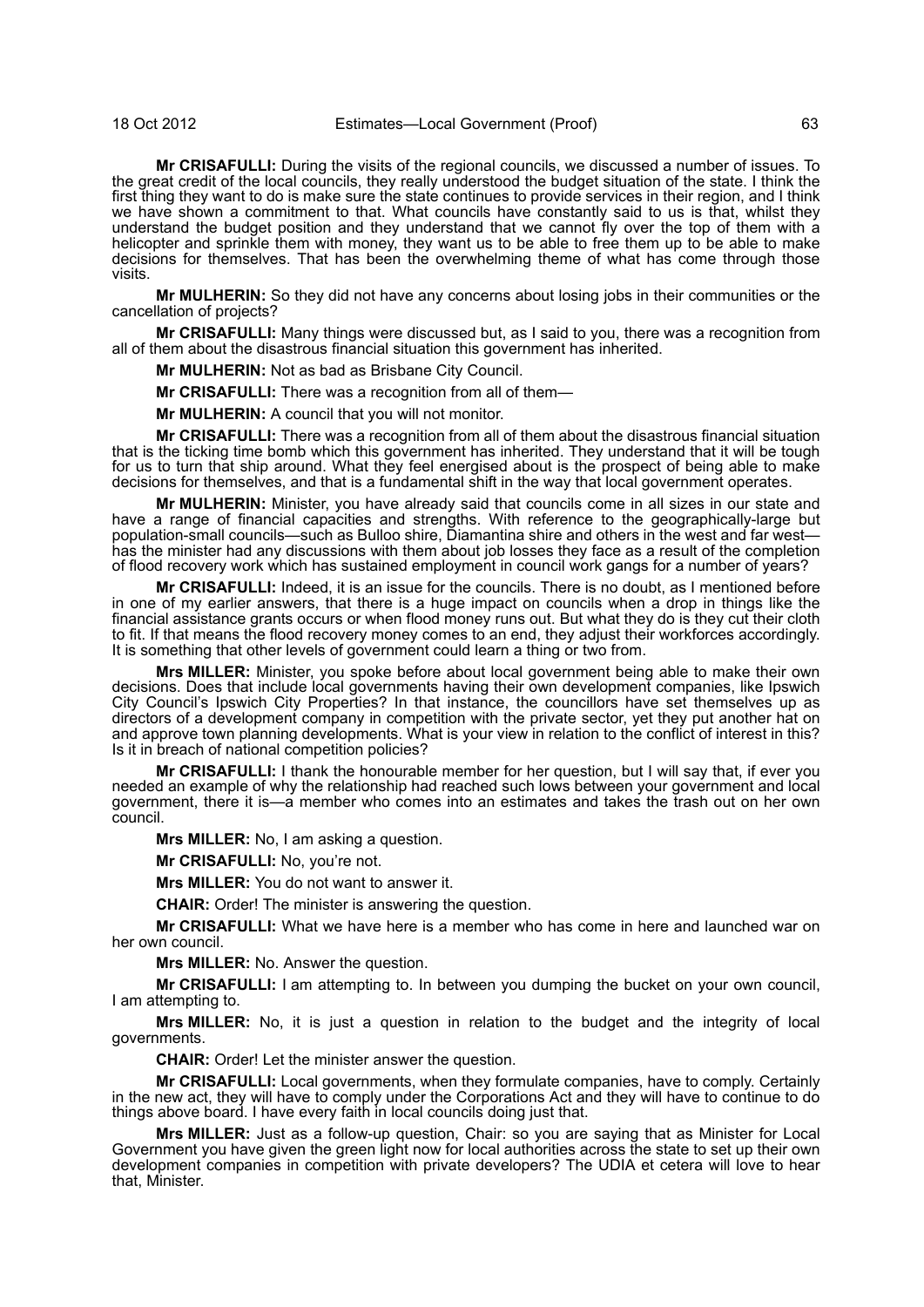#### 18 Oct 2012 Estimates—Local Government (Proof) 63

**Mr CRISAFULLI:** During the visits of the regional councils, we discussed a number of issues. To the great credit of the local councils, they really understood the budget situation of the state. I think the first thing they want to do is make sure the state continues to provide services in their region, and I think we have shown a commitment to that. What councils have constantly said to us is that, whilst they understand the budget position and they understand that we cannot fly over the top of them with a helicopter and sprinkle them with money, they want us to be able to free them up to be able to make decisions for themselves. That has been the overwhelming theme of what has come through those visits.

**Mr MULHERIN:** So they did not have any concerns about losing jobs in their communities or the cancellation of projects?

**Mr CRISAFULLI:** Many things were discussed but, as I said to you, there was a recognition from all of them about the disastrous financial situation this government has inherited.

**Mr MULHERIN:** Not as bad as Brisbane City Council.

**Mr CRISAFULLI:** There was a recognition from all of them—

**Mr MULHERIN:** A council that you will not monitor.

**Mr CRISAFULLI:** There was a recognition from all of them about the disastrous financial situation that is the ticking time bomb which this government has inherited. They understand that it will be tough for us to turn that ship around. What they feel energised about is the prospect of being able to make decisions for themselves, and that is a fundamental shift in the way that local government operates.

**Mr MULHERIN:** Minister, you have already said that councils come in all sizes in our state and have a range of financial capacities and strengths. With reference to the geographically-large but population-small councils—such as Bulloo shire, Diamantina shire and others in the west and far west has the minister had any discussions with them about job losses they face as a result of the completion of flood recovery work which has sustained employment in council work gangs for a number of years?

**Mr CRISAFULLI:** Indeed, it is an issue for the councils. There is no doubt, as I mentioned before in one of my earlier answers, that there is a huge impact on councils when a drop in things like the financial assistance grants occurs or when flood money runs out. But what they do is they cut their cloth to fit. If that means the flood recovery money comes to an end, they adjust their workforces accordingly. It is something that other levels of government could learn a thing or two from.

**Mrs MILLER:** Minister, you spoke before about local government being able to make their own decisions. Does that include local governments having their own development companies, like Ipswich City Council's Ipswich City Properties? In that instance, the councillors have set themselves up as directors of a development company in competition with the private sector, yet they put another hat on and approve town planning developments. What is your view in relation to the conflict of interest in this? Is it in breach of national competition policies?

**Mr CRISAFULLI:** I thank the honourable member for her question, but I will say that, if ever you needed an example of why the relationship had reached such lows between your government and local government, there it is—a member who comes into an estimates and takes the trash out on her own council.

**Mrs MILLER:** No, I am asking a question.

**Mr CRISAFULLI:** No, you're not.

**Mrs MILLER:** You do not want to answer it.

**CHAIR:** Order! The minister is answering the question.

**Mr CRISAFULLI:** What we have here is a member who has come in here and launched war on her own council.

**Mrs MILLER:** No. Answer the question.

**Mr CRISAFULLI:** I am attempting to. In between you dumping the bucket on your own council, I am attempting to.

**Mrs MILLER:** No, it is just a question in relation to the budget and the integrity of local governments.

**CHAIR:** Order! Let the minister answer the question.

**Mr CRISAFULLI:** Local governments, when they formulate companies, have to comply. Certainly in the new act, they will have to comply under the Corporations Act and they will have to continue to do things above board. I have every faith in local councils doing just that.

**Mrs MILLER:** Just as a follow-up question, Chair: so you are saying that as Minister for Local Government you have given the green light now for local authorities across the state to set up their own development companies in competition with private developers? The UDIA et cetera will love to hear that, Minister.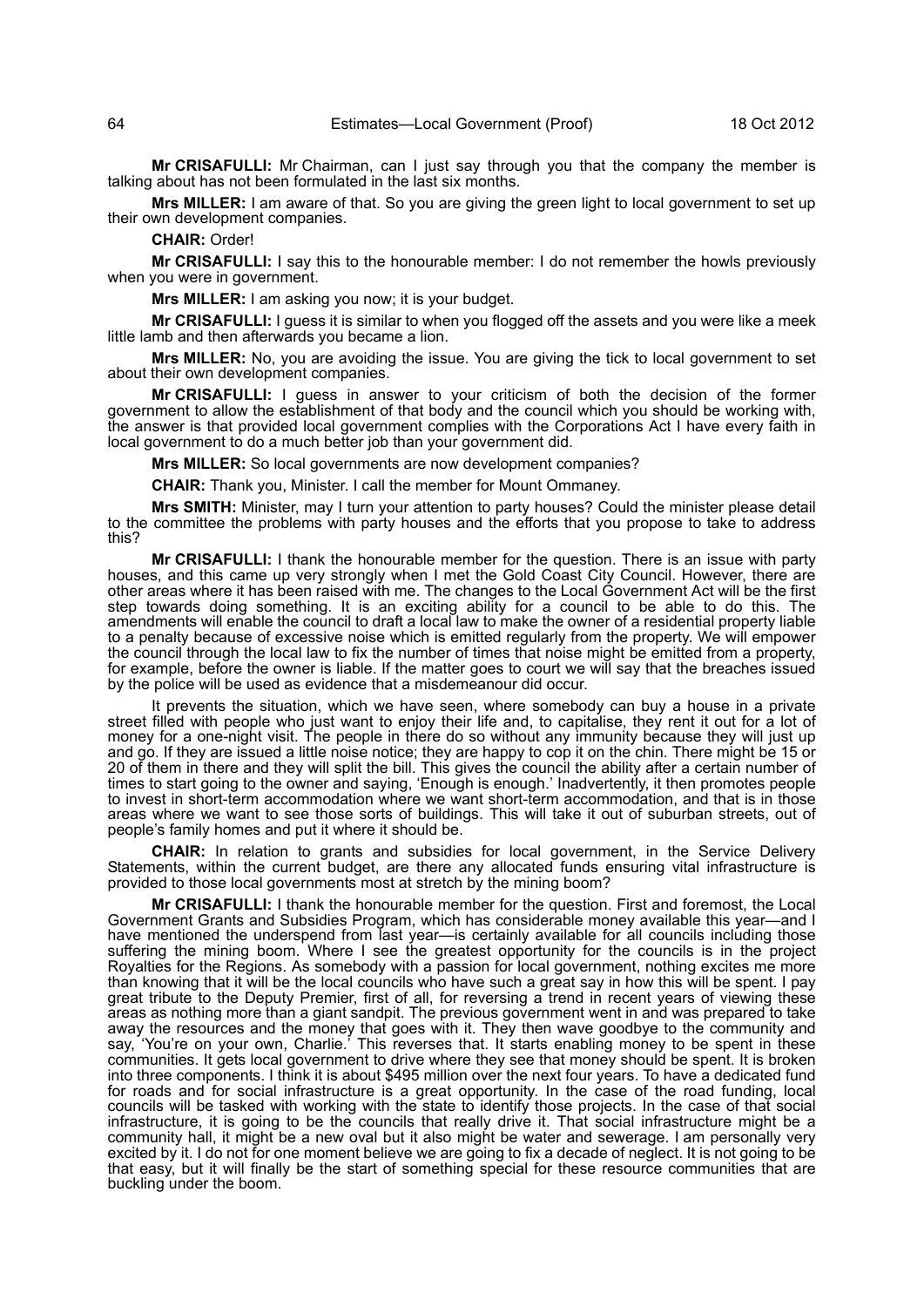**Mr CRISAFULLI:** Mr Chairman, can I just say through you that the company the member is talking about has not been formulated in the last six months.

**Mrs MILLER:** I am aware of that. So you are giving the green light to local government to set up their own development companies.

**CHAIR:** Order!

**Mr CRISAFULLI:** I say this to the honourable member: I do not remember the howls previously when you were in government.

**Mrs MILLER:** I am asking you now; it is your budget.

**Mr CRISAFULLI:** I guess it is similar to when you flogged off the assets and you were like a meek little lamb and then afterwards you became a lion.

**Mrs MILLER:** No, you are avoiding the issue. You are giving the tick to local government to set about their own development companies.

**Mr CRISAFULLI:** I guess in answer to your criticism of both the decision of the former government to allow the establishment of that body and the council which you should be working with, the answer is that provided local government complies with the Corporations Act I have every faith in local government to do a much better job than your government did.

**Mrs MILLER:** So local governments are now development companies?

**CHAIR:** Thank you, Minister. I call the member for Mount Ommaney.

**Mrs SMITH:** Minister, may I turn your attention to party houses? Could the minister please detail to the committee the problems with party houses and the efforts that you propose to take to address this?

**Mr CRISAFULLI:** I thank the honourable member for the question. There is an issue with party houses, and this came up very strongly when I met the Gold Coast City Council. However, there are other areas where it has been raised with me. The changes to the Local Government Act will be the first step towards doing something. It is an exciting ability for a council to be able to do this. The amendments will enable the council to draft a local law to make the owner of a residential property liable to a penalty because of excessive noise which is emitted regularly from the property. We will empower the council through the local law to fix the number of times that noise might be emitted from a property, for example, before the owner is liable. If the matter goes to court we will say that the breaches issued by the police will be used as evidence that a misdemeanour did occur.

It prevents the situation, which we have seen, where somebody can buy a house in a private street filled with people who just want to enjoy their life and, to capitalise, they rent it out for a lot of money for a one-night visit. The people in there do so without any immunity because they will just up and go. If they are issued a little noise notice; they are happy to cop it on the chin. There might be 15 or 20 of them in there and they will split the bill. This gives the council the ability after a certain number of times to start going to the owner and saying, 'Enough is enough.' Inadvertently, it then promotes people to invest in short-term accommodation where we want short-term accommodation, and that is in those areas where we want to see those sorts of buildings. This will take it out of suburban streets, out of people's family homes and put it where it should be.

**CHAIR:** In relation to grants and subsidies for local government, in the Service Delivery Statements, within the current budget, are there any allocated funds ensuring vital infrastructure is provided to those local governments most at stretch by the mining boom?

**Mr CRISAFULLI:** I thank the honourable member for the question. First and foremost, the Local Government Grants and Subsidies Program, which has considerable money available this year—and I have mentioned the underspend from last year—is certainly available for all councils including those suffering the mining boom. Where I see the greatest opportunity for the councils is in the project Royalties for the Regions. As somebody with a passion for local government, nothing excites me more than knowing that it will be the local councils who have such a great say in how this will be spent. I pay great tribute to the Deputy Premier, first of all, for reversing a trend in recent years of viewing these areas as nothing more than a giant sandpit. The previous government went in and was prepared to take away the resources and the money that goes with it. They then wave goodbye to the community and say, 'You're on your own, Charlie.' This reverses that. It starts enabling money to be spent in these communities. It gets local government to drive where they see that money should be spent. It is broken into three components. I think it is about \$495 million over the next four years. To have a dedicated fund for roads and for social infrastructure is a great opportunity. In the case of the road funding, local councils will be tasked with working with the state to identify those projects. In the case of that social infrastructure, it is going to be the councils that really drive it. That social infrastructure might be a community hall, it might be a new oval but it also might be water and sewerage. I am personally very excited by it. I do not for one moment believe we are going to fix a decade of neglect. It is not going to be that easy, but it will finally be the start of something special for these resource communities that are buckling under the boom.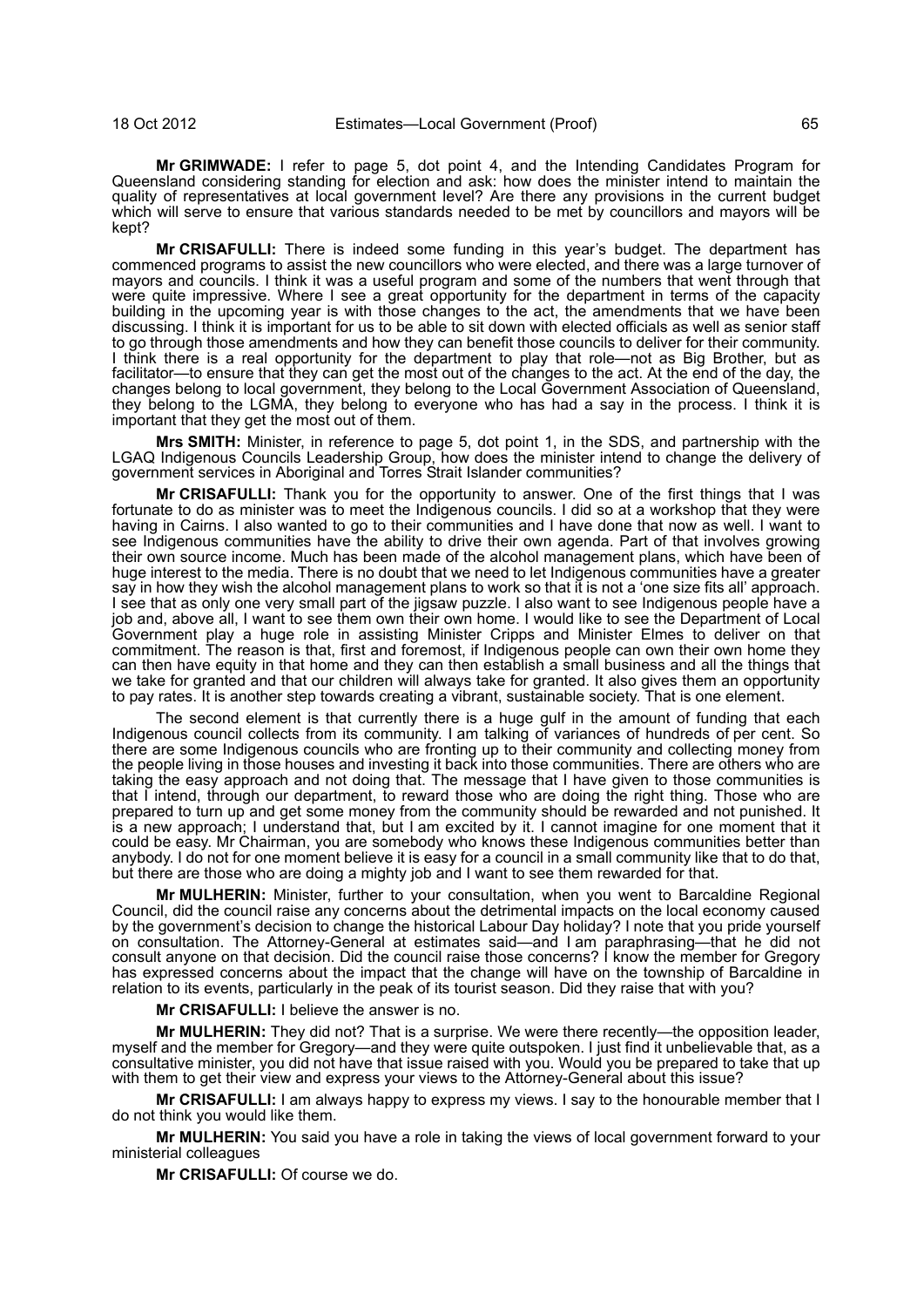**Mr GRIMWADE:** I refer to page 5, dot point 4, and the Intending Candidates Program for Queensland considering standing for election and ask: how does the minister intend to maintain the quality of representatives at local government level? Are there any provisions in the current budget which will serve to ensure that various standards needed to be met by councillors and mayors will be kept?

**Mr CRISAFULLI:** There is indeed some funding in this year's budget. The department has commenced programs to assist the new councillors who were elected, and there was a large turnover of mayors and councils. I think it was a useful program and some of the numbers that went through that were quite impressive. Where I see a great opportunity for the department in terms of the capacity building in the upcoming year is with those changes to the act, the amendments that we have been discussing. I think it is important for us to be able to sit down with elected officials as well as senior staff to go through those amendments and how they can benefit those councils to deliver for their community. I think there is a real opportunity for the department to play that role—not as Big Brother, but as facilitator—to ensure that they can get the most out of the changes to the act. At the end of the day, the changes belong to local government, they belong to the Local Government Association of Queensland, they belong to the LGMA, they belong to everyone who has had a say in the process. I think it is important that they get the most out of them.

**Mrs SMITH:** Minister, in reference to page 5, dot point 1, in the SDS, and partnership with the LGAQ Indigenous Councils Leadership Group, how does the minister intend to change the delivery of government services in Aboriginal and Torres Strait Islander communities?

**Mr CRISAFULLI:** Thank you for the opportunity to answer. One of the first things that I was fortunate to do as minister was to meet the Indigenous councils. I did so at a workshop that they were having in Cairns. I also wanted to go to their communities and I have done that now as well. I want to see Indigenous communities have the ability to drive their own agenda. Part of that involves growing their own source income. Much has been made of the alcohol management plans, which have been of huge interest to the media. There is no doubt that we need to let Indigenous communities have a greater say in how they wish the alcohol management plans to work so that it is not a 'one size fits all' approach. I see that as only one very small part of the jigsaw puzzle. I also want to see Indigenous people have a job and, above all, I want to see them own their own home. I would like to see the Department of Local Government play a huge role in assisting Minister Cripps and Minister Elmes to deliver on that commitment. The reason is that, first and foremost, if Indigenous people can own their own home they can then have equity in that home and they can then establish a small business and all the things that we take for granted and that our children will always take for granted. It also gives them an opportunity to pay rates. It is another step towards creating a vibrant, sustainable society. That is one element.

The second element is that currently there is a huge gulf in the amount of funding that each Indigenous council collects from its community. I am talking of variances of hundreds of per cent. So there are some Indigenous councils who are fronting up to their community and collecting money from the people living in those houses and investing it back into those communities. There are others who are taking the easy approach and not doing that. The message that I have given to those communities is that I intend, through our department, to reward those who are doing the right thing. Those who are prepared to turn up and get some money from the community should be rewarded and not punished. It is a new approach; I understand that, but I am excited by it. I cannot imagine for one moment that it could be easy. Mr Chairman, you are somebody who knows these Indigenous communities better than anybody. I do not for one moment believe it is easy for a council in a small community like that to do that, but there are those who are doing a mighty job and I want to see them rewarded for that.

**Mr MULHERIN:** Minister, further to your consultation, when you went to Barcaldine Regional Council, did the council raise any concerns about the detrimental impacts on the local economy caused by the government's decision to change the historical Labour Day holiday? I note that you pride yourself on consultation. The Attorney-General at estimates said—and I am paraphrasing—that he did not consult anyone on that decision. Did the council raise those concerns? I know the member for Gregory has expressed concerns about the impact that the change will have on the township of Barcaldine in relation to its events, particularly in the peak of its tourist season. Did they raise that with you?

**Mr CRISAFULLI:** I believe the answer is no.

**Mr MULHERIN:** They did not? That is a surprise. We were there recently—the opposition leader, myself and the member for Gregory—and they were quite outspoken. I just find it unbelievable that, as a consultative minister, you did not have that issue raised with you. Would you be prepared to take that up with them to get their view and express your views to the Attorney-General about this issue?

**Mr CRISAFULLI:** I am always happy to express my views. I say to the honourable member that I do not think you would like them.

**Mr MULHERIN:** You said you have a role in taking the views of local government forward to your ministerial colleagues

**Mr CRISAFULLI:** Of course we do.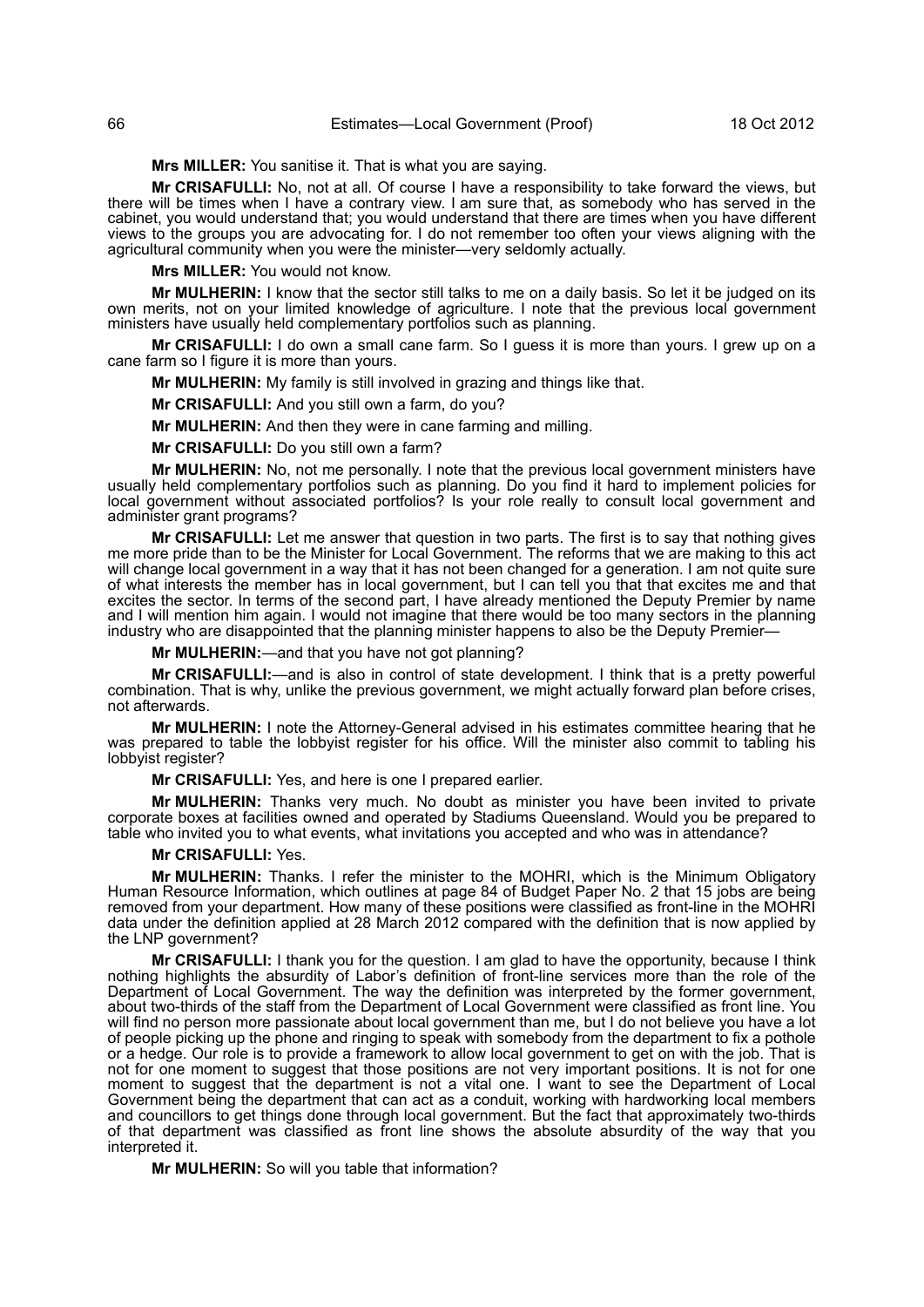**Mrs MILLER:** You sanitise it. That is what you are saying.

**Mr CRISAFULLI:** No, not at all. Of course I have a responsibility to take forward the views, but there will be times when I have a contrary view. I am sure that, as somebody who has served in the cabinet, you would understand that; you would understand that there are times when you have different views to the groups you are advocating for. I do not remember too often your views aligning with the agricultural community when you were the minister—very seldomly actually.

**Mrs MILLER:** You would not know.

**Mr MULHERIN:** I know that the sector still talks to me on a daily basis. So let it be judged on its own merits, not on your limited knowledge of agriculture. I note that the previous local government ministers have usually held complementary portfolios such as planning.

**Mr CRISAFULLI:** I do own a small cane farm. So I guess it is more than yours. I grew up on a cane farm so I figure it is more than yours.

**Mr MULHERIN:** My family is still involved in grazing and things like that.

**Mr CRISAFULLI:** And you still own a farm, do you?

**Mr MULHERIN:** And then they were in cane farming and milling.

**Mr CRISAFULLI:** Do you still own a farm?

**Mr MULHERIN:** No, not me personally. I note that the previous local government ministers have usually held complementary portfolios such as planning. Do you find it hard to implement policies for local government without associated portfolios? Is your role really to consult local government and administer grant programs?

**Mr CRISAFULLI:** Let me answer that question in two parts. The first is to say that nothing gives me more pride than to be the Minister for Local Government. The reforms that we are making to this act will change local government in a way that it has not been changed for a generation. I am not quite sure of what interests the member has in local government, but I can tell you that that excites me and that excites the sector. In terms of the second part, I have already mentioned the Deputy Premier by name and I will mention him again. I would not imagine that there would be too many sectors in the planning industry who are disappointed that the planning minister happens to also be the Deputy Premier—

**Mr MULHERIN:**—and that you have not got planning?

**Mr CRISAFULLI:**—and is also in control of state development. I think that is a pretty powerful combination. That is why, unlike the previous government, we might actually forward plan before crises, not afterwards.

**Mr MULHERIN:** I note the Attorney-General advised in his estimates committee hearing that he was prepared to table the lobbyist register for his office. Will the minister also commit to tabling his lobbyist register?

**Mr CRISAFULLI:** Yes, and here is one I prepared earlier.

**Mr MULHERIN:** Thanks very much. No doubt as minister you have been invited to private corporate boxes at facilities owned and operated by Stadiums Queensland. Would you be prepared to table who invited you to what events, what invitations you accepted and who was in attendance?

#### **Mr CRISAFULLI:** Yes.

**Mr MULHERIN:** Thanks. I refer the minister to the MOHRI, which is the Minimum Obligatory Human Resource Information, which outlines at page 84 of Budget Paper No. 2 that 15 jobs are being removed from your department. How many of these positions were classified as front-line in the MOHRI data under the definition applied at 28 March 2012 compared with the definition that is now applied by the LNP government?

**Mr CRISAFULLI:** I thank you for the question. I am glad to have the opportunity, because I think nothing highlights the absurdity of Labor's definition of front-line services more than the role of the Department of Local Government. The way the definition was interpreted by the former government, about two-thirds of the staff from the Department of Local Government were classified as front line. You will find no person more passionate about local government than me, but I do not believe you have a lot of people picking up the phone and ringing to speak with somebody from the department to fix a pothole or a hedge. Our role is to provide a framework to allow local government to get on with the job. That is not for one moment to suggest that those positions are not very important positions. It is not for one moment to suggest that the department is not a vital one. I want to see the Department of Local Government being the department that can act as a conduit, working with hardworking local members and councillors to get things done through local government. But the fact that approximately two-thirds of that department was classified as front line shows the absolute absurdity of the way that you interpreted it.

**Mr MULHERIN:** So will you table that information?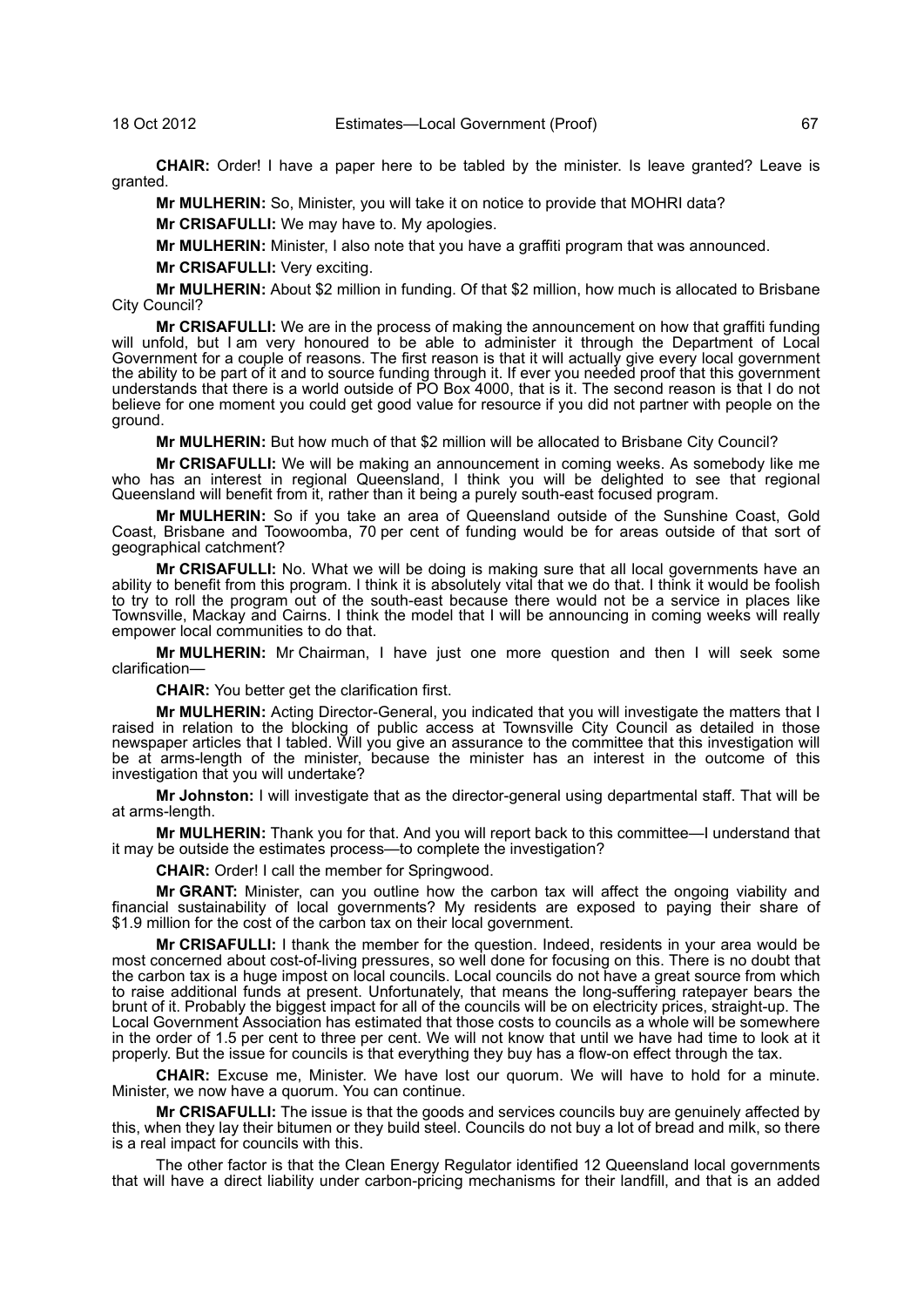**CHAIR:** Order! I have a paper here to be tabled by the minister. Is leave granted? Leave is granted.

**Mr MULHERIN:** So, Minister, you will take it on notice to provide that MOHRI data?

**Mr CRISAFULLI:** We may have to. My apologies.

**Mr MULHERIN:** Minister, I also note that you have a graffiti program that was announced.

**Mr CRISAFULLI:** Very exciting.

**Mr MULHERIN:** About \$2 million in funding. Of that \$2 million, how much is allocated to Brisbane City Council?

**Mr CRISAFULLI:** We are in the process of making the announcement on how that graffiti funding will unfold, but I am very honoured to be able to administer it through the Department of Local Government for a couple of reasons. The first reason is that it will actually give every local government the ability to be part of it and to source funding through it. If ever you needed proof that this government understands that there is a world outside of PO Box 4000, that is it. The second reason is that I do not believe for one moment you could get good value for resource if you did not partner with people on the ground.

**Mr MULHERIN:** But how much of that \$2 million will be allocated to Brisbane City Council?

**Mr CRISAFULLI:** We will be making an announcement in coming weeks. As somebody like me who has an interest in regional Queensland, I think you will be delighted to see that regional Queensland will benefit from it, rather than it being a purely south-east focused program.

**Mr MULHERIN:** So if you take an area of Queensland outside of the Sunshine Coast, Gold Coast, Brisbane and Toowoomba, 70 per cent of funding would be for areas outside of that sort of geographical catchment?

**Mr CRISAFULLI:** No. What we will be doing is making sure that all local governments have an ability to benefit from this program. I think it is absolutely vital that we do that. I think it would be foolish to try to roll the program out of the south-east because there would not be a service in places like Townsville, Mackay and Cairns. I think the model that I will be announcing in coming weeks will really empower local communities to do that.

**Mr MULHERIN:** Mr Chairman, I have just one more question and then I will seek some clarification—

**CHAIR:** You better get the clarification first.

**Mr MULHERIN:** Acting Director-General, you indicated that you will investigate the matters that I raised in relation to the blocking of public access at Townsville City Council as detailed in those newspaper articles that I tabled. Will you give an assurance to the committee that this investigation will be at arms-length of the minister, because the minister has an interest in the outcome of this investigation that you will undertake?

**Mr Johnston:** I will investigate that as the director-general using departmental staff. That will be at arms-length.

**Mr MULHERIN:** Thank you for that. And you will report back to this committee—I understand that it may be outside the estimates process—to complete the investigation?

**CHAIR:** Order! I call the member for Springwood.

**Mr GRANT:** Minister, can you outline how the carbon tax will affect the ongoing viability and financial sustainability of local governments? My residents are exposed to paying their share of \$1.9 million for the cost of the carbon tax on their local government.

**Mr CRISAFULLI:** I thank the member for the question. Indeed, residents in your area would be most concerned about cost-of-living pressures, so well done for focusing on this. There is no doubt that the carbon tax is a huge impost on local councils. Local councils do not have a great source from which to raise additional funds at present. Unfortunately, that means the long-suffering ratepayer bears the brunt of it. Probably the biggest impact for all of the councils will be on electricity prices, straight-up. The Local Government Association has estimated that those costs to councils as a whole will be somewhere in the order of 1.5 per cent to three per cent. We will not know that until we have had time to look at it properly. But the issue for councils is that everything they buy has a flow-on effect through the tax.

**CHAIR:** Excuse me, Minister. We have lost our quorum. We will have to hold for a minute. Minister, we now have a quorum. You can continue.

**Mr CRISAFULLI:** The issue is that the goods and services councils buy are genuinely affected by this, when they lay their bitumen or they build steel. Councils do not buy a lot of bread and milk, so there is a real impact for councils with this.

The other factor is that the Clean Energy Regulator identified 12 Queensland local governments that will have a direct liability under carbon-pricing mechanisms for their landfill, and that is an added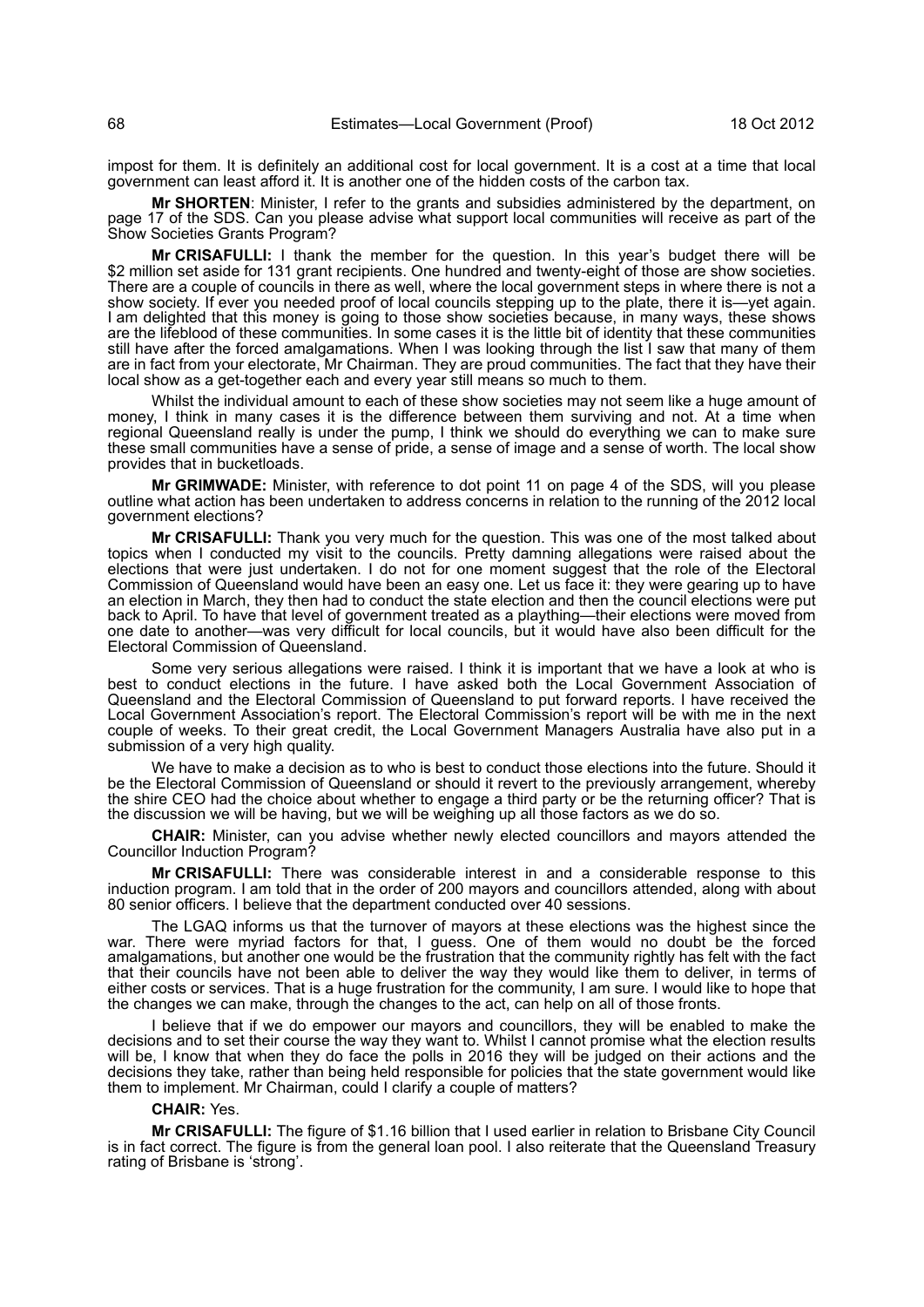impost for them. It is definitely an additional cost for local government. It is a cost at a time that local government can least afford it. It is another one of the hidden costs of the carbon tax.

**Mr SHORTEN**: Minister, I refer to the grants and subsidies administered by the department, on page 17 of the SDS. Can you please advise what support local communities will receive as part of the Show Societies Grants Program?

**Mr CRISAFULLI:** I thank the member for the question. In this year's budget there will be \$2 million set aside for 131 grant recipients. One hundred and twenty-eight of those are show societies. There are a couple of councils in there as well, where the local government steps in where there is not a show society. If ever you needed proof of local councils stepping up to the plate, there it is—yet again. I am delighted that this money is going to those show societies because, in many ways, these shows are the lifeblood of these communities. In some cases it is the little bit of identity that these communities still have after the forced amalgamations. When I was looking through the list I saw that many of them are in fact from your electorate, Mr Chairman. They are proud communities. The fact that they have their local show as a get-together each and every year still means so much to them.

Whilst the individual amount to each of these show societies may not seem like a huge amount of money, I think in many cases it is the difference between them surviving and not. At a time when regional Queensland really is under the pump, I think we should do everything we can to make sure these small communities have a sense of pride, a sense of image and a sense of worth. The local show provides that in bucketloads.

**Mr GRIMWADE:** Minister, with reference to dot point 11 on page 4 of the SDS, will you please outline what action has been undertaken to address concerns in relation to the running of the 2012 local government elections?

**Mr CRISAFULLI:** Thank you very much for the question. This was one of the most talked about topics when I conducted my visit to the councils. Pretty damning allegations were raised about the elections that were just undertaken. I do not for one moment suggest that the role of the Electoral Commission of Queensland would have been an easy one. Let us face it: they were gearing up to have an election in March, they then had to conduct the state election and then the council elections were put back to April. To have that level of government treated as a plaything—their elections were moved from one date to another—was very difficult for local councils, but it would have also been difficult for the Electoral Commission of Queensland.

Some very serious allegations were raised. I think it is important that we have a look at who is best to conduct elections in the future. I have asked both the Local Government Association of Queensland and the Electoral Commission of Queensland to put forward reports. I have received the Local Government Association's report. The Electoral Commission's report will be with me in the next couple of weeks. To their great credit, the Local Government Managers Australia have also put in a submission of a very high quality.

We have to make a decision as to who is best to conduct those elections into the future. Should it be the Electoral Commission of Queensland or should it revert to the previously arrangement, whereby the shire CEO had the choice about whether to engage a third party or be the returning officer? That is the discussion we will be having, but we will be weighing up all those factors as we do so.

**CHAIR:** Minister, can you advise whether newly elected councillors and mayors attended the Councillor Induction Program?

**Mr CRISAFULLI:** There was considerable interest in and a considerable response to this induction program. I am told that in the order of 200 mayors and councillors attended, along with about 80 senior officers. I believe that the department conducted over 40 sessions.

The LGAQ informs us that the turnover of mayors at these elections was the highest since the war. There were myriad factors for that, I guess. One of them would no doubt be the forced amalgamations, but another one would be the frustration that the community rightly has felt with the fact that their councils have not been able to deliver the way they would like them to deliver, in terms of either costs or services. That is a huge frustration for the community, I am sure. I would like to hope that the changes we can make, through the changes to the act, can help on all of those fronts.

I believe that if we do empower our mayors and councillors, they will be enabled to make the decisions and to set their course the way they want to. Whilst I cannot promise what the election results will be, I know that when they do face the polls in 2016 they will be judged on their actions and the decisions they take, rather than being held responsible for policies that the state government would like them to implement. Mr Chairman, could I clarify a couple of matters?

#### **CHAIR:** Yes.

**Mr CRISAFULLI:** The figure of \$1.16 billion that I used earlier in relation to Brisbane City Council is in fact correct. The figure is from the general loan pool. I also reiterate that the Queensland Treasury rating of Brisbane is 'strong'.